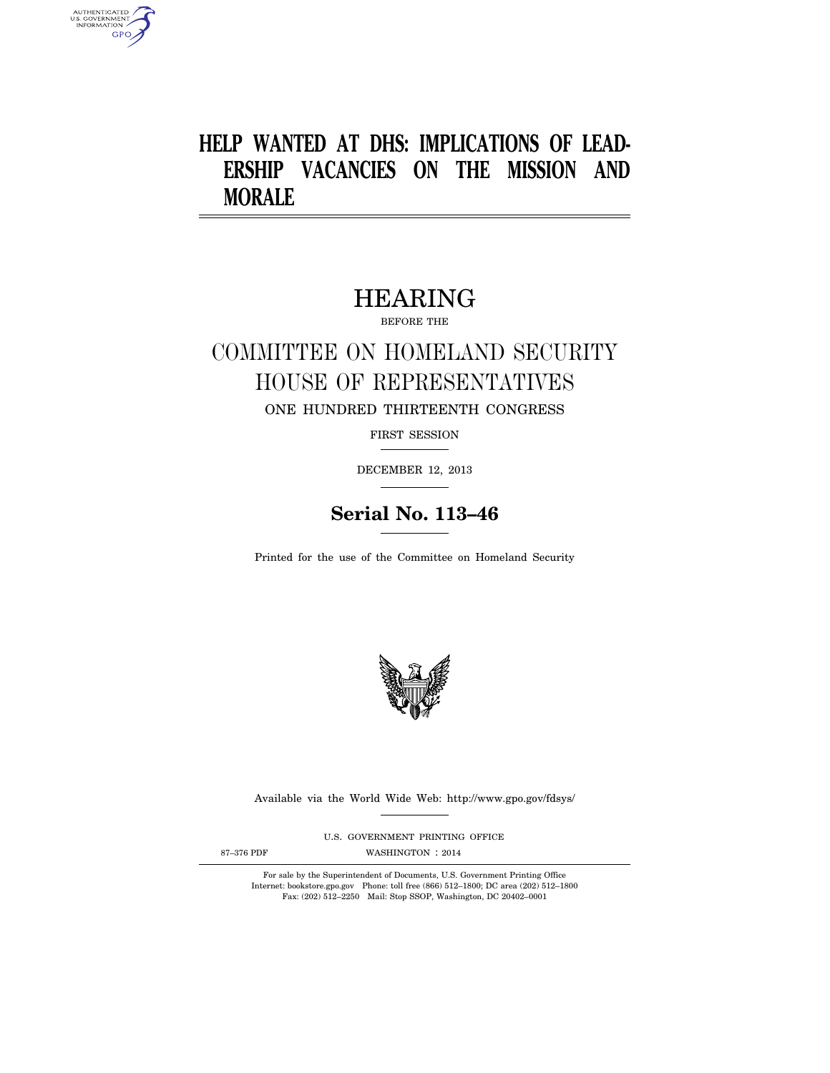# **HELP WANTED AT DHS: IMPLICATIONS OF LEAD-ERSHIP VACANCIES ON THE MISSION AND MORALE**

# HEARING

BEFORE THE

# COMMITTEE ON HOMELAND SECURITY HOUSE OF REPRESENTATIVES ONE HUNDRED THIRTEENTH CONGRESS

FIRST SESSION

DECEMBER 12, 2013

# **Serial No. 113–46**

Printed for the use of the Committee on Homeland Security



Available via the World Wide Web: http://www.gpo.gov/fdsys/

U.S. GOVERNMENT PRINTING OFFICE

AUTHENTICATED<br>U.S. GOVERNMENT<br>INFORMATION **GPO** 

87-376 PDF WASHINGTON : 2014

For sale by the Superintendent of Documents, U.S. Government Printing Office Internet: bookstore.gpo.gov Phone: toll free (866) 512–1800; DC area (202) 512–1800 Fax: (202) 512–2250 Mail: Stop SSOP, Washington, DC 20402–0001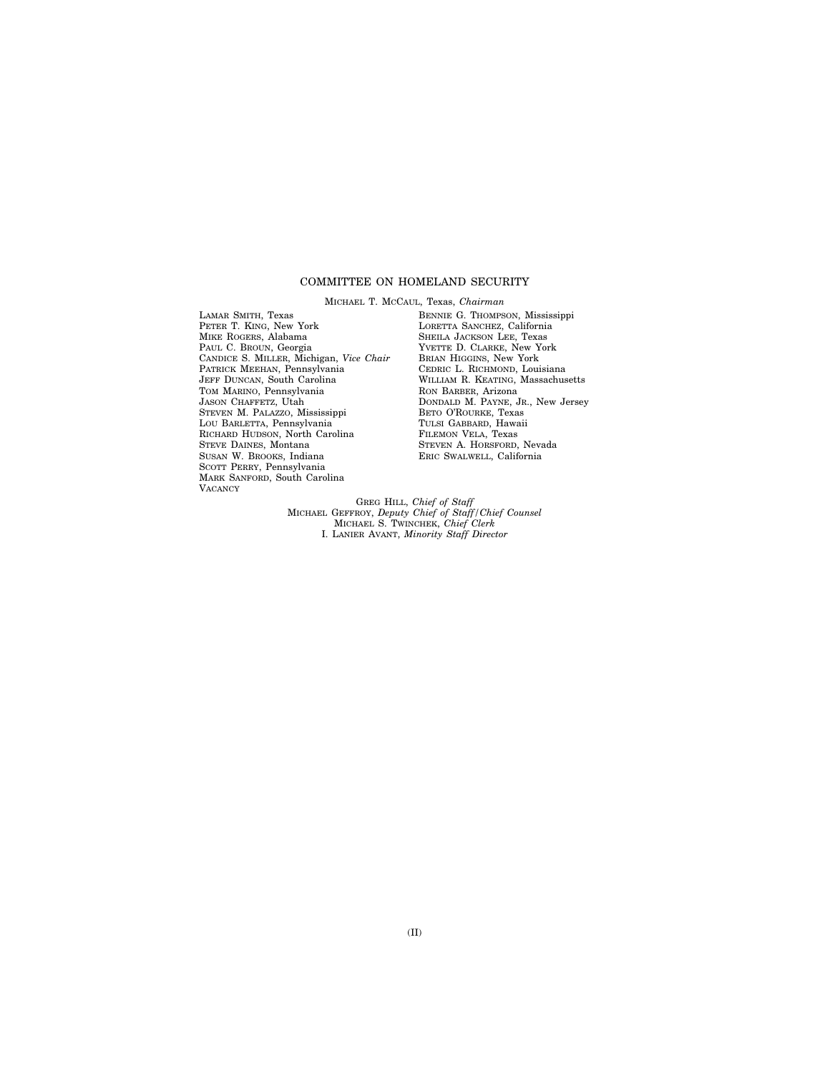### COMMITTEE ON HOMELAND SECURITY

MICHAEL T. MCCAUL, Texas, *Chairman*  LAMAR SMITH, Texas PETER T. KING, New York MIKE ROGERS, Alabama PAUL C. BROUN, Georgia CANDICE S. MILLER, Michigan, *Vice Chair*  PATRICK MEEHAN, Pennsylvania JEFF DUNCAN, South Carolina TOM MARINO, Pennsylvania JASON CHAFFETZ, Utah STEVEN M. PALAZZO, Mississippi LOU BARLETTA, Pennsylvania RICHARD HUDSON, North Carolina STEVE DAINES, Montana SUSAN W. BROOKS, Indiana SCOTT PERRY, Pennsylvania MARK SANFORD, South Carolina **VACANCY** 

BENNIE G. THOMPSON, Mississippi LORETTA SANCHEZ, California SHEILA JACKSON LEE, Texas YVETTE D. CLARKE, New York BRIAN HIGGINS, New York CEDRIC L. RICHMOND, Louisiana WILLIAM R. KEATING, Massachusetts RON BARBER, Arizona DONDALD M. PAYNE, JR., New Jersey BETO O'ROURKE, Texas TULSI GABBARD, Hawaii FILEMON VELA, Texas STEVEN A. HORSFORD, Nevada ERIC SWALWELL, California

GREG HILL, *Chief of Staff*  MICHAEL GEFFROY, *Deputy Chief of Staff/Chief Counsel*  MICHAEL S. TWINCHEK, *Chief Clerk*  I. LANIER AVANT, *Minority Staff Director*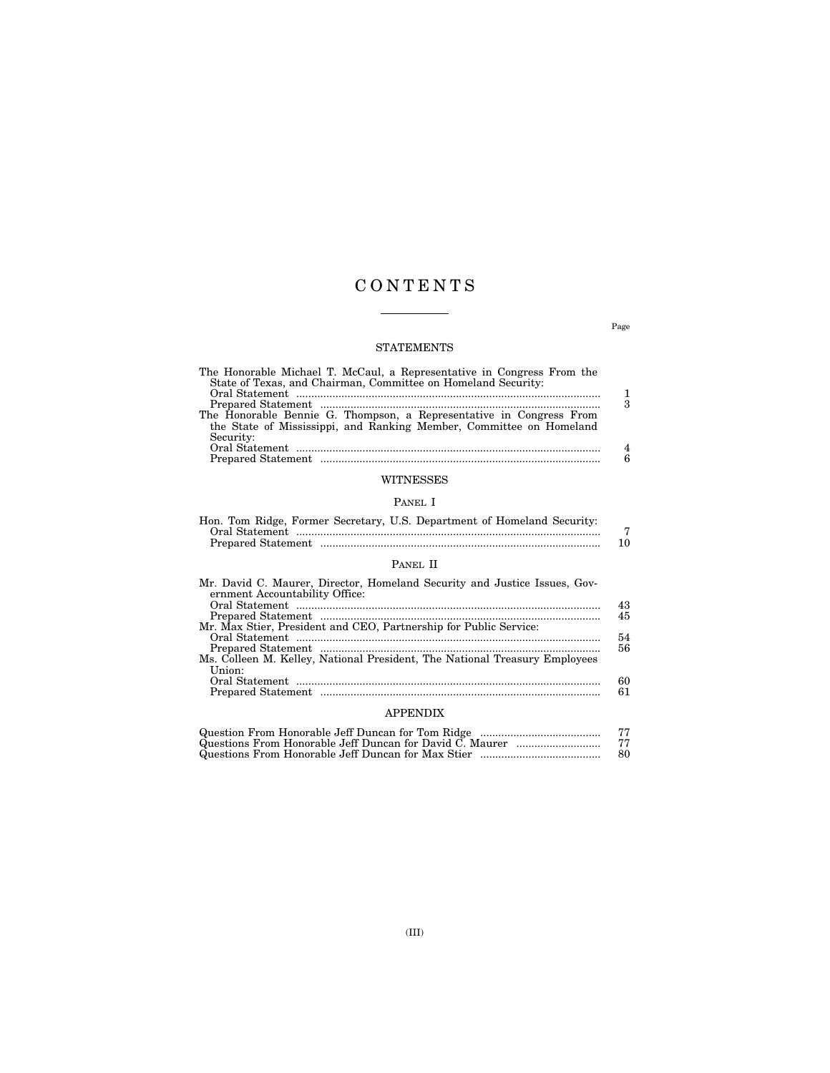# C O N T E N T S

 $\overline{\phantom{a}}$ 

### STATEMENTS

| The Honorable Michael T. McCaul, a Representative in Congress From the |   |
|------------------------------------------------------------------------|---|
| State of Texas, and Chairman, Committee on Homeland Security:          |   |
|                                                                        |   |
|                                                                        | 3 |
| The Honorable Bennie G. Thompson, a Representative in Congress From    |   |
| the State of Mississippi, and Ranking Member, Committee on Homeland    |   |
| Security:                                                              |   |
|                                                                        | 4 |
|                                                                        | Р |
|                                                                        |   |
| WITNESSES                                                              |   |
|                                                                        |   |

## PANEL I

| Hon. Tom Ridge, Former Secretary, U.S. Department of Homeland Security: |     |
|-------------------------------------------------------------------------|-----|
|                                                                         |     |
|                                                                         | 10. |

## PANEL II

| Mr. David C. Maurer, Director, Homeland Security and Justice Issues, Gov-<br>ernment Accountability Office: | 43 |
|-------------------------------------------------------------------------------------------------------------|----|
|                                                                                                             | 45 |
| Mr. Max Stier, President and CEO, Partnership for Public Service:                                           |    |
|                                                                                                             | 54 |
|                                                                                                             | 56 |
| Ms. Colleen M. Kelley, National President, The National Treasury Employees                                  |    |
| Union:                                                                                                      |    |
|                                                                                                             | 60 |
|                                                                                                             | 61 |
|                                                                                                             |    |

## APPENDIX

| -80- |
|------|

Page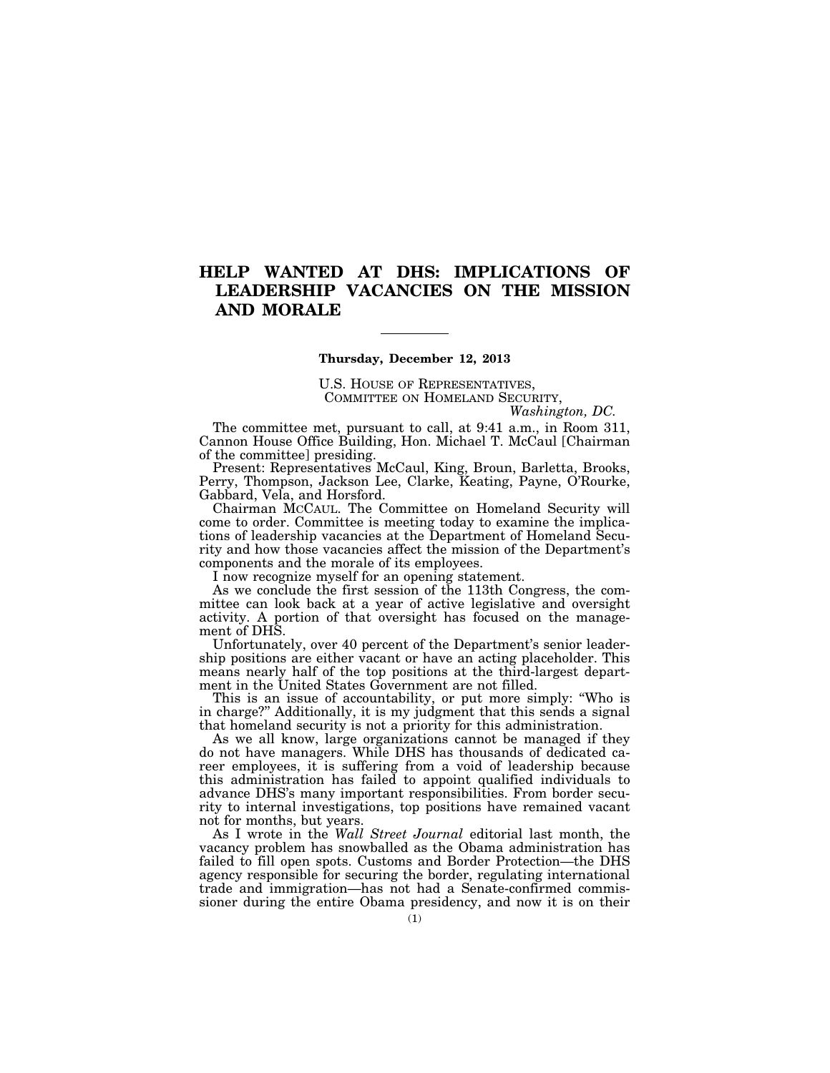# **HELP WANTED AT DHS: IMPLICATIONS OF LEADERSHIP VACANCIES ON THE MISSION AND MORALE**

### **Thursday, December 12, 2013**

U.S. HOUSE OF REPRESENTATIVES, COMMITTEE ON HOMELAND SECURITY,

*Washington, DC.* 

The committee met, pursuant to call, at 9:41 a.m., in Room 311, Cannon House Office Building, Hon. Michael T. McCaul [Chairman of the committee] presiding.

Present: Representatives McCaul, King, Broun, Barletta, Brooks, Perry, Thompson, Jackson Lee, Clarke, Keating, Payne, O'Rourke, Gabbard, Vela, and Horsford.

Chairman MCCAUL. The Committee on Homeland Security will come to order. Committee is meeting today to examine the implications of leadership vacancies at the Department of Homeland Security and how those vacancies affect the mission of the Department's components and the morale of its employees.

I now recognize myself for an opening statement.

As we conclude the first session of the 113th Congress, the committee can look back at a year of active legislative and oversight activity. A portion of that oversight has focused on the management of DHS.

Unfortunately, over 40 percent of the Department's senior leadership positions are either vacant or have an acting placeholder. This means nearly half of the top positions at the third-largest department in the United States Government are not filled.

This is an issue of accountability, or put more simply: ''Who is in charge?'' Additionally, it is my judgment that this sends a signal that homeland security is not a priority for this administration.

As we all know, large organizations cannot be managed if they do not have managers. While DHS has thousands of dedicated career employees, it is suffering from a void of leadership because this administration has failed to appoint qualified individuals to advance DHS's many important responsibilities. From border security to internal investigations, top positions have remained vacant not for months, but years.

As I wrote in the *Wall Street Journal* editorial last month, the vacancy problem has snowballed as the Obama administration has failed to fill open spots. Customs and Border Protection—the DHS agency responsible for securing the border, regulating international trade and immigration—has not had a Senate-confirmed commissioner during the entire Obama presidency, and now it is on their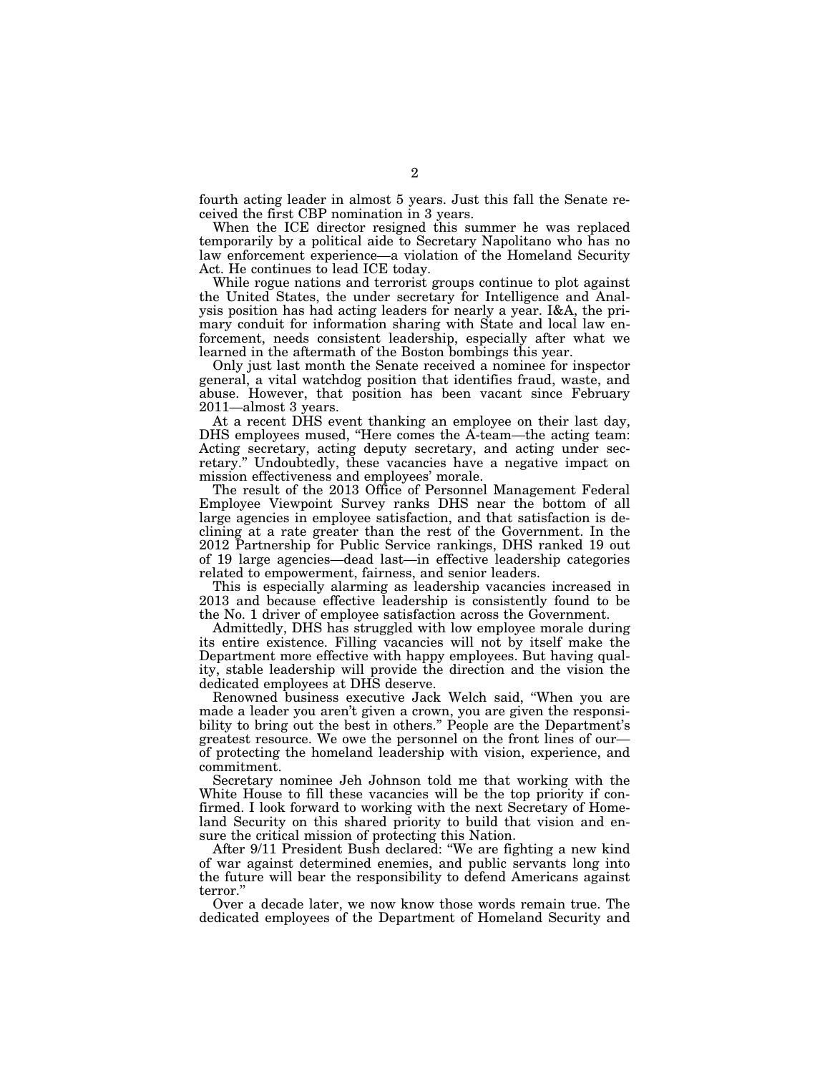fourth acting leader in almost 5 years. Just this fall the Senate received the first CBP nomination in 3 years.

When the ICE director resigned this summer he was replaced temporarily by a political aide to Secretary Napolitano who has no law enforcement experience—a violation of the Homeland Security Act. He continues to lead ICE today.

While rogue nations and terrorist groups continue to plot against the United States, the under secretary for Intelligence and Analysis position has had acting leaders for nearly a year. I&A, the primary conduit for information sharing with State and local law enforcement, needs consistent leadership, especially after what we learned in the aftermath of the Boston bombings this year.

Only just last month the Senate received a nominee for inspector general, a vital watchdog position that identifies fraud, waste, and abuse. However, that position has been vacant since February 2011—almost 3 years.

At a recent DHS event thanking an employee on their last day, DHS employees mused, ''Here comes the A-team—the acting team: Acting secretary, acting deputy secretary, and acting under secretary.'' Undoubtedly, these vacancies have a negative impact on mission effectiveness and employees' morale.

The result of the 2013 Office of Personnel Management Federal Employee Viewpoint Survey ranks DHS near the bottom of all large agencies in employee satisfaction, and that satisfaction is declining at a rate greater than the rest of the Government. In the 2012 Partnership for Public Service rankings, DHS ranked 19 out of 19 large agencies—dead last—in effective leadership categories related to empowerment, fairness, and senior leaders.

This is especially alarming as leadership vacancies increased in 2013 and because effective leadership is consistently found to be the No. 1 driver of employee satisfaction across the Government.

Admittedly, DHS has struggled with low employee morale during its entire existence. Filling vacancies will not by itself make the Department more effective with happy employees. But having quality, stable leadership will provide the direction and the vision the dedicated employees at DHS deserve.

Renowned business executive Jack Welch said, ''When you are made a leader you aren't given a crown, you are given the responsibility to bring out the best in others.'' People are the Department's greatest resource. We owe the personnel on the front lines of our of protecting the homeland leadership with vision, experience, and commitment.

Secretary nominee Jeh Johnson told me that working with the White House to fill these vacancies will be the top priority if confirmed. I look forward to working with the next Secretary of Homeland Security on this shared priority to build that vision and ensure the critical mission of protecting this Nation.

After 9/11 President Bush declared: ''We are fighting a new kind of war against determined enemies, and public servants long into the future will bear the responsibility to defend Americans against terror.''

Over a decade later, we now know those words remain true. The dedicated employees of the Department of Homeland Security and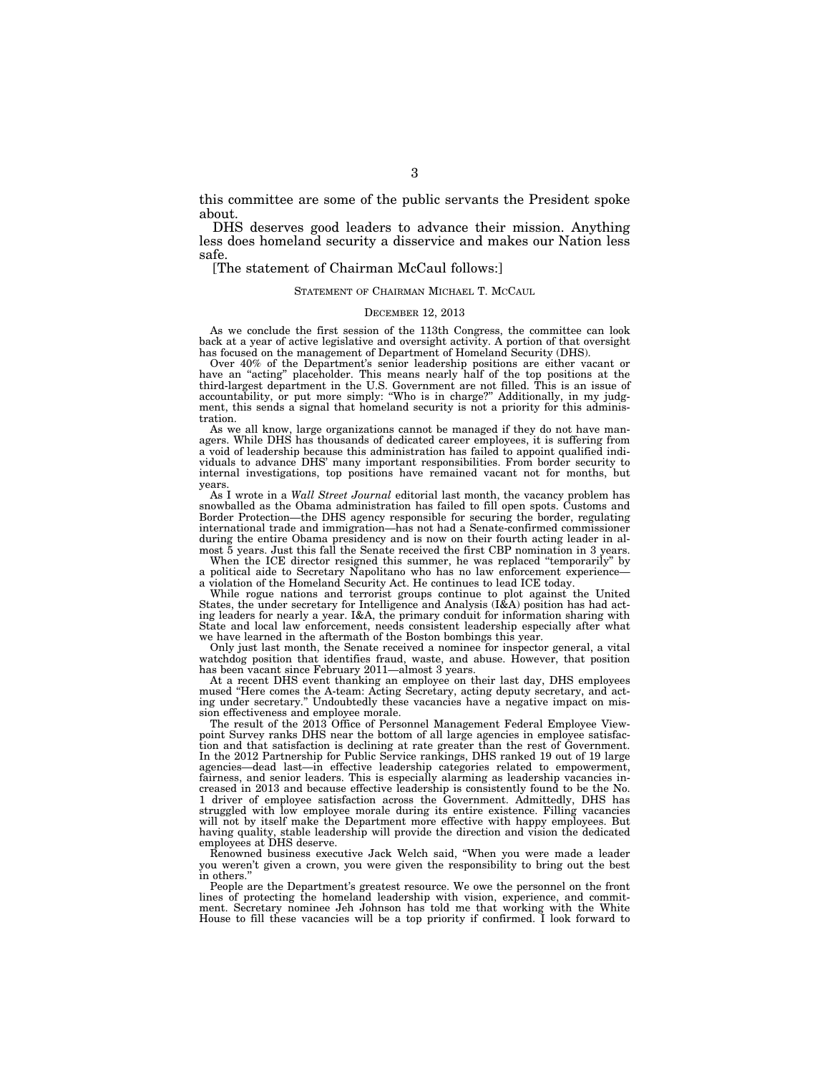this committee are some of the public servants the President spoke about.

DHS deserves good leaders to advance their mission. Anything less does homeland security a disservice and makes our Nation less safe.

[The statement of Chairman McCaul follows:]

### STATEMENT OF CHAIRMAN MICHAEL T. MCCAUL

#### DECEMBER 12, 2013

As we conclude the first session of the 113th Congress, the committee can look back at a year of active legislative and oversight activity. A portion of that oversight has focused on the management of Department of Homeland Security (DHS).

Over 40% of the Department's senior leadership positions are either vacant or have an "acting" placeholder. This means nearly half of the top positions at the third-largest department in the U.S. Government are not filled. This is an issue of accountability, or put more simply: ''Who is in charge?'' Additionally, in my judgment, this sends a signal that homeland security is not a priority for this administration.

As we all know, large organizations cannot be managed if they do not have managers. While DHS has thousands of dedicated career employees, it is suffering from a void of leadership because this administration has failed to appoint qualified individuals to advance DHS' many important responsibilities. From border security to internal investigations, top positions have remained vacant not for months, but years.

As I wrote in a *Wall Street Journal* editorial last month, the vacancy problem has snowballed as the Obama administration has failed to fill open spots. Customs and Border Protection—the DHS agency responsible for securing the border, regulating international trade and immigration—has not had a Senate-confirmed commissioner during the entire Obama presidency and is now on their fourth acting leader in almost 5 years. Just this fall the Senate received the first CBP nomination in 3 years.

When the ICE director resigned this summer, he was replaced "temporarily" by a political aide to Secretary Napolitano who has no law enforcement experience a violation of the Homeland Security Act. He continues to lead ICE today.

While rogue nations and terrorist groups continue to plot against the United States, the under secretary for Intelligence and Analysis (I&A) position has had acting leaders for nearly a year. I&A, the primary conduit for information sharing with State and local law enforcement, needs consistent leadership especially after what we have learned in the aftermath of the Boston bombings this year.

Only just last month, the Senate received a nominee for inspector general, a vital watchdog position that identifies fraud, waste, and abuse. However, that position has been vacant since February 2011—almost 3 years

At a recent DHS event thanking an employee on their last day, DHS employees mused "Here comes the A-team: Acting Secretary, acting deputy secretary, and acting under secretary.'' Undoubtedly these vacancies have a negative impact on mission effectiveness and employee morale.

The result of the 2013 Office of Personnel Management Federal Employee Viewpoint Survey ranks DHS near the bottom of all large agencies in employee satisfaction and that satisfaction is declining at rate greater than the rest of Government. In the 2012 Partnership for Public Service rankings, DHS ranked 19 out of 19 large agencies—dead last—in effective leadership categories related to empowerment, fairness, and senior leaders. This is especially alarming as leadership vacancies increased in 2013 and because effective leadership is consistently found to be the No. 1 driver of employee satisfaction across the Government. Admittedly, DHS has struggled with low employee morale during its entire existence. Filling vacancies will not by itself make the Department more effective with happy employees. But having quality, stable leadership will provide the direction and vision the dedicated employees at DHS deserve.

Renowned business executive Jack Welch said, ''When you were made a leader you weren't given a crown, you were given the responsibility to bring out the best in others.

People are the Department's greatest resource. We owe the personnel on the front lines of protecting the homeland leadership with vision, experience, and commit-ment. Secretary nominee Jeh Johnson has told me that working with the White House to fill these vacancies will be a top priority if confirmed. I look forward to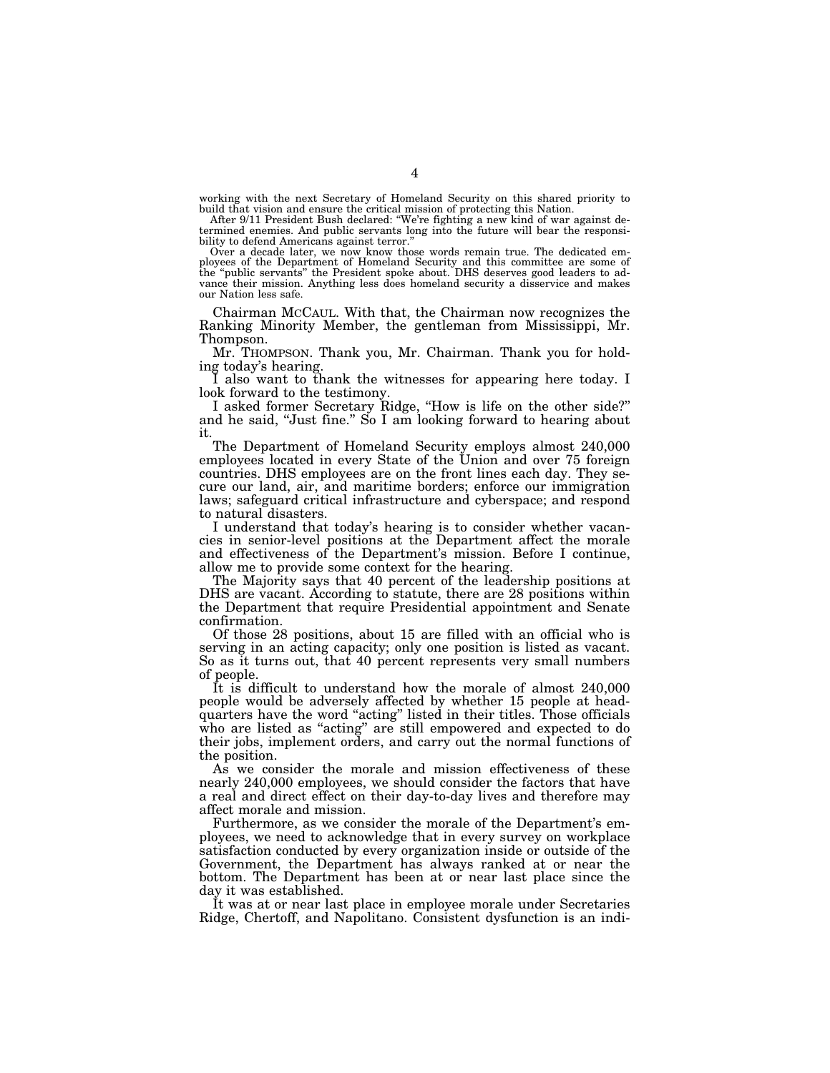working with the next Secretary of Homeland Security on this shared priority to build that vision and ensure the critical mission of protecting this Nation. After 9/11 President Bush declared: ''We're fighting a new kind of war against de-

termined enemies. And public servants long into the future will bear the responsibility to defend Americans against terror.''

Over a decade later, we now know those words remain true. The dedicated employees of the Department of Homeland Security and this committee are some of the ''public servants'' the President spoke about. DHS deserves good leaders to advance their mission. Anything less does homeland security a disservice and makes our Nation less safe.

Chairman MCCAUL. With that, the Chairman now recognizes the Ranking Minority Member, the gentleman from Mississippi, Mr. Thompson.

Mr. THOMPSON. Thank you, Mr. Chairman. Thank you for holding today's hearing.

I also want to thank the witnesses for appearing here today. I look forward to the testimony.

I asked former Secretary Ridge, ''How is life on the other side?'' and he said, ''Just fine.'' So I am looking forward to hearing about it.

The Department of Homeland Security employs almost 240,000 employees located in every State of the Union and over 75 foreign countries. DHS employees are on the front lines each day. They secure our land, air, and maritime borders; enforce our immigration laws; safeguard critical infrastructure and cyberspace; and respond to natural disasters.

I understand that today's hearing is to consider whether vacancies in senior-level positions at the Department affect the morale and effectiveness of the Department's mission. Before I continue, allow me to provide some context for the hearing.

The Majority says that 40 percent of the leadership positions at DHS are vacant. According to statute, there are 28 positions within the Department that require Presidential appointment and Senate confirmation.

Of those 28 positions, about 15 are filled with an official who is serving in an acting capacity; only one position is listed as vacant. So as it turns out, that 40 percent represents very small numbers of people.

It is difficult to understand how the morale of almost 240,000 people would be adversely affected by whether 15 people at headquarters have the word ''acting'' listed in their titles. Those officials who are listed as "acting" are still empowered and expected to do their jobs, implement orders, and carry out the normal functions of the position.

As we consider the morale and mission effectiveness of these nearly 240,000 employees, we should consider the factors that have a real and direct effect on their day-to-day lives and therefore may affect morale and mission.

Furthermore, as we consider the morale of the Department's employees, we need to acknowledge that in every survey on workplace satisfaction conducted by every organization inside or outside of the Government, the Department has always ranked at or near the bottom. The Department has been at or near last place since the day it was established.

It was at or near last place in employee morale under Secretaries Ridge, Chertoff, and Napolitano. Consistent dysfunction is an indi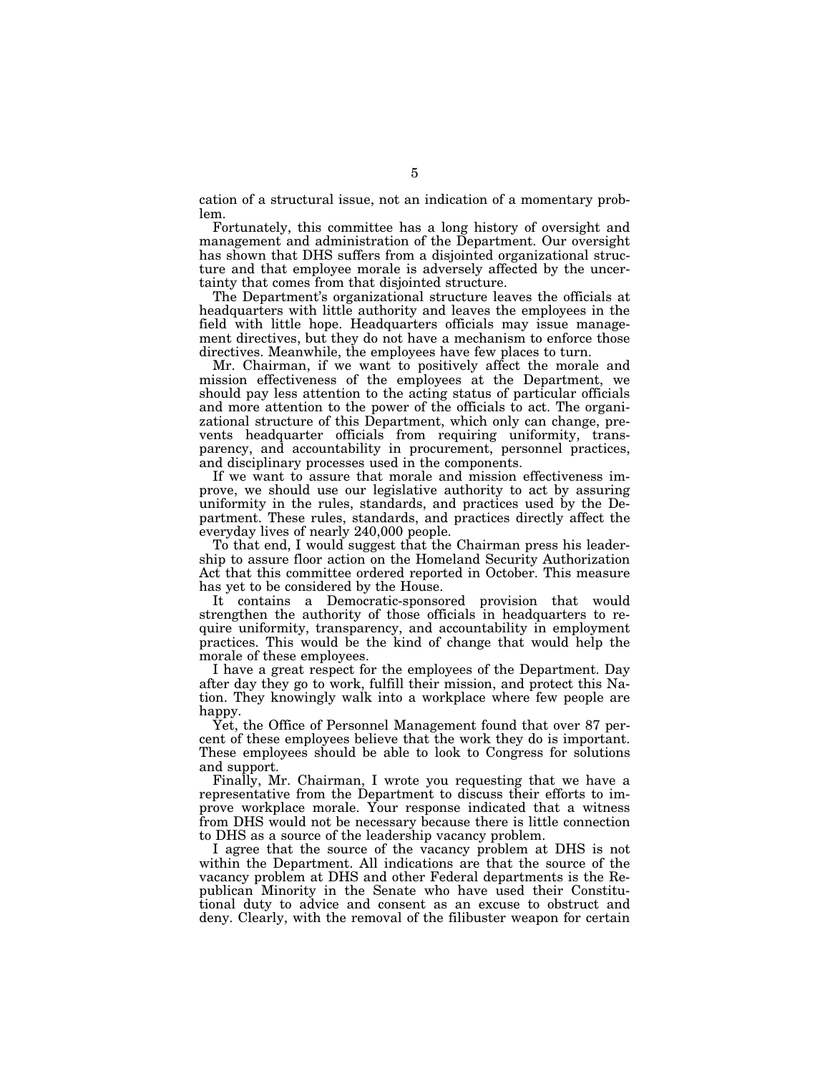cation of a structural issue, not an indication of a momentary problem.

Fortunately, this committee has a long history of oversight and management and administration of the Department. Our oversight has shown that DHS suffers from a disjointed organizational structure and that employee morale is adversely affected by the uncertainty that comes from that disjointed structure.

The Department's organizational structure leaves the officials at headquarters with little authority and leaves the employees in the field with little hope. Headquarters officials may issue management directives, but they do not have a mechanism to enforce those directives. Meanwhile, the employees have few places to turn.

Mr. Chairman, if we want to positively affect the morale and mission effectiveness of the employees at the Department, we should pay less attention to the acting status of particular officials and more attention to the power of the officials to act. The organizational structure of this Department, which only can change, prevents headquarter officials from requiring uniformity, transparency, and accountability in procurement, personnel practices, and disciplinary processes used in the components.

If we want to assure that morale and mission effectiveness improve, we should use our legislative authority to act by assuring uniformity in the rules, standards, and practices used by the Department. These rules, standards, and practices directly affect the everyday lives of nearly 240,000 people.

To that end, I would suggest that the Chairman press his leadership to assure floor action on the Homeland Security Authorization Act that this committee ordered reported in October. This measure has yet to be considered by the House.

It contains a Democratic-sponsored provision that would strengthen the authority of those officials in headquarters to require uniformity, transparency, and accountability in employment practices. This would be the kind of change that would help the morale of these employees.

I have a great respect for the employees of the Department. Day after day they go to work, fulfill their mission, and protect this Nation. They knowingly walk into a workplace where few people are happy.

Yet, the Office of Personnel Management found that over 87 percent of these employees believe that the work they do is important. These employees should be able to look to Congress for solutions and support.

Finally, Mr. Chairman, I wrote you requesting that we have a representative from the Department to discuss their efforts to improve workplace morale. Your response indicated that a witness from DHS would not be necessary because there is little connection to DHS as a source of the leadership vacancy problem.

I agree that the source of the vacancy problem at DHS is not within the Department. All indications are that the source of the vacancy problem at DHS and other Federal departments is the Republican Minority in the Senate who have used their Constitutional duty to advice and consent as an excuse to obstruct and deny. Clearly, with the removal of the filibuster weapon for certain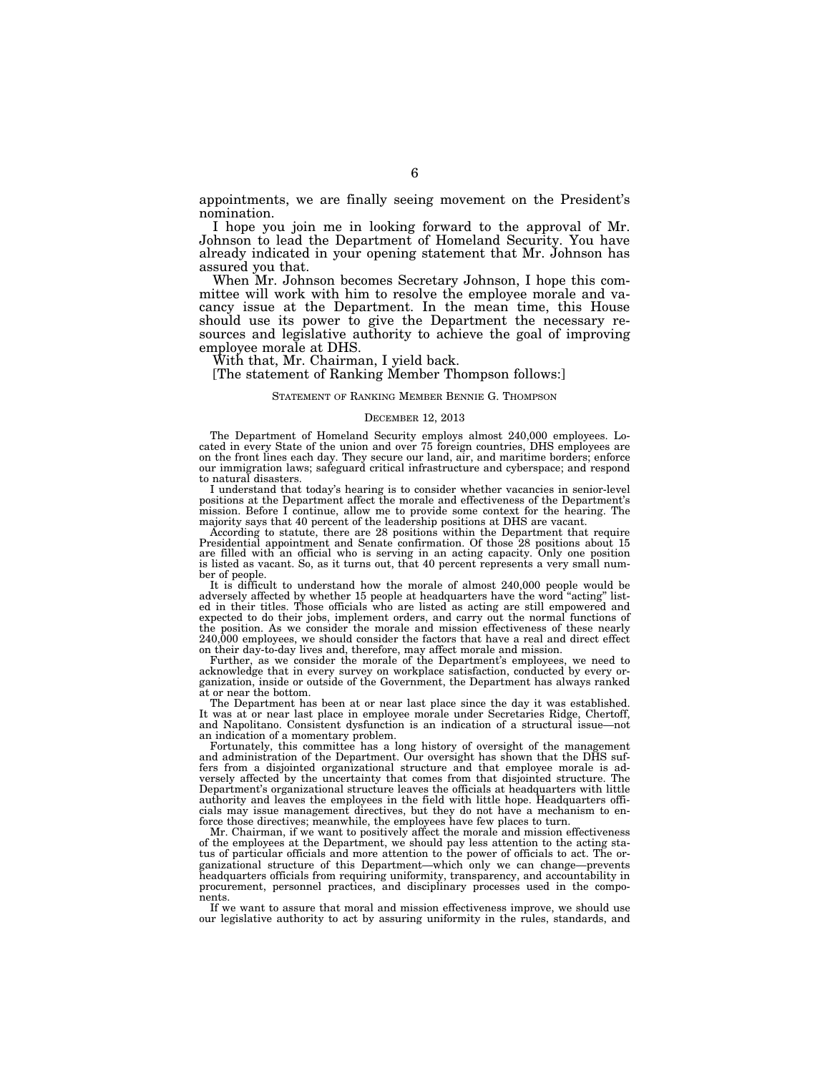appointments, we are finally seeing movement on the President's nomination.

I hope you join me in looking forward to the approval of Mr. Johnson to lead the Department of Homeland Security. You have already indicated in your opening statement that Mr. Johnson has assured you that.

When Mr. Johnson becomes Secretary Johnson, I hope this committee will work with him to resolve the employee morale and vacancy issue at the Department. In the mean time, this House should use its power to give the Department the necessary resources and legislative authority to achieve the goal of improving employee morale at DHS.

With that, Mr. Chairman, I yield back.

[The statement of Ranking Member Thompson follows:]

#### STATEMENT OF RANKING MEMBER BENNIE G. THOMPSON

### DECEMBER 12, 2013

The Department of Homeland Security employs almost 240,000 employees. Lo-cated in every State of the union and over 75 foreign countries, DHS employees are on the front lines each day. They secure our land, air, and maritime borders; enforce our immigration laws; safeguard critical infrastructure and cyberspace; and respond to natural disasters.

I understand that today's hearing is to consider whether vacancies in senior-level positions at the Department affect the morale and effectiveness of the Department's mission. Before I continue, allow me to provide some context for the hearing. The majority says that 40 percent of the leadership positions at DHS are vacant.

According to statute, there are 28 positions within the Department that require Presidential appointment and Senate confirmation. Of those 28 positions about 15 are filled with an official who is serving in an acting capacity. Only one position is listed as vacant. So, as it turns out, that 40 percent represents a very small number of people.

It is difficult to understand how the morale of almost 240,000 people would be adversely affected by whether 15 people at headquarters have the word ''acting'' listed in their titles. Those officials who are listed as acting are still empowered and expected to do their jobs, implement orders, and carry out the normal functions of the position. As we consider the morale and mission effectiveness of these nearly 240,000 employees, we should consider the factors that have a real and direct effect on their day-to-day lives and, therefore, may affect morale and mission.

Further, as we consider the morale of the Department's employees, we need to acknowledge that in every survey on workplace satisfaction, conducted by every organization, inside or outside of the Government, the Department has always ranked at or near the bottom.

The Department has been at or near last place since the day it was established. It was at or near last place in employee morale under Secretaries Ridge, Chertoff, and Napolitano. Consistent dysfunction is an indication of a structural issue—not an indication of a momentary problem.

Fortunately, this committee has a long history of oversight of the management and administration of the Department. Our oversight has shown that the DHS suffers from a disjointed organizational structure and that employee morale is adversely affected by the uncertainty that comes from that disjointed structure. The Department's organizational structure leaves the officials at headquarters with little authority and leaves the employees in the field with little hope. Headquarters officials may issue management directives, but they do not have a mechanism to enforce those directives; meanwhile, the employees have few places to turn.

Mr. Chairman, if we want to positively affect the morale and mission effectiveness of the employees at the Department, we should pay less attention to the acting status of particular officials and more attention to the power of officials to act. The organizational structure of this Department—which only we can change—prevents headquarters officials from requiring uniformity, transparency, and accountability in procurement, personnel practices, and disciplinary processes used in the components.

If we want to assure that moral and mission effectiveness improve, we should use our legislative authority to act by assuring uniformity in the rules, standards, and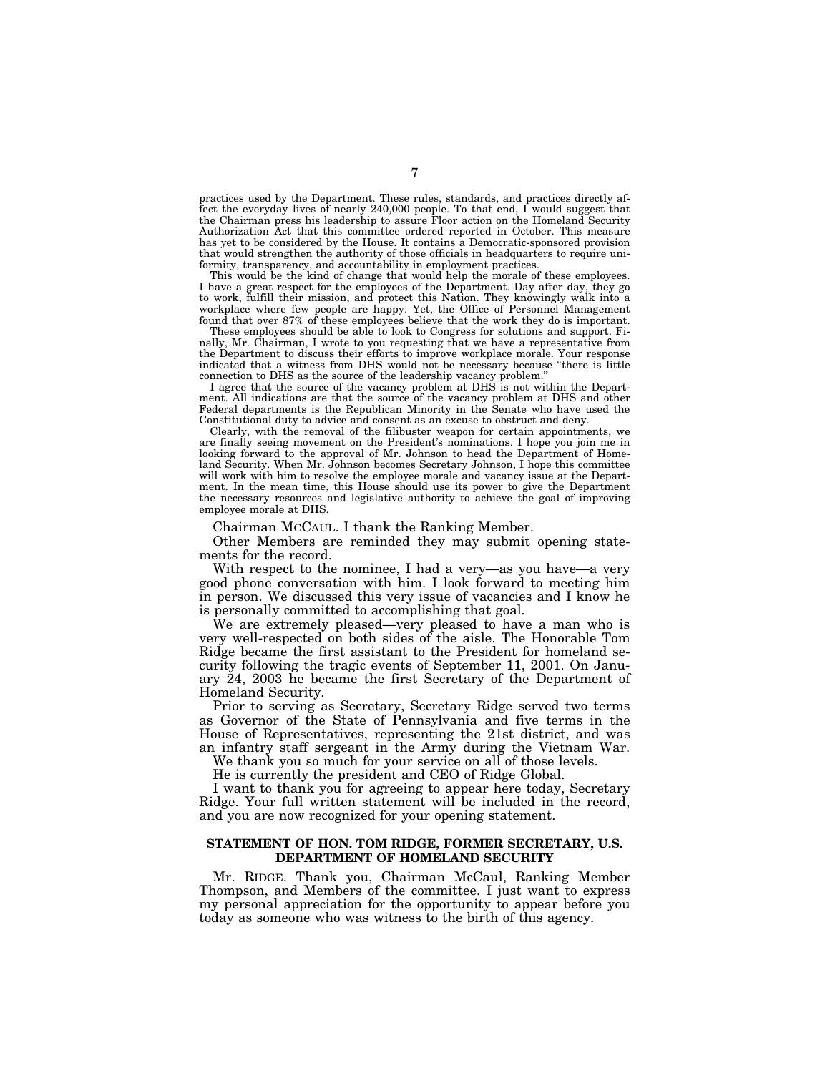practices used by the Department. These rules, standards, and practices directly affect the everyday lives of nearly 240,000 people. To that end, I would suggest that the Chairman press his leadership to assure Floor action on the Homeland Security Authorization Act that this committee ordered reported in October. This measure has yet to be considered by the House. It contains a Democratic-sponsored provision that would strengthen the authority of those officials in headquarters to require uniformity, transparency, and accountability in employment practices.

This would be the kind of change that would help the morale of these employees. I have a great respect for the employees of the Department. Day after day, they go to work, fulfill their mission, and protect this Nation. They knowingly walk into a workplace where few people are happy. Yet, the Office of Personnel Management found that over 87% of these employees believe that the work they do is important.

These employees should be able to look to Congress for solutions and support. Finally, Mr. Chairman, I wrote to you requesting that we have a representative from the Department to discuss their efforts to improve workplace morale. Your response indicated that a witness from DHS would not be necessary because ''there is little connection to DHS as the source of the leadership vacancy problem.''

I agree that the source of the vacancy problem at DHS is not within the Department. All indications are that the source of the vacancy problem at DHS and other Federal departments is the Republican Minority in the Senate who have used the Constitutional duty to advice and consent as an excuse to obstruct and deny.

Clearly, with the removal of the filibuster weapon for certain appointments, we are finally seeing movement on the President's nominations. I hope you join me in looking forward to the approval of Mr. Johnson to head the Department of Homeland Security. When Mr. Johnson becomes Secretary Johnson, I hope this committee will work with him to resolve the employee morale and vacancy issue at the Department. In the mean time, this House should use its power to give the Department the necessary resources and legislative authority to achieve the goal of improving employee morale at DHS.

Chairman MCCAUL. I thank the Ranking Member.

Other Members are reminded they may submit opening statements for the record.

With respect to the nominee, I had a very—as you have—a very good phone conversation with him. I look forward to meeting him in person. We discussed this very issue of vacancies and I know he is personally committed to accomplishing that goal.

We are extremely pleased—very pleased to have a man who is very well-respected on both sides of the aisle. The Honorable Tom Ridge became the first assistant to the President for homeland security following the tragic events of September 11, 2001. On January 24, 2003 he became the first Secretary of the Department of Homeland Security.

Prior to serving as Secretary, Secretary Ridge served two terms as Governor of the State of Pennsylvania and five terms in the House of Representatives, representing the 21st district, and was an infantry staff sergeant in the Army during the Vietnam War.

We thank you so much for your service on all of those levels.

He is currently the president and CEO of Ridge Global.

I want to thank you for agreeing to appear here today, Secretary Ridge. Your full written statement will be included in the record, and you are now recognized for your opening statement.

### **STATEMENT OF HON. TOM RIDGE, FORMER SECRETARY, U.S. DEPARTMENT OF HOMELAND SECURITY**

Mr. RIDGE. Thank you, Chairman McCaul, Ranking Member Thompson, and Members of the committee. I just want to express my personal appreciation for the opportunity to appear before you today as someone who was witness to the birth of this agency.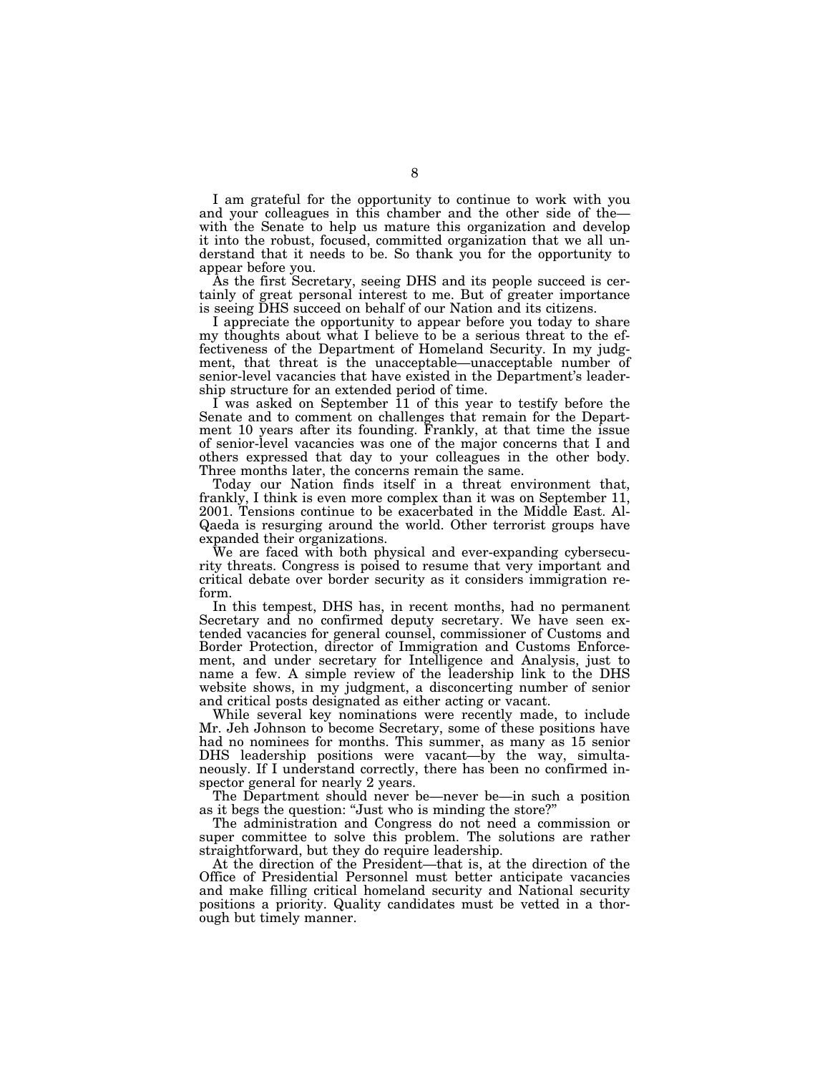I am grateful for the opportunity to continue to work with you and your colleagues in this chamber and the other side of the with the Senate to help us mature this organization and develop it into the robust, focused, committed organization that we all understand that it needs to be. So thank you for the opportunity to appear before you.

As the first Secretary, seeing DHS and its people succeed is certainly of great personal interest to me. But of greater importance is seeing DHS succeed on behalf of our Nation and its citizens.

I appreciate the opportunity to appear before you today to share my thoughts about what I believe to be a serious threat to the effectiveness of the Department of Homeland Security. In my judgment, that threat is the unacceptable—unacceptable number of senior-level vacancies that have existed in the Department's leadership structure for an extended period of time.

I was asked on September 11 of this year to testify before the Senate and to comment on challenges that remain for the Department 10 years after its founding. Frankly, at that time the issue of senior-level vacancies was one of the major concerns that I and others expressed that day to your colleagues in the other body. Three months later, the concerns remain the same.

Today our Nation finds itself in a threat environment that, frankly, I think is even more complex than it was on September 11, 2001. Tensions continue to be exacerbated in the Middle East. Al-Qaeda is resurging around the world. Other terrorist groups have expanded their organizations.

We are faced with both physical and ever-expanding cybersecurity threats. Congress is poised to resume that very important and critical debate over border security as it considers immigration reform.

In this tempest, DHS has, in recent months, had no permanent Secretary and no confirmed deputy secretary. We have seen extended vacancies for general counsel, commissioner of Customs and Border Protection, director of Immigration and Customs Enforcement, and under secretary for Intelligence and Analysis, just to name a few. A simple review of the leadership link to the DHS website shows, in my judgment, a disconcerting number of senior and critical posts designated as either acting or vacant.

While several key nominations were recently made, to include Mr. Jeh Johnson to become Secretary, some of these positions have had no nominees for months. This summer, as many as 15 senior DHS leadership positions were vacant—by the way, simultaneously. If I understand correctly, there has been no confirmed inspector general for nearly 2 years.

The Department should never be—never be—in such a position as it begs the question: ''Just who is minding the store?''

The administration and Congress do not need a commission or super committee to solve this problem. The solutions are rather straightforward, but they do require leadership.

At the direction of the President—that is, at the direction of the Office of Presidential Personnel must better anticipate vacancies and make filling critical homeland security and National security positions a priority. Quality candidates must be vetted in a thorough but timely manner.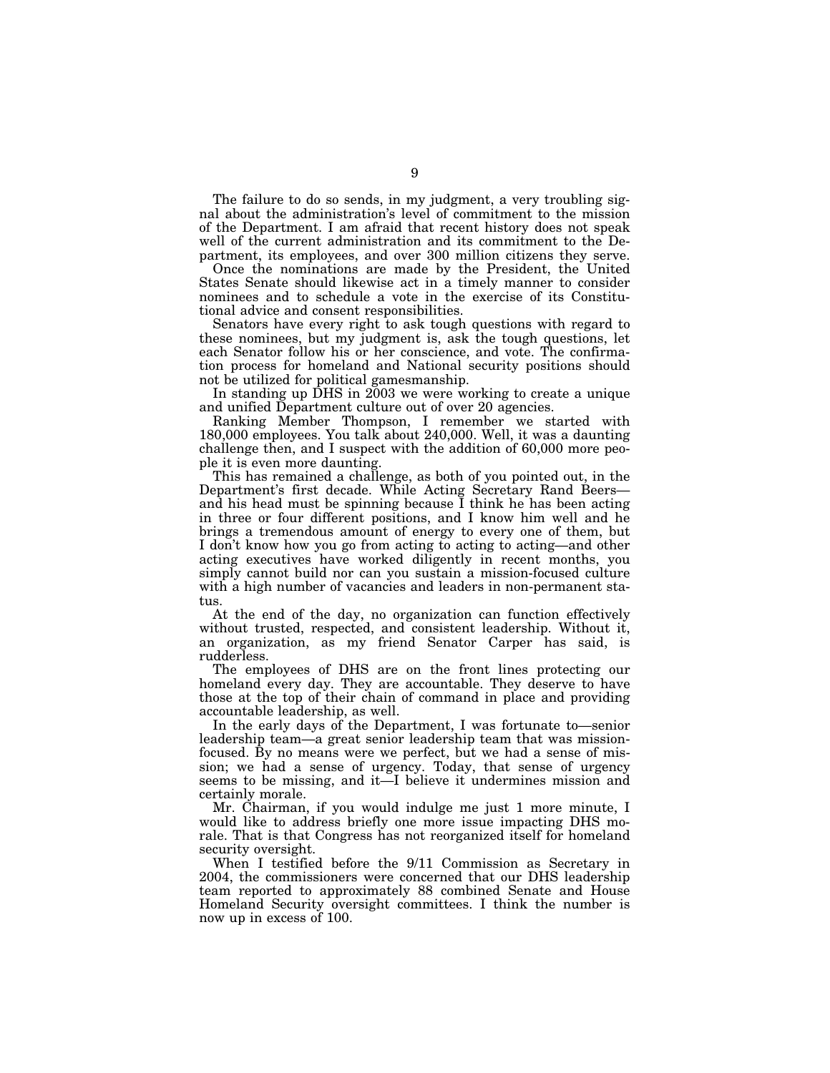The failure to do so sends, in my judgment, a very troubling signal about the administration's level of commitment to the mission of the Department. I am afraid that recent history does not speak well of the current administration and its commitment to the Department, its employees, and over 300 million citizens they serve.

Once the nominations are made by the President, the United States Senate should likewise act in a timely manner to consider nominees and to schedule a vote in the exercise of its Constitutional advice and consent responsibilities.

Senators have every right to ask tough questions with regard to these nominees, but my judgment is, ask the tough questions, let each Senator follow his or her conscience, and vote. The confirmation process for homeland and National security positions should not be utilized for political gamesmanship.

In standing up DHS in 2003 we were working to create a unique and unified Department culture out of over 20 agencies.

Ranking Member Thompson, I remember we started with 180,000 employees. You talk about 240,000. Well, it was a daunting challenge then, and I suspect with the addition of 60,000 more people it is even more daunting.

This has remained a challenge, as both of you pointed out, in the Department's first decade. While Acting Secretary Rand Beers and his head must be spinning because I think he has been acting in three or four different positions, and I know him well and he brings a tremendous amount of energy to every one of them, but I don't know how you go from acting to acting to acting—and other acting executives have worked diligently in recent months, you simply cannot build nor can you sustain a mission-focused culture with a high number of vacancies and leaders in non-permanent status.

At the end of the day, no organization can function effectively without trusted, respected, and consistent leadership. Without it, an organization, as my friend Senator Carper has said, is rudderless.

The employees of DHS are on the front lines protecting our homeland every day. They are accountable. They deserve to have those at the top of their chain of command in place and providing accountable leadership, as well.

In the early days of the Department, I was fortunate to—senior leadership team—a great senior leadership team that was missionfocused. By no means were we perfect, but we had a sense of mission; we had a sense of urgency. Today, that sense of urgency seems to be missing, and it—I believe it undermines mission and certainly morale.

Mr. Chairman, if you would indulge me just 1 more minute, I would like to address briefly one more issue impacting DHS morale. That is that Congress has not reorganized itself for homeland security oversight.

When I testified before the 9/11 Commission as Secretary in 2004, the commissioners were concerned that our DHS leadership team reported to approximately 88 combined Senate and House Homeland Security oversight committees. I think the number is now up in excess of 100.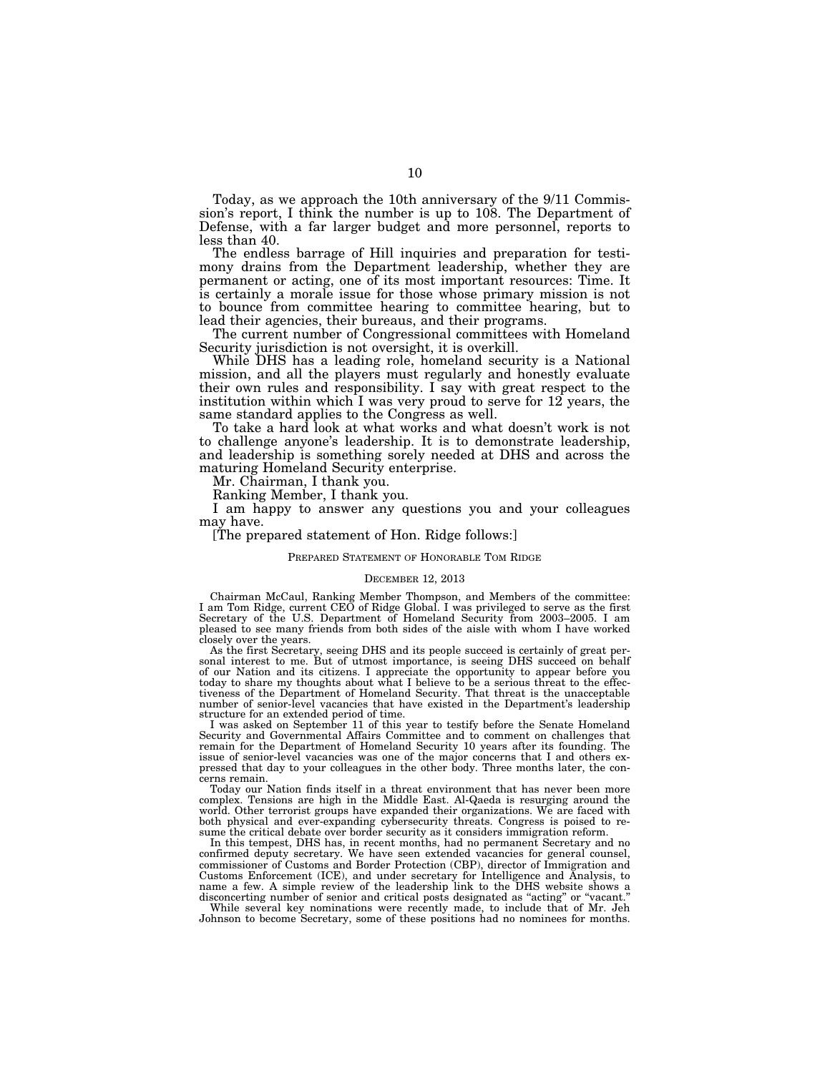Today, as we approach the 10th anniversary of the 9/11 Commission's report, I think the number is up to 108. The Department of Defense, with a far larger budget and more personnel, reports to less than 40.

The endless barrage of Hill inquiries and preparation for testimony drains from the Department leadership, whether they are permanent or acting, one of its most important resources: Time. It is certainly a morale issue for those whose primary mission is not to bounce from committee hearing to committee hearing, but to lead their agencies, their bureaus, and their programs.

The current number of Congressional committees with Homeland Security jurisdiction is not oversight, it is overkill.

While DHS has a leading role, homeland security is a National mission, and all the players must regularly and honestly evaluate their own rules and responsibility. I say with great respect to the institution within which I was very proud to serve for  $12$  years, the same standard applies to the Congress as well.

To take a hard look at what works and what doesn't work is not to challenge anyone's leadership. It is to demonstrate leadership, and leadership is something sorely needed at DHS and across the maturing Homeland Security enterprise.

Mr. Chairman, I thank you.

Ranking Member, I thank you.

I am happy to answer any questions you and your colleagues may have.

[The prepared statement of Hon. Ridge follows:]

#### PREPARED STATEMENT OF HONORABLE TOM RIDGE

### DECEMBER 12, 2013

Chairman McCaul, Ranking Member Thompson, and Members of the committee: I am Tom Ridge, current CEO of Ridge Global. I was privileged to serve as the first Secretary of the U.S. Department of Homeland Security from 2003–2005. I am pleased to see many friends from both sides of the aisle with whom I have worked closely over the years.

As the first Secretary, seeing DHS and its people succeed is certainly of great per-sonal interest to me. But of utmost importance, is seeing DHS succeed on behalf of our Nation and its citizens. I appreciate the opportunity to appear before you today to share my thoughts about what I believe to be a serious threat to the effectiveness of the Department of Homeland Security. That threat is the unacceptable number of senior-level vacancies that have existed in the Department's leadership structure for an extended period of time.

I was asked on September 11 of this year to testify before the Senate Homeland Security and Governmental Affairs Committee and to comment on challenges that remain for the Department of Homeland Security 10 years after its founding. The issue of senior-level vacancies was one of the major concerns that I and others expressed that day to your colleagues in the other body. Three months later, the concerns remain.

Today our Nation finds itself in a threat environment that has never been more complex. Tensions are high in the Middle East. Al-Qaeda is resurging around the world. Other terrorist groups have expanded their organizations. We are faced with both physical and ever-expanding cybersecurity threats. Congress is poised to resume the critical debate over border security as it considers immigration reform.

In this tempest, DHS has, in recent months, had no permanent Secretary and no confirmed deputy secretary. We have seen extended vacancies for general counsel, commissioner of Customs and Border Protection (CBP), director of Immigration and Customs Enforcement (ICE), and under secretary for Intelligence and Analysis, to name a few. A simple review of the leadership link to the DHS website shows a disconcerting number of senior and critical posts designated as ''acting'' or ''vacant.''

While several key nominations were recently made, to include that of Mr. Jeh Johnson to become Secretary, some of these positions had no nominees for months.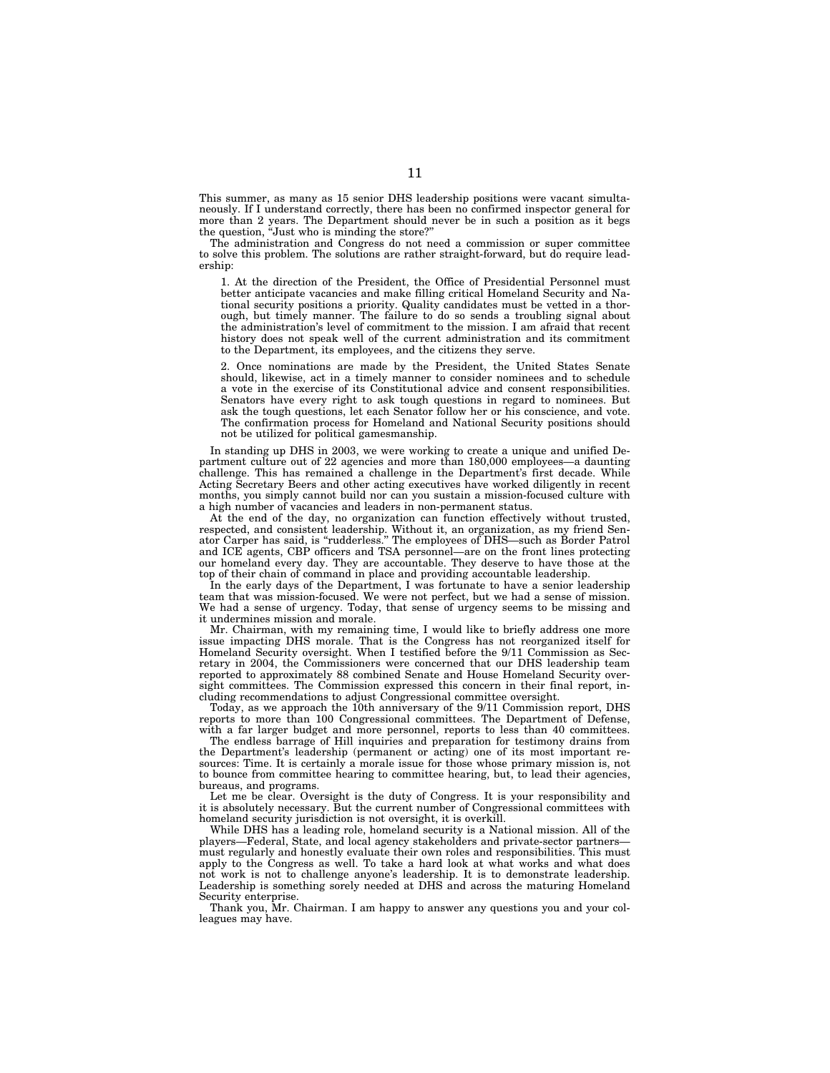This summer, as many as 15 senior DHS leadership positions were vacant simultaneously. If I understand correctly, there has been no confirmed inspector general for more than 2 years. The Department should never be in such a position as it begs the question, ''Just who is minding the store?''

The administration and Congress do not need a commission or super committee to solve this problem. The solutions are rather straight-forward, but do require leadership:

1. At the direction of the President, the Office of Presidential Personnel must better anticipate vacancies and make filling critical Homeland Security and National security positions a priority. Quality candidates must be vetted in a thorough, but timely manner. The failure to do so sends a troubling signal about the administration's level of commitment to the mission. I am afraid that recent history does not speak well of the current administration and its commitment to the Department, its employees, and the citizens they serve.

2. Once nominations are made by the President, the United States Senate should, likewise, act in a timely manner to consider nominees and to schedule a vote in the exercise of its Constitutional advice and consent responsibilities. Senators have every right to ask tough questions in regard to nominees. But ask the tough questions, let each Senator follow her or his conscience, and vote. The confirmation process for Homeland and National Security positions should not be utilized for political gamesmanship.

In standing up DHS in 2003, we were working to create a unique and unified Department culture out of 22 agencies and more than 180,000 employees—a daunting challenge. This has remained a challenge in the Department's first decade. While Acting Secretary Beers and other acting executives have worked diligently in recent months, you simply cannot build nor can you sustain a mission-focused culture with a high number of vacancies and leaders in non-permanent status.

At the end of the day, no organization can function effectively without trusted, respected, and consistent leadership. Without it, an organization, as my friend Senator Carper has said, is ''rudderless.'' The employees of DHS—such as Border Patrol and ICE agents, CBP officers and TSA personnel—are on the front lines protecting our homeland every day. They are accountable. They deserve to have those at the top of their chain of command in place and providing accountable leadership.

In the early days of the Department, I was fortunate to have a senior leadership team that was mission-focused. We were not perfect, but we had a sense of mission. We had a sense of urgency. Today, that sense of urgency seems to be missing and it undermines mission and morale.

Mr. Chairman, with my remaining time, I would like to briefly address one more issue impacting DHS morale. That is the Congress has not reorganized itself for Homeland Security oversight. When I testified before the 9/11 Commission as Secretary in 2004, the Commissioners were concerned that our DHS leadership team reported to approximately 88 combined Senate and House Homeland Security oversight committees. The Commission expressed this concern in their final report, including recommendations to adjust Congressional committee oversight.

Today, as we approach the 10th anniversary of the 9/11 Commission report, DHS reports to more than 100 Congressional committees. The Department of Defense, with a far larger budget and more personnel, reports to less than 40 committees.

The endless barrage of Hill inquiries and preparation for testimony drains from the Department's leadership (permanent or acting) one of its most important resources: Time. It is certainly a morale issue for those whose primary mission is, not to bounce from committee hearing to committee hearing, but, to lead their agencies, bureaus, and programs.

Let me be clear. Oversight is the duty of Congress. It is your responsibility and it is absolutely necessary. But the current number of Congressional committees with homeland security jurisdiction is not oversight, it is overkill.

While DHS has a leading role, homeland security is a National mission. All of the players—Federal, State, and local agency stakeholders and private-sector partners must regularly and honestly evaluate their own roles and responsibilities. This must apply to the Congress as well. To take a hard look at what works and what does not work is not to challenge anyone's leadership. It is to demonstrate leadership. Leadership is something sorely needed at DHS and across the maturing Homeland Security enterprise.

Thank you, Mr. Chairman. I am happy to answer any questions you and your colleagues may have.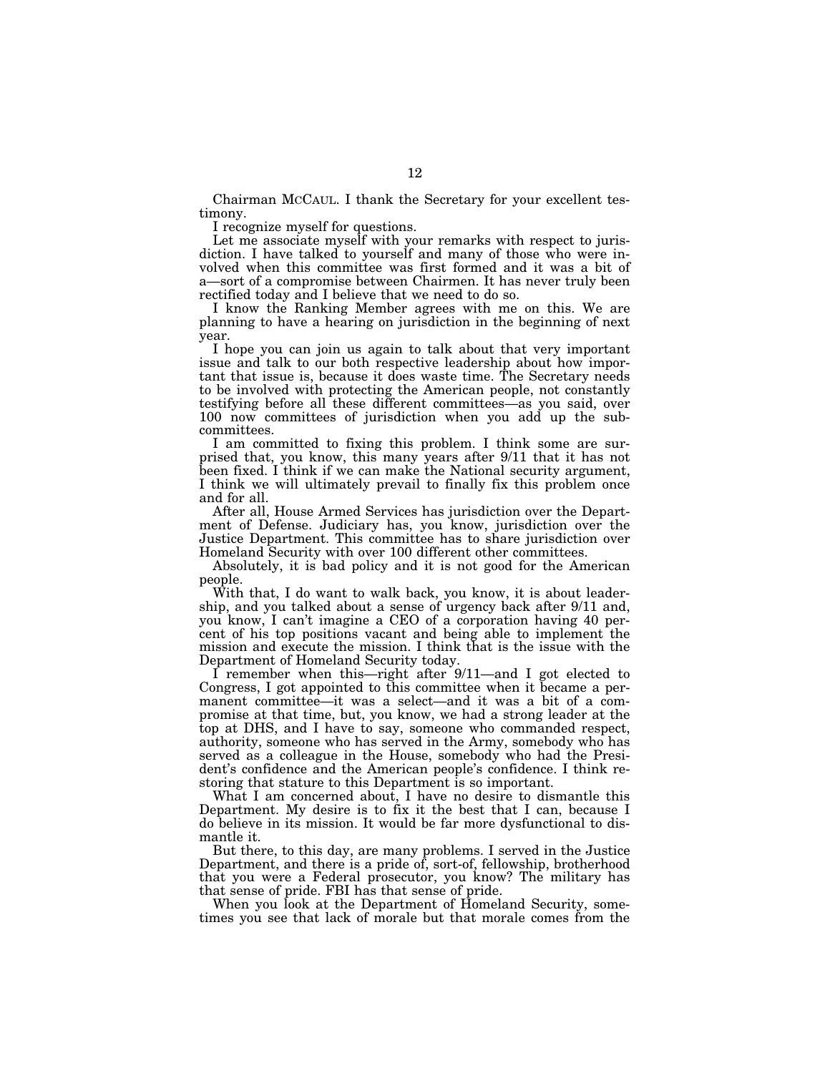Chairman MCCAUL. I thank the Secretary for your excellent testimony.

I recognize myself for questions.

Let me associate myself with your remarks with respect to jurisdiction. I have talked to yourself and many of those who were involved when this committee was first formed and it was a bit of a—sort of a compromise between Chairmen. It has never truly been rectified today and I believe that we need to do so.

I know the Ranking Member agrees with me on this. We are planning to have a hearing on jurisdiction in the beginning of next year.

I hope you can join us again to talk about that very important issue and talk to our both respective leadership about how important that issue is, because it does waste time. The Secretary needs to be involved with protecting the American people, not constantly testifying before all these different committees—as you said, over 100 now committees of jurisdiction when you add up the subcommittees.

I am committed to fixing this problem. I think some are surprised that, you know, this many years after 9/11 that it has not been fixed. I think if we can make the National security argument, I think we will ultimately prevail to finally fix this problem once and for all.

After all, House Armed Services has jurisdiction over the Department of Defense. Judiciary has, you know, jurisdiction over the Justice Department. This committee has to share jurisdiction over Homeland Security with over 100 different other committees.

Absolutely, it is bad policy and it is not good for the American people.

With that, I do want to walk back, you know, it is about leadership, and you talked about a sense of urgency back after 9/11 and, you know, I can't imagine a CEO of a corporation having 40 percent of his top positions vacant and being able to implement the mission and execute the mission. I think that is the issue with the Department of Homeland Security today.

I remember when this—right after 9/11—and I got elected to Congress, I got appointed to this committee when it became a permanent committee—it was a select—and it was a bit of a compromise at that time, but, you know, we had a strong leader at the top at DHS, and I have to say, someone who commanded respect, authority, someone who has served in the Army, somebody who has served as a colleague in the House, somebody who had the President's confidence and the American people's confidence. I think restoring that stature to this Department is so important.

What I am concerned about, I have no desire to dismantle this Department. My desire is to fix it the best that I can, because I do believe in its mission. It would be far more dysfunctional to dismantle it.

But there, to this day, are many problems. I served in the Justice Department, and there is a pride of, sort-of, fellowship, brotherhood that you were a Federal prosecutor, you know? The military has that sense of pride. FBI has that sense of pride.

When you look at the Department of Homeland Security, sometimes you see that lack of morale but that morale comes from the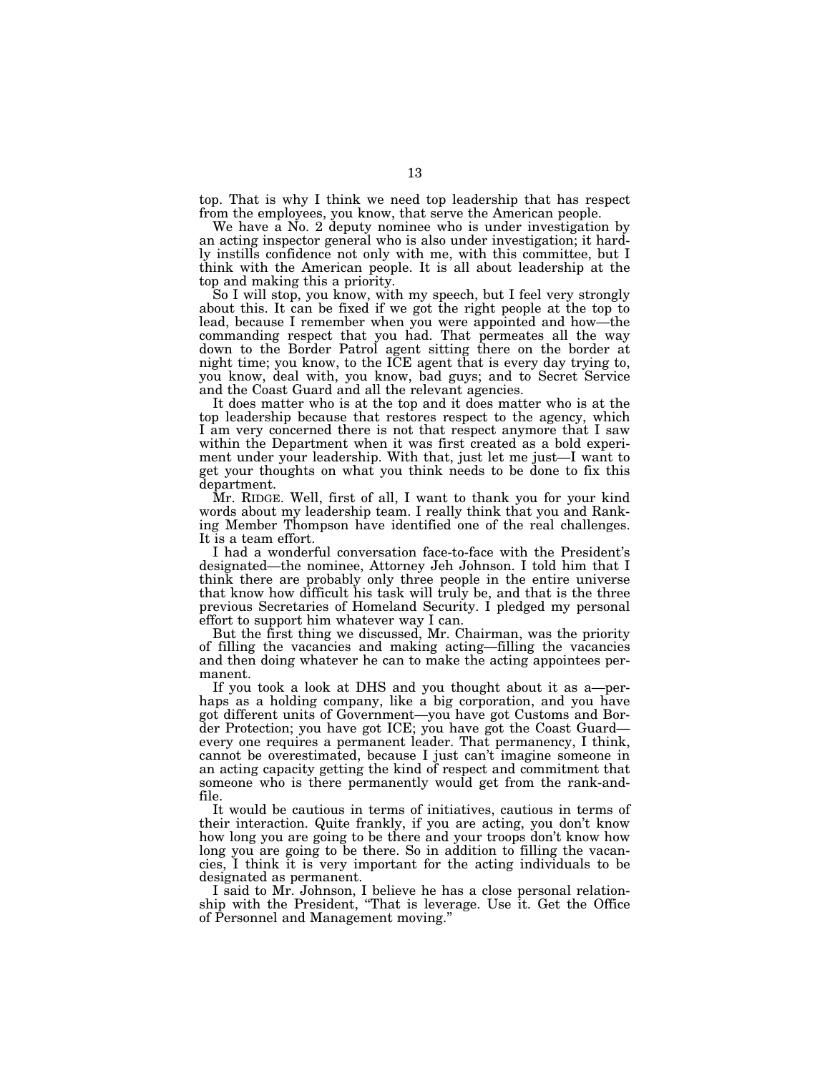top. That is why I think we need top leadership that has respect from the employees, you know, that serve the American people.

We have a No. 2 deputy nominee who is under investigation by an acting inspector general who is also under investigation; it hardly instills confidence not only with me, with this committee, but I think with the American people. It is all about leadership at the top and making this a priority.

So I will stop, you know, with my speech, but I feel very strongly about this. It can be fixed if we got the right people at the top to lead, because I remember when you were appointed and how—the commanding respect that you had. That permeates all the way down to the Border Patrol agent sitting there on the border at night time; you know, to the ICE agent that is every day trying to, you know, deal with, you know, bad guys; and to Secret Service and the Coast Guard and all the relevant agencies.

It does matter who is at the top and it does matter who is at the top leadership because that restores respect to the agency, which I am very concerned there is not that respect anymore that I saw within the Department when it was first created as a bold experiment under your leadership. With that, just let me just—I want to get your thoughts on what you think needs to be done to fix this department.

Mr. RIDGE. Well, first of all, I want to thank you for your kind words about my leadership team. I really think that you and Ranking Member Thompson have identified one of the real challenges. It is a team effort.

I had a wonderful conversation face-to-face with the President's designated—the nominee, Attorney Jeh Johnson. I told him that I think there are probably only three people in the entire universe that know how difficult his task will truly be, and that is the three previous Secretaries of Homeland Security. I pledged my personal effort to support him whatever way I can.

But the first thing we discussed, Mr. Chairman, was the priority of filling the vacancies and making acting—filling the vacancies and then doing whatever he can to make the acting appointees permanent.

If you took a look at DHS and you thought about it as a—perhaps as a holding company, like a big corporation, and you have got different units of Government—you have got Customs and Border Protection; you have got ICE; you have got the Coast Guard every one requires a permanent leader. That permanency, I think, cannot be overestimated, because I just can't imagine someone in an acting capacity getting the kind of respect and commitment that someone who is there permanently would get from the rank-andfile.

It would be cautious in terms of initiatives, cautious in terms of their interaction. Quite frankly, if you are acting, you don't know how long you are going to be there and your troops don't know how long you are going to be there. So in addition to filling the vacancies, I think it is very important for the acting individuals to be designated as permanent.

I said to Mr. Johnson, I believe he has a close personal relationship with the President, ''That is leverage. Use it. Get the Office of Personnel and Management moving.''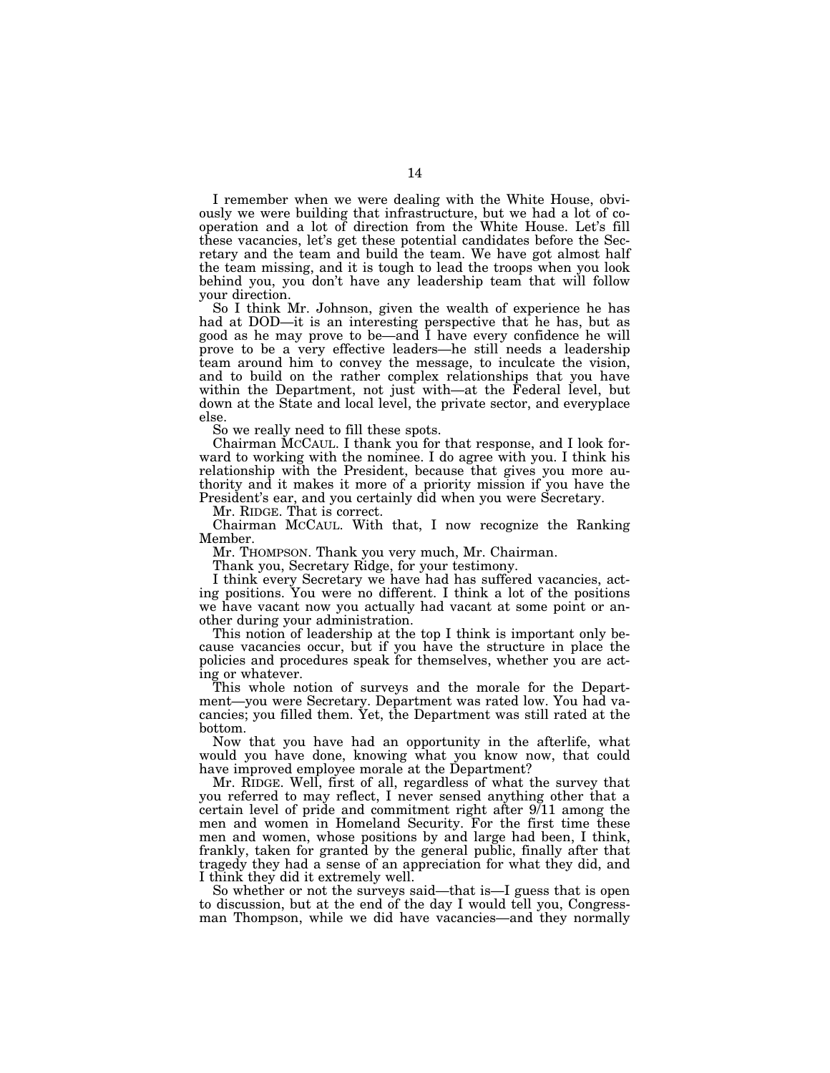I remember when we were dealing with the White House, obviously we were building that infrastructure, but we had a lot of cooperation and a lot of direction from the White House. Let's fill these vacancies, let's get these potential candidates before the Secretary and the team and build the team. We have got almost half the team missing, and it is tough to lead the troops when you look behind you, you don't have any leadership team that will follow your direction.

So I think Mr. Johnson, given the wealth of experience he has had at DOD—it is an interesting perspective that he has, but as good as he may prove to be—and I have every confidence he will prove to be a very effective leaders—he still needs a leadership team around him to convey the message, to inculcate the vision, and to build on the rather complex relationships that you have within the Department, not just with—at the Federal level, but down at the State and local level, the private sector, and everyplace else.

So we really need to fill these spots.

Chairman MCCAUL. I thank you for that response, and I look forward to working with the nominee. I do agree with you. I think his relationship with the President, because that gives you more authority and it makes it more of a priority mission if you have the President's ear, and you certainly did when you were Secretary.

Mr. RIDGE. That is correct.

Chairman MCCAUL. With that, I now recognize the Ranking Member.

Mr. THOMPSON. Thank you very much, Mr. Chairman.

Thank you, Secretary Ridge, for your testimony.

I think every Secretary we have had has suffered vacancies, acting positions. You were no different. I think a lot of the positions we have vacant now you actually had vacant at some point or another during your administration.

This notion of leadership at the top I think is important only because vacancies occur, but if you have the structure in place the policies and procedures speak for themselves, whether you are acting or whatever.

This whole notion of surveys and the morale for the Department—you were Secretary. Department was rated low. You had vacancies; you filled them. Yet, the Department was still rated at the bottom.

Now that you have had an opportunity in the afterlife, what would you have done, knowing what you know now, that could have improved employee morale at the Department?

Mr. RIDGE. Well, first of all, regardless of what the survey that you referred to may reflect, I never sensed anything other that a certain level of pride and commitment right after 9/11 among the men and women in Homeland Security. For the first time these men and women, whose positions by and large had been, I think, frankly, taken for granted by the general public, finally after that tragedy they had a sense of an appreciation for what they did, and I think they did it extremely well.

So whether or not the surveys said—that is—I guess that is open to discussion, but at the end of the day I would tell you, Congressman Thompson, while we did have vacancies—and they normally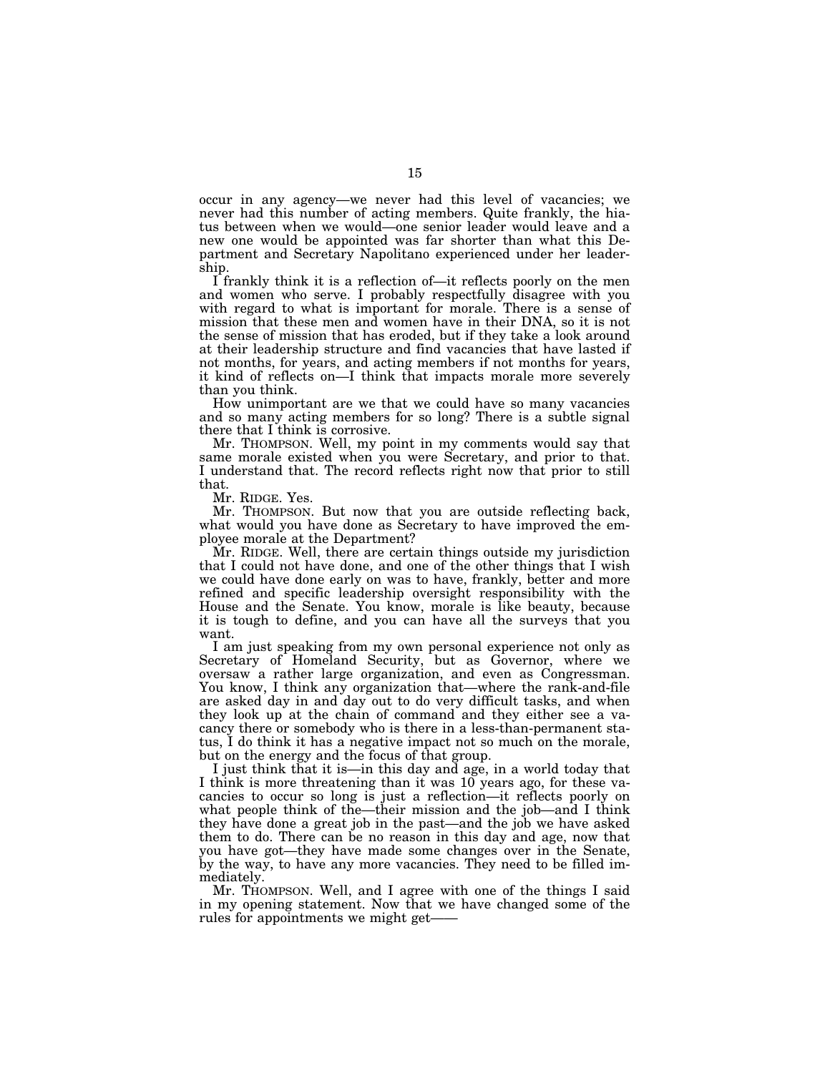occur in any agency—we never had this level of vacancies; we never had this number of acting members. Quite frankly, the hiatus between when we would—one senior leader would leave and a new one would be appointed was far shorter than what this Department and Secretary Napolitano experienced under her leadership.

I frankly think it is a reflection of—it reflects poorly on the men and women who serve. I probably respectfully disagree with you with regard to what is important for morale. There is a sense of mission that these men and women have in their DNA, so it is not the sense of mission that has eroded, but if they take a look around at their leadership structure and find vacancies that have lasted if not months, for years, and acting members if not months for years, it kind of reflects on—I think that impacts morale more severely than you think.

How unimportant are we that we could have so many vacancies and so many acting members for so long? There is a subtle signal there that I think is corrosive.

Mr. THOMPSON. Well, my point in my comments would say that same morale existed when you were Secretary, and prior to that. I understand that. The record reflects right now that prior to still that.

Mr. RIDGE. Yes.

Mr. THOMPSON. But now that you are outside reflecting back, what would you have done as Secretary to have improved the employee morale at the Department?

Mr. RIDGE. Well, there are certain things outside my jurisdiction that I could not have done, and one of the other things that I wish we could have done early on was to have, frankly, better and more refined and specific leadership oversight responsibility with the House and the Senate. You know, morale is like beauty, because it is tough to define, and you can have all the surveys that you want.

I am just speaking from my own personal experience not only as Secretary of Homeland Security, but as Governor, where we oversaw a rather large organization, and even as Congressman. You know, I think any organization that—where the rank-and-file are asked day in and day out to do very difficult tasks, and when they look up at the chain of command and they either see a vacancy there or somebody who is there in a less-than-permanent status, I do think it has a negative impact not so much on the morale, but on the energy and the focus of that group.

I just think that it is—in this day and age, in a world today that I think is more threatening than it was 10 years ago, for these vacancies to occur so long is just a reflection—it reflects poorly on what people think of the—their mission and the job—and I think they have done a great job in the past—and the job we have asked them to do. There can be no reason in this day and age, now that you have got—they have made some changes over in the Senate, by the way, to have any more vacancies. They need to be filled immediately.

Mr. THOMPSON. Well, and I agree with one of the things I said in my opening statement. Now that we have changed some of the rules for appointments we might get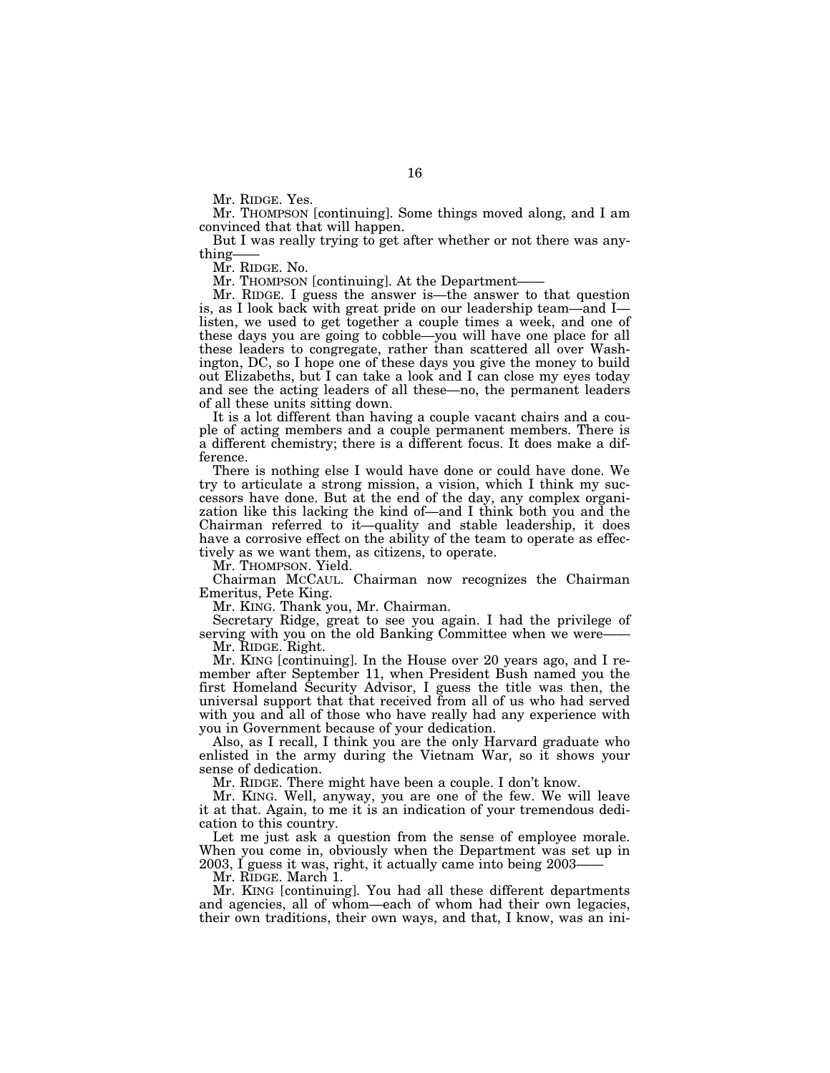Mr. RIDGE. Yes.

Mr. THOMPSON [continuing]. Some things moved along, and I am convinced that that will happen.

But I was really trying to get after whether or not there was anything—

Mr. RIDGE. No.

Mr. THOMPSON [continuing]. At the Department-

Mr. RIDGE. I guess the answer is—the answer to that question is, as I look back with great pride on our leadership team—and I listen, we used to get together a couple times a week, and one of these days you are going to cobble—you will have one place for all these leaders to congregate, rather than scattered all over Washington, DC, so I hope one of these days you give the money to build out Elizabeths, but I can take a look and I can close my eyes today and see the acting leaders of all these—no, the permanent leaders of all these units sitting down.

It is a lot different than having a couple vacant chairs and a couple of acting members and a couple permanent members. There is a different chemistry; there is a different focus. It does make a difference.

There is nothing else I would have done or could have done. We try to articulate a strong mission, a vision, which I think my successors have done. But at the end of the day, any complex organization like this lacking the kind of—and I think both you and the Chairman referred to it—quality and stable leadership, it does have a corrosive effect on the ability of the team to operate as effectively as we want them, as citizens, to operate.

Mr. THOMPSON. Yield.

Chairman MCCAUL. Chairman now recognizes the Chairman Emeritus, Pete King.

Mr. KING. Thank you, Mr. Chairman.

Secretary Ridge, great to see you again. I had the privilege of serving with you on the old Banking Committee when we were-

Mr. RIDGE. Right.

Mr. KING [continuing]. In the House over 20 years ago, and I remember after September 11, when President Bush named you the first Homeland Security Advisor, I guess the title was then, the universal support that that received from all of us who had served with you and all of those who have really had any experience with you in Government because of your dedication.

Also, as I recall, I think you are the only Harvard graduate who enlisted in the army during the Vietnam War, so it shows your sense of dedication.

Mr. RIDGE. There might have been a couple. I don't know.

Mr. KING. Well, anyway, you are one of the few. We will leave it at that. Again, to me it is an indication of your tremendous dedication to this country.

Let me just ask a question from the sense of employee morale. When you come in, obviously when the Department was set up in 2003, I guess it was, right, it actually came into being 2003——

Mr. RIDGE. March 1.

Mr. KING [continuing]. You had all these different departments and agencies, all of whom—each of whom had their own legacies, their own traditions, their own ways, and that, I know, was an ini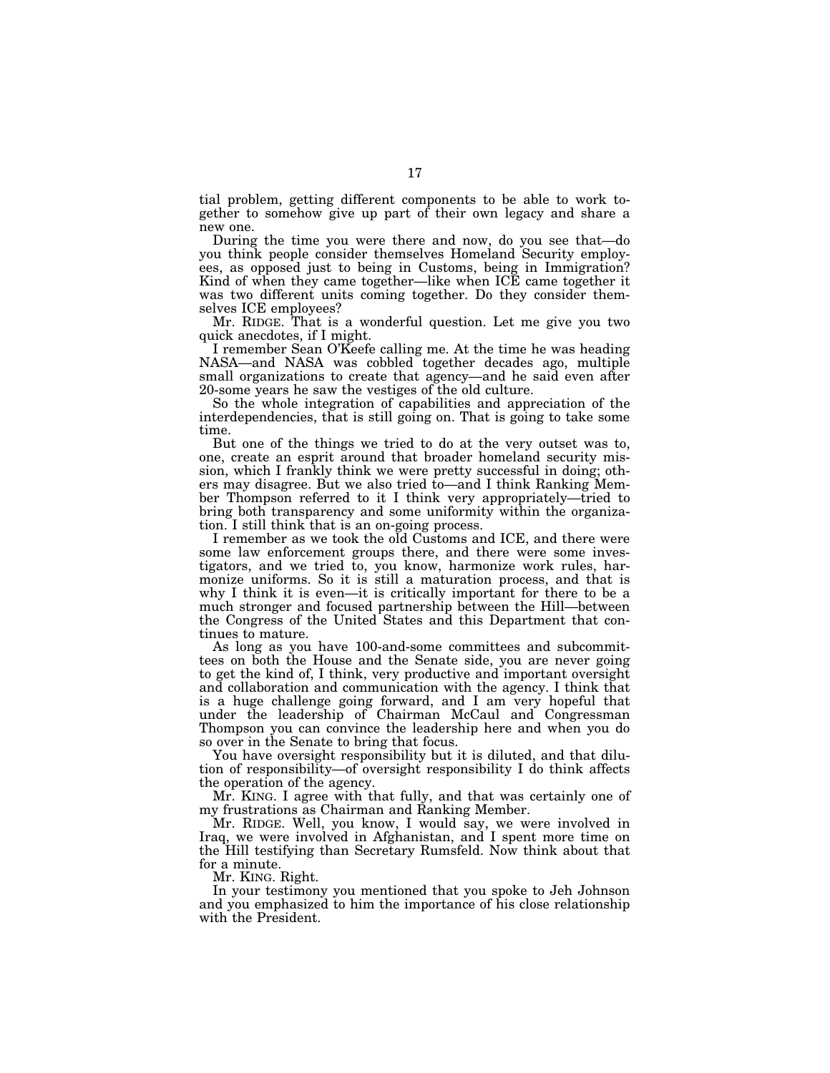tial problem, getting different components to be able to work together to somehow give up part of their own legacy and share a new one.

During the time you were there and now, do you see that—do you think people consider themselves Homeland Security employees, as opposed just to being in Customs, being in Immigration? Kind of when they came together—like when ICE came together it was two different units coming together. Do they consider themselves ICE employees?

Mr. RIDGE. That is a wonderful question. Let me give you two quick anecdotes, if I might.

I remember Sean O'Keefe calling me. At the time he was heading NASA—and NASA was cobbled together decades ago, multiple small organizations to create that agency—and he said even after 20-some years he saw the vestiges of the old culture.

So the whole integration of capabilities and appreciation of the interdependencies, that is still going on. That is going to take some time.

But one of the things we tried to do at the very outset was to, one, create an esprit around that broader homeland security mission, which I frankly think we were pretty successful in doing; others may disagree. But we also tried to—and I think Ranking Member Thompson referred to it I think very appropriately—tried to bring both transparency and some uniformity within the organization. I still think that is an on-going process.

I remember as we took the old Customs and ICE, and there were some law enforcement groups there, and there were some investigators, and we tried to, you know, harmonize work rules, harmonize uniforms. So it is still a maturation process, and that is why I think it is even—it is critically important for there to be a much stronger and focused partnership between the Hill—between the Congress of the United States and this Department that continues to mature.

As long as you have 100-and-some committees and subcommittees on both the House and the Senate side, you are never going to get the kind of, I think, very productive and important oversight and collaboration and communication with the agency. I think that is a huge challenge going forward, and I am very hopeful that under the leadership of Chairman McCaul and Congressman Thompson you can convince the leadership here and when you do so over in the Senate to bring that focus.

You have oversight responsibility but it is diluted, and that dilution of responsibility—of oversight responsibility I do think affects the operation of the agency.

Mr. KING. I agree with that fully, and that was certainly one of my frustrations as Chairman and Ranking Member.

Mr. RIDGE. Well, you know, I would say, we were involved in Iraq, we were involved in Afghanistan, and I spent more time on the Hill testifying than Secretary Rumsfeld. Now think about that for a minute.

Mr. KING. Right.

In your testimony you mentioned that you spoke to Jeh Johnson and you emphasized to him the importance of his close relationship with the President.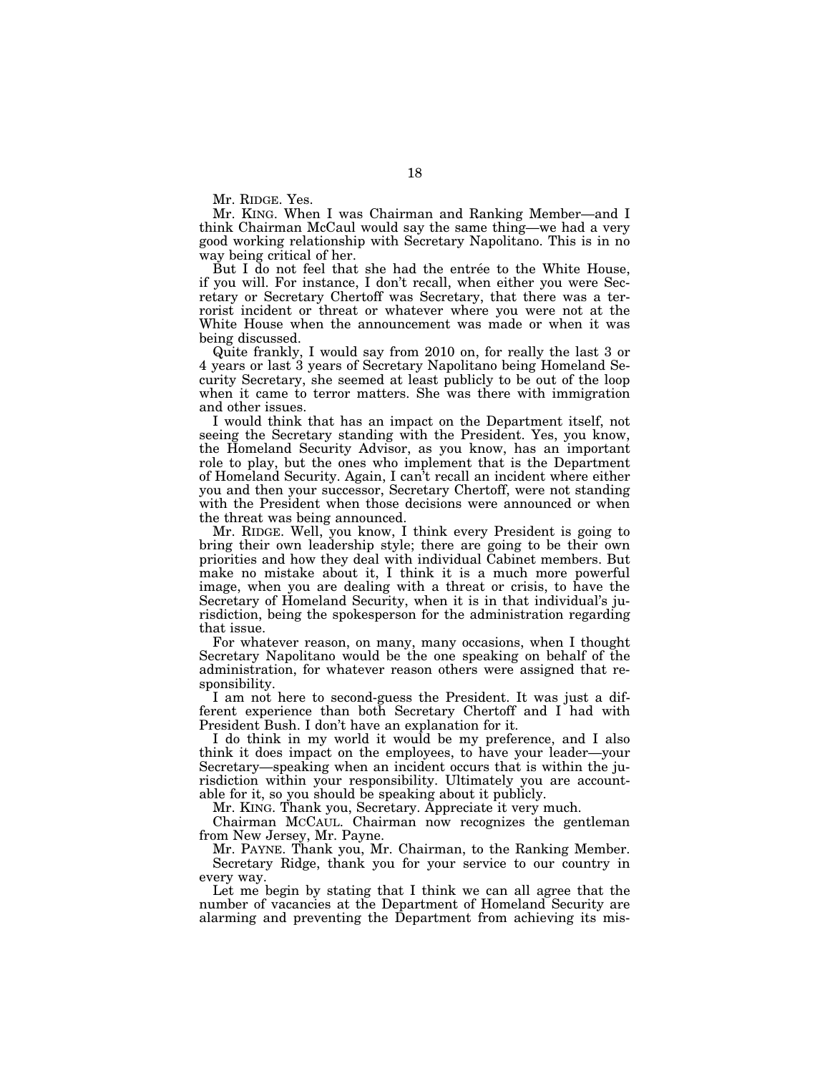Mr. RIDGE. Yes.

Mr. KING. When I was Chairman and Ranking Member—and I think Chairman McCaul would say the same thing—we had a very good working relationship with Secretary Napolitano. This is in no way being critical of her.

But I do not feel that she had the entrée to the White House, if you will. For instance, I don't recall, when either you were Secretary or Secretary Chertoff was Secretary, that there was a terrorist incident or threat or whatever where you were not at the White House when the announcement was made or when it was being discussed.

Quite frankly, I would say from 2010 on, for really the last 3 or 4 years or last 3 years of Secretary Napolitano being Homeland Security Secretary, she seemed at least publicly to be out of the loop when it came to terror matters. She was there with immigration and other issues.

I would think that has an impact on the Department itself, not seeing the Secretary standing with the President. Yes, you know, the Homeland Security Advisor, as you know, has an important role to play, but the ones who implement that is the Department of Homeland Security. Again, I can't recall an incident where either you and then your successor, Secretary Chertoff, were not standing with the President when those decisions were announced or when the threat was being announced.

Mr. RIDGE. Well, you know, I think every President is going to bring their own leadership style; there are going to be their own priorities and how they deal with individual Cabinet members. But make no mistake about it, I think it is a much more powerful image, when you are dealing with a threat or crisis, to have the Secretary of Homeland Security, when it is in that individual's jurisdiction, being the spokesperson for the administration regarding that issue.

For whatever reason, on many, many occasions, when I thought Secretary Napolitano would be the one speaking on behalf of the administration, for whatever reason others were assigned that responsibility.

I am not here to second-guess the President. It was just a different experience than both Secretary Chertoff and I had with President Bush. I don't have an explanation for it.

I do think in my world it would be my preference, and I also think it does impact on the employees, to have your leader—your Secretary—speaking when an incident occurs that is within the jurisdiction within your responsibility. Ultimately you are accountable for it, so you should be speaking about it publicly.

Mr. KING. Thank you, Secretary. Appreciate it very much.

Chairman MCCAUL. Chairman now recognizes the gentleman from New Jersey, Mr. Payne.

Mr. PAYNE. Thank you, Mr. Chairman, to the Ranking Member. Secretary Ridge, thank you for your service to our country in every way.

Let me begin by stating that I think we can all agree that the number of vacancies at the Department of Homeland Security are alarming and preventing the Department from achieving its mis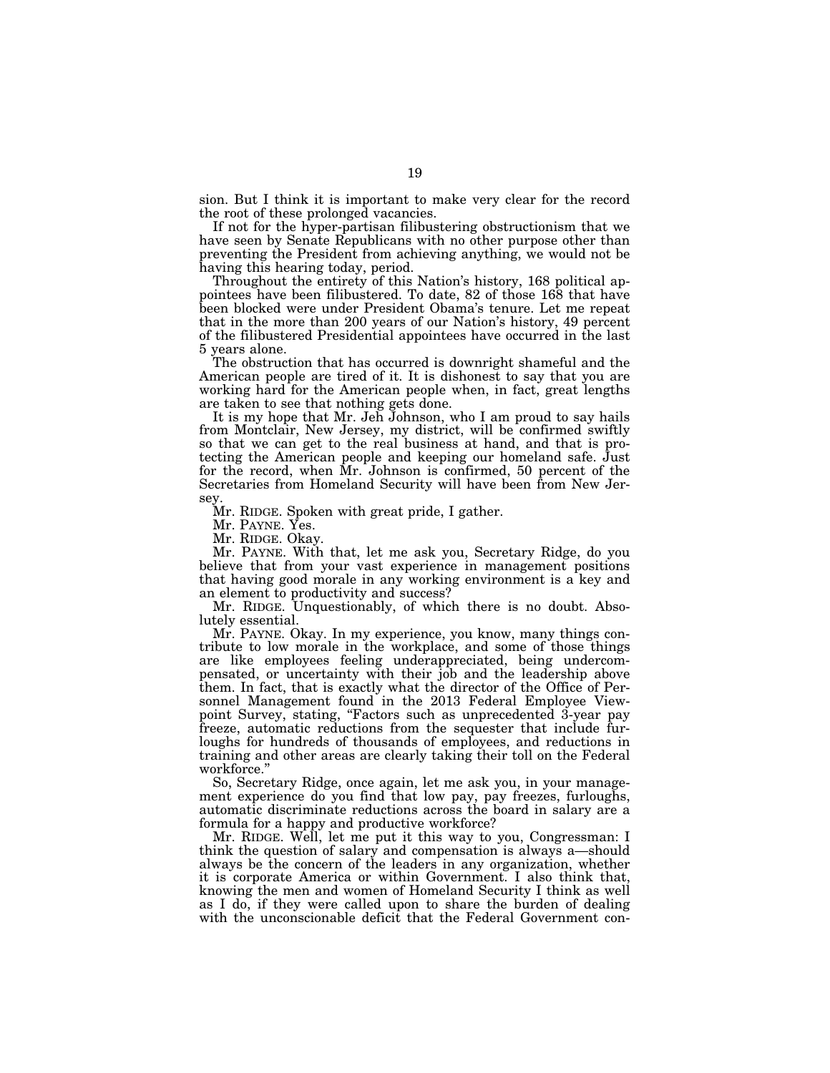sion. But I think it is important to make very clear for the record the root of these prolonged vacancies.

If not for the hyper-partisan filibustering obstructionism that we have seen by Senate Republicans with no other purpose other than preventing the President from achieving anything, we would not be having this hearing today, period.

Throughout the entirety of this Nation's history, 168 political appointees have been filibustered. To date, 82 of those 168 that have been blocked were under President Obama's tenure. Let me repeat that in the more than 200 years of our Nation's history, 49 percent of the filibustered Presidential appointees have occurred in the last 5 years alone.

The obstruction that has occurred is downright shameful and the American people are tired of it. It is dishonest to say that you are working hard for the American people when, in fact, great lengths are taken to see that nothing gets done.

It is my hope that Mr. Jeh Johnson, who I am proud to say hails from Montclair, New Jersey, my district, will be confirmed swiftly so that we can get to the real business at hand, and that is protecting the American people and keeping our homeland safe. Just for the record, when Mr. Johnson is confirmed, 50 percent of the Secretaries from Homeland Security will have been from New Jersey.

Mr. RIDGE. Spoken with great pride, I gather.

Mr. PAYNE. Yes.

Mr. RIDGE. Okay.

Mr. PAYNE. With that, let me ask you, Secretary Ridge, do you believe that from your vast experience in management positions that having good morale in any working environment is a key and an element to productivity and success?

Mr. RIDGE. Unquestionably, of which there is no doubt. Absolutely essential.

Mr. PAYNE. Okay. In my experience, you know, many things contribute to low morale in the workplace, and some of those things are like employees feeling underappreciated, being undercompensated, or uncertainty with their job and the leadership above them. In fact, that is exactly what the director of the Office of Personnel Management found in the 2013 Federal Employee Viewpoint Survey, stating, "Factors such as unprecedented 3-year pay freeze, automatic reductions from the sequester that include furloughs for hundreds of thousands of employees, and reductions in training and other areas are clearly taking their toll on the Federal workforce.''

So, Secretary Ridge, once again, let me ask you, in your management experience do you find that low pay, pay freezes, furloughs, automatic discriminate reductions across the board in salary are a formula for a happy and productive workforce?

Mr. RIDGE. Well, let me put it this way to you, Congressman: I think the question of salary and compensation is always a—should always be the concern of the leaders in any organization, whether it is corporate America or within Government. I also think that, knowing the men and women of Homeland Security I think as well as I do, if they were called upon to share the burden of dealing with the unconscionable deficit that the Federal Government con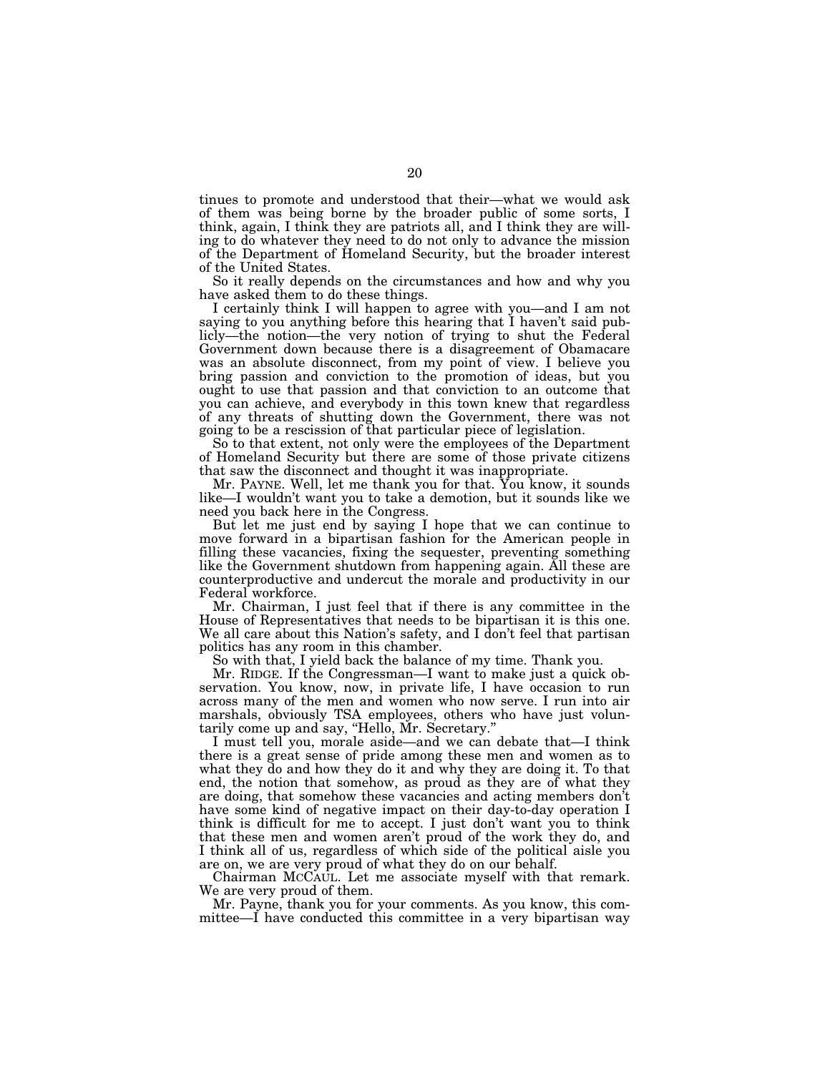tinues to promote and understood that their—what we would ask of them was being borne by the broader public of some sorts, I think, again, I think they are patriots all, and I think they are willing to do whatever they need to do not only to advance the mission of the Department of Homeland Security, but the broader interest of the United States.

So it really depends on the circumstances and how and why you have asked them to do these things.

I certainly think I will happen to agree with you—and I am not saying to you anything before this hearing that I haven't said publicly—the notion—the very notion of trying to shut the Federal Government down because there is a disagreement of Obamacare was an absolute disconnect, from my point of view. I believe you bring passion and conviction to the promotion of ideas, but you ought to use that passion and that conviction to an outcome that you can achieve, and everybody in this town knew that regardless of any threats of shutting down the Government, there was not going to be a rescission of that particular piece of legislation.

So to that extent, not only were the employees of the Department of Homeland Security but there are some of those private citizens that saw the disconnect and thought it was inappropriate.

Mr. PAYNE. Well, let me thank you for that. You know, it sounds like—I wouldn't want you to take a demotion, but it sounds like we need you back here in the Congress.

But let me just end by saying I hope that we can continue to move forward in a bipartisan fashion for the American people in filling these vacancies, fixing the sequester, preventing something like the Government shutdown from happening again. All these are counterproductive and undercut the morale and productivity in our Federal workforce.

Mr. Chairman, I just feel that if there is any committee in the House of Representatives that needs to be bipartisan it is this one. We all care about this Nation's safety, and I don't feel that partisan politics has any room in this chamber.

So with that, I yield back the balance of my time. Thank you.

Mr. RIDGE. If the Congressman—I want to make just a quick observation. You know, now, in private life, I have occasion to run across many of the men and women who now serve. I run into air marshals, obviously TSA employees, others who have just voluntarily come up and say, ''Hello, Mr. Secretary.''

I must tell you, morale aside—and we can debate that—I think there is a great sense of pride among these men and women as to what they do and how they do it and why they are doing it. To that end, the notion that somehow, as proud as they are of what they are doing, that somehow these vacancies and acting members don't have some kind of negative impact on their day-to-day operation I think is difficult for me to accept. I just don't want you to think that these men and women aren't proud of the work they do, and I think all of us, regardless of which side of the political aisle you are on, we are very proud of what they do on our behalf.

Chairman MCCAUL. Let me associate myself with that remark. We are very proud of them.

Mr. Payne, thank you for your comments. As you know, this committee—I have conducted this committee in a very bipartisan way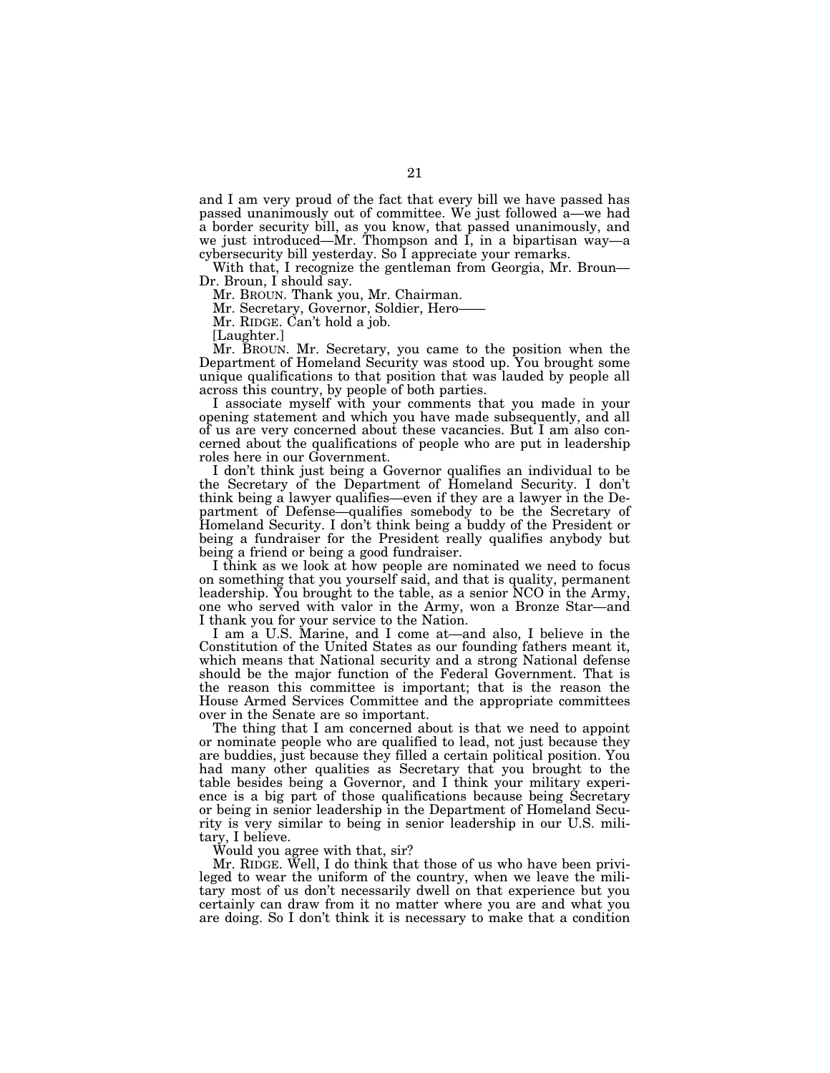and I am very proud of the fact that every bill we have passed has passed unanimously out of committee. We just followed a—we had a border security bill, as you know, that passed unanimously, and we just introduced—Mr. Thompson and I, in a bipartisan way—a cybersecurity bill yesterday. So I appreciate your remarks.

With that, I recognize the gentleman from Georgia, Mr. Broun— Dr. Broun, I should say.

Mr. BROUN. Thank you, Mr. Chairman.

Mr. Secretary, Governor, Soldier, Hero-

Mr. RIDGE. Can't hold a job.

[Laughter.]

Mr. BROUN. Mr. Secretary, you came to the position when the Department of Homeland Security was stood up. You brought some unique qualifications to that position that was lauded by people all across this country, by people of both parties.

I associate myself with your comments that you made in your opening statement and which you have made subsequently, and all of us are very concerned about these vacancies. But I am also concerned about the qualifications of people who are put in leadership roles here in our Government.

I don't think just being a Governor qualifies an individual to be the Secretary of the Department of Homeland Security. I don't think being a lawyer qualifies—even if they are a lawyer in the Department of Defense—qualifies somebody to be the Secretary of Homeland Security. I don't think being a buddy of the President or being a fundraiser for the President really qualifies anybody but being a friend or being a good fundraiser.

I think as we look at how people are nominated we need to focus on something that you yourself said, and that is quality, permanent leadership. You brought to the table, as a senior NCO in the Army, one who served with valor in the Army, won a Bronze Star—and I thank you for your service to the Nation.

I am a U.S. Marine, and I come at—and also, I believe in the Constitution of the United States as our founding fathers meant it, which means that National security and a strong National defense should be the major function of the Federal Government. That is the reason this committee is important; that is the reason the House Armed Services Committee and the appropriate committees over in the Senate are so important.

The thing that I am concerned about is that we need to appoint or nominate people who are qualified to lead, not just because they are buddies, just because they filled a certain political position. You had many other qualities as Secretary that you brought to the table besides being a Governor, and I think your military experience is a big part of those qualifications because being Secretary or being in senior leadership in the Department of Homeland Security is very similar to being in senior leadership in our U.S. military, I believe.

Would you agree with that, sir?

Mr. RIDGE. Well, I do think that those of us who have been privileged to wear the uniform of the country, when we leave the military most of us don't necessarily dwell on that experience but you certainly can draw from it no matter where you are and what you are doing. So I don't think it is necessary to make that a condition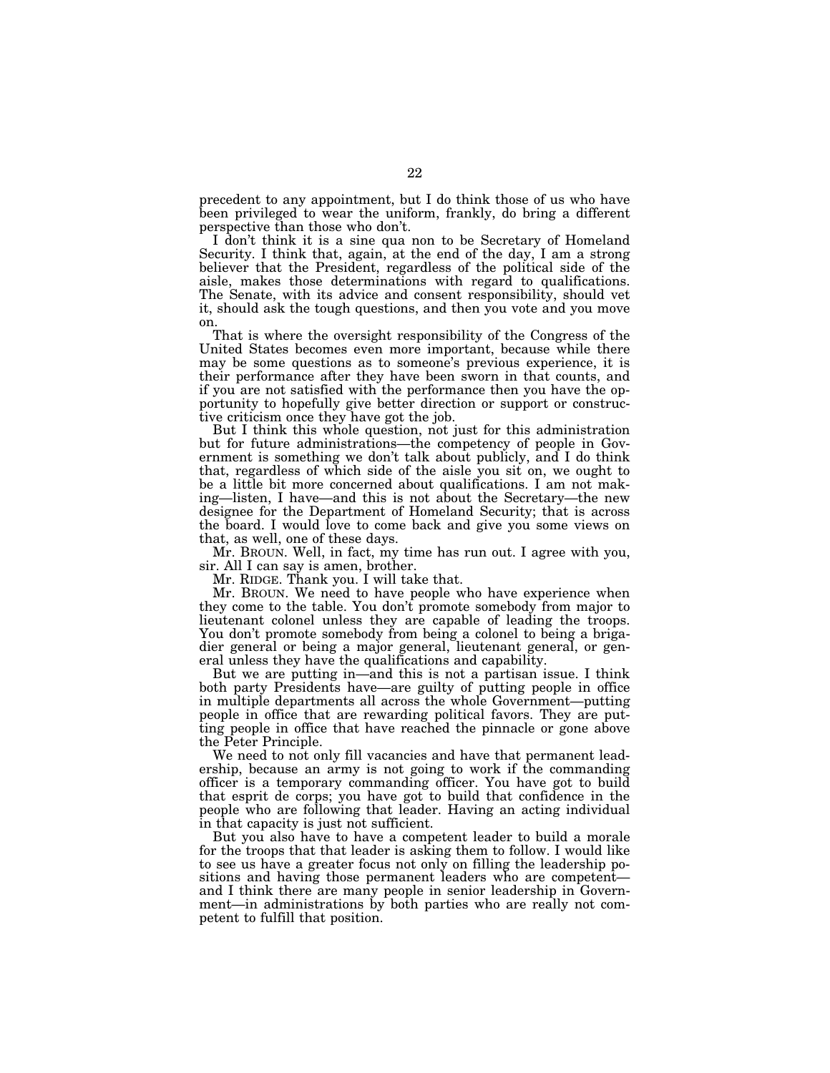precedent to any appointment, but I do think those of us who have been privileged to wear the uniform, frankly, do bring a different perspective than those who don't.

I don't think it is a sine qua non to be Secretary of Homeland Security. I think that, again, at the end of the day, I am a strong believer that the President, regardless of the political side of the aisle, makes those determinations with regard to qualifications. The Senate, with its advice and consent responsibility, should vet it, should ask the tough questions, and then you vote and you move on.

That is where the oversight responsibility of the Congress of the United States becomes even more important, because while there may be some questions as to someone's previous experience, it is their performance after they have been sworn in that counts, and if you are not satisfied with the performance then you have the opportunity to hopefully give better direction or support or constructive criticism once they have got the job.

But I think this whole question, not just for this administration but for future administrations—the competency of people in Government is something we don't talk about publicly, and I do think that, regardless of which side of the aisle you sit on, we ought to be a little bit more concerned about qualifications. I am not making—listen, I have—and this is not about the Secretary—the new designee for the Department of Homeland Security; that is across the board. I would love to come back and give you some views on that, as well, one of these days.

Mr. BROUN. Well, in fact, my time has run out. I agree with you, sir. All I can say is amen, brother.

Mr. RIDGE. Thank you. I will take that.

Mr. BROUN. We need to have people who have experience when they come to the table. You don't promote somebody from major to lieutenant colonel unless they are capable of leading the troops. You don't promote somebody from being a colonel to being a brigadier general or being a major general, lieutenant general, or general unless they have the qualifications and capability.

But we are putting in—and this is not a partisan issue. I think both party Presidents have—are guilty of putting people in office in multiple departments all across the whole Government—putting people in office that are rewarding political favors. They are putting people in office that have reached the pinnacle or gone above the Peter Principle.

We need to not only fill vacancies and have that permanent leadership, because an army is not going to work if the commanding officer is a temporary commanding officer. You have got to build that esprit de corps; you have got to build that confidence in the people who are following that leader. Having an acting individual in that capacity is just not sufficient.

But you also have to have a competent leader to build a morale for the troops that that leader is asking them to follow. I would like to see us have a greater focus not only on filling the leadership positions and having those permanent leaders who are competent and I think there are many people in senior leadership in Government—in administrations by both parties who are really not competent to fulfill that position.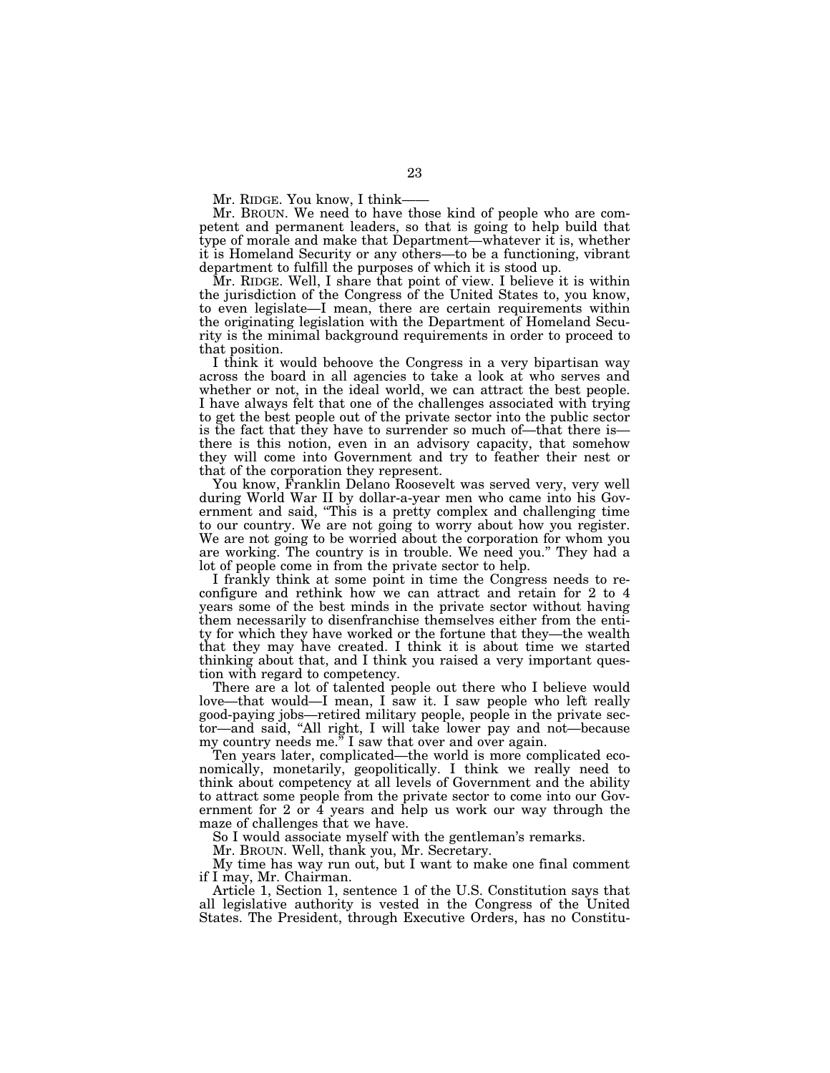Mr. RIDGE. You know, I think-

Mr. BROUN. We need to have those kind of people who are competent and permanent leaders, so that is going to help build that type of morale and make that Department—whatever it is, whether it is Homeland Security or any others—to be a functioning, vibrant department to fulfill the purposes of which it is stood up.

Mr. RIDGE. Well, I share that point of view. I believe it is within the jurisdiction of the Congress of the United States to, you know, to even legislate—I mean, there are certain requirements within the originating legislation with the Department of Homeland Security is the minimal background requirements in order to proceed to that position.

I think it would behoove the Congress in a very bipartisan way across the board in all agencies to take a look at who serves and whether or not, in the ideal world, we can attract the best people. I have always felt that one of the challenges associated with trying to get the best people out of the private sector into the public sector is the fact that they have to surrender so much of—that there is there is this notion, even in an advisory capacity, that somehow they will come into Government and try to feather their nest or that of the corporation they represent.

You know, Franklin Delano Roosevelt was served very, very well during World War II by dollar-a-year men who came into his Government and said, ''This is a pretty complex and challenging time to our country. We are not going to worry about how you register. We are not going to be worried about the corporation for whom you are working. The country is in trouble. We need you.'' They had a lot of people come in from the private sector to help.

I frankly think at some point in time the Congress needs to reconfigure and rethink how we can attract and retain for 2 to 4 years some of the best minds in the private sector without having them necessarily to disenfranchise themselves either from the entity for which they have worked or the fortune that they—the wealth that they may have created. I think it is about time we started thinking about that, and I think you raised a very important question with regard to competency.

There are a lot of talented people out there who I believe would love—that would—I mean, I saw it. I saw people who left really good-paying jobs—retired military people, people in the private sector—and said, ''All right, I will take lower pay and not—because my country needs me." I saw that over and over again.

Ten years later, complicated—the world is more complicated economically, monetarily, geopolitically. I think we really need to think about competency at all levels of Government and the ability to attract some people from the private sector to come into our Government for  $2$  or  $4$  years and help us work our way through the maze of challenges that we have.

So I would associate myself with the gentleman's remarks.

Mr. BROUN. Well, thank you, Mr. Secretary.

My time has way run out, but I want to make one final comment if I may, Mr. Chairman.

Article 1, Section 1, sentence 1 of the U.S. Constitution says that all legislative authority is vested in the Congress of the United States. The President, through Executive Orders, has no Constitu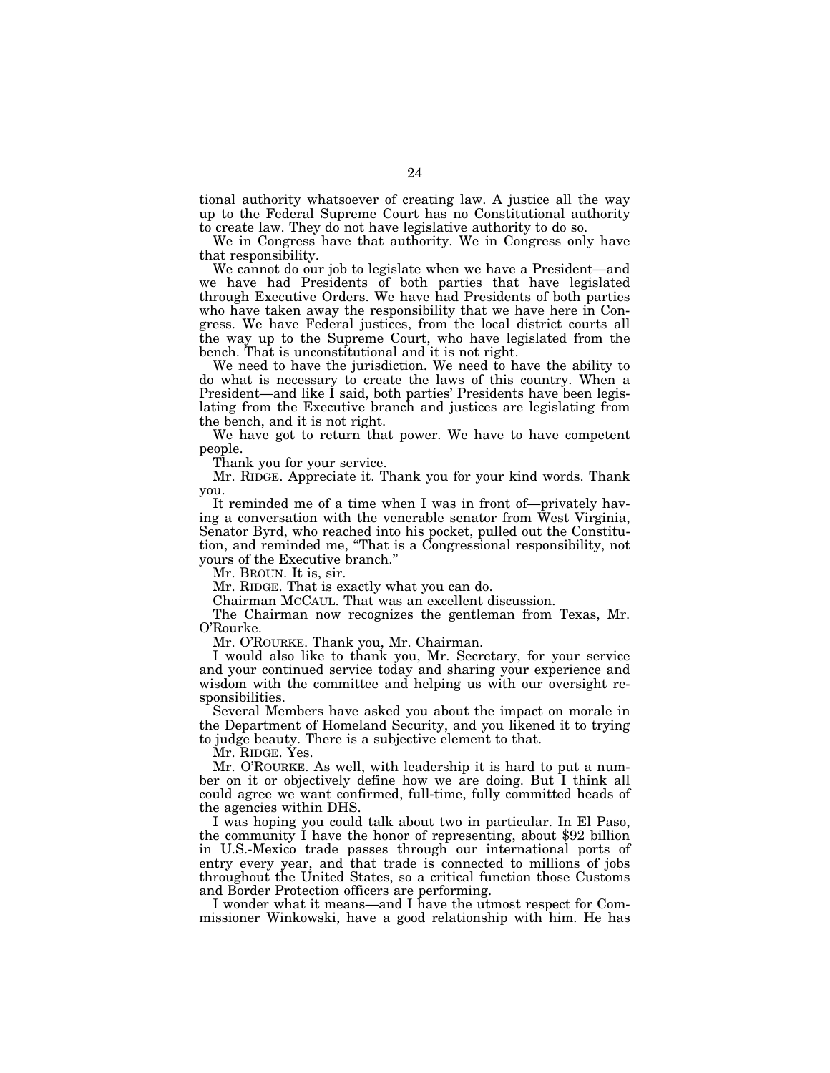tional authority whatsoever of creating law. A justice all the way up to the Federal Supreme Court has no Constitutional authority to create law. They do not have legislative authority to do so.

We in Congress have that authority. We in Congress only have that responsibility.

We cannot do our job to legislate when we have a President—and we have had Presidents of both parties that have legislated through Executive Orders. We have had Presidents of both parties who have taken away the responsibility that we have here in Congress. We have Federal justices, from the local district courts all the way up to the Supreme Court, who have legislated from the bench. That is unconstitutional and it is not right.

We need to have the jurisdiction. We need to have the ability to do what is necessary to create the laws of this country. When a President—and like I said, both parties' Presidents have been legislating from the Executive branch and justices are legislating from the bench, and it is not right.

We have got to return that power. We have to have competent people.

Thank you for your service.

Mr. RIDGE. Appreciate it. Thank you for your kind words. Thank you.

It reminded me of a time when I was in front of—privately having a conversation with the venerable senator from West Virginia, Senator Byrd, who reached into his pocket, pulled out the Constitution, and reminded me, ''That is a Congressional responsibility, not yours of the Executive branch.''

Mr. BROUN. It is, sir.

Mr. RIDGE. That is exactly what you can do.

Chairman MCCAUL. That was an excellent discussion.

The Chairman now recognizes the gentleman from Texas, Mr. O'Rourke.

Mr. O'ROURKE. Thank you, Mr. Chairman.

I would also like to thank you, Mr. Secretary, for your service and your continued service today and sharing your experience and wisdom with the committee and helping us with our oversight responsibilities.

Several Members have asked you about the impact on morale in the Department of Homeland Security, and you likened it to trying to judge beauty. There is a subjective element to that.

Mr. RIDGE. Yes.

Mr. O'ROURKE. As well, with leadership it is hard to put a number on it or objectively define how we are doing. But I think all could agree we want confirmed, full-time, fully committed heads of the agencies within DHS.

I was hoping you could talk about two in particular. In El Paso, the community I have the honor of representing, about \$92 billion in U.S.-Mexico trade passes through our international ports of entry every year, and that trade is connected to millions of jobs throughout the United States, so a critical function those Customs and Border Protection officers are performing.

I wonder what it means—and I have the utmost respect for Commissioner Winkowski, have a good relationship with him. He has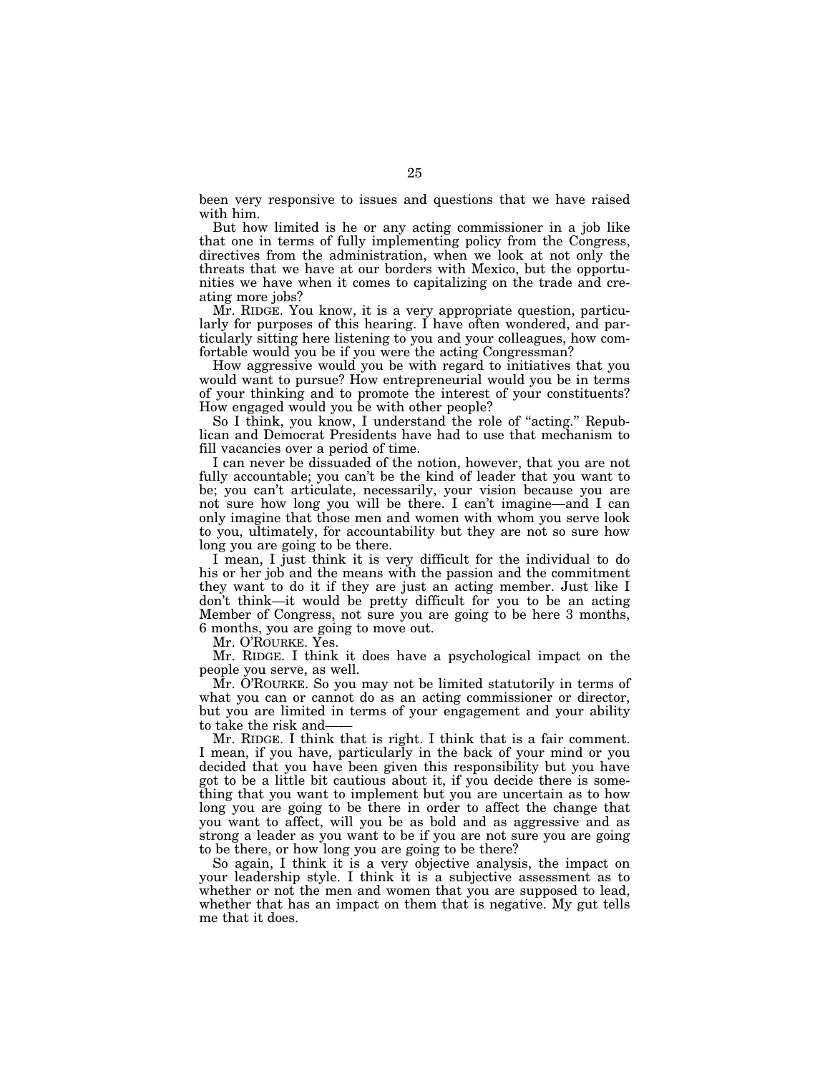been very responsive to issues and questions that we have raised with him.

But how limited is he or any acting commissioner in a job like that one in terms of fully implementing policy from the Congress, directives from the administration, when we look at not only the threats that we have at our borders with Mexico, but the opportunities we have when it comes to capitalizing on the trade and creating more jobs?

Mr. RIDGE. You know, it is a very appropriate question, particularly for purposes of this hearing. I have often wondered, and particularly sitting here listening to you and your colleagues, how comfortable would you be if you were the acting Congressman?

How aggressive would you be with regard to initiatives that you would want to pursue? How entrepreneurial would you be in terms of your thinking and to promote the interest of your constituents? How engaged would you be with other people?

So I think, you know, I understand the role of "acting." Republican and Democrat Presidents have had to use that mechanism to fill vacancies over a period of time.

I can never be dissuaded of the notion, however, that you are not fully accountable; you can't be the kind of leader that you want to be; you can't articulate, necessarily, your vision because you are not sure how long you will be there. I can't imagine—and I can only imagine that those men and women with whom you serve look to you, ultimately, for accountability but they are not so sure how long you are going to be there.

I mean, I just think it is very difficult for the individual to do his or her job and the means with the passion and the commitment they want to do it if they are just an acting member. Just like I don't think—it would be pretty difficult for you to be an acting Member of Congress, not sure you are going to be here 3 months, 6 months, you are going to move out.

Mr. O'ROURKE. Yes.

Mr. RIDGE. I think it does have a psychological impact on the people you serve, as well.

Mr. O'ROURKE. So you may not be limited statutorily in terms of what you can or cannot do as an acting commissioner or director, but you are limited in terms of your engagement and your ability to take the risk and-

Mr. RIDGE. I think that is right. I think that is a fair comment. I mean, if you have, particularly in the back of your mind or you decided that you have been given this responsibility but you have got to be a little bit cautious about it, if you decide there is something that you want to implement but you are uncertain as to how long you are going to be there in order to affect the change that you want to affect, will you be as bold and as aggressive and as strong a leader as you want to be if you are not sure you are going to be there, or how long you are going to be there?

So again, I think it is a very objective analysis, the impact on your leadership style. I think it is a subjective assessment as to whether or not the men and women that you are supposed to lead, whether that has an impact on them that is negative. My gut tells me that it does.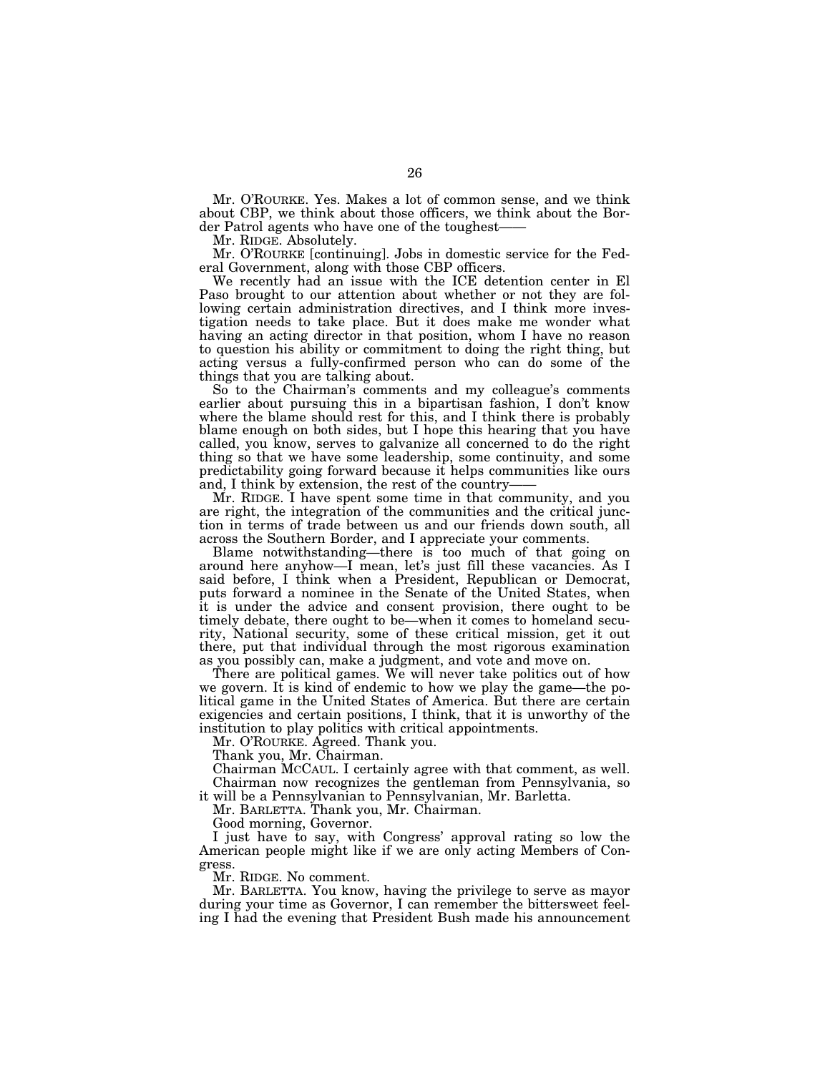Mr. O'ROURKE. Yes. Makes a lot of common sense, and we think about CBP, we think about those officers, we think about the Border Patrol agents who have one of the toughest-

Mr. RIDGE. Absolutely.

Mr. O'ROURKE [continuing]. Jobs in domestic service for the Federal Government, along with those CBP officers.

We recently had an issue with the ICE detention center in El Paso brought to our attention about whether or not they are following certain administration directives, and I think more investigation needs to take place. But it does make me wonder what having an acting director in that position, whom I have no reason to question his ability or commitment to doing the right thing, but acting versus a fully-confirmed person who can do some of the things that you are talking about.

So to the Chairman's comments and my colleague's comments earlier about pursuing this in a bipartisan fashion, I don't know where the blame should rest for this, and I think there is probably blame enough on both sides, but I hope this hearing that you have called, you know, serves to galvanize all concerned to do the right thing so that we have some leadership, some continuity, and some predictability going forward because it helps communities like ours and, I think by extension, the rest of the country-

Mr. RIDGE. I have spent some time in that community, and you are right, the integration of the communities and the critical junction in terms of trade between us and our friends down south, all across the Southern Border, and I appreciate your comments.

Blame notwithstanding—there is too much of that going on around here anyhow—I mean, let's just fill these vacancies. As I said before, I think when a President, Republican or Democrat, puts forward a nominee in the Senate of the United States, when it is under the advice and consent provision, there ought to be timely debate, there ought to be—when it comes to homeland security, National security, some of these critical mission, get it out there, put that individual through the most rigorous examination as you possibly can, make a judgment, and vote and move on.

There are political games. We will never take politics out of how we govern. It is kind of endemic to how we play the game—the political game in the United States of America. But there are certain exigencies and certain positions, I think, that it is unworthy of the institution to play politics with critical appointments.

Mr. O'ROURKE. Agreed. Thank you.

Thank you, Mr. Chairman.

Chairman MCCAUL. I certainly agree with that comment, as well. Chairman now recognizes the gentleman from Pennsylvania, so

it will be a Pennsylvanian to Pennsylvanian, Mr. Barletta.

Mr. BARLETTA. Thank you, Mr. Chairman.

Good morning, Governor.

I just have to say, with Congress' approval rating so low the American people might like if we are only acting Members of Congress.

Mr. RIDGE. No comment.

Mr. BARLETTA. You know, having the privilege to serve as mayor during your time as Governor, I can remember the bittersweet feeling I had the evening that President Bush made his announcement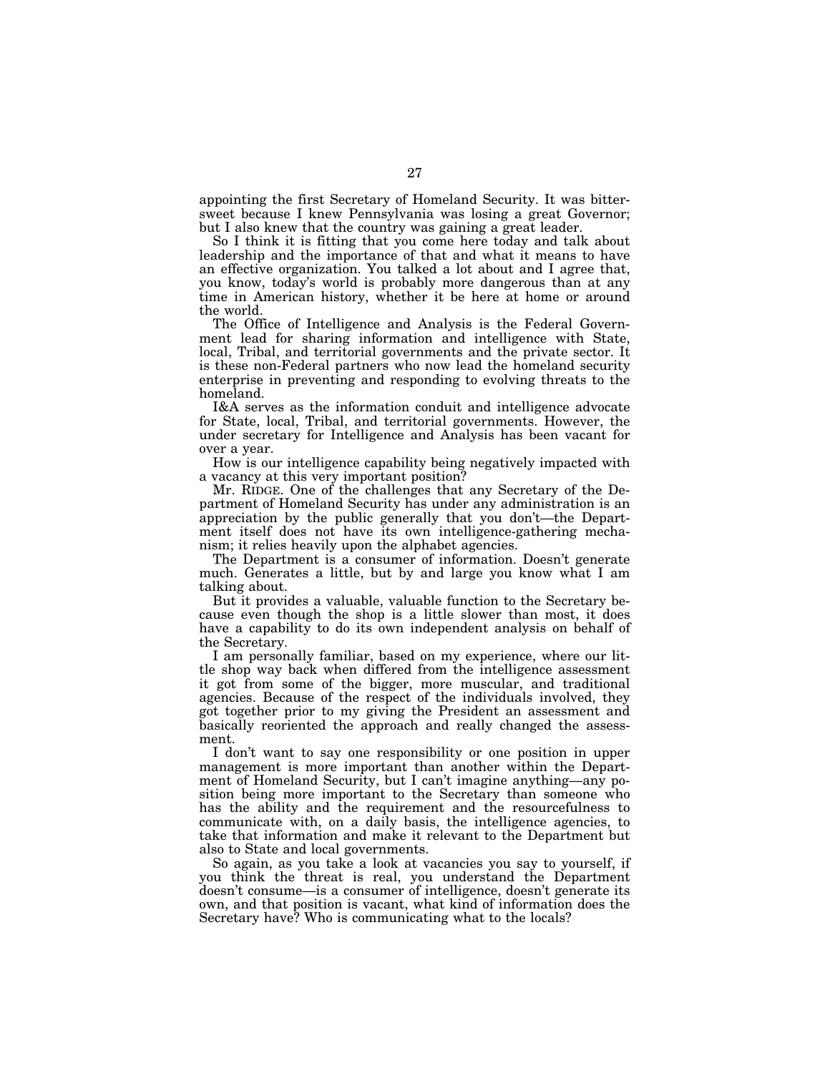appointing the first Secretary of Homeland Security. It was bittersweet because I knew Pennsylvania was losing a great Governor; but I also knew that the country was gaining a great leader.

So I think it is fitting that you come here today and talk about leadership and the importance of that and what it means to have an effective organization. You talked a lot about and I agree that, you know, today's world is probably more dangerous than at any time in American history, whether it be here at home or around the world.

The Office of Intelligence and Analysis is the Federal Government lead for sharing information and intelligence with State, local, Tribal, and territorial governments and the private sector. It is these non-Federal partners who now lead the homeland security enterprise in preventing and responding to evolving threats to the homeland.

I&A serves as the information conduit and intelligence advocate for State, local, Tribal, and territorial governments. However, the under secretary for Intelligence and Analysis has been vacant for over a year.

How is our intelligence capability being negatively impacted with a vacancy at this very important position?

Mr. RIDGE. One of the challenges that any Secretary of the Department of Homeland Security has under any administration is an appreciation by the public generally that you don't—the Department itself does not have its own intelligence-gathering mechanism; it relies heavily upon the alphabet agencies.

The Department is a consumer of information. Doesn't generate much. Generates a little, but by and large you know what I am talking about.

But it provides a valuable, valuable function to the Secretary because even though the shop is a little slower than most, it does have a capability to do its own independent analysis on behalf of the Secretary.

I am personally familiar, based on my experience, where our little shop way back when differed from the intelligence assessment it got from some of the bigger, more muscular, and traditional agencies. Because of the respect of the individuals involved, they got together prior to my giving the President an assessment and basically reoriented the approach and really changed the assessment.

I don't want to say one responsibility or one position in upper management is more important than another within the Department of Homeland Security, but I can't imagine anything—any position being more important to the Secretary than someone who has the ability and the requirement and the resourcefulness to communicate with, on a daily basis, the intelligence agencies, to take that information and make it relevant to the Department but also to State and local governments.

So again, as you take a look at vacancies you say to yourself, if you think the threat is real, you understand the Department doesn't consume—is a consumer of intelligence, doesn't generate its own, and that position is vacant, what kind of information does the Secretary have? Who is communicating what to the locals?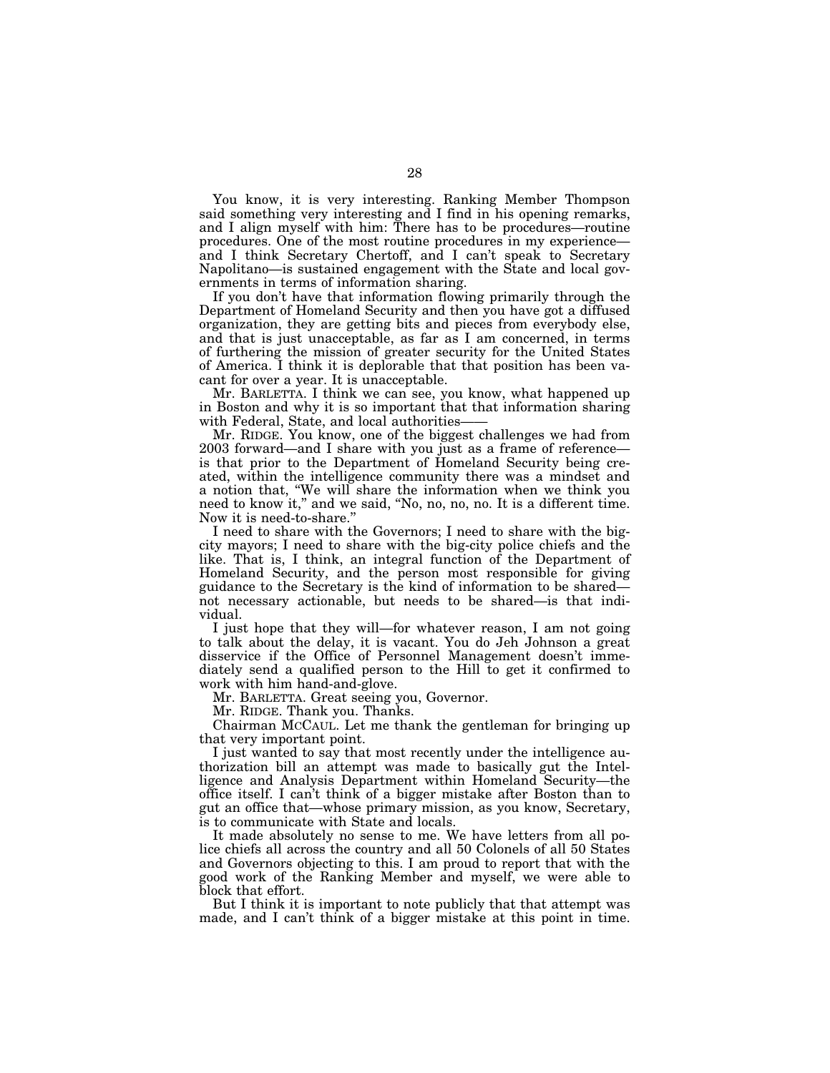You know, it is very interesting. Ranking Member Thompson said something very interesting and I find in his opening remarks, and I align myself with him: There has to be procedures—routine procedures. One of the most routine procedures in my experience and I think Secretary Chertoff, and I can't speak to Secretary Napolitano—is sustained engagement with the State and local governments in terms of information sharing.

If you don't have that information flowing primarily through the Department of Homeland Security and then you have got a diffused organization, they are getting bits and pieces from everybody else, and that is just unacceptable, as far as I am concerned, in terms of furthering the mission of greater security for the United States of America. I think it is deplorable that that position has been vacant for over a year. It is unacceptable.

Mr. BARLETTA. I think we can see, you know, what happened up in Boston and why it is so important that that information sharing with Federal, State, and local authorities—

Mr. RIDGE. You know, one of the biggest challenges we had from 2003 forward—and I share with you just as a frame of reference is that prior to the Department of Homeland Security being created, within the intelligence community there was a mindset and a notion that, ''We will share the information when we think you need to know it,'' and we said, ''No, no, no, no. It is a different time. Now it is need-to-share.''

I need to share with the Governors; I need to share with the bigcity mayors; I need to share with the big-city police chiefs and the like. That is, I think, an integral function of the Department of Homeland Security, and the person most responsible for giving guidance to the Secretary is the kind of information to be shared not necessary actionable, but needs to be shared—is that individual.

I just hope that they will—for whatever reason, I am not going to talk about the delay, it is vacant. You do Jeh Johnson a great disservice if the Office of Personnel Management doesn't immediately send a qualified person to the Hill to get it confirmed to work with him hand-and-glove.

Mr. BARLETTA. Great seeing you, Governor.

Mr. RIDGE. Thank you. Thanks.

Chairman MCCAUL. Let me thank the gentleman for bringing up that very important point.

I just wanted to say that most recently under the intelligence authorization bill an attempt was made to basically gut the Intelligence and Analysis Department within Homeland Security—the office itself. I can't think of a bigger mistake after Boston than to gut an office that—whose primary mission, as you know, Secretary, is to communicate with State and locals.

It made absolutely no sense to me. We have letters from all police chiefs all across the country and all 50 Colonels of all 50 States and Governors objecting to this. I am proud to report that with the good work of the Ranking Member and myself, we were able to block that effort.

But I think it is important to note publicly that that attempt was made, and I can't think of a bigger mistake at this point in time.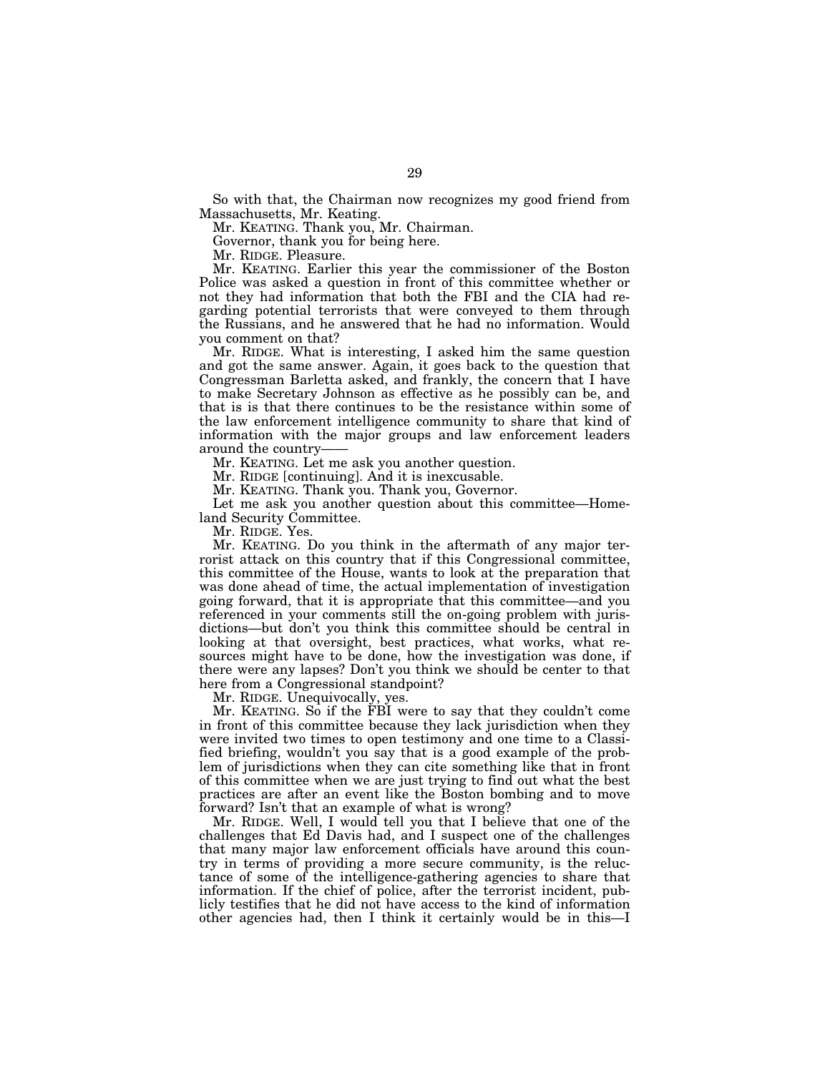So with that, the Chairman now recognizes my good friend from Massachusetts, Mr. Keating.

Mr. KEATING. Thank you, Mr. Chairman.

Governor, thank you for being here.

Mr. RIDGE. Pleasure.

Mr. KEATING. Earlier this year the commissioner of the Boston Police was asked a question in front of this committee whether or not they had information that both the FBI and the CIA had regarding potential terrorists that were conveyed to them through the Russians, and he answered that he had no information. Would you comment on that?

Mr. RIDGE. What is interesting, I asked him the same question and got the same answer. Again, it goes back to the question that Congressman Barletta asked, and frankly, the concern that I have to make Secretary Johnson as effective as he possibly can be, and that is is that there continues to be the resistance within some of the law enforcement intelligence community to share that kind of information with the major groups and law enforcement leaders around the country-

Mr. KEATING. Let me ask you another question.

Mr. RIDGE [continuing]. And it is inexcusable.

Mr. KEATING. Thank you. Thank you, Governor.

Let me ask you another question about this committee—Homeland Security Committee.

Mr. RIDGE. Yes.

Mr. KEATING. Do you think in the aftermath of any major terrorist attack on this country that if this Congressional committee, this committee of the House, wants to look at the preparation that was done ahead of time, the actual implementation of investigation going forward, that it is appropriate that this committee—and you referenced in your comments still the on-going problem with jurisdictions—but don't you think this committee should be central in looking at that oversight, best practices, what works, what resources might have to be done, how the investigation was done, if there were any lapses? Don't you think we should be center to that here from a Congressional standpoint?

Mr. RIDGE. Unequivocally, yes.

Mr. KEATING. So if the FBI were to say that they couldn't come in front of this committee because they lack jurisdiction when they were invited two times to open testimony and one time to a Classified briefing, wouldn't you say that is a good example of the problem of jurisdictions when they can cite something like that in front of this committee when we are just trying to find out what the best practices are after an event like the Boston bombing and to move forward? Isn't that an example of what is wrong?

Mr. RIDGE. Well, I would tell you that I believe that one of the challenges that Ed Davis had, and I suspect one of the challenges that many major law enforcement officials have around this country in terms of providing a more secure community, is the reluctance of some of the intelligence-gathering agencies to share that information. If the chief of police, after the terrorist incident, publicly testifies that he did not have access to the kind of information other agencies had, then I think it certainly would be in this—I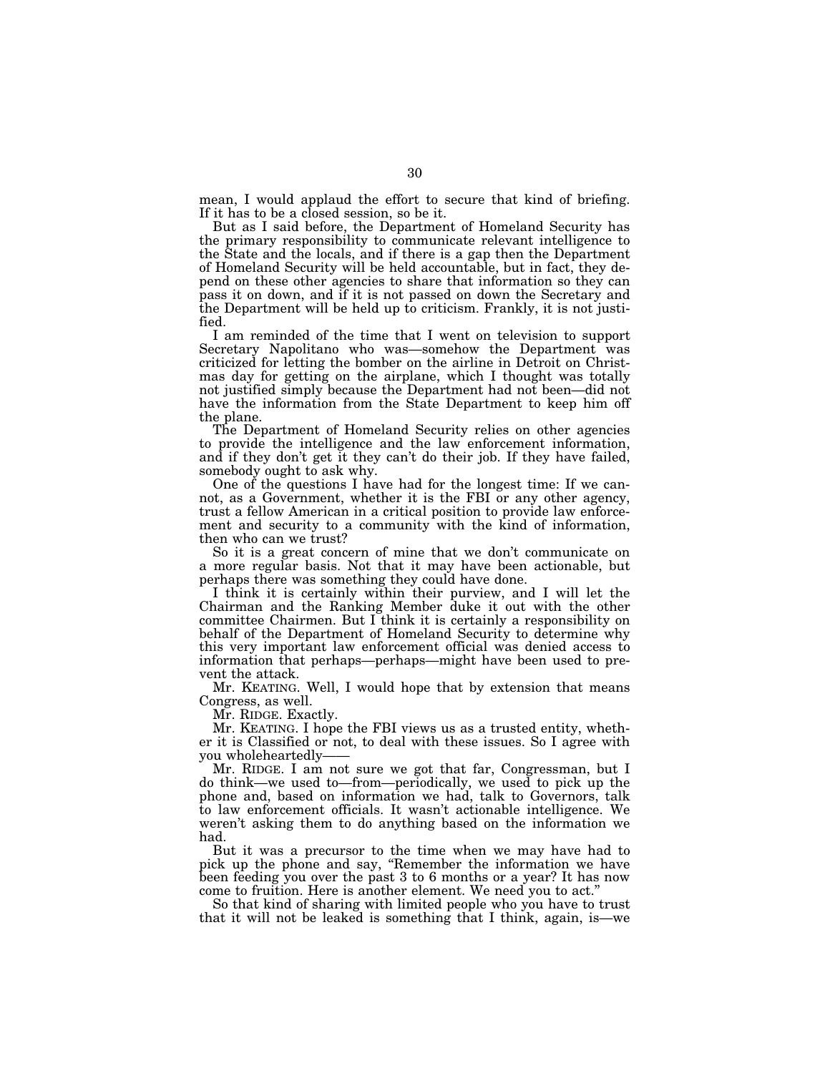mean, I would applaud the effort to secure that kind of briefing. If it has to be a closed session, so be it.

But as I said before, the Department of Homeland Security has the primary responsibility to communicate relevant intelligence to the State and the locals, and if there is a gap then the Department of Homeland Security will be held accountable, but in fact, they depend on these other agencies to share that information so they can pass it on down, and if it is not passed on down the Secretary and the Department will be held up to criticism. Frankly, it is not justified.

I am reminded of the time that I went on television to support Secretary Napolitano who was—somehow the Department was criticized for letting the bomber on the airline in Detroit on Christmas day for getting on the airplane, which I thought was totally not justified simply because the Department had not been—did not have the information from the State Department to keep him off the plane.

The Department of Homeland Security relies on other agencies to provide the intelligence and the law enforcement information, and if they don't get it they can't do their job. If they have failed, somebody ought to ask why.

One of the questions I have had for the longest time: If we cannot, as a Government, whether it is the FBI or any other agency, trust a fellow American in a critical position to provide law enforcement and security to a community with the kind of information, then who can we trust?

So it is a great concern of mine that we don't communicate on a more regular basis. Not that it may have been actionable, but perhaps there was something they could have done.

I think it is certainly within their purview, and I will let the Chairman and the Ranking Member duke it out with the other committee Chairmen. But I think it is certainly a responsibility on behalf of the Department of Homeland Security to determine why this very important law enforcement official was denied access to information that perhaps—perhaps—might have been used to prevent the attack.

Mr. KEATING. Well, I would hope that by extension that means Congress, as well.

Mr. RIDGE. Exactly.

Mr. KEATING. I hope the FBI views us as a trusted entity, whether it is Classified or not, to deal with these issues. So I agree with you wholeheartedly-

Mr. RIDGE. I am not sure we got that far, Congressman, but I do think—we used to—from—periodically, we used to pick up the phone and, based on information we had, talk to Governors, talk to law enforcement officials. It wasn't actionable intelligence. We weren't asking them to do anything based on the information we had.

But it was a precursor to the time when we may have had to pick up the phone and say, ''Remember the information we have been feeding you over the past 3 to 6 months or a year? It has now come to fruition. Here is another element. We need you to act.''

So that kind of sharing with limited people who you have to trust that it will not be leaked is something that I think, again, is—we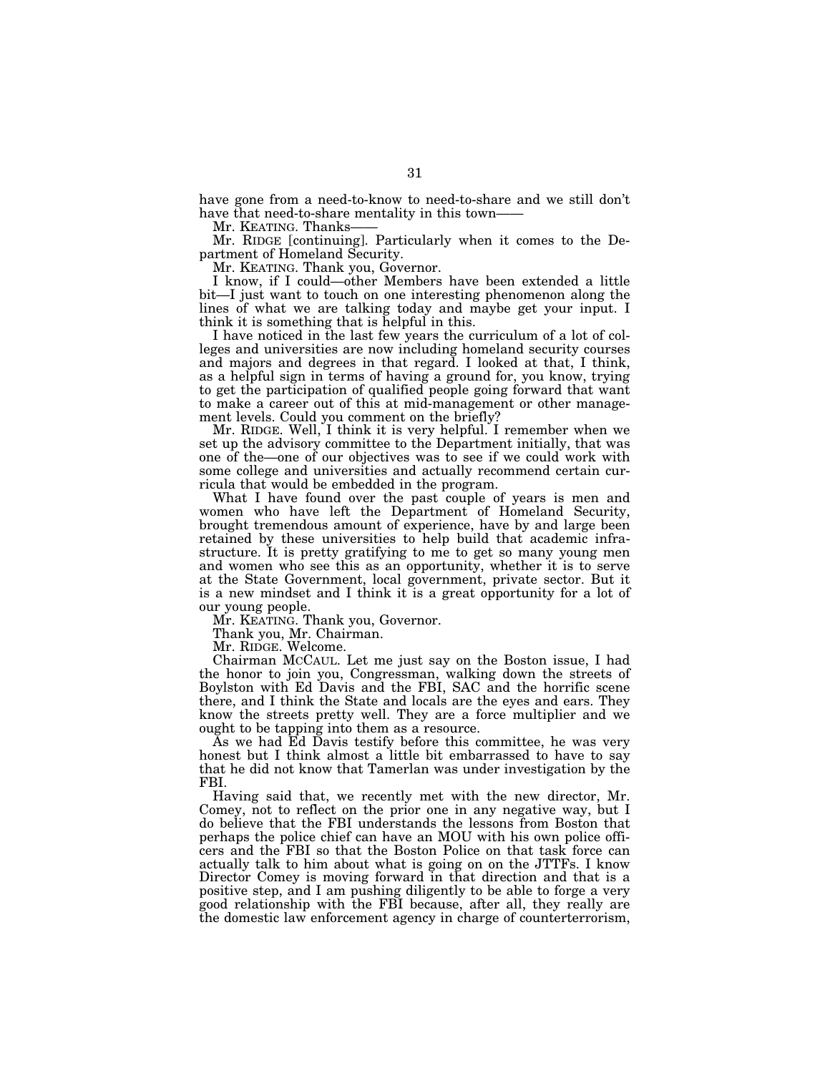have gone from a need-to-know to need-to-share and we still don't have that need-to-share mentality in this town-

Mr. KEATING. Thanks-

Mr. RIDGE [continuing]. Particularly when it comes to the Department of Homeland Security.

Mr. KEATING. Thank you, Governor.

I know, if I could—other Members have been extended a little bit—I just want to touch on one interesting phenomenon along the lines of what we are talking today and maybe get your input. I think it is something that is helpful in this.

I have noticed in the last few years the curriculum of a lot of colleges and universities are now including homeland security courses and majors and degrees in that regard. I looked at that, I think, as a helpful sign in terms of having a ground for, you know, trying to get the participation of qualified people going forward that want to make a career out of this at mid-management or other management levels. Could you comment on the briefly?

Mr. RIDGE. Well, I think it is very helpful. I remember when we set up the advisory committee to the Department initially, that was one of the—one of our objectives was to see if we could work with some college and universities and actually recommend certain curricula that would be embedded in the program.

What I have found over the past couple of years is men and women who have left the Department of Homeland Security, brought tremendous amount of experience, have by and large been retained by these universities to help build that academic infrastructure. It is pretty gratifying to me to get so many young men and women who see this as an opportunity, whether it is to serve at the State Government, local government, private sector. But it is a new mindset and I think it is a great opportunity for a lot of our young people.

Mr. KEATING. Thank you, Governor.

Thank you, Mr. Chairman.

Mr. RIDGE. Welcome.

Chairman MCCAUL. Let me just say on the Boston issue, I had the honor to join you, Congressman, walking down the streets of Boylston with Ed Davis and the FBI, SAC and the horrific scene there, and I think the State and locals are the eyes and ears. They know the streets pretty well. They are a force multiplier and we ought to be tapping into them as a resource.

As we had Ed Davis testify before this committee, he was very honest but I think almost a little bit embarrassed to have to say that he did not know that Tamerlan was under investigation by the FBI.

Having said that, we recently met with the new director, Mr. Comey, not to reflect on the prior one in any negative way, but I do believe that the FBI understands the lessons from Boston that perhaps the police chief can have an MOU with his own police officers and the FBI so that the Boston Police on that task force can actually talk to him about what is going on on the JTTFs. I know Director Comey is moving forward in that direction and that is a positive step, and I am pushing diligently to be able to forge a very good relationship with the FBI because, after all, they really are the domestic law enforcement agency in charge of counterterrorism,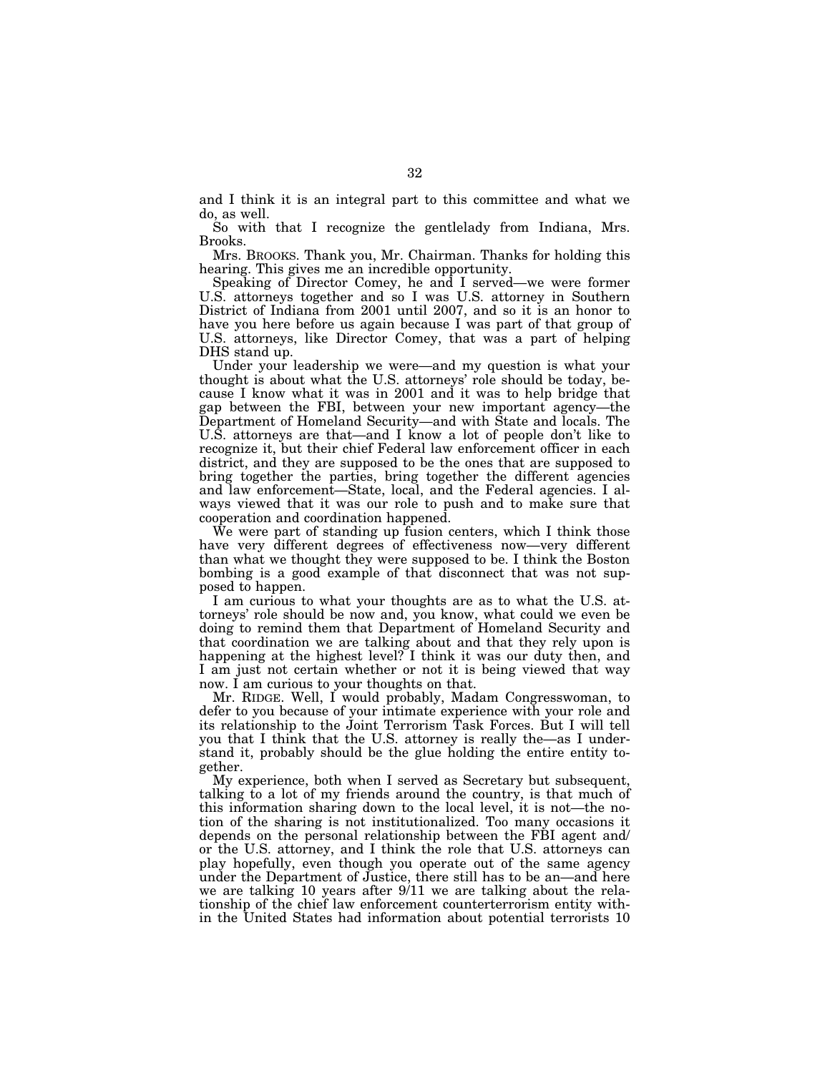and I think it is an integral part to this committee and what we do, as well.

So with that I recognize the gentlelady from Indiana, Mrs. Brooks.

Mrs. BROOKS. Thank you, Mr. Chairman. Thanks for holding this hearing. This gives me an incredible opportunity.

Speaking of Director Comey, he and I served—we were former U.S. attorneys together and so I was U.S. attorney in Southern District of Indiana from 2001 until 2007, and so it is an honor to have you here before us again because I was part of that group of U.S. attorneys, like Director Comey, that was a part of helping DHS stand up.

Under your leadership we were—and my question is what your thought is about what the U.S. attorneys' role should be today, because I know what it was in 2001 and it was to help bridge that gap between the FBI, between your new important agency—the Department of Homeland Security—and with State and locals. The U.S. attorneys are that—and I know a lot of people don't like to recognize it, but their chief Federal law enforcement officer in each district, and they are supposed to be the ones that are supposed to bring together the parties, bring together the different agencies and law enforcement—State, local, and the Federal agencies. I always viewed that it was our role to push and to make sure that cooperation and coordination happened.

We were part of standing up fusion centers, which I think those have very different degrees of effectiveness now—very different than what we thought they were supposed to be. I think the Boston bombing is a good example of that disconnect that was not supposed to happen.

I am curious to what your thoughts are as to what the U.S. attorneys' role should be now and, you know, what could we even be doing to remind them that Department of Homeland Security and that coordination we are talking about and that they rely upon is happening at the highest level? I think it was our duty then, and I am just not certain whether or not it is being viewed that way now. I am curious to your thoughts on that.

Mr. RIDGE. Well, I would probably, Madam Congresswoman, to defer to you because of your intimate experience with your role and its relationship to the Joint Terrorism Task Forces. But I will tell you that I think that the U.S. attorney is really the—as I understand it, probably should be the glue holding the entire entity together.

My experience, both when I served as Secretary but subsequent, talking to a lot of my friends around the country, is that much of this information sharing down to the local level, it is not—the notion of the sharing is not institutionalized. Too many occasions it depends on the personal relationship between the FBI agent and/ or the U.S. attorney, and I think the role that U.S. attorneys can play hopefully, even though you operate out of the same agency under the Department of Justice, there still has to be an—and here we are talking 10 years after 9/11 we are talking about the relationship of the chief law enforcement counterterrorism entity within the United States had information about potential terrorists 10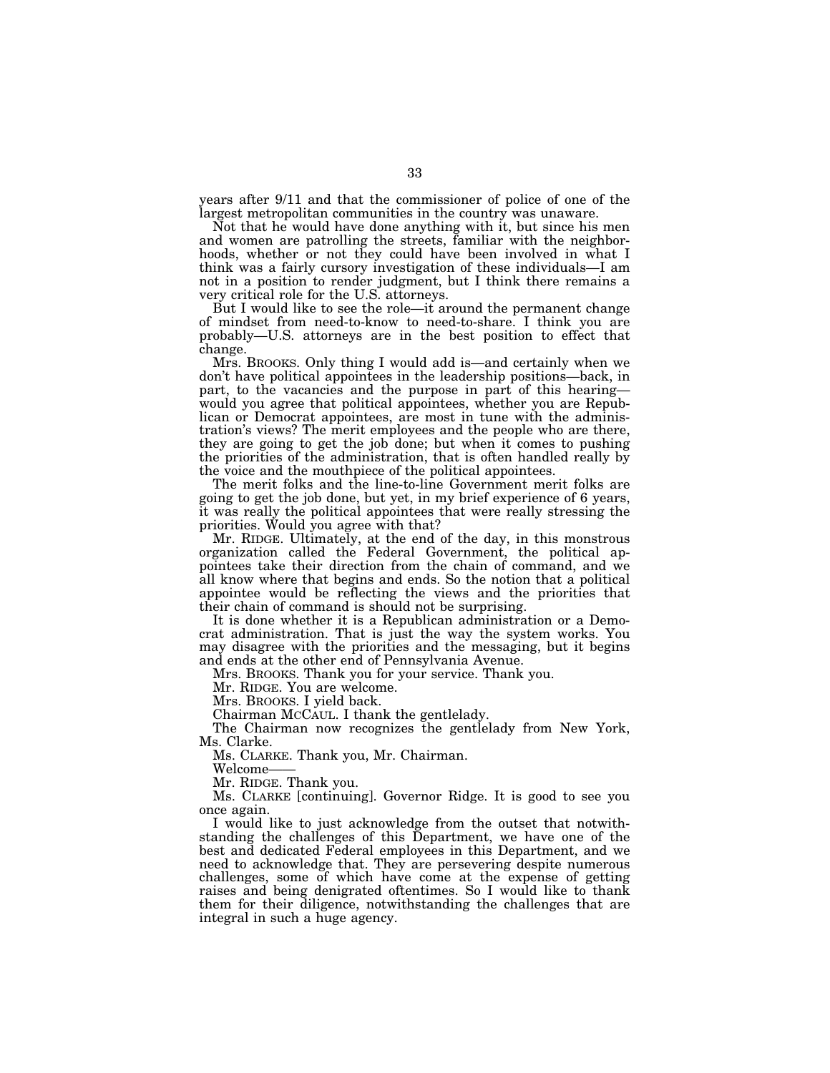years after 9/11 and that the commissioner of police of one of the largest metropolitan communities in the country was unaware.

Not that he would have done anything with it, but since his men and women are patrolling the streets, familiar with the neighborhoods, whether or not they could have been involved in what I think was a fairly cursory investigation of these individuals—I am not in a position to render judgment, but I think there remains a very critical role for the U.S. attorneys.

But I would like to see the role—it around the permanent change of mindset from need-to-know to need-to-share. I think you are probably—U.S. attorneys are in the best position to effect that change.

Mrs. BROOKS. Only thing I would add is—and certainly when we don't have political appointees in the leadership positions—back, in part, to the vacancies and the purpose in part of this hearing would you agree that political appointees, whether you are Republican or Democrat appointees, are most in tune with the administration's views? The merit employees and the people who are there, they are going to get the job done; but when it comes to pushing the priorities of the administration, that is often handled really by the voice and the mouthpiece of the political appointees.

The merit folks and the line-to-line Government merit folks are going to get the job done, but yet, in my brief experience of 6 years, it was really the political appointees that were really stressing the priorities. Would you agree with that?

Mr. RIDGE. Ultimately, at the end of the day, in this monstrous organization called the Federal Government, the political appointees take their direction from the chain of command, and we all know where that begins and ends. So the notion that a political appointee would be reflecting the views and the priorities that their chain of command is should not be surprising.

It is done whether it is a Republican administration or a Democrat administration. That is just the way the system works. You may disagree with the priorities and the messaging, but it begins and ends at the other end of Pennsylvania Avenue.

Mrs. BROOKS. Thank you for your service. Thank you.

Mr. RIDGE. You are welcome.

Mrs. BROOKS. I yield back.

Chairman MCCAUL. I thank the gentlelady.

The Chairman now recognizes the gentlelady from New York, Ms. Clarke.

Ms. CLARKE. Thank you, Mr. Chairman.

Welcome——

Mr. RIDGE. Thank you.

Ms. CLARKE [continuing]. Governor Ridge. It is good to see you once again.

I would like to just acknowledge from the outset that notwithstanding the challenges of this Department, we have one of the best and dedicated Federal employees in this Department, and we need to acknowledge that. They are persevering despite numerous challenges, some of which have come at the expense of getting raises and being denigrated oftentimes. So I would like to thank them for their diligence, notwithstanding the challenges that are integral in such a huge agency.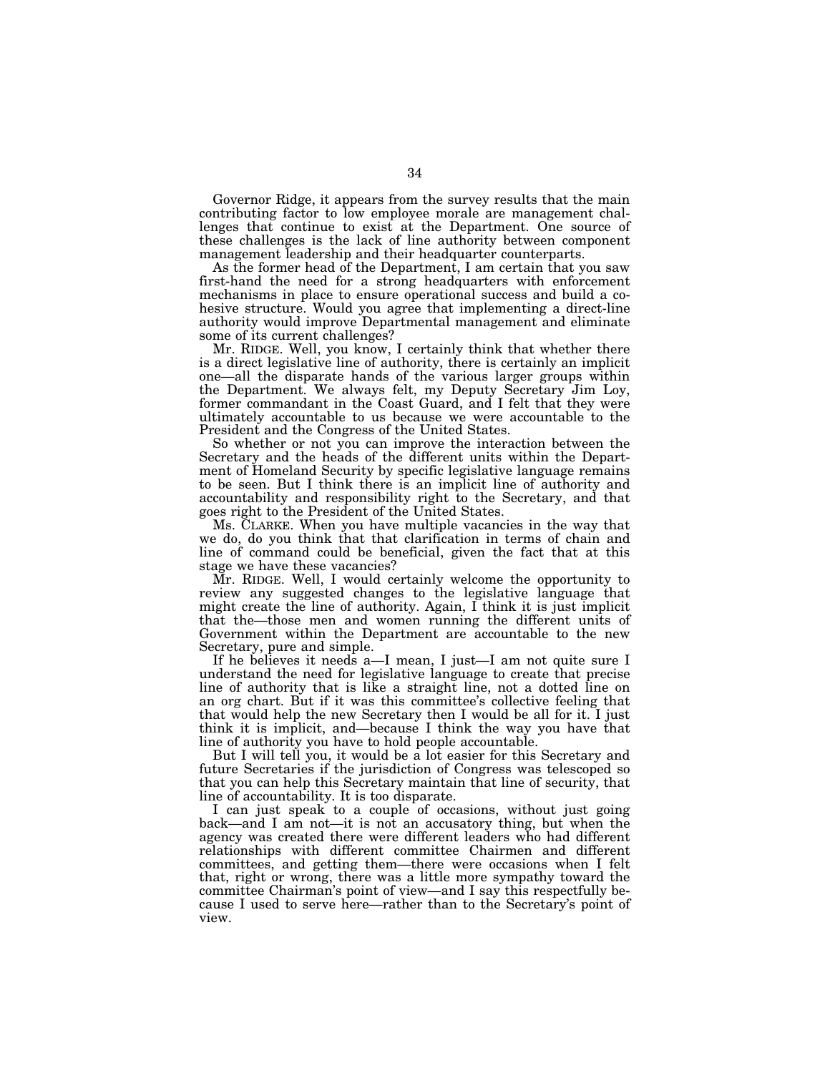Governor Ridge, it appears from the survey results that the main contributing factor to low employee morale are management challenges that continue to exist at the Department. One source of these challenges is the lack of line authority between component management leadership and their headquarter counterparts.

As the former head of the Department, I am certain that you saw first-hand the need for a strong headquarters with enforcement mechanisms in place to ensure operational success and build a cohesive structure. Would you agree that implementing a direct-line authority would improve Departmental management and eliminate some of its current challenges?

Mr. RIDGE. Well, you know, I certainly think that whether there is a direct legislative line of authority, there is certainly an implicit one—all the disparate hands of the various larger groups within the Department. We always felt, my Deputy Secretary Jim Loy, former commandant in the Coast Guard, and I felt that they were ultimately accountable to us because we were accountable to the President and the Congress of the United States.

So whether or not you can improve the interaction between the Secretary and the heads of the different units within the Department of Homeland Security by specific legislative language remains to be seen. But I think there is an implicit line of authority and accountability and responsibility right to the Secretary, and that goes right to the President of the United States.

Ms. CLARKE. When you have multiple vacancies in the way that we do, do you think that that clarification in terms of chain and line of command could be beneficial, given the fact that at this stage we have these vacancies?

Mr. RIDGE. Well, I would certainly welcome the opportunity to review any suggested changes to the legislative language that might create the line of authority. Again, I think it is just implicit that the—those men and women running the different units of Government within the Department are accountable to the new Secretary, pure and simple.

If he believes it needs a—I mean, I just—I am not quite sure I understand the need for legislative language to create that precise line of authority that is like a straight line, not a dotted line on an org chart. But if it was this committee's collective feeling that that would help the new Secretary then I would be all for it. I just think it is implicit, and—because I think the way you have that line of authority you have to hold people accountable.

But I will tell you, it would be a lot easier for this Secretary and future Secretaries if the jurisdiction of Congress was telescoped so that you can help this Secretary maintain that line of security, that line of accountability. It is too disparate.

I can just speak to a couple of occasions, without just going back—and I am not—it is not an accusatory thing, but when the agency was created there were different leaders who had different relationships with different committee Chairmen and different committees, and getting them—there were occasions when I felt that, right or wrong, there was a little more sympathy toward the committee Chairman's point of view—and I say this respectfully because I used to serve here—rather than to the Secretary's point of view.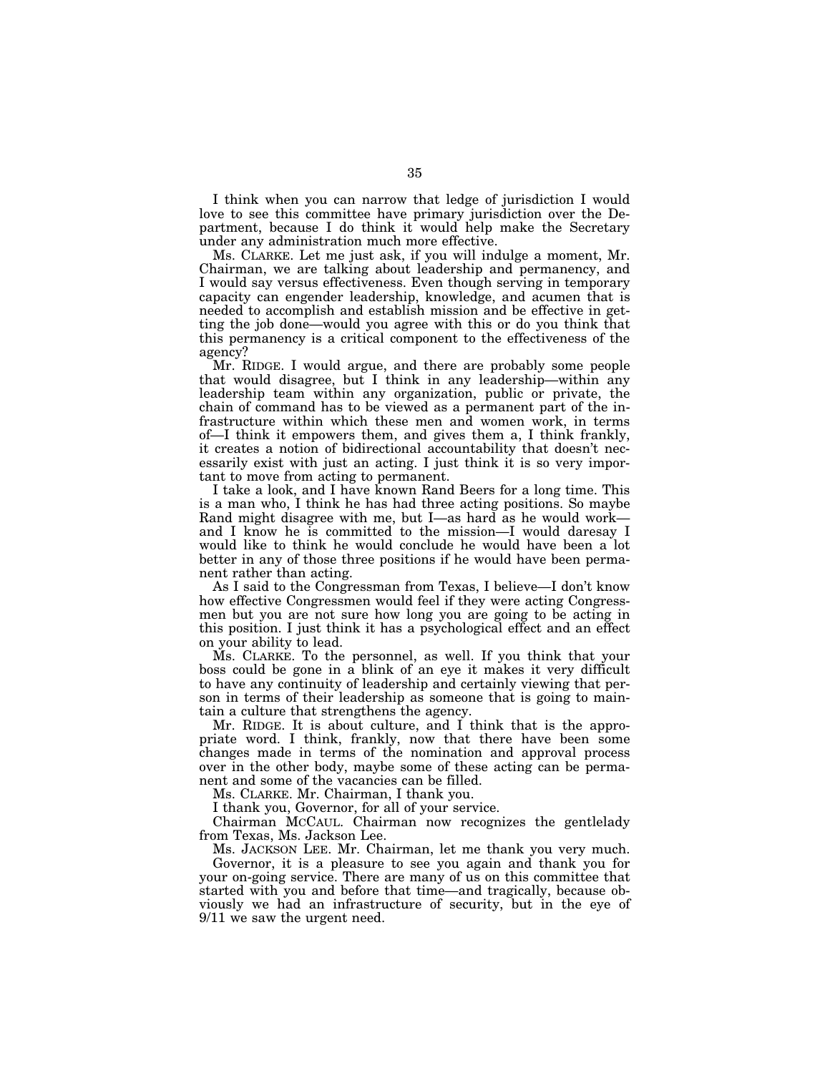I think when you can narrow that ledge of jurisdiction I would love to see this committee have primary jurisdiction over the Department, because I do think it would help make the Secretary under any administration much more effective.

Ms. CLARKE. Let me just ask, if you will indulge a moment, Mr. Chairman, we are talking about leadership and permanency, and I would say versus effectiveness. Even though serving in temporary capacity can engender leadership, knowledge, and acumen that is needed to accomplish and establish mission and be effective in getting the job done—would you agree with this or do you think that this permanency is a critical component to the effectiveness of the agency?

Mr. RIDGE. I would argue, and there are probably some people that would disagree, but I think in any leadership—within any leadership team within any organization, public or private, the chain of command has to be viewed as a permanent part of the infrastructure within which these men and women work, in terms of—I think it empowers them, and gives them a, I think frankly, it creates a notion of bidirectional accountability that doesn't necessarily exist with just an acting. I just think it is so very important to move from acting to permanent.

I take a look, and I have known Rand Beers for a long time. This is a man who, I think he has had three acting positions. So maybe Rand might disagree with me, but I—as hard as he would work and I know he is committed to the mission—I would daresay I would like to think he would conclude he would have been a lot better in any of those three positions if he would have been permanent rather than acting.

As I said to the Congressman from Texas, I believe—I don't know how effective Congressmen would feel if they were acting Congressmen but you are not sure how long you are going to be acting in this position. I just think it has a psychological effect and an effect on your ability to lead.

Ms. CLARKE. To the personnel, as well. If you think that your boss could be gone in a blink of an eye it makes it very difficult to have any continuity of leadership and certainly viewing that person in terms of their leadership as someone that is going to maintain a culture that strengthens the agency.

Mr. RIDGE. It is about culture, and I think that is the appropriate word. I think, frankly, now that there have been some changes made in terms of the nomination and approval process over in the other body, maybe some of these acting can be permanent and some of the vacancies can be filled.

Ms. CLARKE. Mr. Chairman, I thank you.

I thank you, Governor, for all of your service.

Chairman MCCAUL. Chairman now recognizes the gentlelady from Texas, Ms. Jackson Lee.

Ms. JACKSON LEE. Mr. Chairman, let me thank you very much.

Governor, it is a pleasure to see you again and thank you for your on-going service. There are many of us on this committee that started with you and before that time—and tragically, because obviously we had an infrastructure of security, but in the eye of 9/11 we saw the urgent need.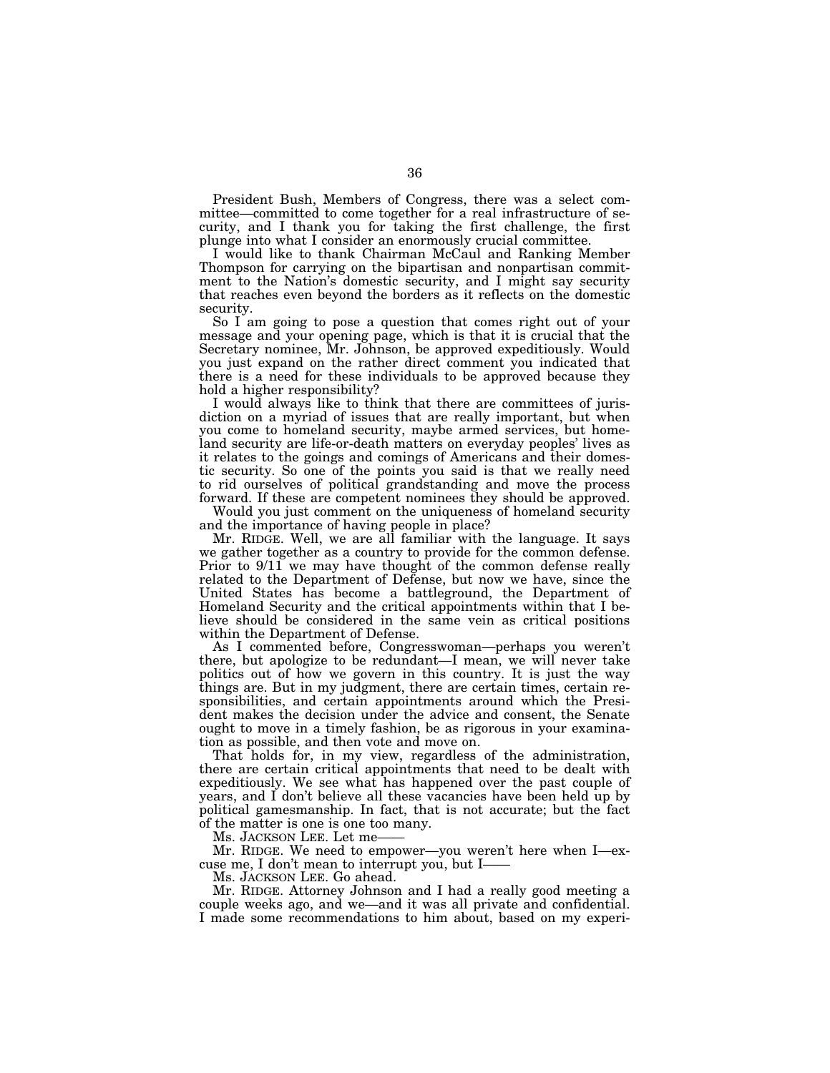President Bush, Members of Congress, there was a select committee—committed to come together for a real infrastructure of security, and I thank you for taking the first challenge, the first plunge into what I consider an enormously crucial committee.

I would like to thank Chairman McCaul and Ranking Member Thompson for carrying on the bipartisan and nonpartisan commitment to the Nation's domestic security, and I might say security that reaches even beyond the borders as it reflects on the domestic security.

So I am going to pose a question that comes right out of your message and your opening page, which is that it is crucial that the Secretary nominee, Mr. Johnson, be approved expeditiously. Would you just expand on the rather direct comment you indicated that there is a need for these individuals to be approved because they hold a higher responsibility?

I would always like to think that there are committees of jurisdiction on a myriad of issues that are really important, but when you come to homeland security, maybe armed services, but homeland security are life-or-death matters on everyday peoples' lives as it relates to the goings and comings of Americans and their domestic security. So one of the points you said is that we really need to rid ourselves of political grandstanding and move the process forward. If these are competent nominees they should be approved.

Would you just comment on the uniqueness of homeland security and the importance of having people in place?

Mr. RIDGE. Well, we are all familiar with the language. It says we gather together as a country to provide for the common defense. Prior to  $9/11$  we may have thought of the common defense really related to the Department of Defense, but now we have, since the United States has become a battleground, the Department of Homeland Security and the critical appointments within that I believe should be considered in the same vein as critical positions within the Department of Defense.

As I commented before, Congresswoman—perhaps you weren't there, but apologize to be redundant—I mean, we will never take politics out of how we govern in this country. It is just the way things are. But in my judgment, there are certain times, certain responsibilities, and certain appointments around which the President makes the decision under the advice and consent, the Senate ought to move in a timely fashion, be as rigorous in your examination as possible, and then vote and move on.

That holds for, in my view, regardless of the administration, there are certain critical appointments that need to be dealt with expeditiously. We see what has happened over the past couple of years, and I don't believe all these vacancies have been held up by political gamesmanship. In fact, that is not accurate; but the fact of the matter is one is one too many.

Ms. JACKSON LEE. Let me-

Mr. RIDGE. We need to empower—you weren't here when I—excuse me, I don't mean to interrupt you, but I——

Ms. JACKSON LEE. Go ahead.

Mr. RIDGE. Attorney Johnson and I had a really good meeting a couple weeks ago, and we—and it was all private and confidential. I made some recommendations to him about, based on my experi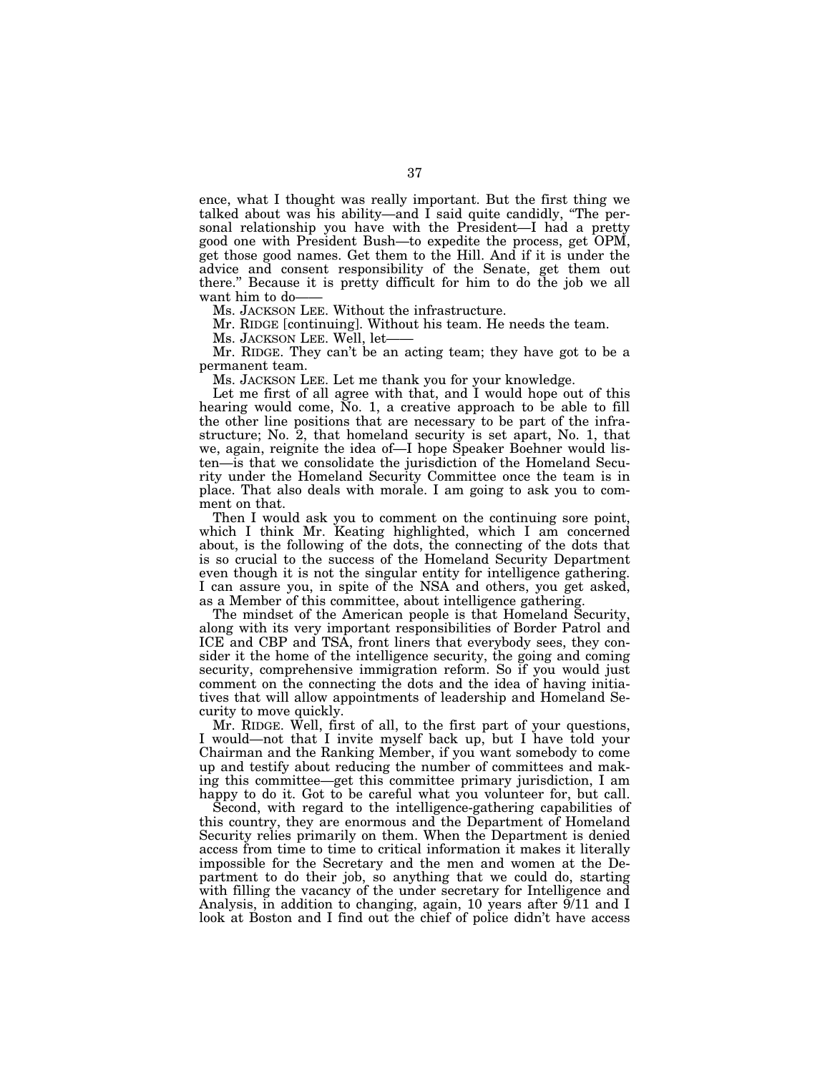ence, what I thought was really important. But the first thing we talked about was his ability—and I said quite candidly, ''The personal relationship you have with the President—I had a pretty good one with President Bush—to expedite the process, get OPM, get those good names. Get them to the Hill. And if it is under the advice and consent responsibility of the Senate, get them out there.'' Because it is pretty difficult for him to do the job we all want him to do-

Ms. JACKSON LEE. Without the infrastructure.

Mr. RIDGE [continuing]. Without his team. He needs the team.

Ms. JACKSON LEE. Well, let-

Mr. RIDGE. They can't be an acting team; they have got to be a permanent team.

Ms. JACKSON LEE. Let me thank you for your knowledge.

Let me first of all agree with that, and I would hope out of this hearing would come, No. 1, a creative approach to be able to fill the other line positions that are necessary to be part of the infrastructure; No. 2, that homeland security is set apart, No. 1, that we, again, reignite the idea of—I hope Speaker Boehner would listen—is that we consolidate the jurisdiction of the Homeland Security under the Homeland Security Committee once the team is in place. That also deals with morale. I am going to ask you to comment on that.

Then I would ask you to comment on the continuing sore point, which I think Mr. Keating highlighted, which I am concerned about, is the following of the dots, the connecting of the dots that is so crucial to the success of the Homeland Security Department even though it is not the singular entity for intelligence gathering. I can assure you, in spite of the NSA and others, you get asked, as a Member of this committee, about intelligence gathering.

The mindset of the American people is that Homeland Security, along with its very important responsibilities of Border Patrol and ICE and CBP and TSA, front liners that everybody sees, they consider it the home of the intelligence security, the going and coming security, comprehensive immigration reform. So if you would just comment on the connecting the dots and the idea of having initiatives that will allow appointments of leadership and Homeland Security to move quickly.

Mr. RIDGE. Well, first of all, to the first part of your questions, I would—not that I invite myself back up, but I have told your Chairman and the Ranking Member, if you want somebody to come up and testify about reducing the number of committees and making this committee—get this committee primary jurisdiction, I am happy to do it. Got to be careful what you volunteer for, but call.

Second, with regard to the intelligence-gathering capabilities of this country, they are enormous and the Department of Homeland Security relies primarily on them. When the Department is denied access from time to time to critical information it makes it literally impossible for the Secretary and the men and women at the Department to do their job, so anything that we could do, starting with filling the vacancy of the under secretary for Intelligence and Analysis, in addition to changing, again, 10 years after 9/11 and I look at Boston and I find out the chief of police didn't have access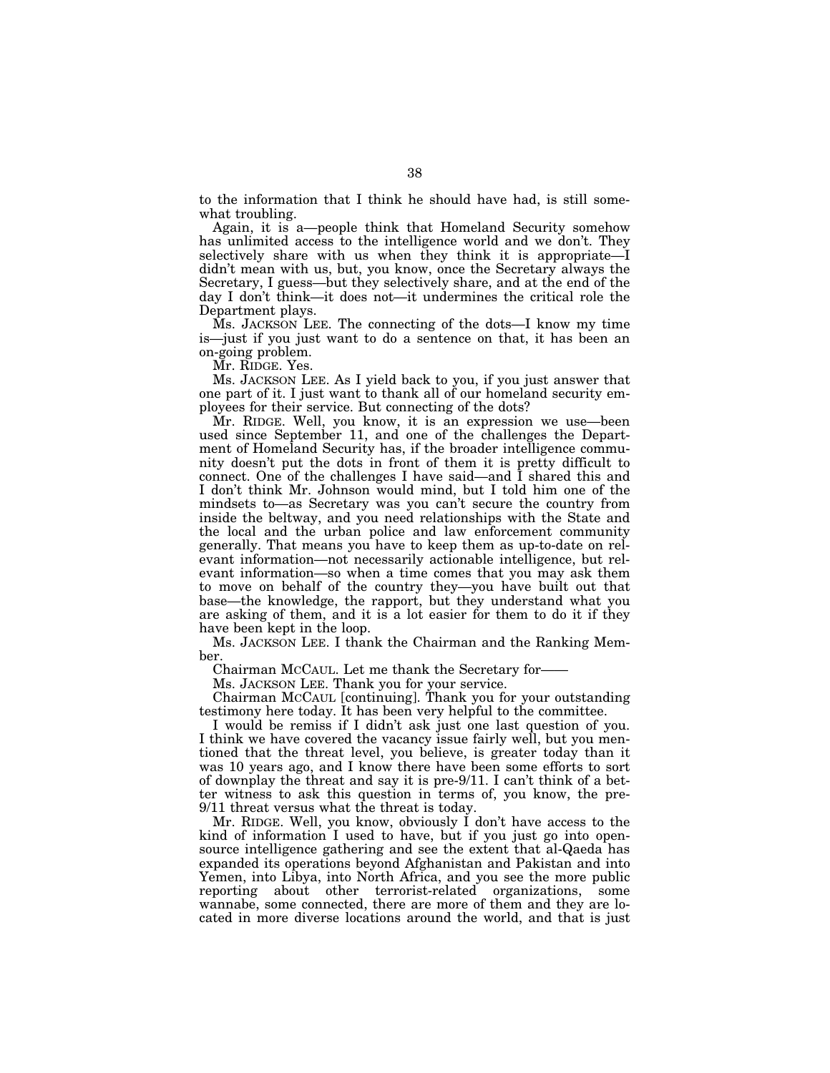to the information that I think he should have had, is still somewhat troubling.

Again, it is a—people think that Homeland Security somehow has unlimited access to the intelligence world and we don't. They selectively share with us when they think it is appropriate—I didn't mean with us, but, you know, once the Secretary always the Secretary, I guess—but they selectively share, and at the end of the day I don't think—it does not—it undermines the critical role the Department plays.

Ms. JACKSON LEE. The connecting of the dots—I know my time is—just if you just want to do a sentence on that, it has been an on-going problem.

Mr. RIDGE. Yes.

Ms. JACKSON LEE. As I yield back to you, if you just answer that one part of it. I just want to thank all of our homeland security employees for their service. But connecting of the dots?

Mr. RIDGE. Well, you know, it is an expression we use—been used since September 11, and one of the challenges the Department of Homeland Security has, if the broader intelligence community doesn't put the dots in front of them it is pretty difficult to connect. One of the challenges I have said—and I shared this and I don't think Mr. Johnson would mind, but I told him one of the mindsets to—as Secretary was you can't secure the country from inside the beltway, and you need relationships with the State and the local and the urban police and law enforcement community generally. That means you have to keep them as up-to-date on relevant information—not necessarily actionable intelligence, but relevant information—so when a time comes that you may ask them to move on behalf of the country they—you have built out that base—the knowledge, the rapport, but they understand what you are asking of them, and it is a lot easier for them to do it if they have been kept in the loop.

Ms. JACKSON LEE. I thank the Chairman and the Ranking Member.

Chairman MCCAUL. Let me thank the Secretary for——

Ms. JACKSON LEE. Thank you for your service.

Chairman MCCAUL [continuing]. Thank you for your outstanding testimony here today. It has been very helpful to the committee.

I would be remiss if I didn't ask just one last question of you. I think we have covered the vacancy issue fairly well, but you mentioned that the threat level, you believe, is greater today than it was 10 years ago, and I know there have been some efforts to sort of downplay the threat and say it is pre-9/11. I can't think of a better witness to ask this question in terms of, you know, the pre-9/11 threat versus what the threat is today.

Mr. RIDGE. Well, you know, obviously I don't have access to the kind of information I used to have, but if you just go into opensource intelligence gathering and see the extent that al-Qaeda has expanded its operations beyond Afghanistan and Pakistan and into Yemen, into Libya, into North Africa, and you see the more public reporting about other terrorist-related organizations, some wannabe, some connected, there are more of them and they are located in more diverse locations around the world, and that is just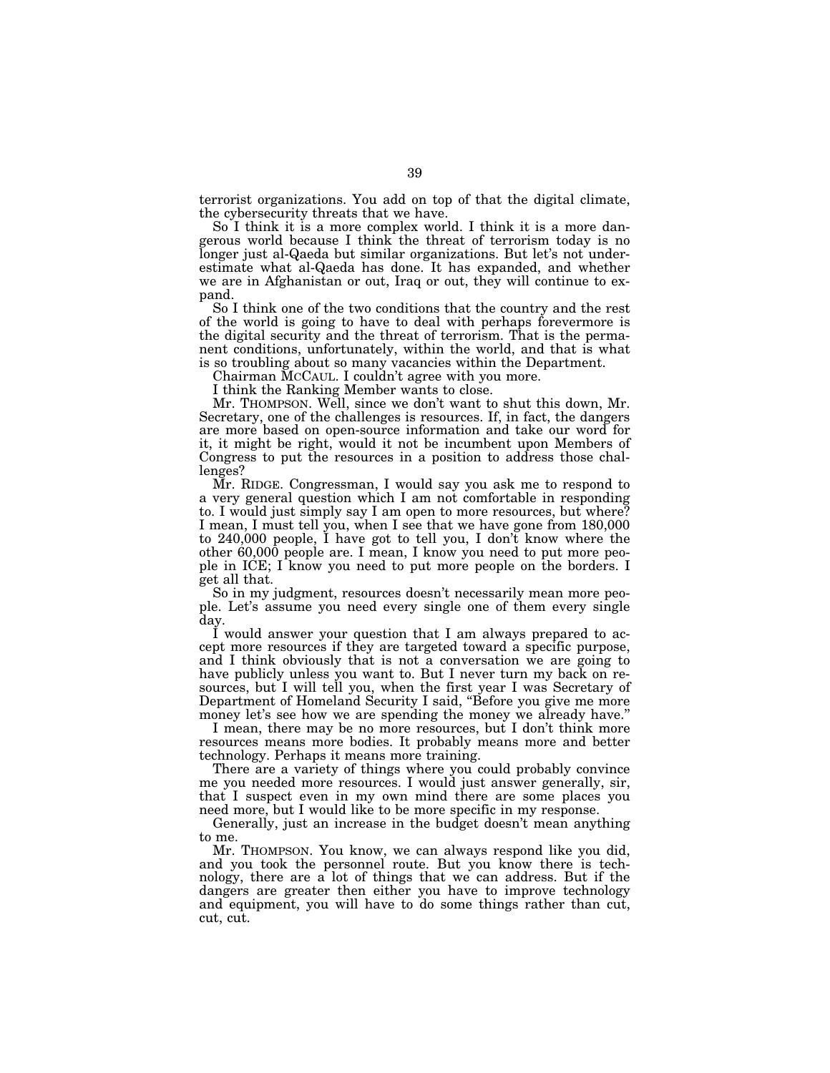terrorist organizations. You add on top of that the digital climate, the cybersecurity threats that we have.

So I think it is a more complex world. I think it is a more dangerous world because I think the threat of terrorism today is no longer just al-Qaeda but similar organizations. But let's not underestimate what al-Qaeda has done. It has expanded, and whether we are in Afghanistan or out, Iraq or out, they will continue to expand.

So I think one of the two conditions that the country and the rest of the world is going to have to deal with perhaps forevermore is the digital security and the threat of terrorism. That is the permanent conditions, unfortunately, within the world, and that is what is so troubling about so many vacancies within the Department.

Chairman MCCAUL. I couldn't agree with you more.

I think the Ranking Member wants to close.

Mr. THOMPSON. Well, since we don't want to shut this down, Mr. Secretary, one of the challenges is resources. If, in fact, the dangers are more based on open-source information and take our word for it, it might be right, would it not be incumbent upon Members of Congress to put the resources in a position to address those challenges?

Mr. RIDGE. Congressman, I would say you ask me to respond to a very general question which I am not comfortable in responding to. I would just simply say I am open to more resources, but where? I mean, I must tell you, when I see that we have gone from 180,000 to 240,000 people, I have got to tell you, I don't know where the other 60,000 people are. I mean, I know you need to put more people in ICE; I know you need to put more people on the borders. I get all that.

So in my judgment, resources doesn't necessarily mean more people. Let's assume you need every single one of them every single day.

I would answer your question that I am always prepared to accept more resources if they are targeted toward a specific purpose, and I think obviously that is not a conversation we are going to have publicly unless you want to. But I never turn my back on resources, but I will tell you, when the first year I was Secretary of Department of Homeland Security I said, ''Before you give me more money let's see how we are spending the money we already have.'

I mean, there may be no more resources, but I don't think more resources means more bodies. It probably means more and better technology. Perhaps it means more training.

There are a variety of things where you could probably convince me you needed more resources. I would just answer generally, sir, that I suspect even in my own mind there are some places you need more, but I would like to be more specific in my response.

Generally, just an increase in the budget doesn't mean anything to me.

Mr. THOMPSON. You know, we can always respond like you did, and you took the personnel route. But you know there is technology, there are a lot of things that we can address. But if the dangers are greater then either you have to improve technology and equipment, you will have to do some things rather than cut, cut, cut.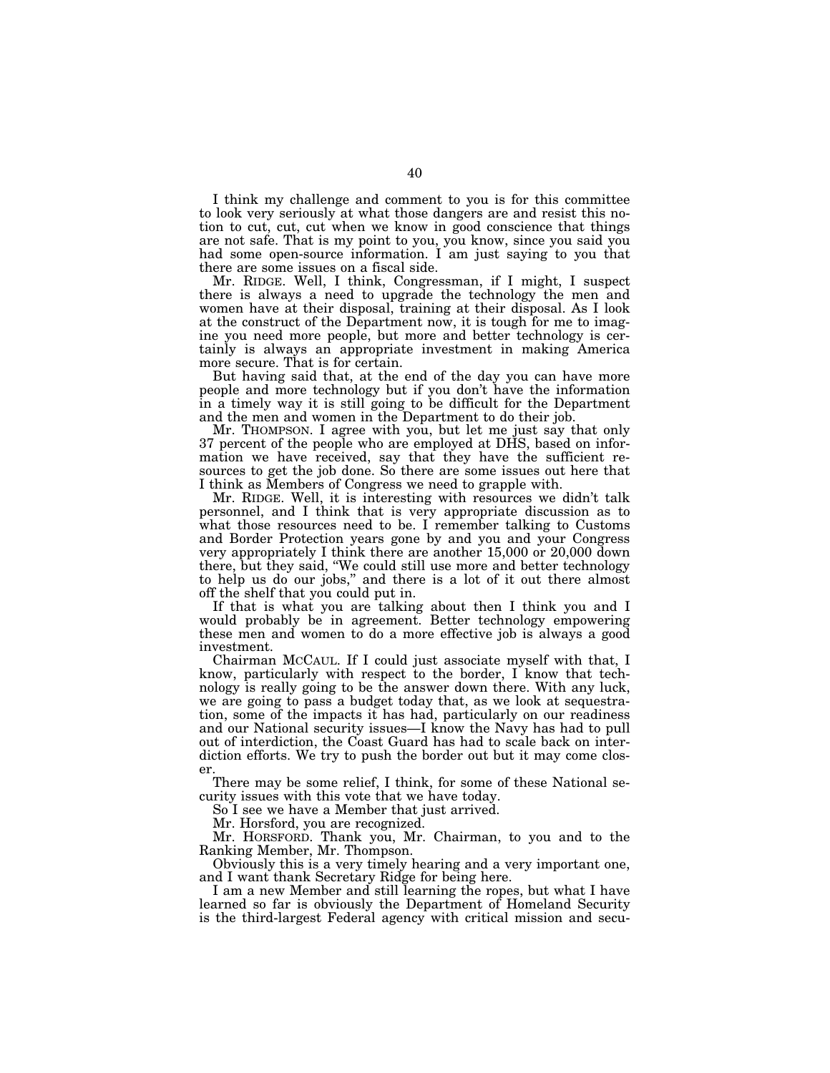I think my challenge and comment to you is for this committee to look very seriously at what those dangers are and resist this notion to cut, cut, cut when we know in good conscience that things are not safe. That is my point to you, you know, since you said you had some open-source information. I am just saying to you that there are some issues on a fiscal side.

Mr. RIDGE. Well, I think, Congressman, if I might, I suspect there is always a need to upgrade the technology the men and women have at their disposal, training at their disposal. As I look at the construct of the Department now, it is tough for me to imagine you need more people, but more and better technology is certainly is always an appropriate investment in making America more secure. That is for certain.

But having said that, at the end of the day you can have more people and more technology but if you don't have the information in a timely way it is still going to be difficult for the Department and the men and women in the Department to do their job.

Mr. THOMPSON. I agree with you, but let me just say that only 37 percent of the people who are employed at DHS, based on information we have received, say that they have the sufficient resources to get the job done. So there are some issues out here that I think as Members of Congress we need to grapple with.

Mr. RIDGE. Well, it is interesting with resources we didn't talk personnel, and I think that is very appropriate discussion as to what those resources need to be. I remember talking to Customs and Border Protection years gone by and you and your Congress very appropriately I think there are another 15,000 or 20,000 down there, but they said, ''We could still use more and better technology to help us do our jobs,'' and there is a lot of it out there almost off the shelf that you could put in.

If that is what you are talking about then I think you and I would probably be in agreement. Better technology empowering these men and women to do a more effective job is always a good investment.

Chairman MCCAUL. If I could just associate myself with that, I know, particularly with respect to the border, I know that technology is really going to be the answer down there. With any luck, we are going to pass a budget today that, as we look at sequestration, some of the impacts it has had, particularly on our readiness and our National security issues—I know the Navy has had to pull out of interdiction, the Coast Guard has had to scale back on interdiction efforts. We try to push the border out but it may come closer.

There may be some relief, I think, for some of these National security issues with this vote that we have today.

So I see we have a Member that just arrived.

Mr. Horsford, you are recognized.

Mr. HORSFORD. Thank you, Mr. Chairman, to you and to the Ranking Member, Mr. Thompson.

Obviously this is a very timely hearing and a very important one, and I want thank Secretary Ridge for being here.

I am a new Member and still learning the ropes, but what I have learned so far is obviously the Department of Homeland Security is the third-largest Federal agency with critical mission and secu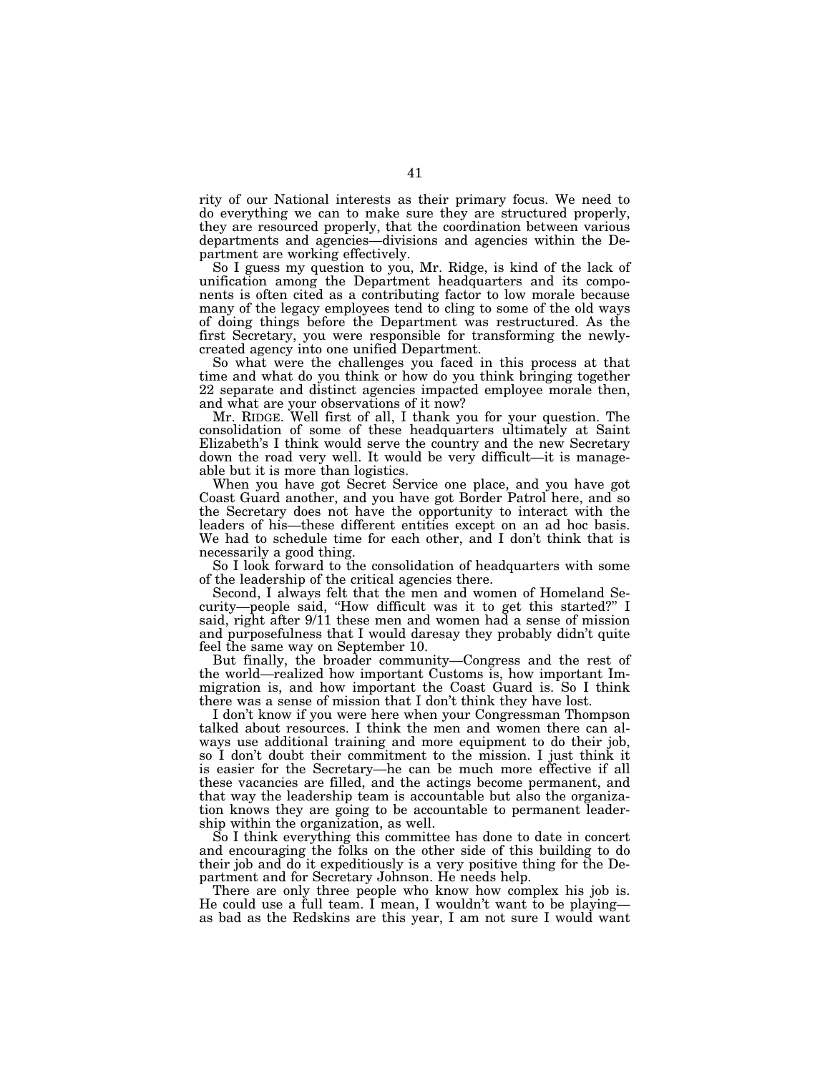rity of our National interests as their primary focus. We need to do everything we can to make sure they are structured properly, they are resourced properly, that the coordination between various departments and agencies—divisions and agencies within the Department are working effectively.

So I guess my question to you, Mr. Ridge, is kind of the lack of unification among the Department headquarters and its components is often cited as a contributing factor to low morale because many of the legacy employees tend to cling to some of the old ways of doing things before the Department was restructured. As the first Secretary, you were responsible for transforming the newlycreated agency into one unified Department.

So what were the challenges you faced in this process at that time and what do you think or how do you think bringing together 22 separate and distinct agencies impacted employee morale then, and what are your observations of it now?

Mr. RIDGE. Well first of all, I thank you for your question. The consolidation of some of these headquarters ultimately at Saint Elizabeth's I think would serve the country and the new Secretary down the road very well. It would be very difficult—it is manageable but it is more than logistics.

When you have got Secret Service one place, and you have got Coast Guard another, and you have got Border Patrol here, and so the Secretary does not have the opportunity to interact with the leaders of his—these different entities except on an ad hoc basis. We had to schedule time for each other, and I don't think that is necessarily a good thing.

So I look forward to the consolidation of headquarters with some of the leadership of the critical agencies there.

Second, I always felt that the men and women of Homeland Security—people said, ''How difficult was it to get this started?'' I said, right after  $9/11$  these men and women had a sense of mission and purposefulness that I would daresay they probably didn't quite feel the same way on September 10.

But finally, the broader community—Congress and the rest of the world—realized how important Customs is, how important Immigration is, and how important the Coast Guard is. So I think there was a sense of mission that I don't think they have lost.

I don't know if you were here when your Congressman Thompson talked about resources. I think the men and women there can always use additional training and more equipment to do their job, so I don't doubt their commitment to the mission. I just think it is easier for the Secretary—he can be much more effective if all these vacancies are filled, and the actings become permanent, and that way the leadership team is accountable but also the organization knows they are going to be accountable to permanent leadership within the organization, as well.

So I think everything this committee has done to date in concert and encouraging the folks on the other side of this building to do their job and do it expeditiously is a very positive thing for the Department and for Secretary Johnson. He needs help.

There are only three people who know how complex his job is. He could use a full team. I mean, I wouldn't want to be playing as bad as the Redskins are this year, I am not sure I would want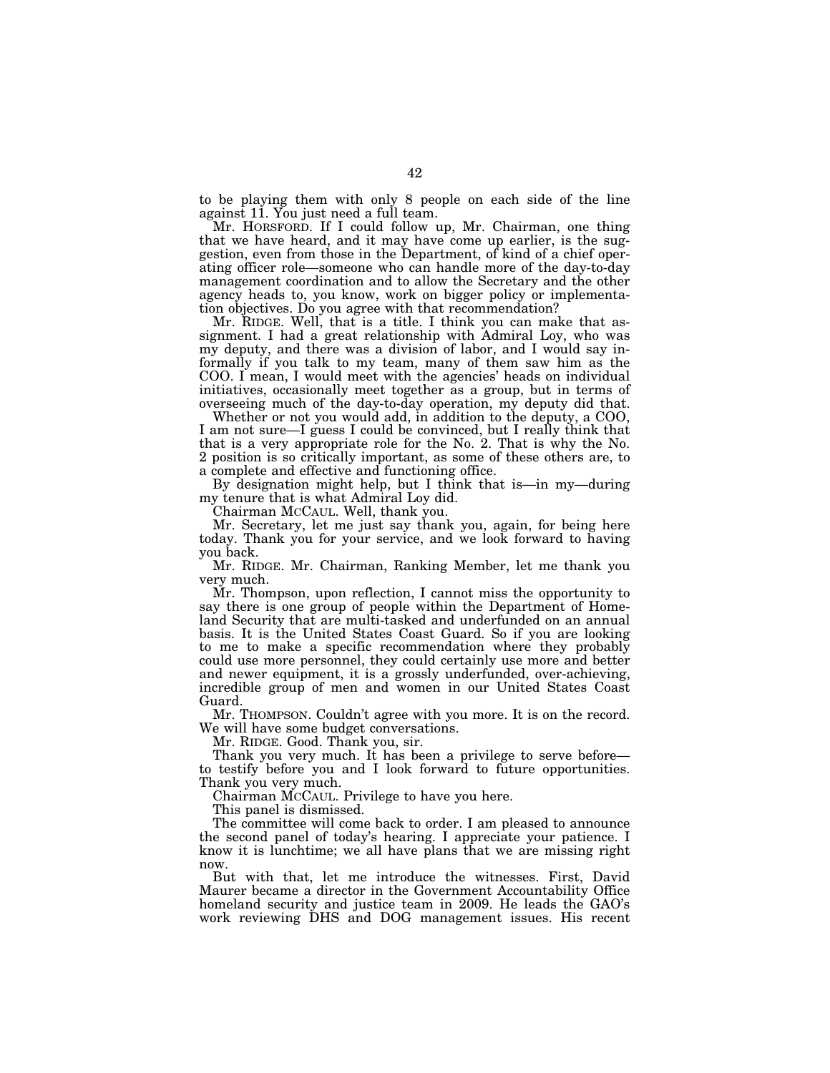to be playing them with only 8 people on each side of the line against 11. You just need a full team.

Mr. HORSFORD. If I could follow up, Mr. Chairman, one thing that we have heard, and it may have come up earlier, is the suggestion, even from those in the Department, of kind of a chief operating officer role—someone who can handle more of the day-to-day management coordination and to allow the Secretary and the other agency heads to, you know, work on bigger policy or implementation objectives. Do you agree with that recommendation?

Mr. RIDGE. Well, that is a title. I think you can make that assignment. I had a great relationship with Admiral Loy, who was my deputy, and there was a division of labor, and I would say informally if you talk to my team, many of them saw him as the COO. I mean, I would meet with the agencies' heads on individual initiatives, occasionally meet together as a group, but in terms of overseeing much of the day-to-day operation, my deputy did that.

Whether or not you would add, in addition to the deputy, a COO, I am not sure—I guess I could be convinced, but I really think that that is a very appropriate role for the No. 2. That is why the No. 2 position is so critically important, as some of these others are, to a complete and effective and functioning office.

By designation might help, but I think that is—in my—during my tenure that is what Admiral Loy did.

Chairman MCCAUL. Well, thank you.

Mr. Secretary, let me just say thank you, again, for being here today. Thank you for your service, and we look forward to having you back.

Mr. RIDGE. Mr. Chairman, Ranking Member, let me thank you very much.

Mr. Thompson, upon reflection, I cannot miss the opportunity to say there is one group of people within the Department of Homeland Security that are multi-tasked and underfunded on an annual basis. It is the United States Coast Guard. So if you are looking to me to make a specific recommendation where they probably could use more personnel, they could certainly use more and better and newer equipment, it is a grossly underfunded, over-achieving, incredible group of men and women in our United States Coast Guard.

Mr. THOMPSON. Couldn't agree with you more. It is on the record. We will have some budget conversations.

Mr. RIDGE. Good. Thank you, sir.

Thank you very much. It has been a privilege to serve before to testify before you and I look forward to future opportunities. Thank you very much.

Chairman MCCAUL. Privilege to have you here.

This panel is dismissed.

The committee will come back to order. I am pleased to announce the second panel of today's hearing. I appreciate your patience. I know it is lunchtime; we all have plans that we are missing right now.

But with that, let me introduce the witnesses. First, David Maurer became a director in the Government Accountability Office homeland security and justice team in 2009. He leads the GAO's work reviewing DHS and DOG management issues. His recent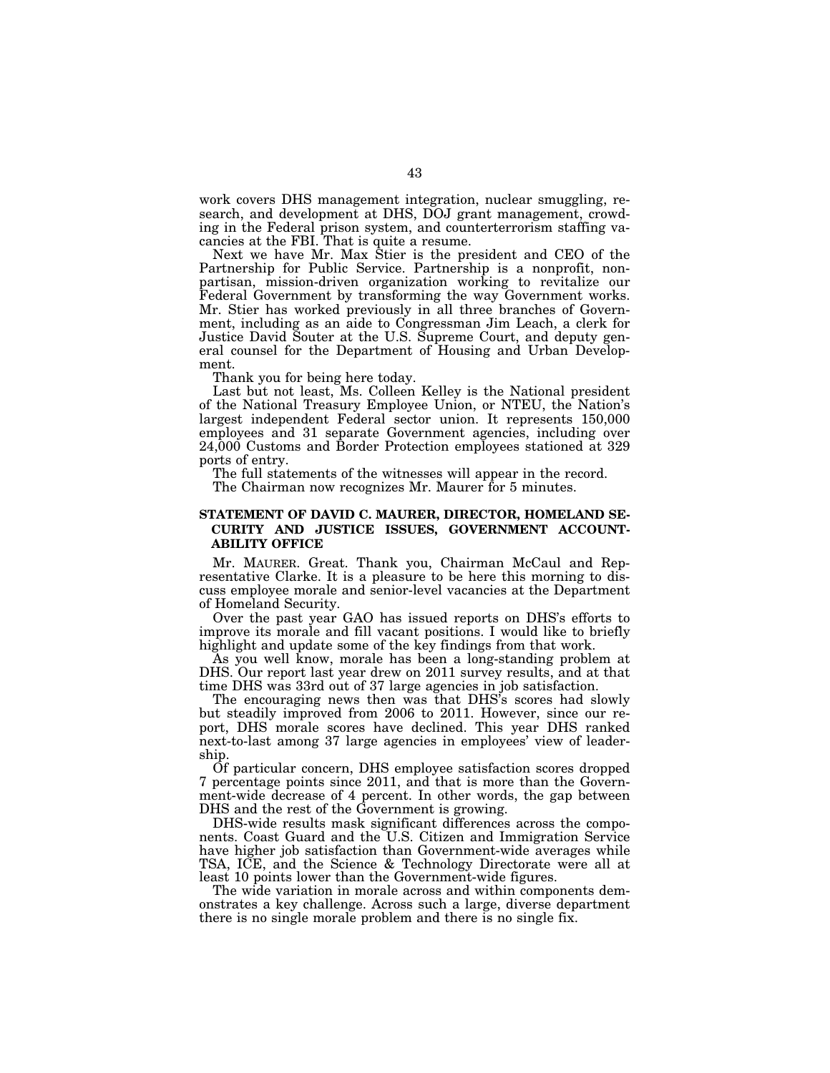work covers DHS management integration, nuclear smuggling, research, and development at DHS, DOJ grant management, crowding in the Federal prison system, and counterterrorism staffing vacancies at the FBI. That is quite a resume.

Next we have Mr. Max Stier is the president and CEO of the Partnership for Public Service. Partnership is a nonprofit, nonpartisan, mission-driven organization working to revitalize our Federal Government by transforming the way Government works. Mr. Stier has worked previously in all three branches of Government, including as an aide to Congressman Jim Leach, a clerk for Justice David Souter at the U.S. Supreme Court, and deputy general counsel for the Department of Housing and Urban Development.

Thank you for being here today.

Last but not least, Ms. Colleen Kelley is the National president of the National Treasury Employee Union, or NTEU, the Nation's largest independent Federal sector union. It represents 150,000 employees and 31 separate Government agencies, including over 24,000 Customs and Border Protection employees stationed at 329 ports of entry.

The full statements of the witnesses will appear in the record. The Chairman now recognizes Mr. Maurer for 5 minutes.

# **STATEMENT OF DAVID C. MAURER, DIRECTOR, HOMELAND SE-CURITY AND JUSTICE ISSUES, GOVERNMENT ACCOUNT-ABILITY OFFICE**

Mr. MAURER. Great. Thank you, Chairman McCaul and Representative Clarke. It is a pleasure to be here this morning to discuss employee morale and senior-level vacancies at the Department of Homeland Security.

Over the past year GAO has issued reports on DHS's efforts to improve its morale and fill vacant positions. I would like to briefly highlight and update some of the key findings from that work.

As you well know, morale has been a long-standing problem at DHS. Our report last year drew on 2011 survey results, and at that time DHS was 33rd out of 37 large agencies in job satisfaction.

The encouraging news then was that DHS's scores had slowly but steadily improved from 2006 to 2011. However, since our report, DHS morale scores have declined. This year DHS ranked next-to-last among 37 large agencies in employees' view of leadership.

Of particular concern, DHS employee satisfaction scores dropped 7 percentage points since 2011, and that is more than the Government-wide decrease of 4 percent. In other words, the gap between DHS and the rest of the Government is growing.

DHS-wide results mask significant differences across the components. Coast Guard and the U.S. Citizen and Immigration Service have higher job satisfaction than Government-wide averages while TSA, ICE, and the Science & Technology Directorate were all at least 10 points lower than the Government-wide figures.

The wide variation in morale across and within components demonstrates a key challenge. Across such a large, diverse department there is no single morale problem and there is no single fix.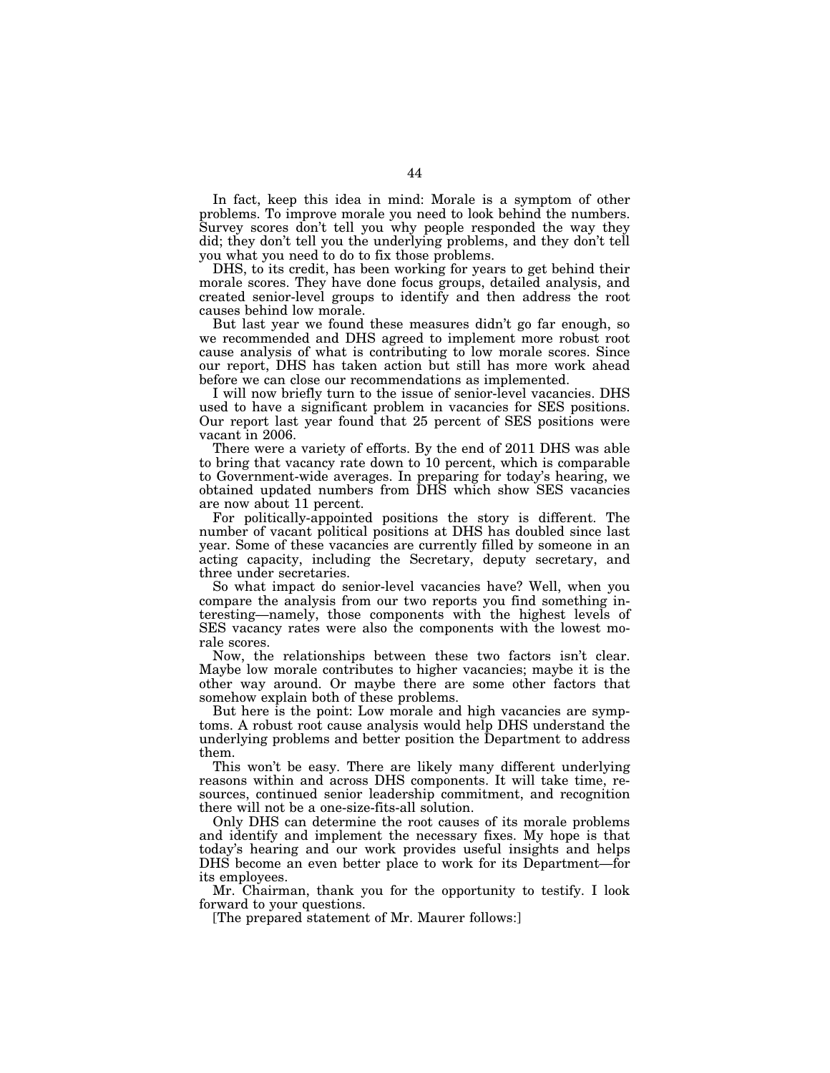In fact, keep this idea in mind: Morale is a symptom of other problems. To improve morale you need to look behind the numbers. Survey scores don't tell you why people responded the way they did; they don't tell you the underlying problems, and they don't tell you what you need to do to fix those problems.

DHS, to its credit, has been working for years to get behind their morale scores. They have done focus groups, detailed analysis, and created senior-level groups to identify and then address the root causes behind low morale.

But last year we found these measures didn't go far enough, so we recommended and DHS agreed to implement more robust root cause analysis of what is contributing to low morale scores. Since our report, DHS has taken action but still has more work ahead before we can close our recommendations as implemented.

I will now briefly turn to the issue of senior-level vacancies. DHS used to have a significant problem in vacancies for SES positions. Our report last year found that 25 percent of SES positions were vacant in 2006.

There were a variety of efforts. By the end of 2011 DHS was able to bring that vacancy rate down to 10 percent, which is comparable to Government-wide averages. In preparing for today's hearing, we obtained updated numbers from DHS which show SES vacancies are now about 11 percent.

For politically-appointed positions the story is different. The number of vacant political positions at DHS has doubled since last year. Some of these vacancies are currently filled by someone in an acting capacity, including the Secretary, deputy secretary, and three under secretaries.

So what impact do senior-level vacancies have? Well, when you compare the analysis from our two reports you find something interesting—namely, those components with the highest levels of SES vacancy rates were also the components with the lowest morale scores.

Now, the relationships between these two factors isn't clear. Maybe low morale contributes to higher vacancies; maybe it is the other way around. Or maybe there are some other factors that somehow explain both of these problems.

But here is the point: Low morale and high vacancies are symptoms. A robust root cause analysis would help DHS understand the underlying problems and better position the Department to address them.

This won't be easy. There are likely many different underlying reasons within and across DHS components. It will take time, resources, continued senior leadership commitment, and recognition there will not be a one-size-fits-all solution.

Only DHS can determine the root causes of its morale problems and identify and implement the necessary fixes. My hope is that today's hearing and our work provides useful insights and helps DHS become an even better place to work for its Department—for its employees.

Mr. Chairman, thank you for the opportunity to testify. I look forward to your questions.

[The prepared statement of Mr. Maurer follows:]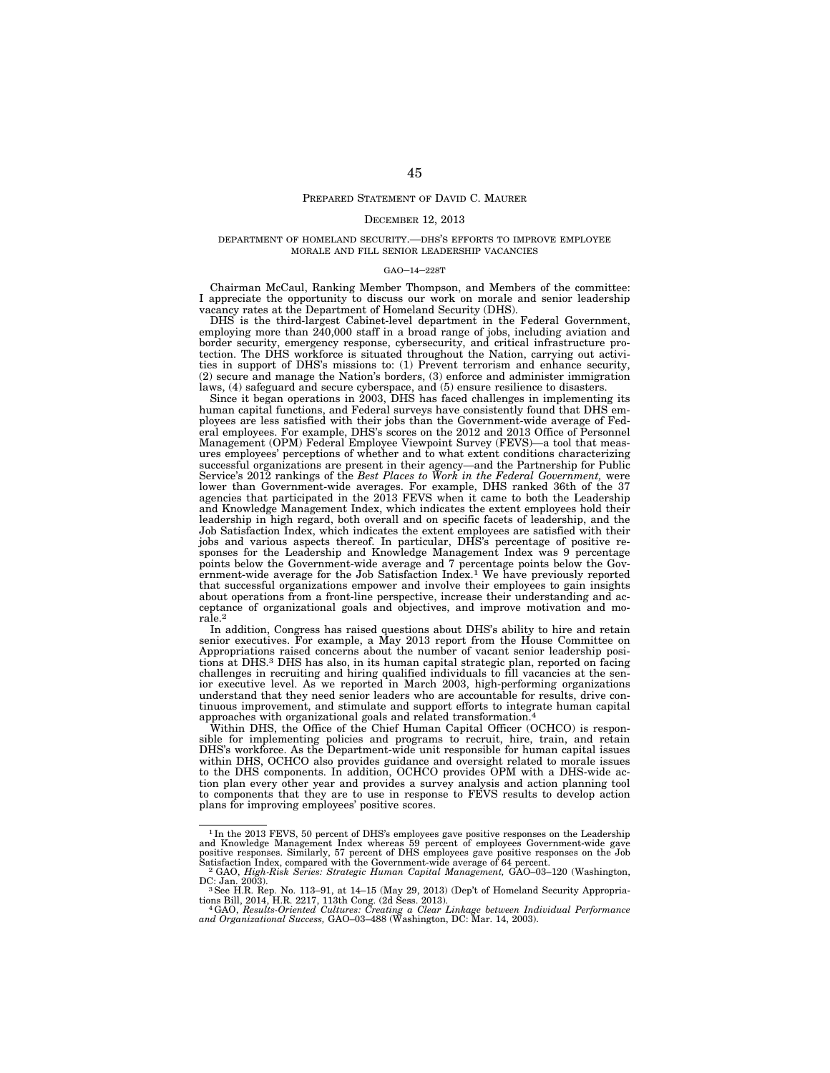# PREPARED STATEMENT OF DAVID C. MAURER

#### DECEMBER 12, 2013

### DEPARTMENT OF HOMELAND SECURITY.—DHS'S EFFORTS TO IMPROVE EMPLOYEE MORALE AND FILL SENIOR LEADERSHIP VACANCIES

#### GAO–14–228T

Chairman McCaul, Ranking Member Thompson, and Members of the committee: I appreciate the opportunity to discuss our work on morale and senior leadership vacancy rates at the Department of Homeland Security (DHS).

DHS is the third-largest Cabinet-level department in the Federal Government, employing more than  $240,000$  staff in a broad range of jobs, including aviation and border security, emergency response, cybersecurity, and critical infrastructure protection. The DHS workforce is situated throughout the Nation, carrying out activities in support of DHS's missions to: (1) Prevent terrorism and enhance security, (2) secure and manage the Nation's borders, (3) enforce and administer immigration laws, (4) safeguard and secure cyberspace, and (5) ensure resilience to disasters.

Since it began operations in 2003, DHS has faced challenges in implementing its human capital functions, and Federal surveys have consistently found that DHS employees are less satisfied with their jobs than the Government-wide average of Federal employees. For example, DHS's scores on the 2012 and 2013 Office of Personnel Management (OPM) Federal Employee Viewpoint Survey (FEVS)—a tool that measures employees' perceptions of whether and to what extent conditions characterizing successful organizations are present in their agency—and the Partnership for Public Service's 2012 rankings of the *Best Places to Work in the Federal Government,* were lower than Government-wide averages. For example, DHS ranked 36th of the 37 agencies that participated in the 2013 FEVS when it came to both the Leadership and Knowledge Management Index, which indicates the extent employees hold their leadership in high regard, both overall and on specific facets of leadership, and the Job Satisfaction Index, which indicates the extent employees are satisfied with their jobs and various aspects thereof. In particular, DHS's percentage of positive responses for the Leadership and Knowledge Management Index was 9 percentage points below the Government-wide average and 7 percentage points below the Government-wide average for the Job Satisfaction Index.<sup>1</sup> We have previously reported that successful organizations empower and involve their employees to gain insights about operations from a front-line perspective, increase their understanding and acceptance of organizational goals and objectives, and improve motivation and morale.2

In addition, Congress has raised questions about DHS's ability to hire and retain senior executives. For example, a May 2013 report from the House Committee on Appropriations raised concerns about the number of vacant senior leadership positions at DHS.3 DHS has also, in its human capital strategic plan, reported on facing challenges in recruiting and hiring qualified individuals to fill vacancies at the senior executive level. As we reported in March 2003, high-performing organizations understand that they need senior leaders who are accountable for results, drive continuous improvement, and stimulate and support efforts to integrate human capital approaches with organizational goals and related transformation.4

Within DHS, the Office of the Chief Human Capital Officer (OCHCO) is responsible for implementing policies and programs to recruit, hire, train, and retain DHS's workforce. As the Department-wide unit responsible for human capital issues within DHS, OCHCO also provides guidance and oversight related to morale issues to the DHS components. In addition, OCHCO provides OPM with a DHS-wide action plan every other year and provides a survey analysis and action planning tool to components that they are to use in response to FEVS results to develop action plans for improving employees' positive scores.

<sup>&</sup>lt;sup>1</sup>In the 2013 FEVS, 50 percent of DHS's employees gave positive responses on the Leadership and Knowledge Management Index whereas 59 percent of employees Government-wide gave positive responses. Similarly, 57 percent of

DC: Jan. 2003).<br><sup>3</sup> See H.R. Rep. No. 113–91, at 14–15 (May 29, 2013) (Dep't of Homeland Security Appropria-

tions Bill, 2014, H.R. 2217, 113th Cong. (2d Sess. 2013).<br>" 4 GAO, *Results-Oriented Cultures: Creating a Clear Linkage between Individual Performance*<br>a*nd Organizational Success,* GAO–03–488 (Washington, DC: Mar. 14, 200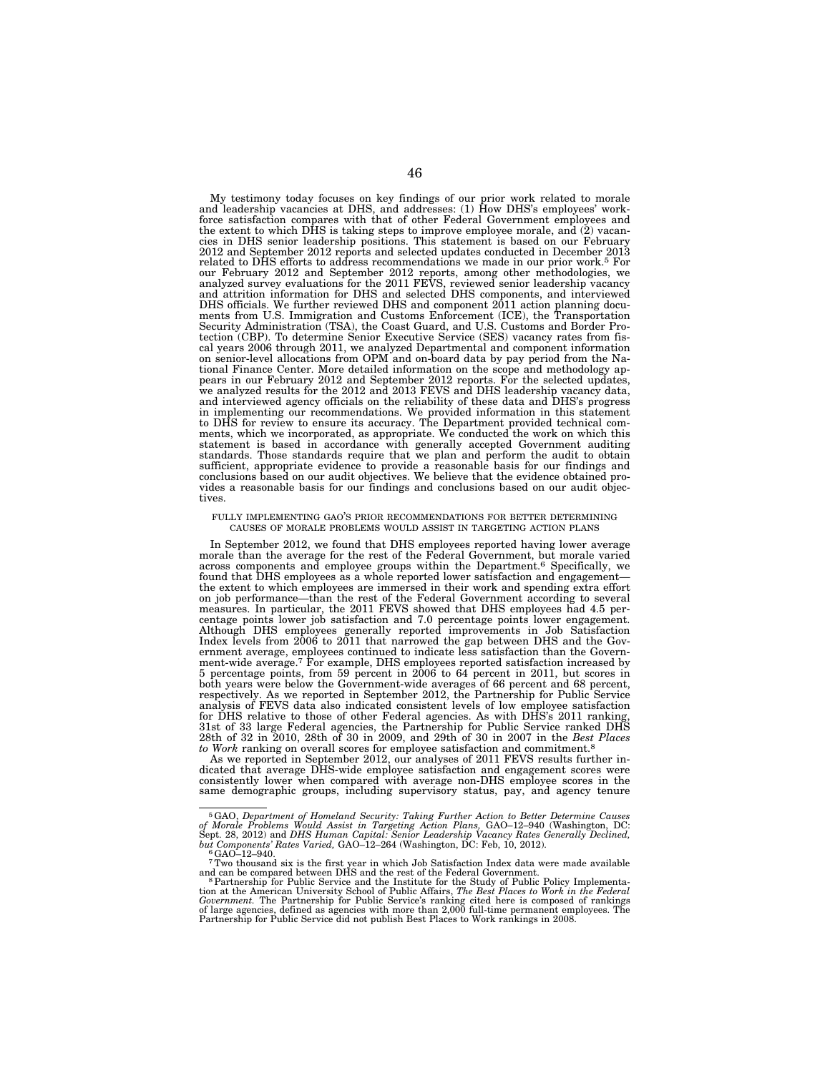My testimony today focuses on key findings of our prior work related to morale and leadership vacancies at DHS, and addresses: (1) How DHS's employees' workforce satisfaction compares with that of other Federal Government employees and the extent to which DHS is taking steps to improve employee morale, and (2) vacancies in DHS senior leadership positions. This statement is based on our February 2012 and September 2012 reports and selected updates conducted in December 2013 related to DHS efforts to address recommendations we made in our prior work.5 For our February 2012 and September 2012 reports, among other methodologies, we<br>analyzed survey evaluations for the 2011 FEVS, reviewed senior leadership vacancy<br>and attrition information for DHS and selected DHS components, a ments from U.S. Immigration and Customs Enforcement (ICE), the Transportation Security Administration (TSA), the Coast Guard, and U.S. Customs and Border Protection (CBP). To determine Senior Executive Service (SES) vacancy rates from fis-cal years 2006 through 2011, we analyzed Departmental and component information on senior-level allocations from OPM and on-board data by pay period from the National Finance Center. More detailed information on the scope and methodology appears in our February 2012 and September 2012 reports. For the selected updates, we analyzed results for the 2012 and 2013 FEVS and DHS leadership vacancy data, and interviewed agency officials on the reliability of these data and DHS's progress in implementing our recommendations. We provided information in this statement to DHS for review to ensure its accuracy. The Department provided technical com-ments, which we incorporated, as appropriate. We conducted the work on which this statement is based in accordance with generally accepted Government auditing standards. Those standards require that we plan and perform the audit to obtain sufficient, appropriate evidence to provide a reasonable basis for our findings and conclusions based on our audit objectives. We believe that the evidence obtained provides a reasonable basis for our findings and conclusions based on our audit objectives.

### FULLY IMPLEMENTING GAO'S PRIOR RECOMMENDATIONS FOR BETTER DETERMINING CAUSES OF MORALE PROBLEMS WOULD ASSIST IN TARGETING ACTION PLANS

In September 2012, we found that DHS employees reported having lower average morale than the average for the rest of the Federal Government, but morale varied across components and employee groups within the Department.6 Specifically, we found that DHS employees as a whole reported lower satisfaction and engagement the extent to which employees are immersed in their work and spending extra effort on job performance—than the rest of the Federal Government according to several measures. In particular, the 2011 FEVS showed that DHS employees had 4.5 percentage points lower job satisfaction and 7.0 percentage points lo ernment average, employees continued to indicate less satisfaction than the Government-wide average.<sup>7</sup> For example, DHS employees reported satisfaction increased by 5 percentage points, from 59 percent in 2006 to 64 percent in 2011, but scores in both years were below the Government-wide averages of 66 percent and 68 percent, respectively. As we reported in September 2012, the Partnership for Public Service analysis of FEVS data also indicated consistent levels of low employee satisfaction for DHS relative to those of other Federal agencies. As with DHS's 2011 ranking, 31st of 33 large Federal agencies, the Partnership for Public Service ranked DHS 28th of 32 in 2010, 28th of 30 in 2009, and 29th of 30 in 2007 in the *Best Places to Work* ranking on overall scores for employee satisfaction and commitment.<sup>8</sup>

As we reported in September 2012, our analyses of 2011 FEVS results further indicated that average DHS-wide employee satisfaction and engagement scores were consistently lower when compared with average non-DHS employee scores in the same demographic groups, including supervisory status, pay, and agency tenure

<sup>&</sup>lt;sup>5</sup>GAO, Department of Homeland Security: Taking Further Action to Better Determine Causes<br>of Morale Problems Would Assist in Targeting Action Plans, GAO-12-940 (Washington, DC:<br>Sept. 28, 2012) and DHS Human Capital: Senio

<sup>&</sup>lt;sup>7</sup>Two thousand six is the first year in which Job Satisfaction Index data were made available<br>and can be compared between DHS and the rest of the Federal Government.<br><sup>8</sup> Partnership for Public Service and the Institute f of large agencies, defined as agencies with more than 2,000 full-time permanent employees. The Partnership for Public Service did not publish Best Places to Work rankings in 2008.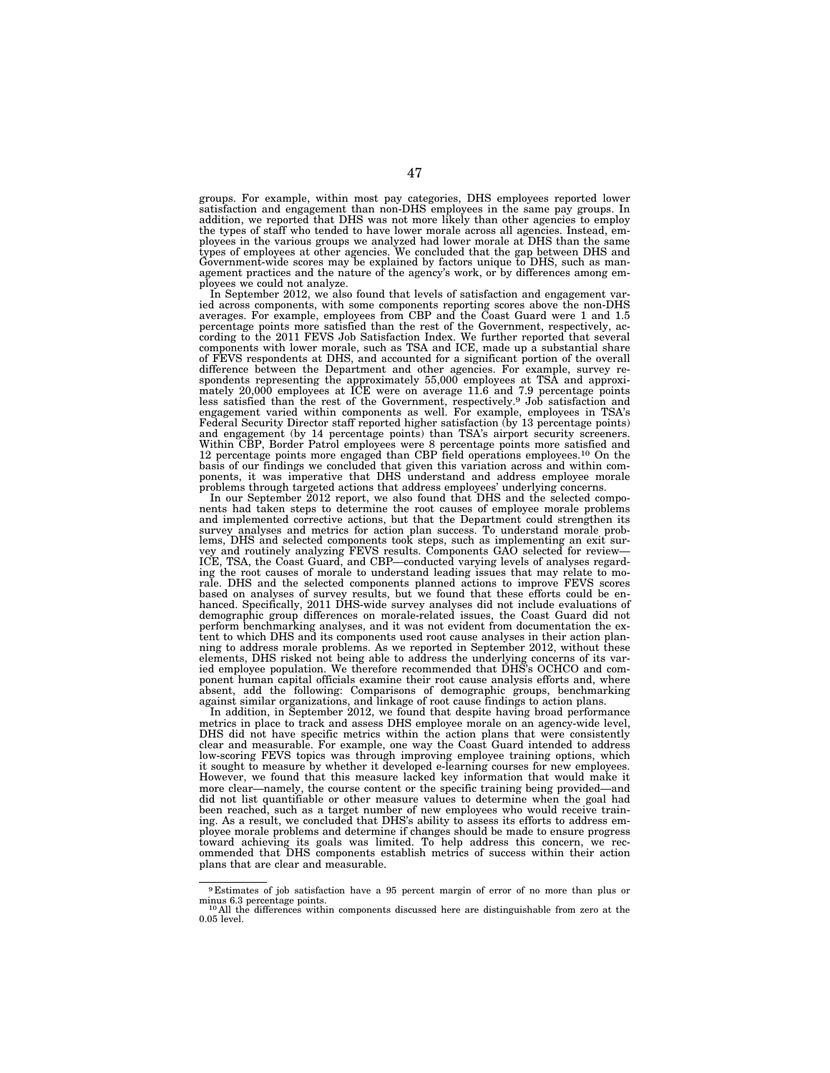groups. For example, within most pay categories, DHS employees reported lower satisfaction and engagement than non-DHS employees in the same pay groups. In addition, we reported that DHS was not more likely than other agencies to employ the types of staff who tended to have lower morale across all agencies. Instead, employees in the various groups we analyzed had lower morale at DHS than the same<br>types of employees at other agencies. We concluded that the gap between DHS and<br>Government-wide scores may be explained by factors unique to D agement practices and the nature of the agency's work, or by differences among employees we could not analyze.

In September 2012, we also found that levels of satisfaction and engagement varied across components, with some components reporting scores above the non-DHS averages. For example, employees from CBP and the Coast Guard were 1 and 1.5 percentage points more satisfied than the rest of the Government, respectively, according to the 2011 FEVS Job Satisfaction Index. We further reported that several components with lower morale, such as TSA and ICE, made up a substantial share of FEVS respondents at DHS, and accounted for a significant portion of the overall difference between the Department and other agencies. For example, survey respondents representing the approximately 55,000 employees at TSA and approxi-mately 20,000 employees at ICE were on average 11.6 and 7.9 percentage points less satisfied than the rest of the Government, respectively.9 Job satisfaction and engagement varied within components as well. For example, employees in TSA's Federal Security Director staff reported higher satisfaction (by 13 percentage points) and engagement (by 14 percentage points) than TSA's airport security screeners. Within CBP, Border Patrol employees were 8 percentage points more satisfied and 12 percentage points more engaged than CBP field operations employees.10 On the basis of our findings we concluded that given this variation across and within com-ponents, it was imperative that DHS understand and address employee morale problems through targeted actions that address employees' underlying concerns.

In our September 2012 report, we also found that DHS and the selected components had taken steps to determine the root causes of employee morale problems and implemented corrective actions, but that the Department could strengthen its survey analyses and metrics for action plan success. To understand morale problems, DHS and selected components took steps, such as implementing an exit survey and routinely analyzing FEVS results. Components GAO selected ICE, TSA, the Coast Guard, and CBP—conducted varying levels of analyses regarding the root causes of morale to understand leading issues that may relate to morale. DHS and the selected components planned actions to improve FEVS scores<br>based on analyses of survey results, but we found that these efforts could be en-<br>hanced. Specifically, 2011 DHS-wide survey analyses did not inc demographic group differences on morale-related issues, the Coast Guard did not perform benchmarking analyses, and it was not evident from documentation the extent to which DHS and its components used root cause analyses in their action planning to address morale problems. As we reported in September 2012, without these elements, DHS risked not being able to address the underlying concerns of its var-ied employee population. We therefore recommended that DHS's OCHCO and component human capital officials examine their root cause analysis efforts and, where absent, add the following: Comparisons of demographic groups, benchmarking against similar organizations, and linkage of root cause findings to action plans.

In addition, in September 2012, we found that despite having broad performance metrics in place to track and assess DHS employee morale on an agency-wide level, DHS did not have specific metrics within the action plans that were consistently clear and measurable. For example, one way the Coast Guard intended to address low-scoring FEVS topics was through improving employee training options, which it sought to measure by whether it developed e-learning courses for new employees. However, we found that this measure lacked key information that would make it more clear—namely, the course content or the specific training being provided—and did not list quantifiable or other measure values to determine when the goal had been reached, such as a target number of new employees who would receive training. As a result, we concluded that DHS's ability to assess its efforts to address employee morale problems and determine if changes should be made to ensure progress toward achieving its goals was limited. To help address this concern, we recommended that DHS components establish metrics of success within their action plans that are clear and measurable.

<sup>9</sup> Estimates of job satisfaction have a 95 percent margin of error of no more than plus or minus 6.3 percentage points. 10 All the differences within components discussed here are distinguishable from zero at the <sup>10</sup> All the differences within components discussed here are distinguishable from zero at the

<sup>0.05</sup> level.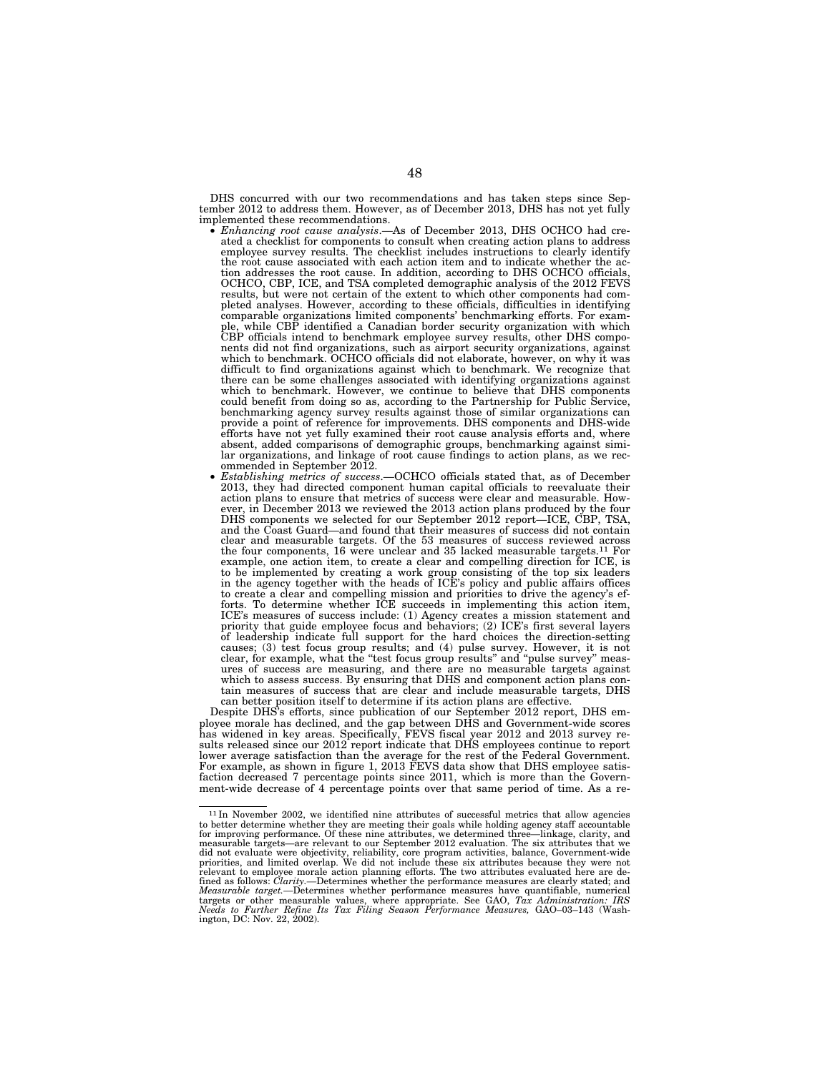DHS concurred with our two recommendations and has taken steps since September 2012 to address them. However, as of December 2013, DHS has not yet fully

- $\bullet$  *Enhancing root cause analysis.*—As of December 2013, DHS OCHCO had created a checklist for components to consult when creating action plans to address employee survey results. The checklist includes instructions to clearly identify the root cause associated with each action item and to indicate whether the action addresses the root cause. In addition, according to DHS OCHCO officials, OCHCO, CBP, ICE, and TSA completed demographic analysis of the 2012 FEVS results, but were not certain of the extent to which other components had completed analyses. However, according to these officials, difficulties in identifying comparable organizations limited components' benchmarking efforts. For exam-ple, while CBP identified a Canadian border security organization with which CBP officials intend to benchmark employee survey results, other DHS components did not find organizations, such as airport security organizations, against which to benchmark. OCHCO officials did not elaborate, however, on why it was difficult to find organizations against which to benchmark. We recognize that there can be some challenges associated with identifying organizations against which to benchmark. However, we continue to believe that DHS components could benefit from doing so as, according to the Partnership for Public Service, benchmarking agency survey results against those of similar organizations can provide a point of reference for improvements. DHS components and DHS-wide efforts have not yet fully examined their root cause analysis efforts and, where absent, added comparisons of demographic groups, benchmarking against simi-lar organizations, and linkage of root cause findings to action plans, as we rec-
- ommended in September 2012.<br>*Establishing metrics of success.*—OCHCO officials stated that, as of December 2013, they had directed component human capital officials to reevaluate their action plans to ensure that metrics of success were clear and measurable. However, in December 2013 we reviewed the 2013 action plans produced by the four DHS components we selected for our September 2012 report—ICE, CBP, TSA, and the Coast Guard—and found that their measures of success did not contain clear and measurable targets. Of the 53 measures of success reviewed across the four components, 16 were unclear and 35 lacked measurable targets.11 For example, one action item, to create a clear and compelling direction for ICE, is to be implemented by creating a work group consisting of the top six leaders in the agency together with the heads of ICE's policy and public affairs offices to create a clear and compelling mission and priorities to drive the agency's ef-forts. To determine whether ICE succeeds in implementing this action item, ICE's measures of success include: (1) Agency creates a mission statement and priority that guide employee focus and behaviors; (2) ICE's first several layers of leadership indicate full support for the hard choices the direction-setting causes; (3) test focus group results; and (4) pulse survey. However, it is not clear, for example, what the "test focus group results" and "pulse survey" measures of success are measuring, and there are no measurable targe which to assess success. By ensuring that DHS and component action plans contain measures of success that are clear and include measurable targets, DHS can better position itself to determine if its action plans are effective.

Despite DHS's efforts, since publication of our September 2012 report, DHS employee morale has declined, and the gap between DHS and Government-wide scores has widened in key areas. Specifically, FEVS fiscal year 2012 and 2013 survey results released since our 2012 report indicate that DHS employees continue to report lower average satisfaction than the average for the rest of the Federal Government. For example, as shown in figure 1, 2013 FEVS data show that DHS employee satisfaction decreased 7 percentage points since 2011, which is more than the Government-wide decrease of 4 percentage points over that same period of time. As a re-

<sup>11</sup> In November 2002, we identified nine attributes of successful metrics that allow agencies to better determine whether they are meeting their goals while holding agency staff accountable for improving performance. Of these nine attributes, we determined three—linkage, clarity, and measurable targets—are relevant to our September 2012 evaluation. The six attributes that we did not evaluate were objectivity, reliability, core program activities, balance, Government-wide<br>priorities, and limited overlap. We did not include these six attributes because they were not<br>relevant to employee morale a fined as follows: *Clarity.—*Determines whether the performance measures are clearly stated; and *Measurable target.—*Determines whether performance measures have quantifiable, numerical targets or other measurable values, where appropriate. See GAO, *Tax Administration: IRS Needs to Further Refine Its Tax Filing Season Performance Measures,* GAO–03–143 (Wash-ington, DC: Nov. 22, 2002).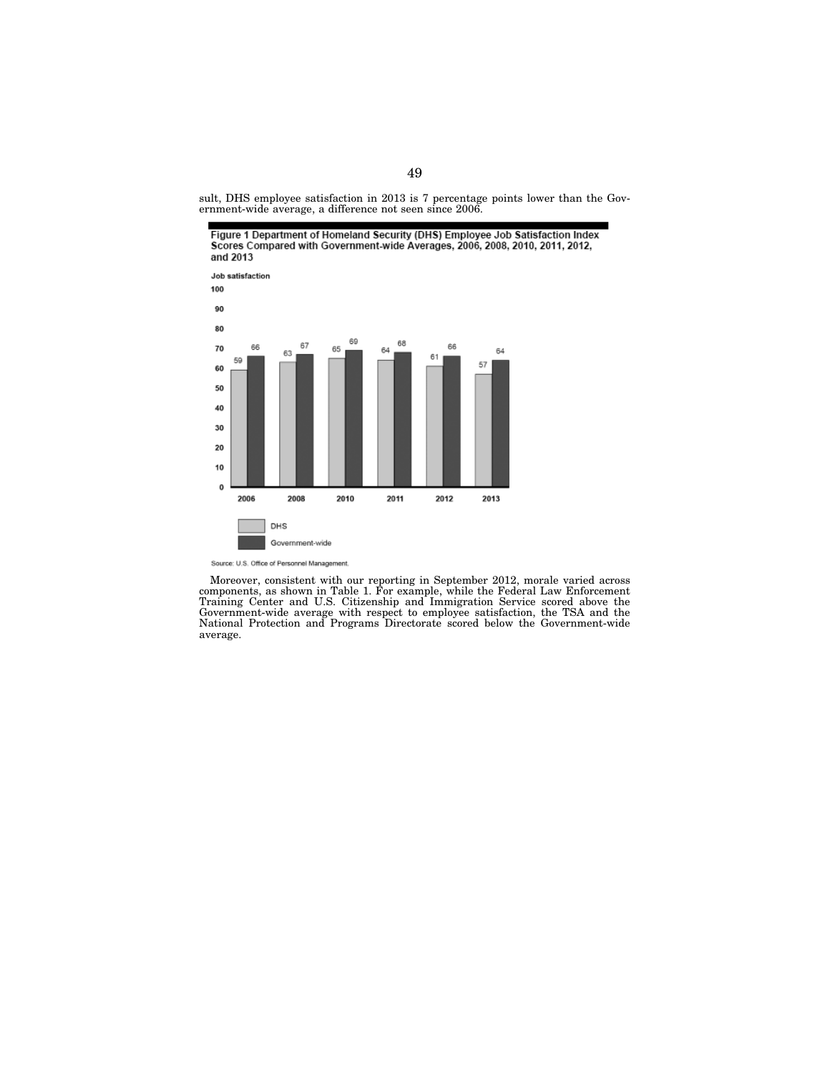sult, DHS employee satisfaction in 2013 is 7 percentage points lower than the Government-wide average, a difference not seen since 2006.



Source: U.S. Office of Personnel Management.

Moreover, consistent with our reporting in September 2012, morale varied across components, as shown in Table 1. For example, while the Federal Law Enforcement Training Center and U.S. Citizenship and Immigration Service scored above the Government-wide average with respect to employee satisfaction, the TSA and the National Protection and Programs Directorate scored below the Government-wide average.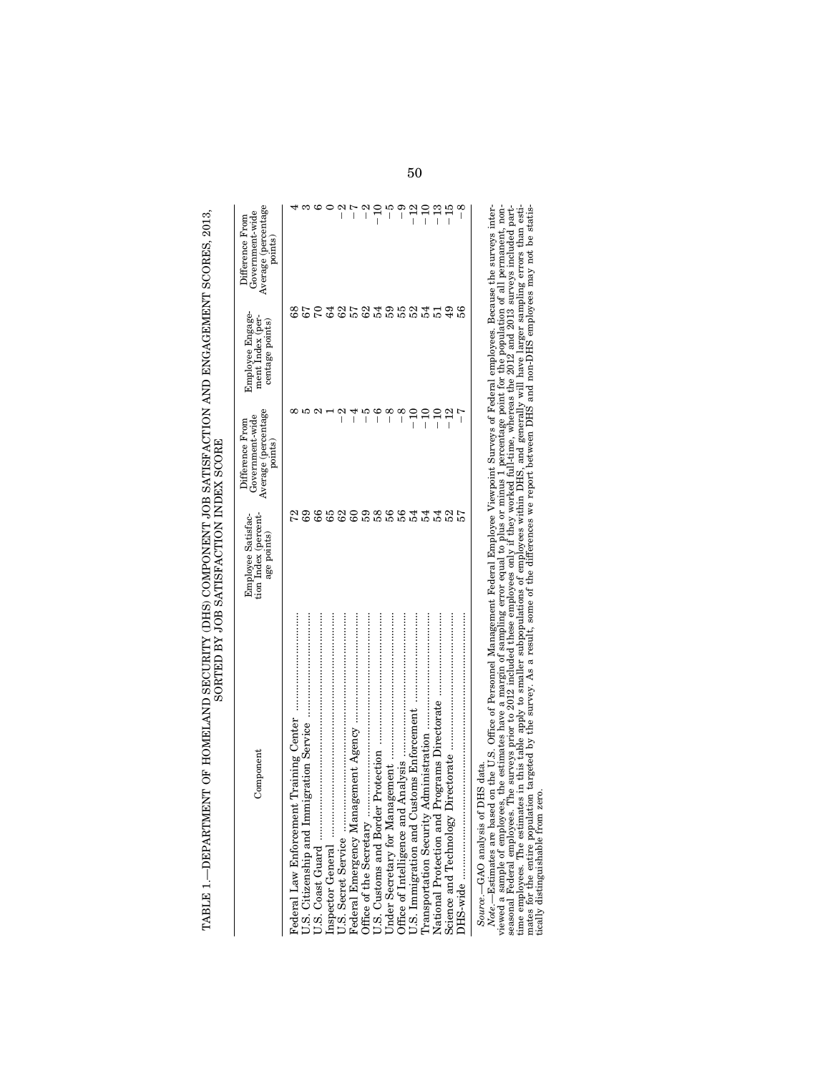| Component                         | Employee Satisfac-<br>tion Index (percent-<br>age points) | Average (percentage<br>points)<br>Government-wide<br>Difference From | Employee Engage-<br>ment Index (per-<br>centage points) | Average (percentage<br>points)<br>Government-wide<br>Difference From |
|-----------------------------------|-----------------------------------------------------------|----------------------------------------------------------------------|---------------------------------------------------------|----------------------------------------------------------------------|
|                                   |                                                           |                                                                      | 89                                                      |                                                                      |
|                                   |                                                           |                                                                      |                                                         |                                                                      |
|                                   |                                                           |                                                                      |                                                         |                                                                      |
|                                   |                                                           |                                                                      |                                                         |                                                                      |
|                                   |                                                           | $\frac{2}{1}$                                                        |                                                         | $\frac{2}{1}$                                                        |
|                                   |                                                           | न<br>।                                                               |                                                         | $\frac{1}{2}$                                                        |
|                                   |                                                           | م<br>ا                                                               |                                                         | $-2$                                                                 |
|                                   | <b>SSSSSSSSSSS</b>                                        | $\frac{6}{1}$                                                        | PESESTERET                                              | $-10$                                                                |
|                                   |                                                           |                                                                      |                                                         |                                                                      |
|                                   |                                                           | $-8$                                                                 |                                                         | 6 - 1<br>        1                                                   |
|                                   |                                                           | $-10$                                                                |                                                         | $-12$                                                                |
| Transportation Security           |                                                           | $-10$                                                                |                                                         | $-10$                                                                |
| National Protection and           |                                                           |                                                                      |                                                         |                                                                      |
|                                   |                                                           | $-12$                                                                | 49                                                      | $\frac{13}{15}$                                                      |
|                                   |                                                           |                                                                      |                                                         | $-8$                                                                 |
| Source.-GAO analysis of DHS data. |                                                           |                                                                      |                                                         |                                                                      |

Note.—Estimates are based on the U.S. Office of Personnel Management Pederal Employee Viewpoint Surveys of Federal employees. Because the surveys interviewed a sample of employees, the estimates have a margin of sampling *Note*.—Estimates are based on the U.S. Office of Personnel Management Federal Employee Viewpoint Surveys of Federal employees. Because the surveys interviewed a sample of employees, the estimates have a margin of sampling error equal to plus or minus 1 percentage point for the population of all permanent, nonseasonal Federal employees. The surveys prior to 2012 included these employees only if they worked full-time, whereas the 2012 and 2013 surveys included parttime employees. The estimates in this table apply to smaller subpopulations of employees within DHS, and generally will have larger sampling errors than estimates for the entire population targeted by the survey. As a result, some of the differences we report between DHS and non-DHS employees may not be statistically distinguishable from zero.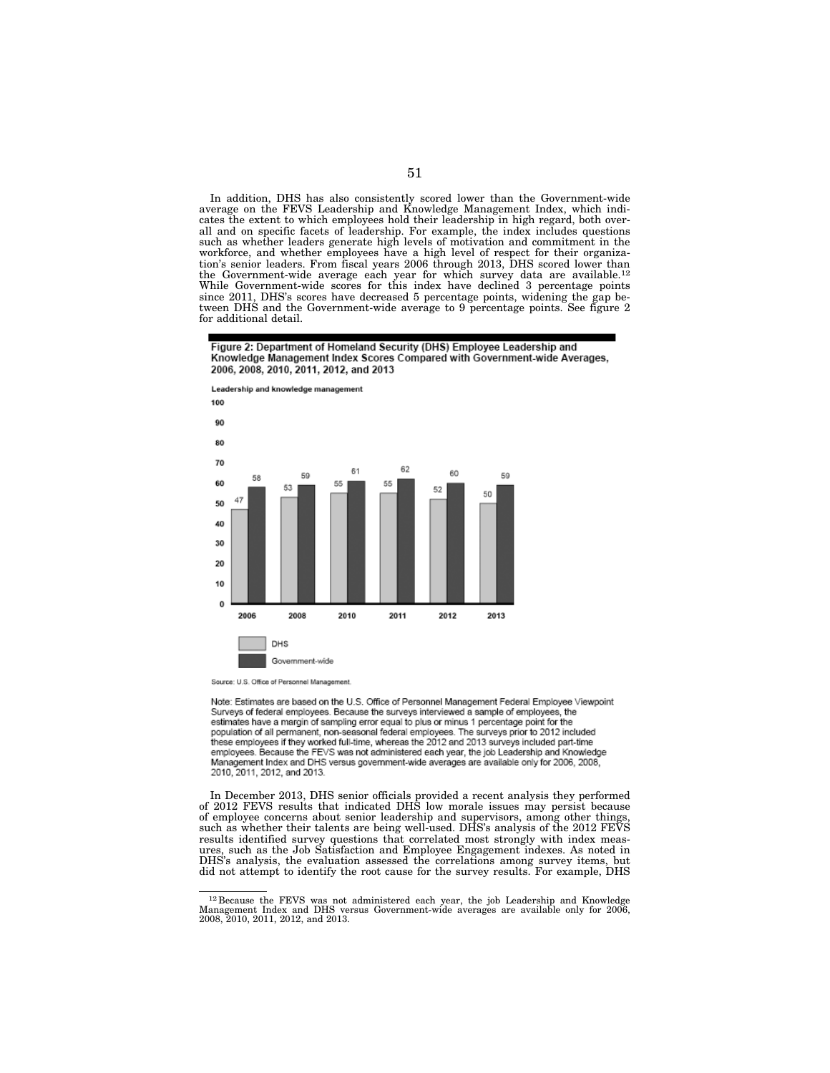In addition, DHS has also consistently scored lower than the Government-wide average on the FEVS Leadership and Knowledge Management Index, which indicates the extent to which employees hold their leadership in high regard, both overall and on specific facets of leadership. For example, the index includes questions such as whether leaders generate high levels of motivation and commitment in the workforce, and whether employees have a high level of respect for their organization's senior leaders. From fiscal years 2006 through 2013, DHS scored lower than the Government-wide average each year for which survey data are available.<sup>12</sup> While Government-wide scores for this index have declined 3 percentage points since 2011, DHS's scores have decreased 5 percentage points, widening the gap between DHS and the Government-wide average to 9 percentage points. See figure 2 for additional detail.

Figure 2: Department of Homeland Security (DHS) Employee Leadership and Knowledge Management Index Scores Compared with Government-wide Averages, 2006, 2008, 2010, 2011, 2012, and 2013



Source: U.S. Office of Personnel Management.

Note: Estimates are based on the U.S. Office of Personnel Management Federal Employee Viewpoint Surveys of federal employees. Because the surveys interviewed a sample of employees, the estimates have a margin of sampling error equal to plus or minus 1 percentage point for the population of all permanent, non-seasonal federal employees. The surveys prior to 2012 included<br>these employees if they worked full-time, whereas the 2012 and 2013 surveys included part-time employees. Because the FEVS was not administered each year, the job Leadership and Knowledge Management Index and DHS versus government-wide averages are available only for 2006, 2008, 2010, 2011, 2012, and 2013.

In December 2013, DHS senior officials provided a recent analysis they performed of 2012 FEVS results that indicated DHS low morale issues may persist because of employee concerns about senior leadership and supervisors, among other things, such as whether their talents are being well-used. DHS's analysis of the 2012 FEVS results identified survey questions that correlated most strongly with index measures, such as the Job Satisfaction and Employee Engagement indexes. As noted in DHS's analysis, the evaluation assessed the correlations among survey items, but did not attempt to identify the root cause for the survey results. For example, DHS

<sup>12</sup> Because the FEVS was not administered each year, the job Leadership and Knowledge Management Index and DHS versus Government-wide averages are available only for 2006, 2008, 2010, 2011, 2012, and 2013.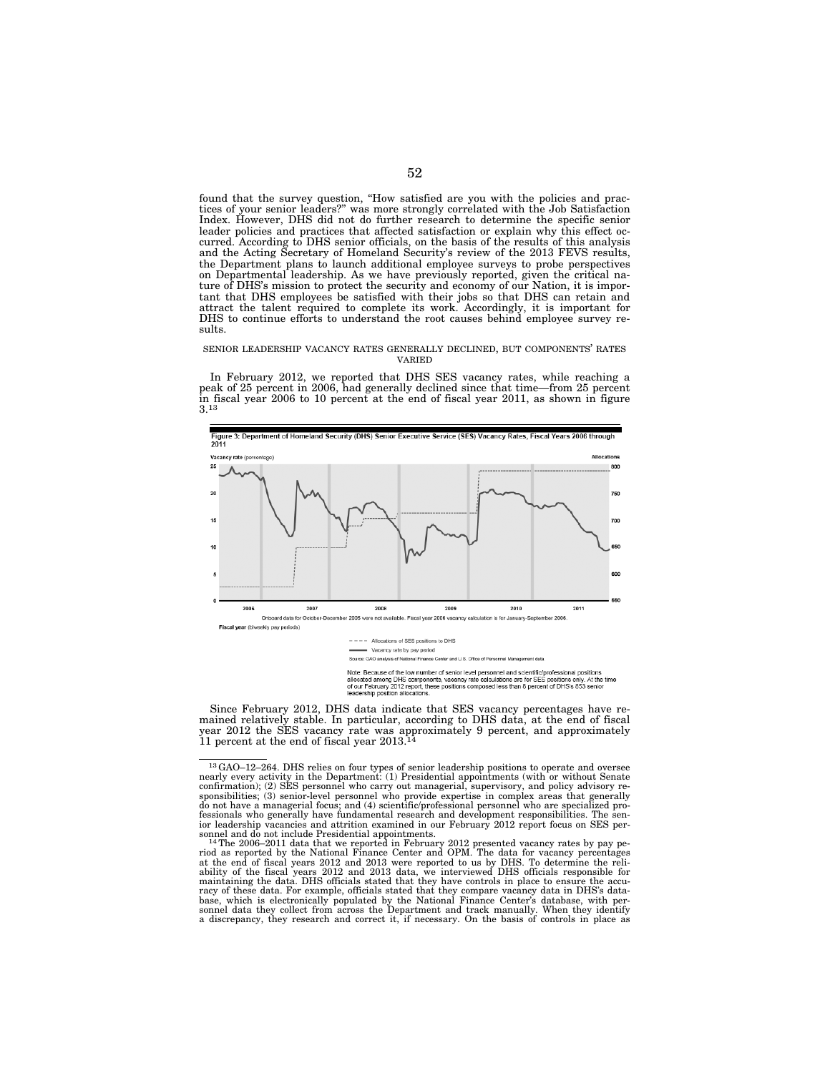found that the survey question, ''How satisfied are you with the policies and practices of your senior leaders?'' was more strongly correlated with the Job Satisfaction Index. However, DHS did not do further research to determine the specific senior leader policies and practices that affected satisfaction or explain why this effect occurred. According to DHS senior officials, on the basis of the results of this analysis and the Acting Secretary of Homeland Security's review of the 2013 FEVS results, the Department plans to launch additional employee surveys to probe perspectives on Departmental leadership. As we have previously reported, given the critical nature of DHS's mission to protect the security and economy of our Nation, it is important that DHS employees be satisfied with their jobs so that DHS can retain and attract the talent required to complete its work. Accordingly, it is important for DHS to continue efforts to understand the root causes behind employee survey results.

#### SENIOR LEADERSHIP VACANCY RATES GENERALLY DECLINED, BUT COMPONENTS' RATES VARIED

In February 2012, we reported that DHS SES vacancy rates, while reaching a peak of 25 percent in 2006, had generally declined since that time—from 25 percent in fiscal year 2006 to 10 percent at the end of fiscal year 2011, as shown in figure 3.13



Note: Because of the low number of senior level personnel and scientific/professional positions<br>allocated among DHS components, vacancy rate calculations are for SES positions only. At the<br>of our February 2012 report, thes

Since February 2012, DHS data indicate that SES vacancy percentages have remained relatively stable. In particular, according to DHS data, at the end of fiscal year 2012 the SES vacancy rate was approximately 9 percent, and approximately 11 percent at the end of fiscal year 2013.14

 $^{13}$  GAO-12-264. DHS relies on four types of senior leadership positions to operate and oversee nearly every activity in the Department: (1) Presidential appointments (with or without Senate confirmation); (2) SES perso sponsibilities; (3) senior-level personnel who provide expertise in complex areas that generally<br>do not have a managerial focus; and (4) scientific/professional personnel who are specialized pro-<br>fessionals who generally h ior leadership vacancies and attrition examined in our February 2012 report focus on SES per-<br>sonnel and do not include Presidential appointments.<br>- <sup>14</sup>The 2006–2011 data that we reported in February 2012 presented vacanc

riod as reported by the National Finance Center and OPM. The data for vacancy percentages<br>at the end of fiscal years 2012 and 2013 were reported to us by DHS. To determine the reli-<br>ability of the fiscal years 2012 and 201 sonnel data they collect from across the Department and track manually. When they identify a discrepancy, they research and correct it, if necessary. On the basis of controls in place as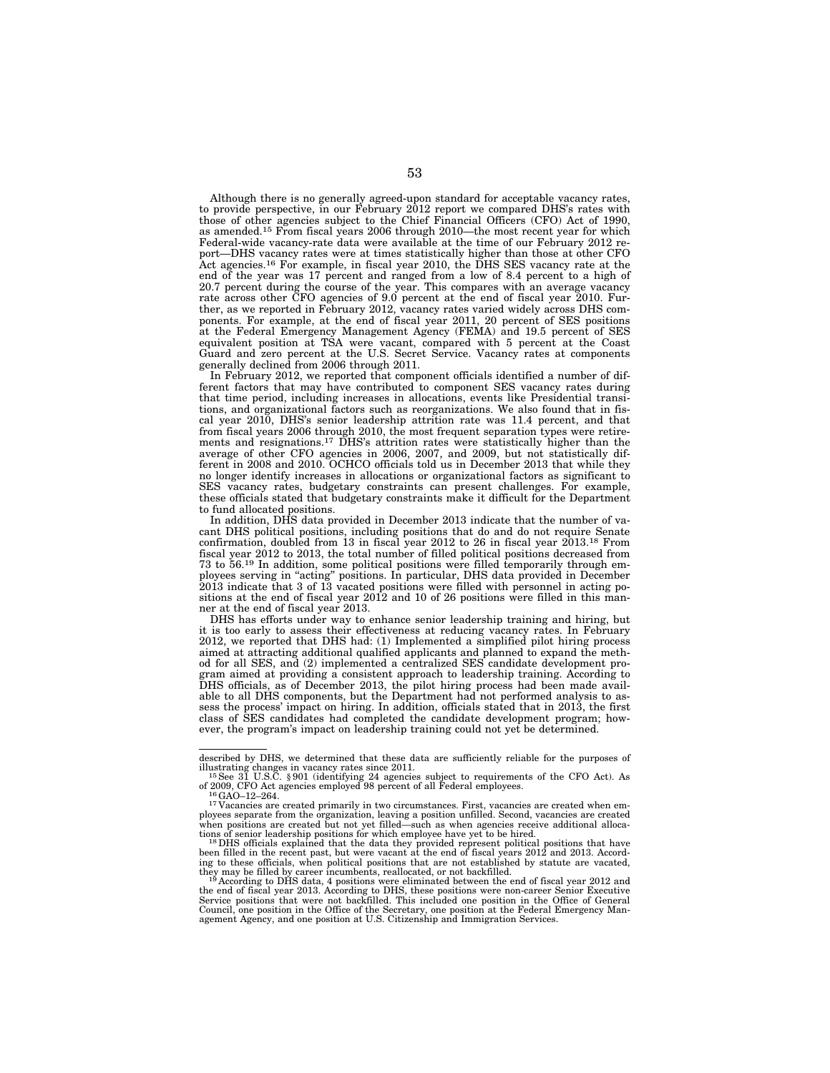Although there is no generally agreed-upon standard for acceptable vacancy rates, to provide perspective, in our February 2012 report we compared DHS's rates with those of other agencies subject to the Chief Financial Officers (CFO) Act of 1990, as amended.15 From fiscal years 2006 through 2010—the most recent year for which Federal-wide vacancy-rate data were available at the time of our February 2012 report—DHS vacancy rates were at times statistically higher than those at other CFO Act agencies.16 For example, in fiscal year 2010, the DHS SES vacancy rate at the end of the year was 17 percent and ranged from a low of 8.4 percent to a high of 20.7 percent during the course of the year. This compares with an average vacancy rate across other CFO agencies of 9.0 percent at the end of fiscal year 2010. Further, as we reported in February 2012, vacancy rates varied widely across DHS components. For example, at the end of fiscal year 2011, 20 percent of SES positions at the Federal Emergency Management Agency (FEMA) and 19.5 percent of SES equivalent position at TSA were vacant, compared with 5 percent at the Coast Guard and zero percent at the U.S. Secret Service. Vacancy rates at components generally declined from 2006 through 2011.

In February 2012, we reported that component officials identified a number of different factors that may have contributed to component SES vacancy rates during that time period, including increases in allocations, events like Presidential transitions, and organizational factors such as reorganizations. We also found that in fiscal year 2010, DHS's senior leadership attrition rate was 11.4 percent, and that from fiscal years 2006 through 2010, the most frequent separation types were retirements and resignations.17 DHS's attrition rates were statistically higher than the average of other CFO agencies in 2006, 2007, and 2009, but not statistically different in 2008 and 2010. OCHCO officials told us in December 2013 that while they no longer identify increases in allocations or organizational factors as significant to SES vacancy rates, budgetary constraints can present challenges. For example, these officials stated that budgetary constraints make it difficult for the Department to fund allocated positions.

In addition, DHS data provided in December 2013 indicate that the number of vacant DHS political positions, including positions that do and do not require Senate confirmation, doubled from 13 in fiscal year 2012 to 26 in fiscal year 2013.18 From fiscal year 2012 to 2013, the total number of filled political positions decreased from 73 to 56.19 In addition, some political positions were filled temporarily through employees serving in ''acting'' positions. In particular, DHS data provided in December 2013 indicate that 3 of 13 vacated positions were filled with personnel in acting positions at the end of fiscal year 2012 and 10 of 26 positions were filled in this manner at the end of fiscal year 2013.

DHS has efforts under way to enhance senior leadership training and hiring, but it is too early to assess their effectiveness at reducing vacancy rates. In February 2012, we reported that DHS had: (1) Implemented a simplified pilot hiring process aimed at attracting additional qualified applicants and planned to expand the method for all SES, and (2) implemented a centralized SES candidate development program aimed at providing a consistent approach to leadership training. According to DHS officials, as of December 2013, the pilot hiring process had been made available to all DHS components, but the Department had not performed analysis to assess the process' impact on hiring. In addition, officials stated that in 2013, the first class of SES candidates had completed the candidate development program; however, the program's impact on leadership training could not yet be determined.

described by DHS, we determined that these data are sufficiently reliable for the purposes of

illustrating changes in vacancy rates since 2011.<br><sup>15</sup>See 31 U.S.C. § 901 (identifying 24 agencies subject to requirements of the CFO Act). As of 2009, CFO Act agencies employed 98 percent of all Federal employees.

 $^{16}$ GAO–12–264.  $^{16}$ CHO–12–264.  $^{16}$ CHO–12–264.  $^{16}$ CHO–12–264.  $^{17}$ Vacancies are created primarily in two circumstances. First, vacancies are created when employees separate from the organization, leaving a position unfilled. Second, vacancies are created when positions are created but not yet filled—such as when agencies receive additional alloca-<br>tions of senior leadership positions for which employee have yet to be hired.<br><sup>18</sup>DHS officials explained that the data they pr

been filled in the recent past, but were vacant at the end of fiscal years 2012 and 2013. Accord-ing to these officials, when political positions that are not established by statute are vacated,

they may be filled by career incumbents, reallocated, or not backfilled.<br><sup>19</sup> According to DHS data, 4 positions were eliminated between the end of fiscal year 2012 and<br>the end of fiscal year 2013. According to DHS, these Council, one position in the Office of the Secretary, one position at the Federal Emergency Man-agement Agency, and one position at U.S. Citizenship and Immigration Services.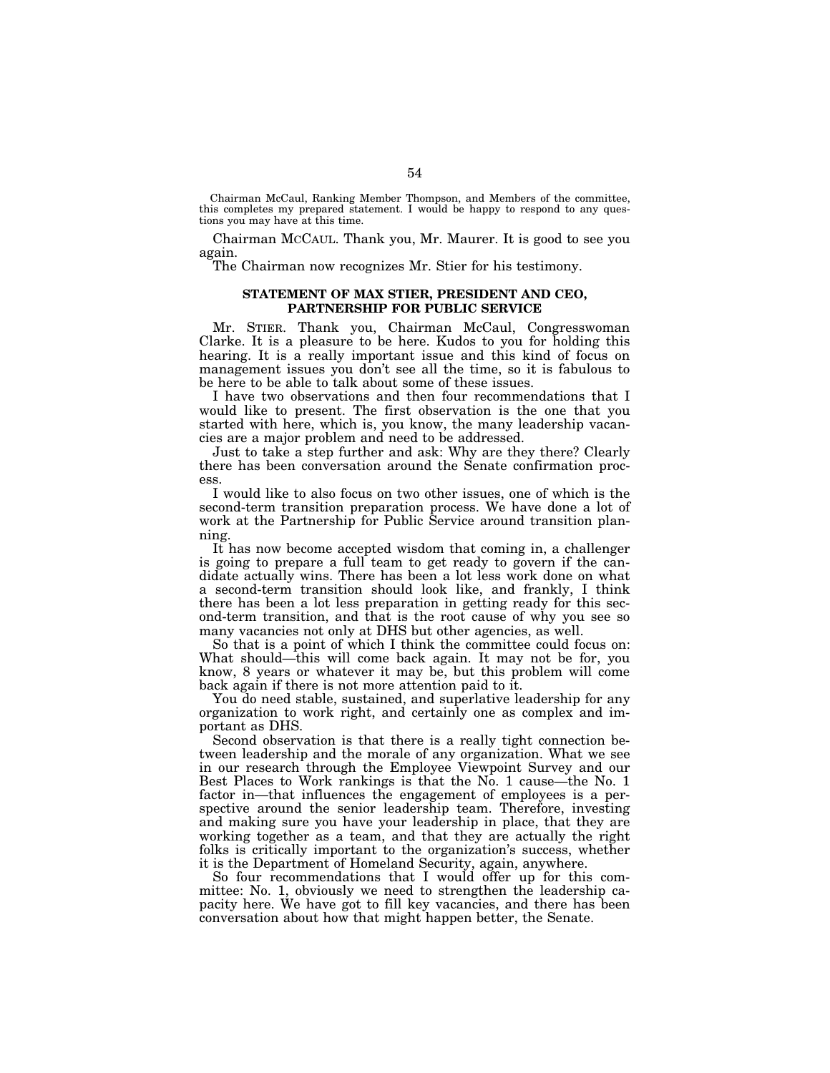Chairman McCaul, Ranking Member Thompson, and Members of the committee, this completes my prepared statement. I would be happy to respond to any questions you may have at this time.

Chairman MCCAUL. Thank you, Mr. Maurer. It is good to see you again.

The Chairman now recognizes Mr. Stier for his testimony.

# **STATEMENT OF MAX STIER, PRESIDENT AND CEO, PARTNERSHIP FOR PUBLIC SERVICE**

Mr. STIER. Thank you, Chairman McCaul, Congresswoman Clarke. It is a pleasure to be here. Kudos to you for holding this hearing. It is a really important issue and this kind of focus on management issues you don't see all the time, so it is fabulous to be here to be able to talk about some of these issues.

I have two observations and then four recommendations that I would like to present. The first observation is the one that you started with here, which is, you know, the many leadership vacancies are a major problem and need to be addressed.

Just to take a step further and ask: Why are they there? Clearly there has been conversation around the Senate confirmation process.

I would like to also focus on two other issues, one of which is the second-term transition preparation process. We have done a lot of work at the Partnership for Public Service around transition planning.

It has now become accepted wisdom that coming in, a challenger is going to prepare a full team to get ready to govern if the candidate actually wins. There has been a lot less work done on what a second-term transition should look like, and frankly, I think there has been a lot less preparation in getting ready for this second-term transition, and that is the root cause of why you see so many vacancies not only at DHS but other agencies, as well.

So that is a point of which I think the committee could focus on: What should—this will come back again. It may not be for, you know, 8 years or whatever it may be, but this problem will come back again if there is not more attention paid to it.

You do need stable, sustained, and superlative leadership for any organization to work right, and certainly one as complex and important as DHS.

Second observation is that there is a really tight connection between leadership and the morale of any organization. What we see in our research through the Employee Viewpoint Survey and our Best Places to Work rankings is that the No. 1 cause—the No. 1 factor in—that influences the engagement of employees is a perspective around the senior leadership team. Therefore, investing and making sure you have your leadership in place, that they are working together as a team, and that they are actually the right folks is critically important to the organization's success, whether it is the Department of Homeland Security, again, anywhere.

So four recommendations that I would offer up for this committee: No. 1, obviously we need to strengthen the leadership capacity here. We have got to fill key vacancies, and there has been conversation about how that might happen better, the Senate.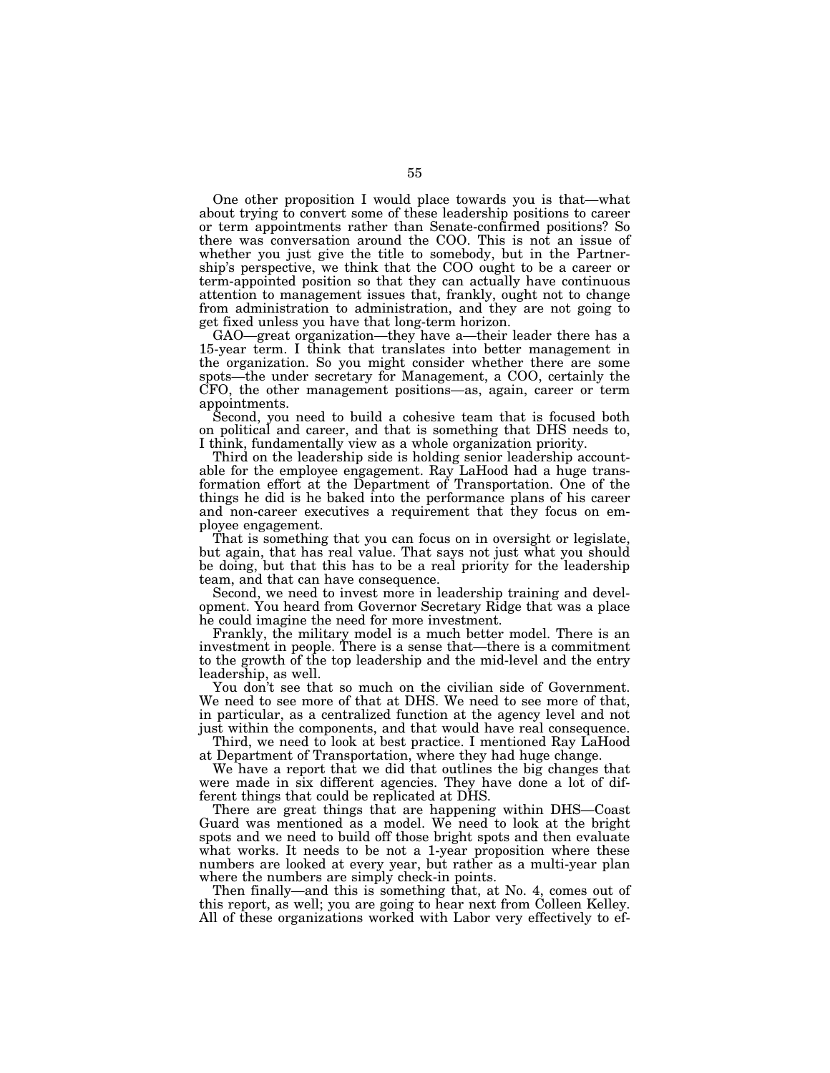One other proposition I would place towards you is that—what about trying to convert some of these leadership positions to career or term appointments rather than Senate-confirmed positions? So there was conversation around the COO. This is not an issue of whether you just give the title to somebody, but in the Partnership's perspective, we think that the COO ought to be a career or term-appointed position so that they can actually have continuous attention to management issues that, frankly, ought not to change from administration to administration, and they are not going to get fixed unless you have that long-term horizon.

GAO—great organization—they have a—their leader there has a 15-year term. I think that translates into better management in the organization. So you might consider whether there are some spots—the under secretary for Management, a COO, certainly the CFO, the other management positions—as, again, career or term appointments.

Second, you need to build a cohesive team that is focused both on political and career, and that is something that DHS needs to, I think, fundamentally view as a whole organization priority.

Third on the leadership side is holding senior leadership accountable for the employee engagement. Ray LaHood had a huge transformation effort at the Department of Transportation. One of the things he did is he baked into the performance plans of his career and non-career executives a requirement that they focus on employee engagement.

That is something that you can focus on in oversight or legislate, but again, that has real value. That says not just what you should be doing, but that this has to be a real priority for the leadership team, and that can have consequence.

Second, we need to invest more in leadership training and development. You heard from Governor Secretary Ridge that was a place he could imagine the need for more investment.

Frankly, the military model is a much better model. There is an investment in people. There is a sense that—there is a commitment to the growth of the top leadership and the mid-level and the entry leadership, as well.

You don't see that so much on the civilian side of Government. We need to see more of that at DHS. We need to see more of that, in particular, as a centralized function at the agency level and not just within the components, and that would have real consequence.

Third, we need to look at best practice. I mentioned Ray LaHood at Department of Transportation, where they had huge change.

We have a report that we did that outlines the big changes that were made in six different agencies. They have done a lot of different things that could be replicated at DHS.

There are great things that are happening within DHS—Coast Guard was mentioned as a model. We need to look at the bright spots and we need to build off those bright spots and then evaluate what works. It needs to be not a 1-year proposition where these numbers are looked at every year, but rather as a multi-year plan where the numbers are simply check-in points.

Then finally—and this is something that, at No. 4, comes out of this report, as well; you are going to hear next from Colleen Kelley. All of these organizations worked with Labor very effectively to ef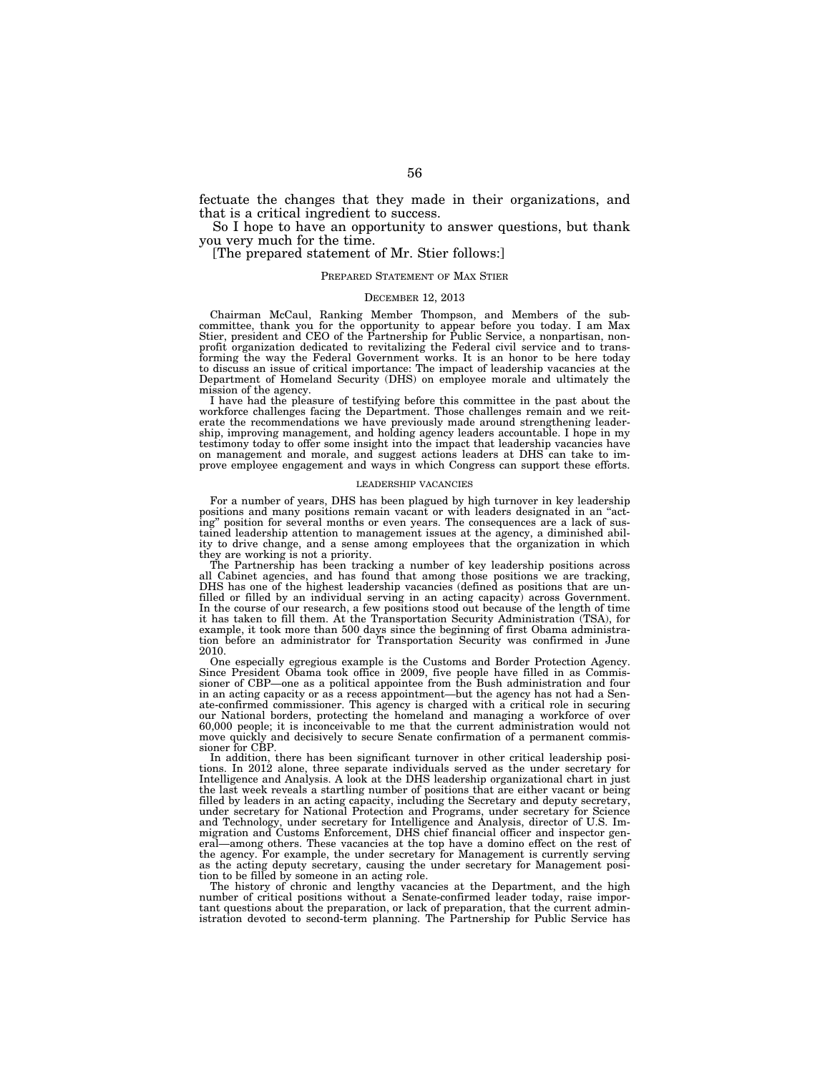fectuate the changes that they made in their organizations, and that is a critical ingredient to success.

So I hope to have an opportunity to answer questions, but thank you very much for the time.

[The prepared statement of Mr. Stier follows:]

## PREPARED STATEMENT OF MAX STIER

# DECEMBER 12, 2013

Chairman McCaul, Ranking Member Thompson, and Members of the sub-<br>committee, thank you for the opportunity to appear before you today. I am Max<br>Stier, president and CEO of the Partnership for Public Service, a nonpartisan, profit organization dedicated to revitalizing the Federal civil service and to transforming the way the Federal Government works. It is an honor to be here today to discuss an issue of critical importance: The impact of leadership vacancies at the Department of Homeland Security (DHS) on employee morale and ultimately the mission of the agency.

I have had the pleasure of testifying before this committee in the past about the workforce challenges facing the Department. Those challenges remain and we reit-<br>erate the recommendations we have previously made around strengthening leader-<br>ship, improving management, and holding agency leaders account testimony today to offer some insight into the impact that leadership vacancies have on management and morale, and suggest actions leaders at DHS can take to improve employee engagement and ways in which Congress can support these efforts.

## LEADERSHIP VACANCIES

For a number of years, DHS has been plagued by high turnover in key leadership positions and many positions remain vacant or with leaders designated in an ''acting'' position for several months or even years. The consequences are a lack of sustained leadership attention to management issues at the agency, a diminished ability to drive change, and a sense among employees that the organization in which they are working is not a priority.

The Partnership has been tracking a number of key leadership positions across<br>all Cabinet agencies, and has found that among those positions we are tracking,<br>DHS has one of the highest leadership vacancies (defined as posi filled or filled by an individual serving in an acting capacity) across Government. In the course of our research, a few positions stood out because of the length of time it has taken to fill them. At the Transportation Security Administration (TSA), for example, it took more than 500 days since the beginning of first Obama administra-tion before an administrator for Transportation Security was confirmed in June 2010.

One especially egregious example is the Customs and Border Protection Agency. Since President Obama took office in 2009, five people have filled in as Commissioner of CBP—one as a political appointee from the Bush administration and four in an acting capacity or as a recess appointment—but the agency has not had a Senate-confirmed commissioner. This agency is charged with a critical role in securing our National borders, protecting the homeland and managing a workforce of over 60,000 people; it is inconceivable to me that the current administration would not move quickly and decisively to secure Senate confirmation of a permanent commissioner for CBP.

In addition, there has been significant turnover in other critical leadership posi-tions. In 2012 alone, three separate individuals served as the under secretary for Intelligence and Analysis. A look at the DHS leadership organizational chart in just the last week reveals a startling number of positions that are either vacant or being filled by leaders in an acting capacity, including the Secretary and deputy secretary, under secretary for National Protection and Programs, under secretary for Science and Technology, under secretary for Intelligence and Analysis, director of U.S. Im-migration and Customs Enforcement, DHS chief financial officer and inspector general—among others. These vacancies at the top have a domino effect on the rest of the agency. For example, the under secretary for Management is currently serving as the acting deputy secretary, causing the under secretary for Management position to be filled by someone in an acting role.

The history of chronic and lengthy vacancies at the Department, and the high number of critical positions without a Senate-confirmed leader today, raise important questions about the preparation, or lack of preparation, that the current administration devoted to second-term planning. The Partnership for Public Service has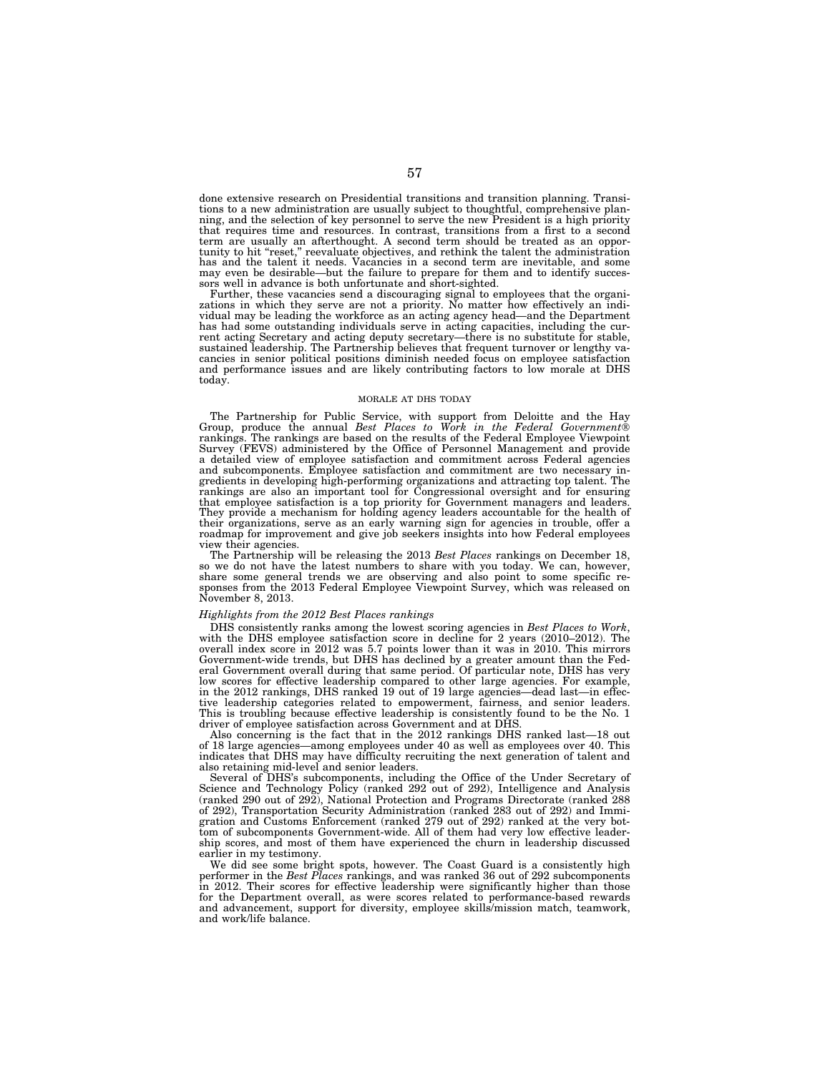done extensive research on Presidential transitions and transition planning. Transitions to a new administration are usually subject to thoughtful, comprehensive planning, and the selection of key personnel to serve the new President is a high priority that requires time and resources. In contrast, transitions from a first to a second term are usually an afterthought. A second term should be treated as an opportunity to hit ''reset,'' reevaluate objectives, and rethink the talent the administration has and the talent it needs. Vacancies in a second term are inevitable, and some may even be desirable—but the failure to prepare for them and to identify succes-sors well in advance is both unfortunate and short-sighted.

Further, these vacancies send a discouraging signal to employees that the organizations in which they serve are not a priority. No matter how effectively an individual may be leading the workforce as an acting agency head—and the Department has had some outstanding individuals serve in acting capacities, including the current acting Secretary and acting deputy secretary—there is no substitute for stable, sustained leadership. The Partnership believes that frequent turnover or lengthy vacancies in senior political positions diminish needed focus on employee satisfaction and performance issues and are likely contributing factors to low morale at DHS today.

#### MORALE AT DHS TODAY

The Partnership for Public Service, with support from Deloitte and the Hay Group, produce the annual *Best Places to Work in the Federal Government*® rankings. The rankings are based on the results of the Federal Employee Viewpoint Survey (FEVS) administered by the Office of Personnel Management and provide a detailed view of employee satisfaction and commitment across Federal agencies and subcomponents. Employee satisfaction and commitment are two necessary ingredients in developing high-performing organizations and attracting top talent. The rankings are also an important tool for Congressional oversight and for ensuring that employee satisfaction is a top priority for Government managers and leaders. They provide a mechanism for holding agency leaders accountable for the health of their organizations, serve as an early warning sign for agencies in trouble, offer a roadmap for improvement and give job seekers insights into how Federal employees view their agencies.

The Partnership will be releasing the 2013 *Best Places* rankings on December 18, so we do not have the latest numbers to share with you today. We can, however, share some general trends we are observing and also point to some specific responses from the 2013 Federal Employee Viewpoint Survey, which was released on November 8, 2013.

#### *Highlights from the 2012 Best Places rankings*

DHS consistently ranks among the lowest scoring agencies in *Best Places to Work*, with the DHS employee satisfaction score in decline for 2 years (2010–2012). The overall index score in 2012 was 5.7 points lower than it was in 2010. This mirrors Government-wide trends, but DHS has declined by a greater amount than the Federal Government overall during that same period. Of particular note, DHS has very low scores for effective leadership compared to other large agencies. For example, in the 2012 rankings, DHS ranked 19 out of 19 large agencies—dead last—in effective leadership categories related to empowerment, fairness, and senior leaders. This is troubling because effective leadership is consistently found to be the No. 1 driver of employee satisfaction across Government and at DHS.

Also concerning is the fact that in the 2012 rankings DHS ranked last—18 out of 18 large agencies—among employees under 40 as well as employees over 40. This indicates that DHS may have difficulty recruiting the next generation of talent and also retaining mid-level and senior leaders.

Several of DHS's subcomponents, including the Office of the Under Secretary of Science and Technology Policy (ranked 292 out of 292), Intelligence and Analysis (ranked 290 out of 292), National Protection and Programs Directorate (ranked 288 of 292), Transportation Security Administration (ranked 283 out of 292) and Immigration and Customs Enforcement (ranked 279 out of 292) ranked at the very bottom of subcomponents Government-wide. All of them had very low effective leadership scores, and most of them have experienced the churn in leadership discussed earlier in my testimony.

We did see some bright spots, however. The Coast Guard is a consistently high performer in the *Best Places* rankings, and was ranked 36 out of 292 subcomponents in 2012. Their scores for effective leadership were significantly higher than those for the Department overall, as were scores related to performance-based rewards and advancement, support for diversity, employee skills/mission match, teamwork, and work/life balance.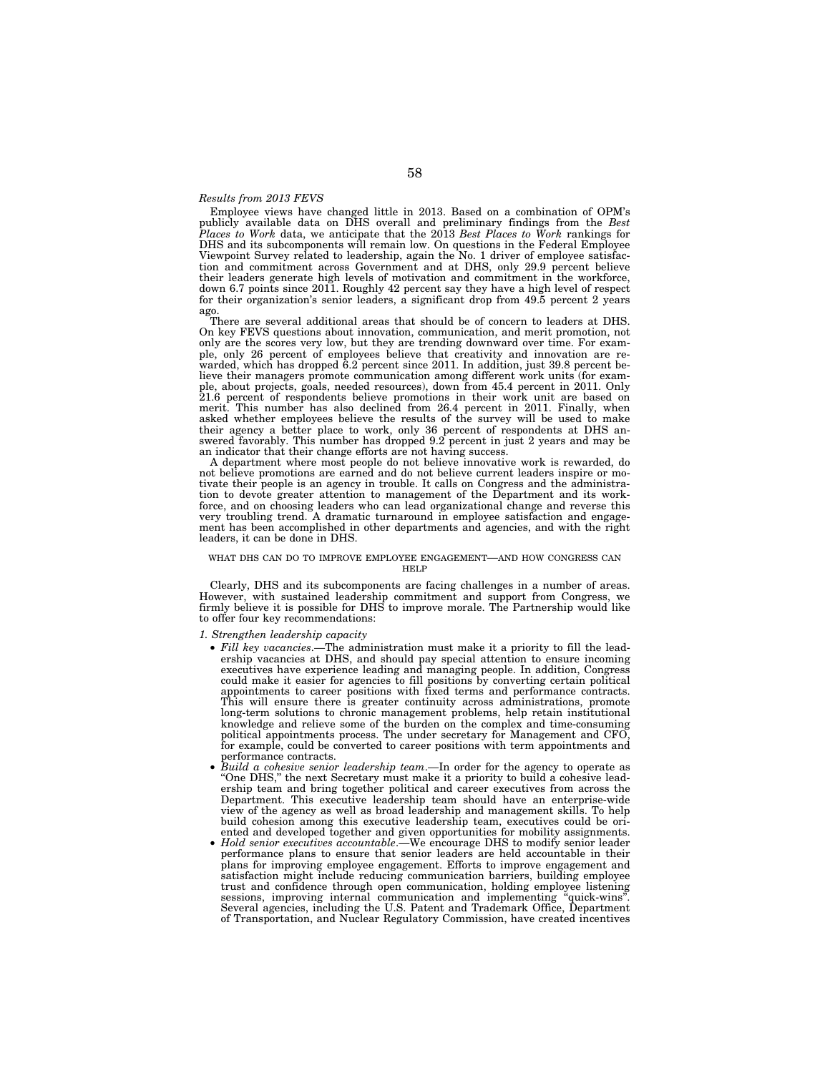# *Results from 2013 FEVS*

Employee views have changed little in 2013. Based on a combination of OPM's publicly available data on DHS overall and preliminary findings from the *Best Places to Work* data, we anticipate that the 2013 *Best Places to Work* rankings for DHS and its subcomponents will remain low. On questions in the Federal Employee Viewpoint Survey related to leadership, again the No. 1 driver of employee satisfaction and commitment across Government and at DHS, only 29.9 percent believe their leaders generate high levels of motivation and commitment in the workforce, down 6.7 points since 2011. Roughly 42 percent say they have a high level of respect for their organization's senior leaders, a significant drop from 49.5 percent 2 years ago.

There are several additional areas that should be of concern to leaders at DHS. On key FEVS questions about innovation, communication, and merit promotion, not only are the scores very low, but they are trending downward over time. For example, only 26 percent of employees believe that creativity and innovation are rewarded, which has dropped 6.2 percent since 2011. In addition, just 39.8 percent believe their managers promote communication among different work units (for example, about projects, goals, needed resources), down from 45.4 percent in 2011. Only 21.6 percent of respondents believe promotions in their work unit are based on merit. This number has also declined from 26.4 percent in 2011. Finally, when asked whether employees believe the results of the survey will be used to make their agency a better place to work, only 36 percent of respondents at DHS answered favorably. This number has dropped 9.2 percent in just 2 years and may be an indicator that their change efforts are not having success.

A department where most people do not believe innovative work is rewarded, do not believe promotions are earned and do not believe current leaders inspire or motivate their people is an agency in trouble. It calls on Congress and the administration to devote greater attention to management of the Department and its workforce, and on choosing leaders who can lead organizational change and reverse this very troubling trend. A dramatic turnaround in employee satisfaction and engagement has been accomplished in other departments and agencies, and with the right leaders, it can be done in DHS.

#### WHAT DHS CAN DO TO IMPROVE EMPLOYEE ENGAGEMENT—AND HOW CONGRESS CAN HELP

Clearly, DHS and its subcomponents are facing challenges in a number of areas. However, with sustained leadership commitment and support from Congress, we firmly believe it is possible for DHS to improve morale. The Partnership would like to offer four key recommendations:

# *1. Strengthen leadership capacity*

- *Fill key vacancies*.—The administration must make it a priority to fill the leadership vacancies at DHS, and should pay special attention to ensure incoming executives have experience leading and managing people. In addition, Congress could make it easier for agencies to fill positions by converting certain political appointments to career positions with fixed terms and performance contracts. This will ensure there is greater continuity across administrations, promote long-term solutions to chronic management problems, help retain institutional knowledge and relieve some of the burden on the complex and time-consuming political appointments process. The under secretary for Management and CFO, for example, could be converted to career positions with term appointments and performance contracts.
- *Build a cohesive senior leadership team*.—In order for the agency to operate as ''One DHS,'' the next Secretary must make it a priority to build a cohesive leadership team and bring together political and career executives from across the Department. This executive leadership team should have an enterprise-wide view of the agency as well as broad leadership and management skills. To help build cohesion among this executive leadership team, executives could be oriented and developed together and given opportunities for mobility assignments.
- *Hold senior executives accountable*.—We encourage DHS to modify senior leader performance plans to ensure that senior leaders are held accountable in their plans for improving employee engagement. Efforts to improve engagement and satisfaction might include reducing communication barriers, building employee trust and confidence through open communication, holding employee listening sessions, improving internal communication and implementing "quick-wins". sessions, improving internal communication and implementing ' Several agencies, including the U.S. Patent and Trademark Office, Department of Transportation, and Nuclear Regulatory Commission, have created incentives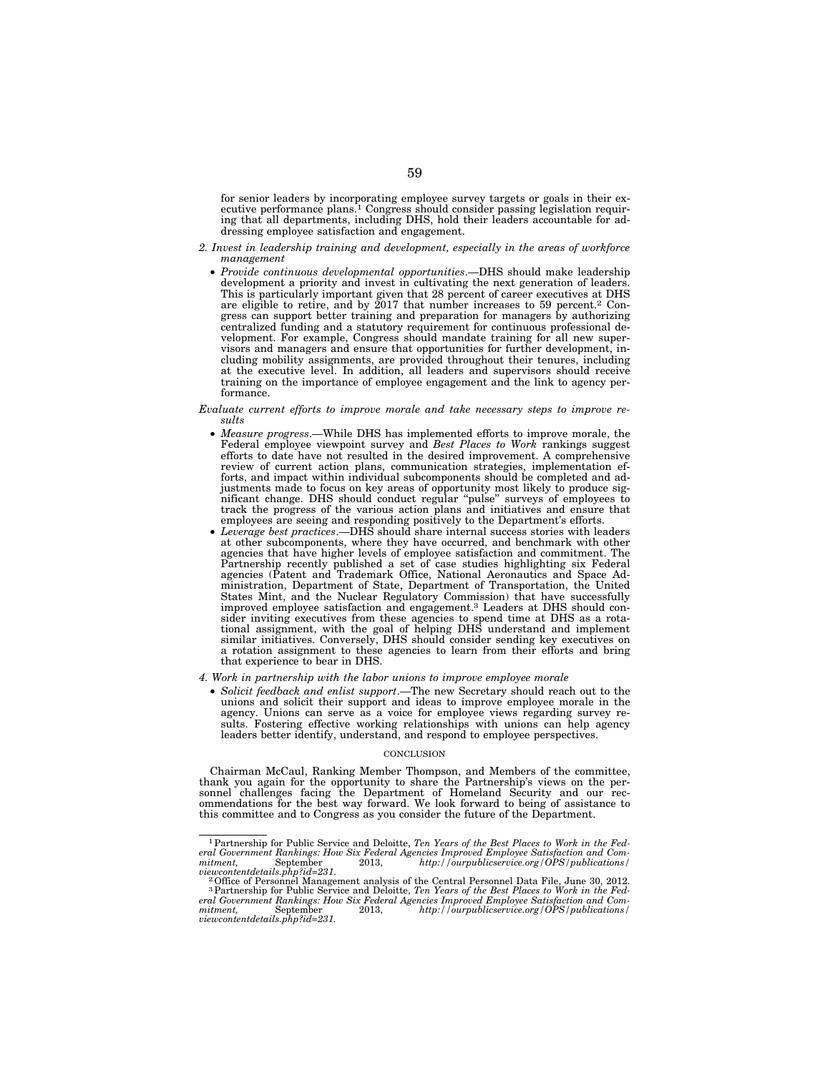for senior leaders by incorporating employee survey targets or goals in their executive performance plans.<sup>1</sup> Congress should consider passing legislation requiring that all departments, including DHS, hold their leaders accountable for addressing employee satisfaction and engagement.

- *2. Invest in leadership training and development, especially in the areas of workforce management* 
	- *Provide continuous developmental opportunities*.—DHS should make leadership development a priority and invest in cultivating the next generation of leaders. This is particularly important given that 28 percent of career executives at DHS are eligible to retire, and by 2017 that number increases to 59 percent.2 Congress can support better training and preparation for managers by authorizing centralized funding and a statutory requirement for continuous professional development. For example, Congress should mandate training for all new supervisors and managers and ensure that opportunities for further development, including mobility assignments, are provided throughout their tenures, including at the executive level. In addition, all leaders and supervisors should receive training on the importance of employee engagement and the link to agency performance.

## *Evaluate current efforts to improve morale and take necessary steps to improve results*

- *Measure progress*.—While DHS has implemented efforts to improve morale, the Federal employee viewpoint survey and *Best Places to Work* rankings suggest efforts to date have not resulted in the desired improvement. A comprehensive review of current action plans, communication strategies, implementation efforts, and impact within individual subcomponents should be completed and adjustments made to focus on key areas of opportunity most likely to produce significant change. DHS should conduct regular ''pulse'' surveys of employees to track the progress of the various action plans and initiatives and ensure that employees are seeing and responding positively to the Department's efforts.
- *Leverage best practices*.—DHS should share internal success stories with leaders at other subcomponents, where they have occurred, and benchmark with other agencies that have higher levels of employee satisfaction and commitment. The Partnership recently published a set of case studies highlighting six Federal agencies (Patent and Trademark Office, National Aeronautics and Space Administration, Department of State, Department of Transportation, the United States Mint, and the Nuclear Regulatory Commission) that have successfully improved employee satisfaction and engagement.3 Leaders at DHS should consider inviting executives from these agencies to spend time at DHS as a rotational assignment, with the goal of helping DHS understand and implement similar initiatives. Conversely, DHS should consider sending key executives on a rotation assignment to these agencies to learn from their efforts and bring that experience to bear in DHS.
- *4. Work in partnership with the labor unions to improve employee morale* 
	- *Solicit feedback and enlist support*.—The new Secretary should reach out to the unions and solicit their support and ideas to improve employee morale in the agency. Unions can serve as a voice for employee views regarding survey results. Fostering effective working relationships with unions can help agency leaders better identify, understand, and respond to employee perspectives.

#### **CONCLUSION**

Chairman McCaul, Ranking Member Thompson, and Members of the committee, thank you again for the opportunity to share the Partnership's views on the personnel challenges facing the Department of Homeland Security and our recommendations for the best way forward. We look forward to being of assistance to this committee and to Congress as you consider the future of the Department.

<sup>1</sup>Partnership for Public Service and Deloitte, *Ten Years of the Best Places to Work in the Federal Government Rankings: How Six Federal Agencies Improved Employee Satisfaction and Com-mitment,* September 2013, *http://ourpublicservice.org/OPS/publications/* 

viewcontentdetails.php?id=231.<br><sup>2</sup> Office of Personnel Management analysis of the Central Personnel Data File, June 30, 2012.<br><sup>3</sup> Partnership for Public Service and Deloitte, *Ten Years of the Best Places to Work in the Fe eral Government Rankings: How Six Federal Agencies Improved Employee Satisfaction and Comhttp://ourpublicservice.org/OPS/publications/ viewcontentdetails.php?id=231.*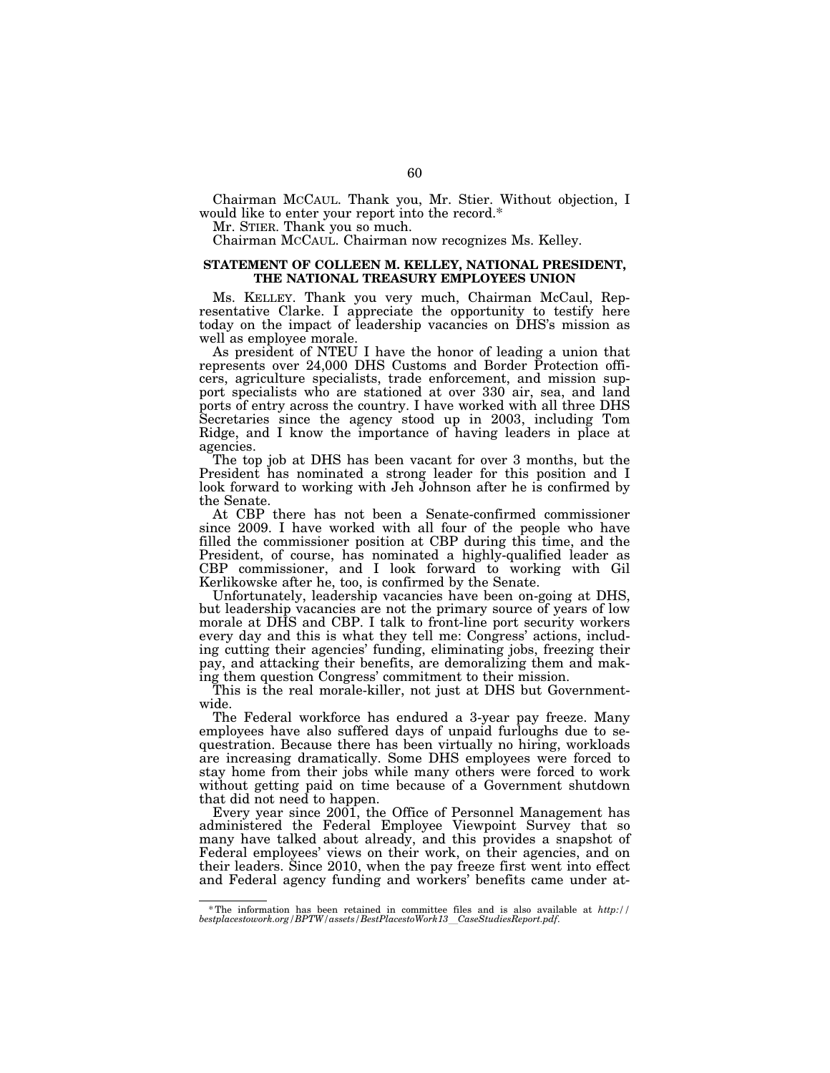Chairman MCCAUL. Thank you, Mr. Stier. Without objection, I would like to enter your report into the record.\*

Mr. STIER. Thank you so much.

Chairman MCCAUL. Chairman now recognizes Ms. Kelley.

# **STATEMENT OF COLLEEN M. KELLEY, NATIONAL PRESIDENT, THE NATIONAL TREASURY EMPLOYEES UNION**

Ms. KELLEY. Thank you very much, Chairman McCaul, Representative Clarke. I appreciate the opportunity to testify here today on the impact of leadership vacancies on DHS's mission as well as employee morale.

As president of NTEU I have the honor of leading a union that represents over 24,000 DHS Customs and Border Protection officers, agriculture specialists, trade enforcement, and mission support specialists who are stationed at over 330 air, sea, and land ports of entry across the country. I have worked with all three DHS Secretaries since the agency stood up in 2003, including Tom Ridge, and I know the importance of having leaders in place at agencies.

The top job at DHS has been vacant for over 3 months, but the President has nominated a strong leader for this position and I look forward to working with Jeh Johnson after he is confirmed by the Senate.

At CBP there has not been a Senate-confirmed commissioner since 2009. I have worked with all four of the people who have filled the commissioner position at CBP during this time, and the President, of course, has nominated a highly-qualified leader as CBP commissioner, and I look forward to working with Gil Kerlikowske after he, too, is confirmed by the Senate.

Unfortunately, leadership vacancies have been on-going at DHS, but leadership vacancies are not the primary source of years of low morale at DHS and CBP. I talk to front-line port security workers every day and this is what they tell me: Congress' actions, including cutting their agencies' funding, eliminating jobs, freezing their pay, and attacking their benefits, are demoralizing them and making them question Congress' commitment to their mission.

This is the real morale-killer, not just at DHS but Governmentwide.

The Federal workforce has endured a 3-year pay freeze. Many employees have also suffered days of unpaid furloughs due to sequestration. Because there has been virtually no hiring, workloads are increasing dramatically. Some DHS employees were forced to stay home from their jobs while many others were forced to work without getting paid on time because of a Government shutdown that did not need to happen.

Every year since 2001, the Office of Personnel Management has administered the Federal Employee Viewpoint Survey that so many have talked about already, and this provides a snapshot of Federal employees' views on their work, on their agencies, and on their leaders. Since 2010, when the pay freeze first went into effect and Federal agency funding and workers' benefits came under at-

<sup>\*</sup> The information has been retained in committee files and is also available at *http:// bestplacestowork.org/BPTW/assets/BestPlacestoWork13*l*CaseStudiesReport.pdf*.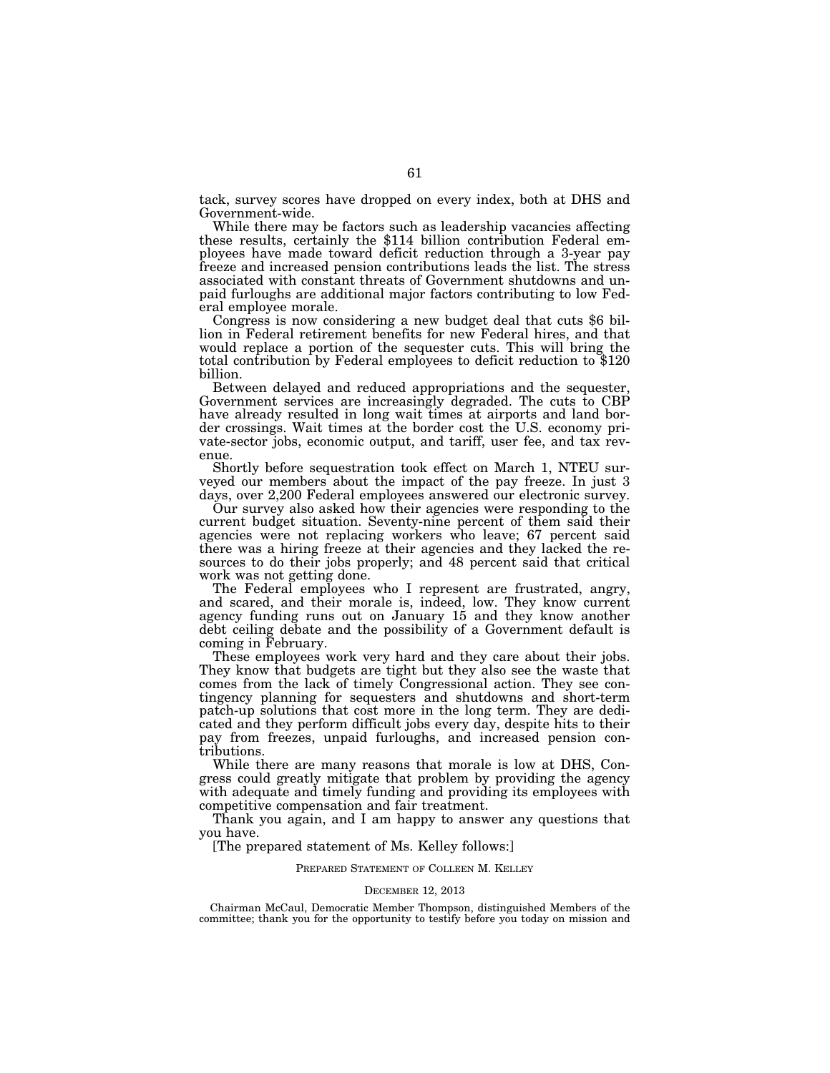tack, survey scores have dropped on every index, both at DHS and

Government-wide.<br>While there may be factors such as leadership vacancies affecting these results, certainly the \$114 billion contribution Federal employees have made toward deficit reduction through a 3-year pay freeze and increased pension contributions leads the list. The stress associated with constant threats of Government shutdowns and unpaid furloughs are additional major factors contributing to low Federal employee morale. Congress is now considering a new budget deal that cuts \$6 bil-

lion in Federal retirement benefits for new Federal hires, and that would replace a portion of the sequester cuts. This will bring the total contribution by Federal employees to deficit reduction to \$120 billion.

Between delayed and reduced appropriations and the sequester, Government services are increasingly degraded. The cuts to CBP have already resulted in long wait times at airports and land border crossings. Wait times at the border cost the U.S. economy private-sector jobs, economic output, and tariff, user fee, and tax revenue.

Shortly before sequestration took effect on March 1, NTEU surveyed our members about the impact of the pay freeze. In just 3 days, over 2,200 Federal employees answered our electronic survey.

Our survey also asked how their agencies were responding to the current budget situation. Seventy-nine percent of them said their agencies were not replacing workers who leave; 67 percent said there was a hiring freeze at their agencies and they lacked the resources to do their jobs properly; and 48 percent said that critical work was not getting done.

The Federal employees who I represent are frustrated, angry, and scared, and their morale is, indeed, low. They know current agency funding runs out on January 15 and they know another debt ceiling debate and the possibility of a Government default is coming in February.

These employees work very hard and they care about their jobs. They know that budgets are tight but they also see the waste that comes from the lack of timely Congressional action. They see contingency planning for sequesters and shutdowns and short-term patch-up solutions that cost more in the long term. They are dedicated and they perform difficult jobs every day, despite hits to their pay from freezes, unpaid furloughs, and increased pension contributions.

While there are many reasons that morale is low at DHS, Congress could greatly mitigate that problem by providing the agency with adequate and timely funding and providing its employees with competitive compensation and fair treatment.

Thank you again, and I am happy to answer any questions that you have.

[The prepared statement of Ms. Kelley follows:]

PREPARED STATEMENT OF COLLEEN M. KELLEY

#### DECEMBER 12, 2013

Chairman McCaul, Democratic Member Thompson, distinguished Members of the committee; thank you for the opportunity to testify before you today on mission and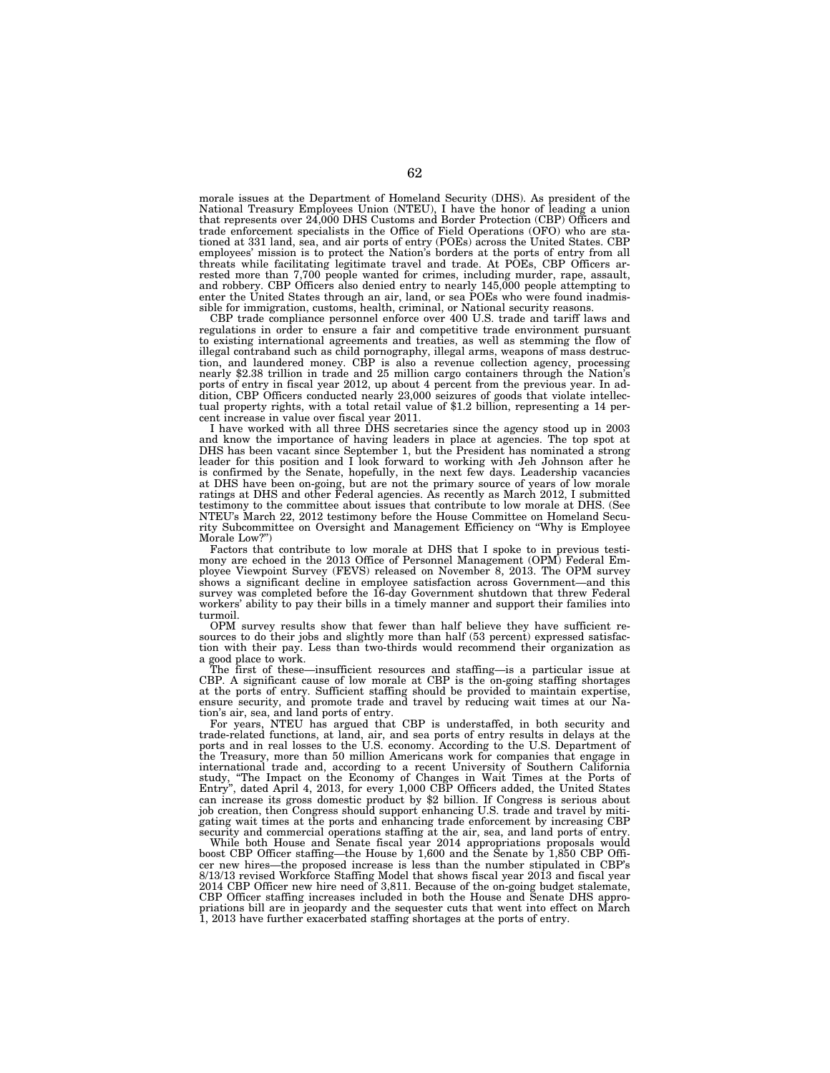morale issues at the Department of Homeland Security (DHS). As president of the National Treasury Employees Union (NTEU), I have the honor of leading a union that represents over 24,000 DHS Customs and Border Protection (CBP) Officers and trade enforcement specialists in the Office of Field Operations (OFO) who are stationed at 331 land, sea, and air ports of entry (POEs) across the United States. CBP employees' mission is to protect the Nation's borders at the ports of entry from all threats while facilitating legitimate travel and trade. At POEs, CBP Officers arrested more than 7,700 people wanted for crimes, including murder, rape, assault, and robbery. CBP Officers also denied entry to nearly 145,000 people attempting to enter the United States through an air, land, or sea POEs who were found inadmissible for immigration, customs, health, criminal, or National security reasons.

CBP trade compliance personnel enforce over 400 U.S. trade and tariff laws and regulations in order to ensure a fair and competitive trade environment pursuant to existing international agreements and treaties, as well as stemming the flow of illegal contraband such as child pornography, illegal arms, weapons of mass destruction, and laundered money. CBP is also a revenue collection agency, processing nearly \$2.38 trillion in trade and 25 million cargo containers through the Nation's ports of entry in fiscal year 2012, up about 4 percent from the previous year. In addition, CBP Officers conducted nearly 23,000 seizures of goods that violate intellectual property rights, with a total retail value of \$1.2 billion, representing a 14 percent increase in value over fiscal year 2011.

I have worked with all three DHS secretaries since the agency stood up in 2003 and know the importance of having leaders in place at agencies. The top spot at DHS has been vacant since September 1, but the President has nominated a strong leader for this position and I look forward to working with Jeh Johnson after he is confirmed by the Senate, hopefully, in the next few days. Leadership vacancies at DHS have been on-going, but are not the primary source of years of low morale ratings at DHS and other Federal agencies. As recently as March 2012, I submitted testimony to the committee about issues that contribute to low morale at DHS. (See NTEU's March 22, 2012 testimony before the House Committee on Homeland Security Subcommittee on Oversight and Management Efficiency on ''Why is Employee Morale Low?'

Factors that contribute to low morale at DHS that I spoke to in previous testimony are echoed in the 2013 Office of Personnel Management (OPM) Federal Employee Viewpoint Survey (FEVS) released on November 8, 2013. The OPM survey shows a significant decline in employee satisfaction across Government—and this survey was completed before the 16-day Government shutdown that threw Federal workers' ability to pay their bills in a timely manner and support their families into turmoil.

OPM survey results show that fewer than half believe they have sufficient resources to do their jobs and slightly more than half (53 percent) expressed satisfaction with their pay. Less than two-thirds would recommend their organization as a good place to work.

The first of these—insufficient resources and staffing—is a particular issue at CBP. A significant cause of low morale at CBP is the on-going staffing shortages at the ports of entry. Sufficient staffing should be provided to maintain expertise, ensure security, and promote trade and travel by reducing wait times at our Nation's air, sea, and land ports of entry.

For years, NTEU has argued that CBP is understaffed, in both security and trade-related functions, at land, air, and sea ports of entry results in delays at the ports and in real losses to the U.S. economy. According to the U.S. Department of the Treasury, more than 50 million Americans work for companies that engage in international trade and, according to a recent University of Southern California study, ''The Impact on the Economy of Changes in Wait Times at the Ports of Entry'', dated April 4, 2013, for every 1,000 CBP Officers added, the United States can increase its gross domestic product by \$2 billion. If Congress is serious about job creation, then Congress should support enhancing U.S. trade and travel by mitigating wait times at the ports and enhancing trade enforcement by increasing CBP security and commercial operations staffing at the air, sea, and land ports of entry.

While both House and Senate fiscal year 2014 appropriations proposals would boost CBP Officer staffing—the House by 1,600 and the Senate by 1,850 CBP Officer new hires—the proposed increase is less than the number stipulated in CBP's 8/13/13 revised Workforce Staffing Model that shows fiscal year 2013 and fiscal year 2014 CBP Officer new hire need of 3,811. Because of the on-going budget stalemate, CBP Officer staffing increases included in both the House and Senate DHS appropriations bill are in jeopardy and the sequester cuts that went into effect on March 1, 2013 have further exacerbated staffing shortages at the ports of entry.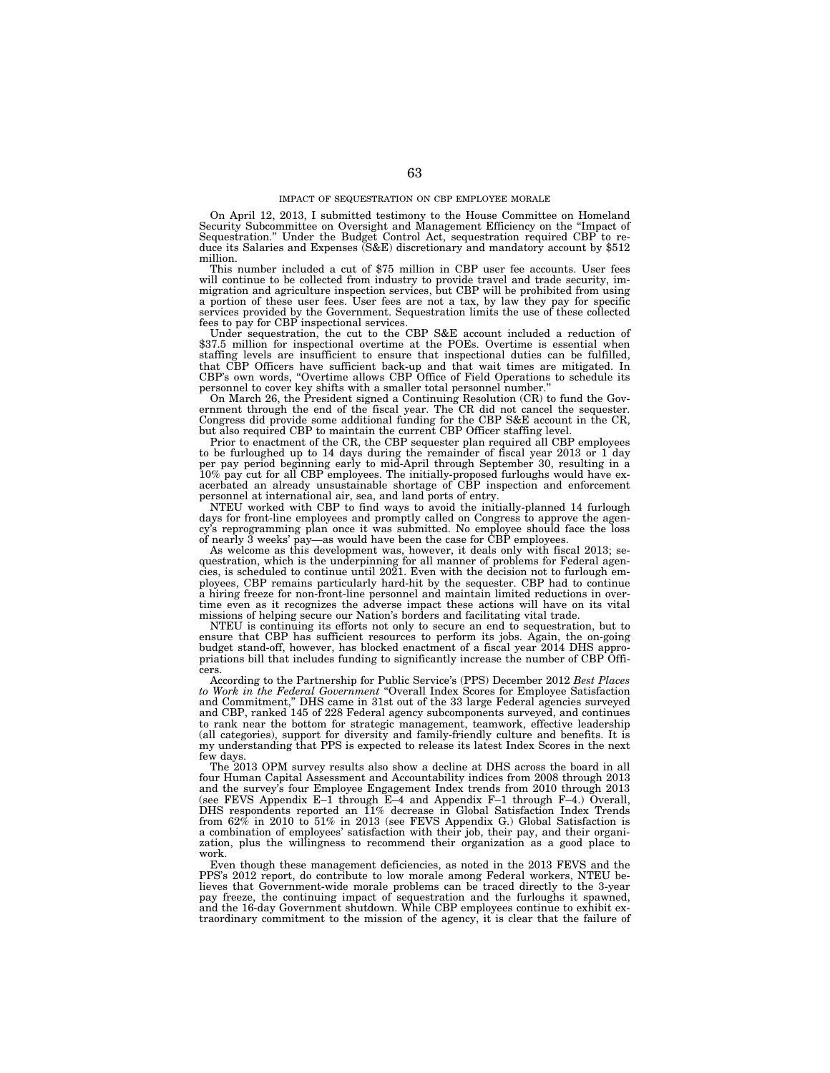On April 12, 2013, I submitted testimony to the House Committee on Homeland Security Subcommittee on Oversight and Management Efficiency on the ''Impact of Sequestration.'' Under the Budget Control Act, sequestration required CBP to re-duce its Salaries and Expenses (S&E) discretionary and mandatory account by \$512 million.

This number included a cut of \$75 million in CBP user fee accounts. User fees will continue to be collected from industry to provide travel and trade security, immigration and agriculture inspection services, but CBP will a portion of these user fees. User fees are not a tax, by law they pay for specific services provided by the Government. Sequestration limits the use of these collected fees to pay for CBP inspectional services.

Under sequestration, the cut to the CBP S&E account included a reduction of \$37.5 million for inspectional overtime at the POEs. Overtime is essential when staffing levels are insufficient to ensure that inspectional duties can be fulfilled, that CBP Officers have sufficient back-up and that wait times are mitigated. In CBP's own words, "Overtime allows CBP Office of Field Operations to schedule its personnel to cover key shifts with a smaller total personnel number.

On March 26, the President signed a Continuing Resolution (CR) to fund the Government through the end of the fiscal year. The CR did not cancel the sequester. Congress did provide some additional funding for the CBP S&E account in the CR, but also required CBP to maintain the current CBP Officer staffing level.

Prior to enactment of the CR, the CBP sequester plan required all CBP employees to be furloughed up to 14 days during the remainder of fiscal year 2013 or 1 day per pay period beginning early to mid-April through September 30, resulting in a 10% pay cut for all CBP employees. The initially-proposed furloughs would have exacerbated an already unsustainable shortage of CBP inspection and enforcement personnel at international air, sea, and land ports of entry.

NTEU worked with CBP to find ways to avoid the initially-planned 14 furlough days for front-line employees and promptly called on Congress to approve the agency's reprogramming plan once it was submitted. No employee should face the loss of nearly 3 weeks' pay—as would have been the case for CBP employees.

As welcome as this development was, however, it deals only with fiscal 2013; sequestration, which is the underpinning for all manner of problems for Federal agencies, is scheduled to continue until 2021. Even with the decision not to furlough employees, CBP remains particularly hard-hit by the sequester. CBP had to continue a hiring freeze for non-front-line personnel and maintain limited reductions in overtime even as it recognizes the adverse impact these actions will have on its vital missions of helping secure our Nation's borders and facilitating vital trade.

NTEU is continuing its efforts not only to secure an end to sequestration, but to ensure that CBP has sufficient resources to perform its jobs. Again, the on-going budget stand-off, however, has blocked enactment of a fiscal year 2014 DHS appropriations bill that includes funding to significantly increase the number of CBP Officers.

According to the Partnership for Public Service's (PPS) December 2012 *Best Places to Work in the Federal Government* ''Overall Index Scores for Employee Satisfaction and Commitment,'' DHS came in 31st out of the 33 large Federal agencies surveyed and CBP, ranked 145 of 228 Federal agency subcomponents surveyed, and continues to rank near the bottom for strategic management, teamwork, effective leadership (all categories), support for diversity and family-friendly culture and benefits. It is my understanding that PPS is expected to release its latest Index Scores in the next few days.

The 2013 OPM survey results also show a decline at DHS across the board in all four Human Capital Assessment and Accountability indices from 2008 through 2013 and the survey's four Employee Engagement Index trends from 2010 through 2013 (see FEVS Appendix E–1 through E–4 and Appendix F–1 through F–4.) Overall, DHS respondents reported an 11% decrease in Global Satisfaction Index Trends from 62% in 2010 to 51% in 2013 (see FEVS Appendix G.) Global Satisfaction is a combination of employees' satisfaction with their job, their pay, and their organization, plus the willingness to recommend their organization as a good place to work.

Even though these management deficiencies, as noted in the 2013 FEVS and the PPS's 2012 report, do contribute to low morale among Federal workers, NTEU believes that Government-wide morale problems can be traced directly to the 3-year pay freeze, the continuing impact of sequestration and the furloughs it spawned, and the 16-day Government shutdown. While CBP employees continue to exhibit extraordinary commitment to the mission of the agency, it is clear that the failure of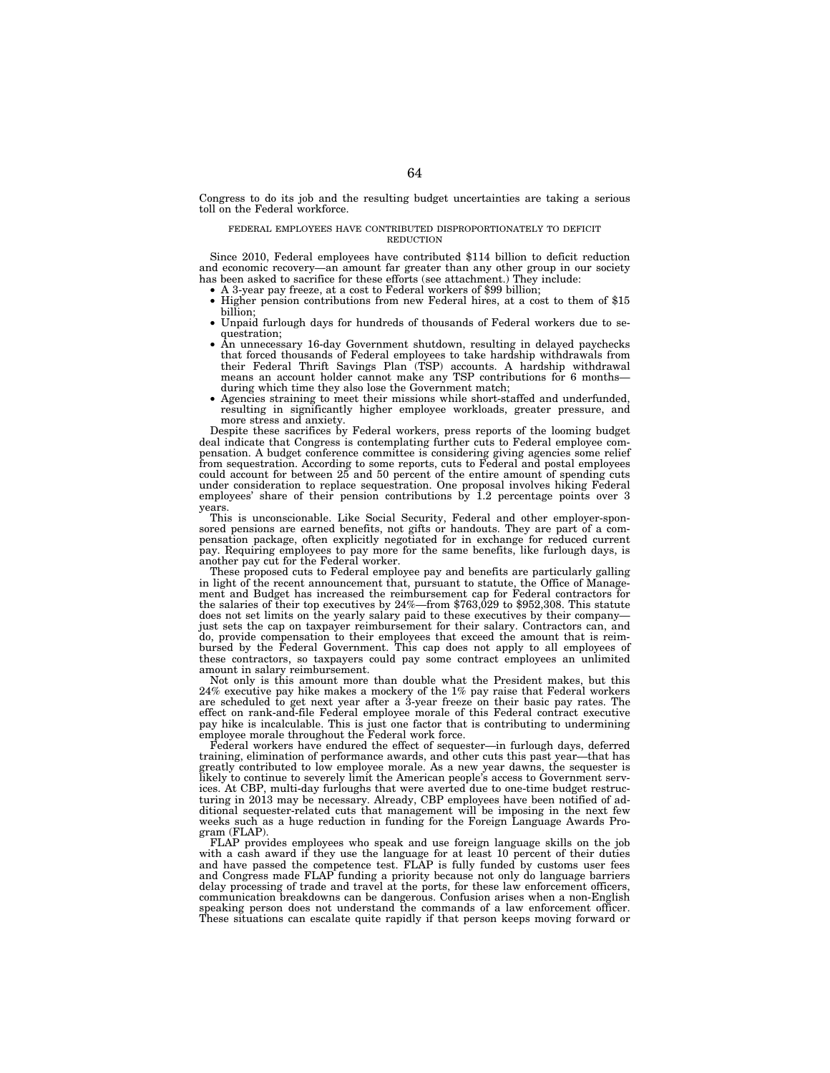Congress to do its job and the resulting budget uncertainties are taking a serious toll on the Federal workforce.

## FEDERAL EMPLOYEES HAVE CONTRIBUTED DISPROPORTIONATELY TO DEFICIT REDUCTION

Since 2010, Federal employees have contributed \$114 billion to deficit reduction and economic recovery—an amount far greater than any other group in our society has been asked to sacrifice for these efforts (see attachment.) They include:

- A 3-year pay freeze, at a cost to Federal workers of \$99 billion;
- Higher pension contributions from new Federal hires, at a cost to them of \$15 billion;
- Unpaid furlough days for hundreds of thousands of Federal workers due to sequestration;
- An unnecessary 16-day Government shutdown, resulting in delayed paychecks that forced thousands of Federal employees to take hardship withdrawals from their Federal Thrift Savings Plan (TSP) accounts. A hardship withdrawal means an account holder cannot make any TSP contributions for 6 months during which time they also lose the Government match;
- Agencies straining to meet their missions while short-staffed and underfunded, resulting in significantly higher employee workloads, greater pressure, and more stress and anxiety.

Despite these sacrifices by Federal workers, press reports of the looming budget deal indicate that Congress is contemplating further cuts to Federal employee compensation. A budget conference committee is considering giving agencies some relief from sequestration. According to some reports, cuts to Federal and postal employees could account for between 25 and 50 percent of the entire amount of spending cuts under consideration to replace sequestration. One proposal involves hiking Federal employees' share of their pension contributions by 1.2 percentage points over 3 years.

This is unconscionable. Like Social Security, Federal and other employer-sponsored pensions are earned benefits, not gifts or handouts. They are part of a compensation package, often explicitly negotiated for in exchange for reduced current pay. Requiring employees to pay more for the same benefits, like furlough days, is another pay cut for the Federal worker.

These proposed cuts to Federal employee pay and benefits are particularly galling in light of the recent announcement that, pursuant to statute, the Office of Management and Budget has increased the reimbursement cap for Federal contractors for the salaries of their top executives by  $24\%$ —from \$763,029 to \$952,308. This statute does not set limits on the yearly salary paid to these executives by their company just sets the cap on taxpayer reimbursement for their salary. Contractors can, and do, provide compensation to their employees that exceed the amount that is reimbursed by the Federal Government. This cap does not apply to all employees of these contractors, so taxpayers could pay some contract employees an unlimited amount in salary reimbursement.

Not only is this amount more than double what the President makes, but this 24% executive pay hike makes a mockery of the 1% pay raise that Federal workers are scheduled to get next year after a 3-year freeze on their basic pay rates. The effect on rank-and-file Federal employee morale of this Federal contract executive pay hike is incalculable. This is just one factor that is contributing to undermining employee morale throughout the Federal work force.

Federal workers have endured the effect of sequester—in furlough days, deferred training, elimination of performance awards, and other cuts this past year—that has greatly contributed to low employee morale. As a new year dawns, the sequester is likely to continue to severely limit the American people's access to Government services. At CBP, multi-day furloughs that were averted due to one-time budget restructuring in 2013 may be necessary. Already, CBP employees have been notified of additional sequester-related cuts that management will be imposing in the next few weeks such as a huge reduction in funding for the Foreign Language Awards Program (FLAP).

FLAP provides employees who speak and use foreign language skills on the job with a cash award if they use the language for at least 10 percent of their duties and have passed the competence test. FLAP is fully funded by customs user fees and Congress made FLAP funding a priority because not only do language barriers delay processing of trade and travel at the ports, for these law enforcement officers, communication breakdowns can be dangerous. Confusion arises when a non-English speaking person does not understand the commands of a law enforcement officer. These situations can escalate quite rapidly if that person keeps moving forward or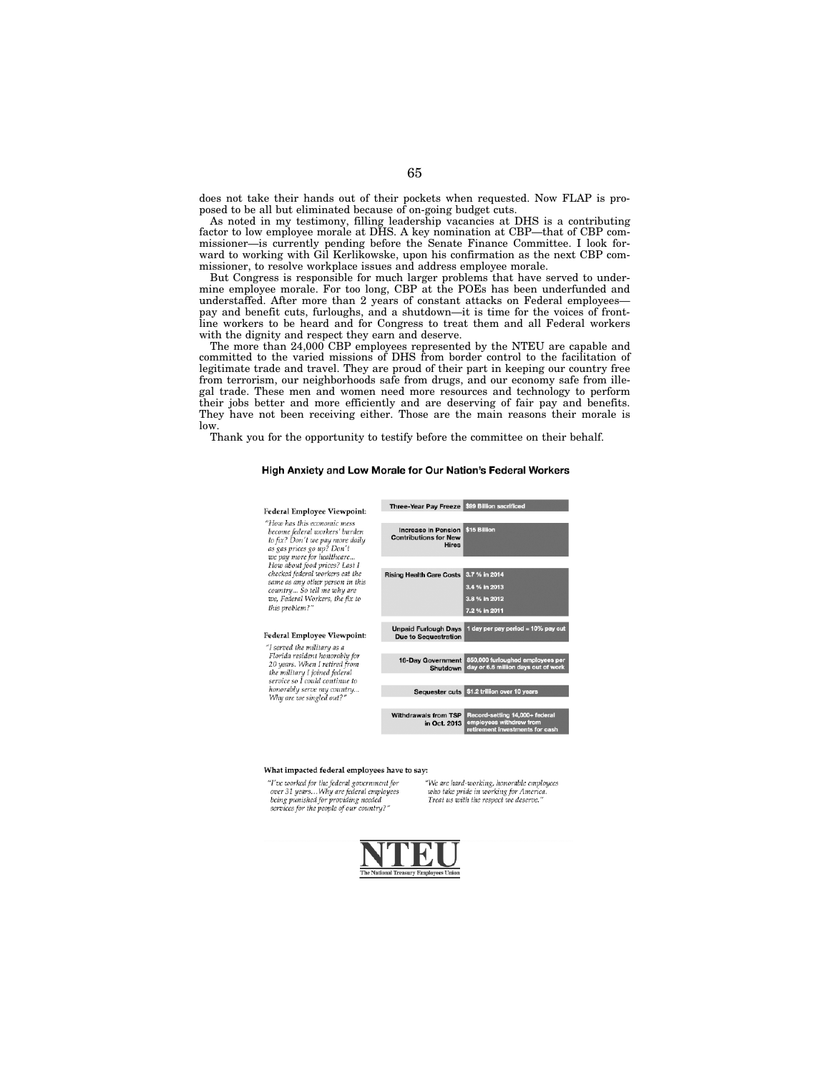does not take their hands out of their pockets when requested. Now FLAP is proposed to be all but eliminated because of on-going budget cuts.

As noted in my testimony, filling leadership vacancies at DHS is a contributing factor to low employee morale at DHS. A key nomination at CBP—that of CBP commissioner—is currently pending before the Senate Finance Committee. I look forward to working with Gil Kerlikowske, upon his confirmation as the next CBP commissioner, to resolve workplace issues and address employee morale.

But Congress is responsible for much larger problems that have served to undermine employee morale. For too long, CBP at the POEs has been underfunded and understaffed. After more than 2 years of constant attacks on Federal employees pay and benefit cuts, furloughs, and a shutdown—it is time for the voices of frontline workers to be heard and for Congress to treat them and all Federal workers with the dignity and respect they earn and deserve.

The more than 24,000 CBP employees represented by the NTEU are capable and committed to the varied missions of DHS from border control to the facilitation of legitimate trade and travel. They are proud of their part in keeping our country free from terrorism, our neighborhoods safe from drugs, and our economy safe from illegal trade. These men and women need more resources and technology to perform their jobs better and more efficiently and are deserving of fair pay and benefits. They have not been receiving either. Those are the main reasons their morale is low.

Thank you for the opportunity to testify before the committee on their behalf.

# High Anxiety and Low Morale for Our Nation's Federal Workers



### What impacted federal employees have to say:

"I've worked for the federal government for<br>over 31 years...Why are federal employees being punished for providing needed<br>services for the people of our country?"

"We are hard-working, honorable employees<br>who take pride in working for America. Treat us with the respect we deserve.'

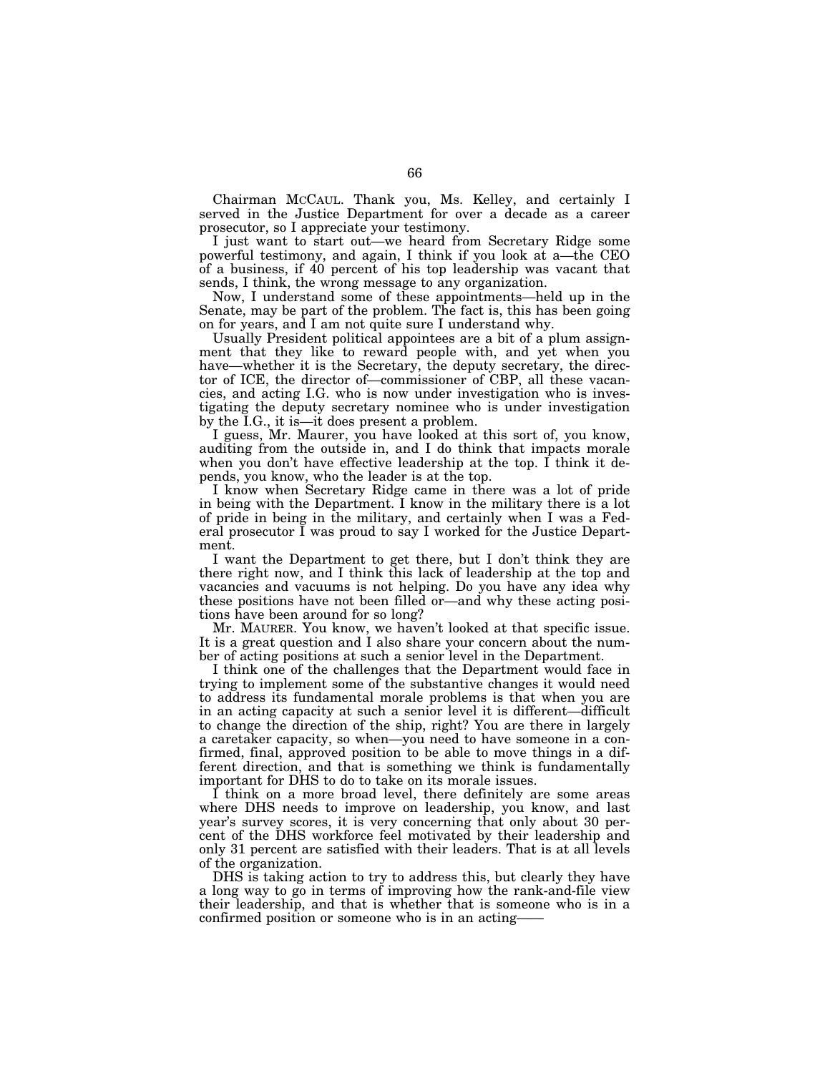Chairman MCCAUL. Thank you, Ms. Kelley, and certainly I served in the Justice Department for over a decade as a career prosecutor, so I appreciate your testimony.

I just want to start out—we heard from Secretary Ridge some powerful testimony, and again, I think if you look at a—the CEO of a business, if 40 percent of his top leadership was vacant that sends, I think, the wrong message to any organization.

Now, I understand some of these appointments—held up in the Senate, may be part of the problem. The fact is, this has been going on for years, and I am not quite sure I understand why.

Usually President political appointees are a bit of a plum assignment that they like to reward people with, and yet when you have—whether it is the Secretary, the deputy secretary, the director of ICE, the director of—commissioner of CBP, all these vacancies, and acting I.G. who is now under investigation who is investigating the deputy secretary nominee who is under investigation by the I.G., it is—it does present a problem.

I guess, Mr. Maurer, you have looked at this sort of, you know, auditing from the outside in, and I do think that impacts morale when you don't have effective leadership at the top. I think it depends, you know, who the leader is at the top.

I know when Secretary Ridge came in there was a lot of pride in being with the Department. I know in the military there is a lot of pride in being in the military, and certainly when I was a Federal prosecutor I was proud to say I worked for the Justice Department.

I want the Department to get there, but I don't think they are there right now, and I think this lack of leadership at the top and vacancies and vacuums is not helping. Do you have any idea why these positions have not been filled or—and why these acting positions have been around for so long?

Mr. MAURER. You know, we haven't looked at that specific issue. It is a great question and  $\tilde{I}$  also share your concern about the number of acting positions at such a senior level in the Department.

I think one of the challenges that the Department would face in trying to implement some of the substantive changes it would need to address its fundamental morale problems is that when you are in an acting capacity at such a senior level it is different—difficult to change the direction of the ship, right? You are there in largely a caretaker capacity, so when—you need to have someone in a confirmed, final, approved position to be able to move things in a different direction, and that is something we think is fundamentally important for DHS to do to take on its morale issues.

I think on a more broad level, there definitely are some areas where DHS needs to improve on leadership, you know, and last year's survey scores, it is very concerning that only about 30 percent of the DHS workforce feel motivated by their leadership and only 31 percent are satisfied with their leaders. That is at all levels of the organization.

DHS is taking action to try to address this, but clearly they have a long way to go in terms of improving how the rank-and-file view their leadership, and that is whether that is someone who is in a confirmed position or someone who is in an acting——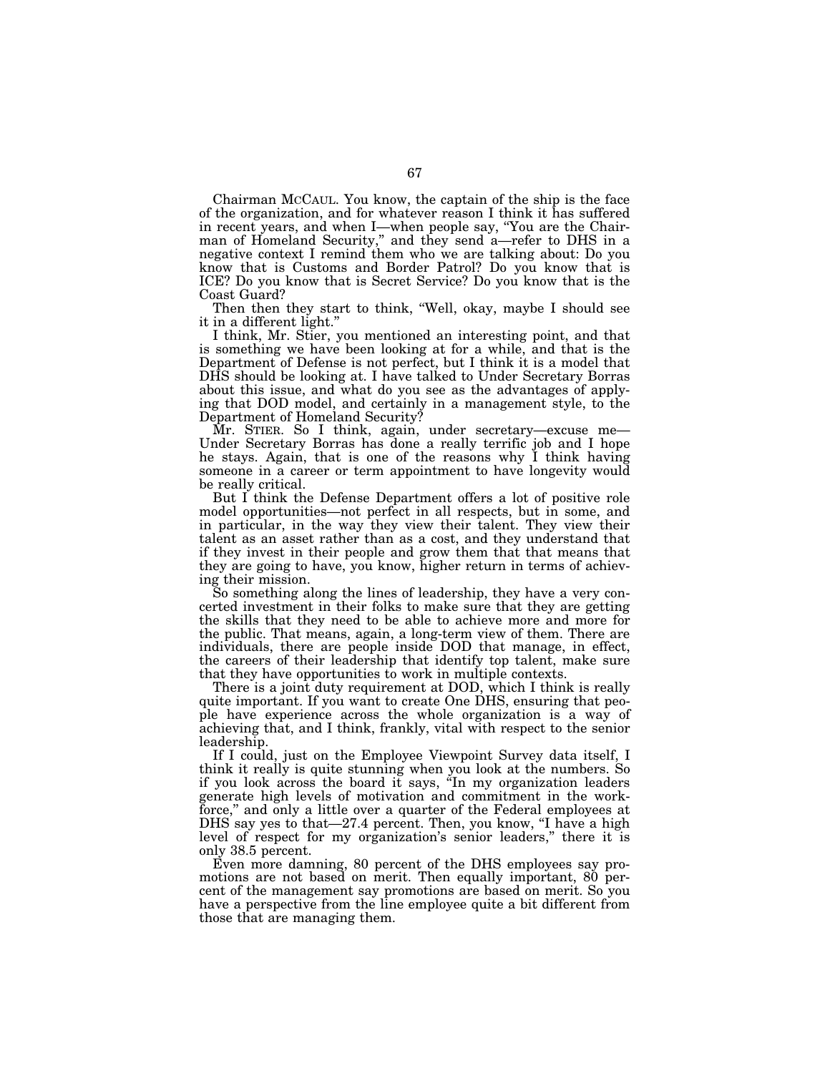Chairman MCCAUL. You know, the captain of the ship is the face of the organization, and for whatever reason I think it has suffered in recent years, and when I—when people say, ''You are the Chairman of Homeland Security,'' and they send a—refer to DHS in a negative context I remind them who we are talking about: Do you know that is Customs and Border Patrol? Do you know that is ICE? Do you know that is Secret Service? Do you know that is the Coast Guard?

Then then they start to think, "Well, okay, maybe I should see it in a different light.''

I think, Mr. Stier, you mentioned an interesting point, and that is something we have been looking at for a while, and that is the Department of Defense is not perfect, but I think it is a model that DHS should be looking at. I have talked to Under Secretary Borras about this issue, and what do you see as the advantages of applying that DOD model, and certainly in a management style, to the Department of Homeland Security?

Mr. STIER. So I think, again, under secretary—excuse me— Under Secretary Borras has done a really terrific job and I hope he stays. Again, that is one of the reasons why I think having someone in a career or term appointment to have longevity would be really critical.

But I think the Defense Department offers a lot of positive role model opportunities—not perfect in all respects, but in some, and in particular, in the way they view their talent. They view their talent as an asset rather than as a cost, and they understand that if they invest in their people and grow them that that means that they are going to have, you know, higher return in terms of achieving their mission.

So something along the lines of leadership, they have a very concerted investment in their folks to make sure that they are getting the skills that they need to be able to achieve more and more for the public. That means, again, a long-term view of them. There are individuals, there are people inside DOD that manage, in effect, the careers of their leadership that identify top talent, make sure that they have opportunities to work in multiple contexts.

There is a joint duty requirement at DOD, which I think is really quite important. If you want to create One DHS, ensuring that people have experience across the whole organization is a way of achieving that, and I think, frankly, vital with respect to the senior leadership.

If I could, just on the Employee Viewpoint Survey data itself, I think it really is quite stunning when you look at the numbers. So if you look across the board it says, ''In my organization leaders generate high levels of motivation and commitment in the workforce," and only a little over a quarter of the Federal employees at DHS say yes to that -27.4 percent. Then, you know, "I have a high level of respect for my organization's senior leaders,'' there it is only 38.5 percent.

Even more damning, 80 percent of the DHS employees say promotions are not based on merit. Then equally important, 80 percent of the management say promotions are based on merit. So you have a perspective from the line employee quite a bit different from those that are managing them.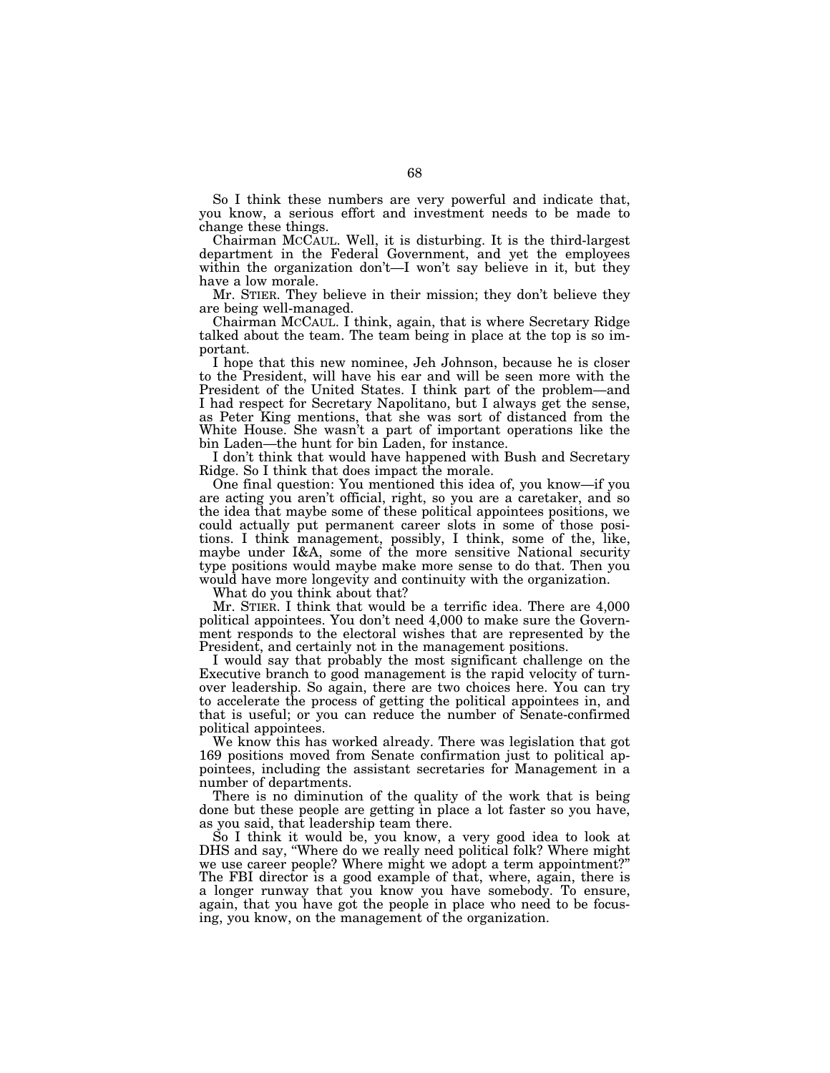So I think these numbers are very powerful and indicate that, you know, a serious effort and investment needs to be made to change these things.

Chairman MCCAUL. Well, it is disturbing. It is the third-largest department in the Federal Government, and yet the employees within the organization don't—I won't say believe in it, but they have a low morale.

Mr. STIER. They believe in their mission; they don't believe they are being well-managed.

Chairman MCCAUL. I think, again, that is where Secretary Ridge talked about the team. The team being in place at the top is so important.

I hope that this new nominee, Jeh Johnson, because he is closer to the President, will have his ear and will be seen more with the President of the United States. I think part of the problem—and I had respect for Secretary Napolitano, but I always get the sense, as Peter King mentions, that she was sort of distanced from the White House. She wasn't a part of important operations like the bin Laden—the hunt for bin Laden, for instance.

I don't think that would have happened with Bush and Secretary Ridge. So I think that does impact the morale.

One final question: You mentioned this idea of, you know—if you are acting you aren't official, right, so you are a caretaker, and so the idea that maybe some of these political appointees positions, we could actually put permanent career slots in some of those positions. I think management, possibly, I think, some of the, like, maybe under I&A, some of the more sensitive National security type positions would maybe make more sense to do that. Then you would have more longevity and continuity with the organization.

What do you think about that?

Mr. STIER. I think that would be a terrific idea. There are 4,000 political appointees. You don't need 4,000 to make sure the Government responds to the electoral wishes that are represented by the President, and certainly not in the management positions.

I would say that probably the most significant challenge on the Executive branch to good management is the rapid velocity of turnover leadership. So again, there are two choices here. You can try to accelerate the process of getting the political appointees in, and that is useful; or you can reduce the number of Senate-confirmed political appointees.

We know this has worked already. There was legislation that got 169 positions moved from Senate confirmation just to political appointees, including the assistant secretaries for Management in a number of departments.

There is no diminution of the quality of the work that is being done but these people are getting in place a lot faster so you have, as you said, that leadership team there.

So I think it would be, you know, a very good idea to look at DHS and say, "Where do we really need political folk? Where might we use career people? Where might we adopt a term appointment?'' The FBI director is a good example of that, where, again, there is a longer runway that you know you have somebody. To ensure, again, that you have got the people in place who need to be focusing, you know, on the management of the organization.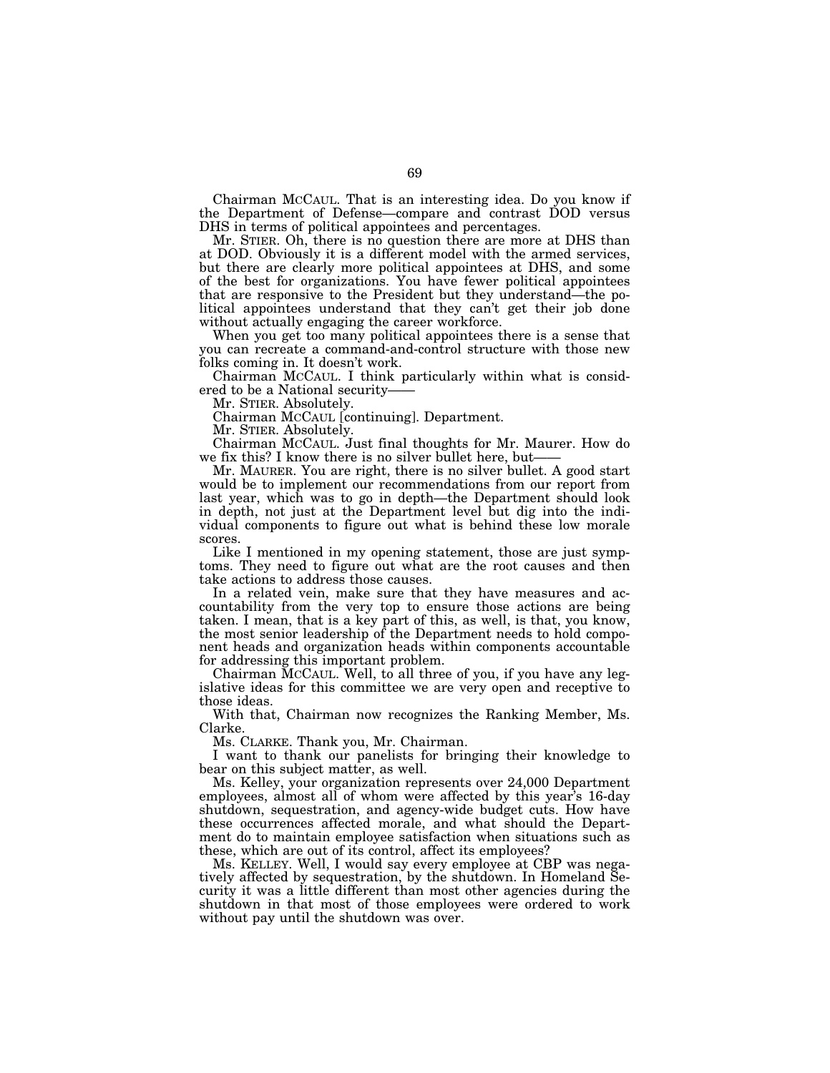Chairman MCCAUL. That is an interesting idea. Do you know if the Department of Defense—compare and contrast DOD versus DHS in terms of political appointees and percentages.

Mr. STIER. Oh, there is no question there are more at DHS than at DOD. Obviously it is a different model with the armed services, but there are clearly more political appointees at DHS, and some of the best for organizations. You have fewer political appointees that are responsive to the President but they understand—the political appointees understand that they can't get their job done without actually engaging the career workforce.

When you get too many political appointees there is a sense that you can recreate a command-and-control structure with those new folks coming in. It doesn't work.

Chairman MCCAUL. I think particularly within what is considered to be a National security

Mr. STIER. Absolutely.

Chairman MCCAUL [continuing]. Department.

Mr. STIER. Absolutely.

Chairman MCCAUL. Just final thoughts for Mr. Maurer. How do we fix this? I know there is no silver bullet here, but—

Mr. MAURER. You are right, there is no silver bullet. A good start would be to implement our recommendations from our report from last year, which was to go in depth—the Department should look in depth, not just at the Department level but dig into the individual components to figure out what is behind these low morale scores.

Like I mentioned in my opening statement, those are just symptoms. They need to figure out what are the root causes and then take actions to address those causes.

In a related vein, make sure that they have measures and accountability from the very top to ensure those actions are being taken. I mean, that is a key part of this, as well, is that, you know, the most senior leadership of the Department needs to hold component heads and organization heads within components accountable for addressing this important problem.

Chairman MCCAUL. Well, to all three of you, if you have any legislative ideas for this committee we are very open and receptive to those ideas.

With that, Chairman now recognizes the Ranking Member, Ms. Clarke.

Ms. CLARKE. Thank you, Mr. Chairman.

I want to thank our panelists for bringing their knowledge to bear on this subject matter, as well.

Ms. Kelley, your organization represents over 24,000 Department employees, almost all of whom were affected by this year's 16-day shutdown, sequestration, and agency-wide budget cuts. How have these occurrences affected morale, and what should the Department do to maintain employee satisfaction when situations such as these, which are out of its control, affect its employees?

Ms. KELLEY. Well, I would say every employee at CBP was negatively affected by sequestration, by the shutdown. In Homeland Security it was a little different than most other agencies during the shutdown in that most of those employees were ordered to work without pay until the shutdown was over.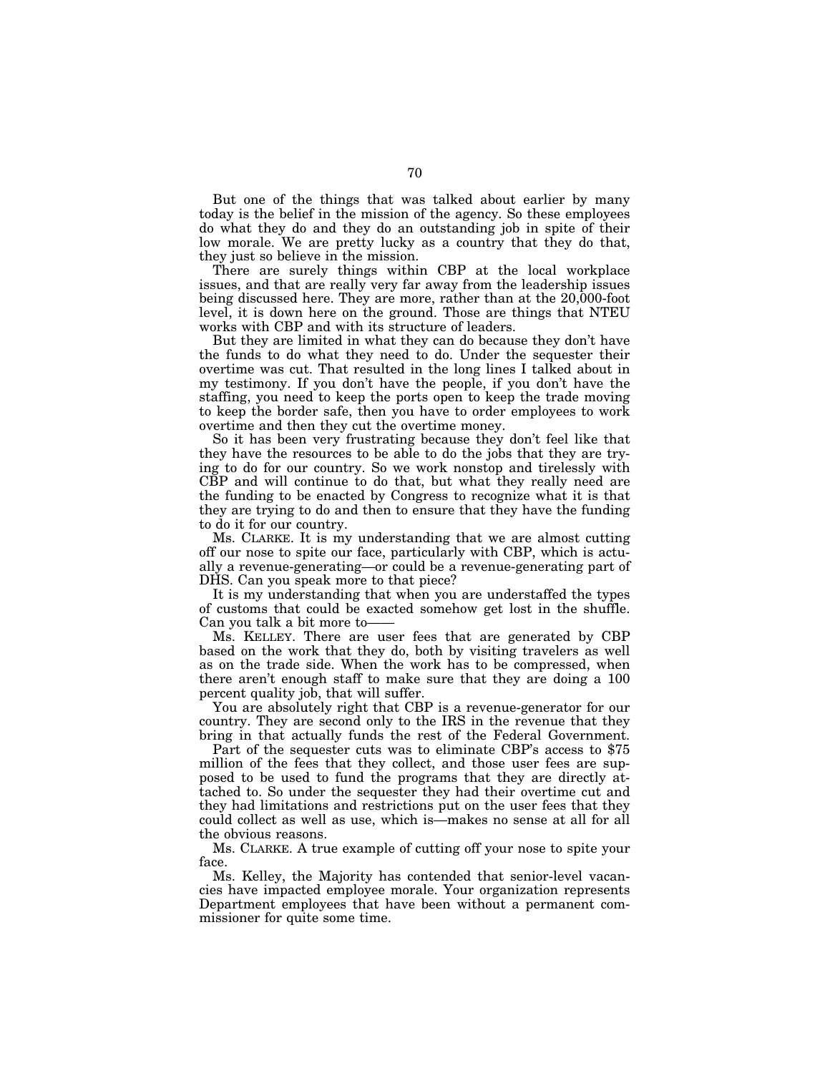But one of the things that was talked about earlier by many today is the belief in the mission of the agency. So these employees do what they do and they do an outstanding job in spite of their low morale. We are pretty lucky as a country that they do that, they just so believe in the mission.

There are surely things within CBP at the local workplace issues, and that are really very far away from the leadership issues being discussed here. They are more, rather than at the 20,000-foot level, it is down here on the ground. Those are things that NTEU works with CBP and with its structure of leaders.

But they are limited in what they can do because they don't have the funds to do what they need to do. Under the sequester their overtime was cut. That resulted in the long lines I talked about in my testimony. If you don't have the people, if you don't have the staffing, you need to keep the ports open to keep the trade moving to keep the border safe, then you have to order employees to work overtime and then they cut the overtime money.

So it has been very frustrating because they don't feel like that they have the resources to be able to do the jobs that they are trying to do for our country. So we work nonstop and tirelessly with CBP and will continue to do that, but what they really need are the funding to be enacted by Congress to recognize what it is that they are trying to do and then to ensure that they have the funding to do it for our country.

Ms. CLARKE. It is my understanding that we are almost cutting off our nose to spite our face, particularly with CBP, which is actually a revenue-generating—or could be a revenue-generating part of DHS. Can you speak more to that piece?

It is my understanding that when you are understaffed the types of customs that could be exacted somehow get lost in the shuffle. Can you talk a bit more to-

Ms. KELLEY. There are user fees that are generated by CBP based on the work that they do, both by visiting travelers as well as on the trade side. When the work has to be compressed, when there aren't enough staff to make sure that they are doing a 100 percent quality job, that will suffer.

You are absolutely right that CBP is a revenue-generator for our country. They are second only to the IRS in the revenue that they bring in that actually funds the rest of the Federal Government.

Part of the sequester cuts was to eliminate CBP's access to \$75 million of the fees that they collect, and those user fees are supposed to be used to fund the programs that they are directly attached to. So under the sequester they had their overtime cut and they had limitations and restrictions put on the user fees that they could collect as well as use, which is—makes no sense at all for all the obvious reasons.

Ms. CLARKE. A true example of cutting off your nose to spite your face.

Ms. Kelley, the Majority has contended that senior-level vacancies have impacted employee morale. Your organization represents Department employees that have been without a permanent commissioner for quite some time.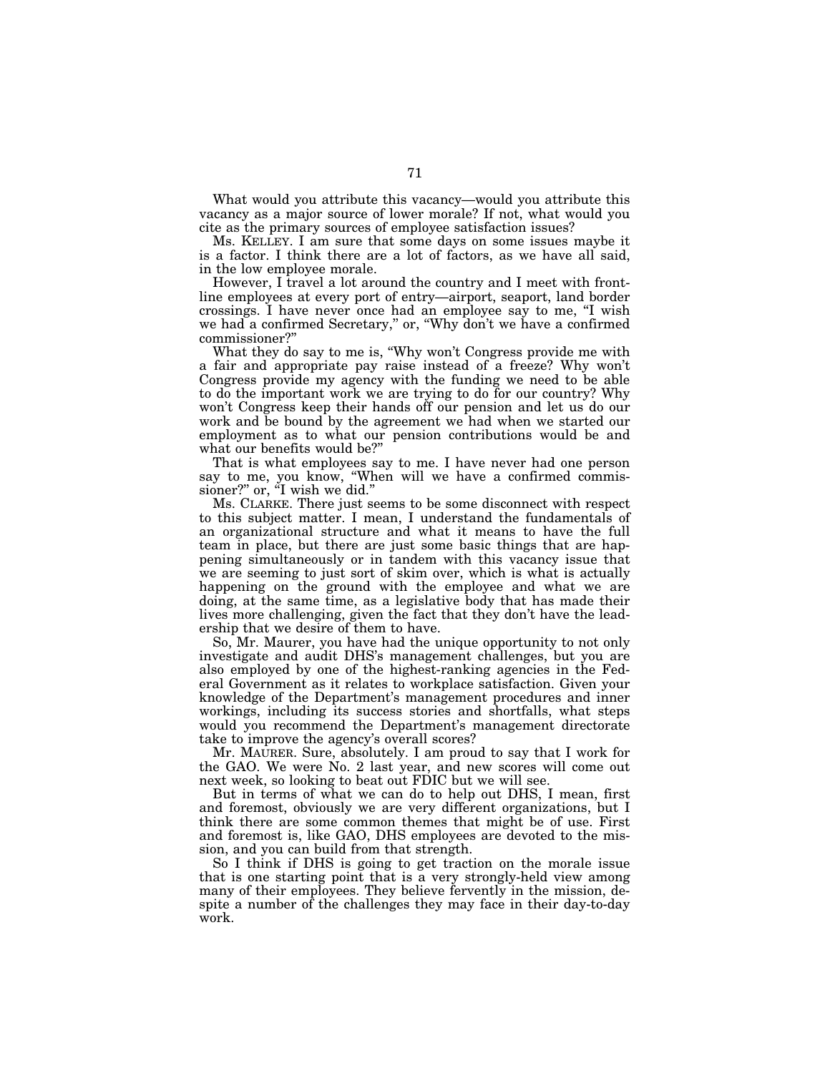What would you attribute this vacancy—would you attribute this vacancy as a major source of lower morale? If not, what would you cite as the primary sources of employee satisfaction issues?

Ms. KELLEY. I am sure that some days on some issues maybe it is a factor. I think there are a lot of factors, as we have all said, in the low employee morale.

However, I travel a lot around the country and I meet with frontline employees at every port of entry—airport, seaport, land border crossings. I have never once had an employee say to me, ''I wish we had a confirmed Secretary," or, "Why don't we have a confirmed commissioner?''

What they do say to me is, "Why won't Congress provide me with a fair and appropriate pay raise instead of a freeze? Why won't Congress provide my agency with the funding we need to be able to do the important work we are trying to do for our country? Why won't Congress keep their hands off our pension and let us do our work and be bound by the agreement we had when we started our employment as to what our pension contributions would be and what our benefits would be?''

That is what employees say to me. I have never had one person say to me, you know, "When will we have a confirmed commissioner?" or, "I wish we did."

Ms. CLARKE. There just seems to be some disconnect with respect to this subject matter. I mean, I understand the fundamentals of an organizational structure and what it means to have the full team in place, but there are just some basic things that are happening simultaneously or in tandem with this vacancy issue that we are seeming to just sort of skim over, which is what is actually happening on the ground with the employee and what we are doing, at the same time, as a legislative body that has made their lives more challenging, given the fact that they don't have the leadership that we desire of them to have.

So, Mr. Maurer, you have had the unique opportunity to not only investigate and audit DHS's management challenges, but you are also employed by one of the highest-ranking agencies in the Federal Government as it relates to workplace satisfaction. Given your knowledge of the Department's management procedures and inner workings, including its success stories and shortfalls, what steps would you recommend the Department's management directorate take to improve the agency's overall scores?

Mr. MAURER. Sure, absolutely. I am proud to say that I work for the GAO. We were No. 2 last year, and new scores will come out next week, so looking to beat out FDIC but we will see.

But in terms of what we can do to help out DHS, I mean, first and foremost, obviously we are very different organizations, but I think there are some common themes that might be of use. First and foremost is, like GAO, DHS employees are devoted to the mission, and you can build from that strength.

So I think if DHS is going to get traction on the morale issue that is one starting point that is a very strongly-held view among many of their employees. They believe fervently in the mission, despite a number of the challenges they may face in their day-to-day work.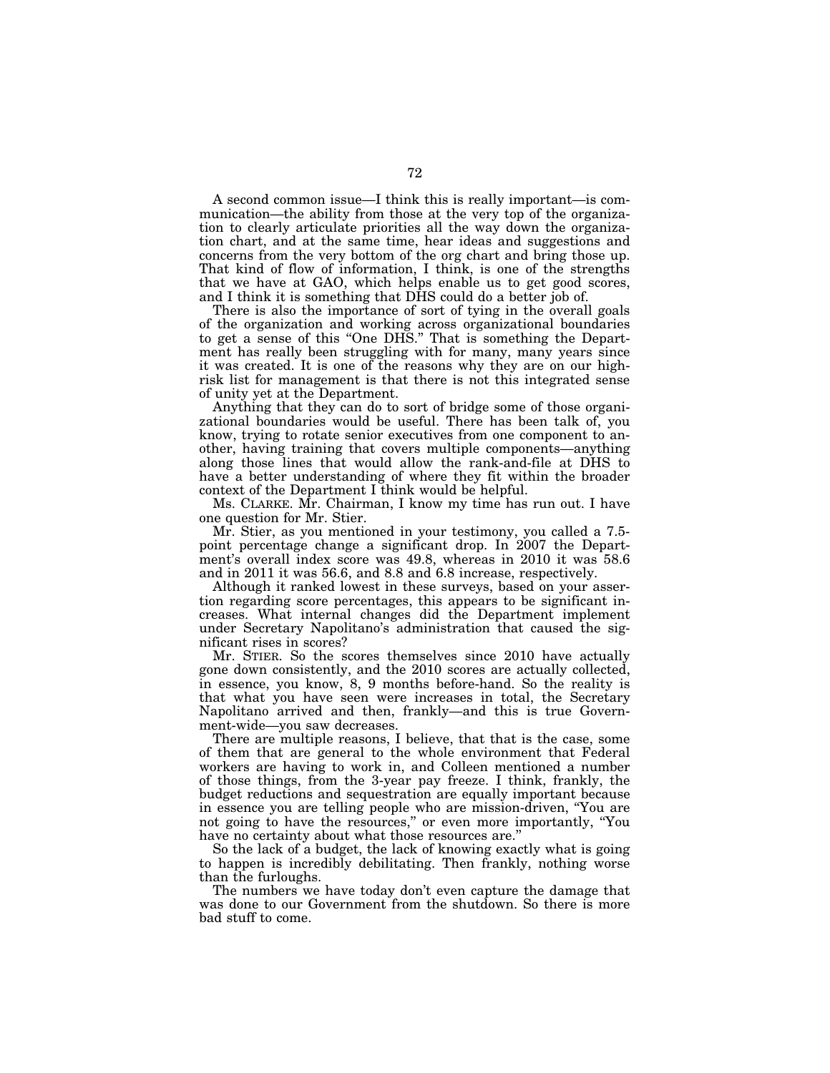A second common issue—I think this is really important—is communication—the ability from those at the very top of the organization to clearly articulate priorities all the way down the organization chart, and at the same time, hear ideas and suggestions and concerns from the very bottom of the org chart and bring those up. That kind of flow of information, I think, is one of the strengths that we have at GAO, which helps enable us to get good scores, and I think it is something that DHS could do a better job of.

There is also the importance of sort of tying in the overall goals of the organization and working across organizational boundaries to get a sense of this "One DHS." That is something the Department has really been struggling with for many, many years since it was created. It is one of the reasons why they are on our highrisk list for management is that there is not this integrated sense of unity yet at the Department.

Anything that they can do to sort of bridge some of those organizational boundaries would be useful. There has been talk of, you know, trying to rotate senior executives from one component to another, having training that covers multiple components—anything along those lines that would allow the rank-and-file at DHS to have a better understanding of where they fit within the broader context of the Department I think would be helpful.

Ms. CLARKE. Mr. Chairman, I know my time has run out. I have one question for Mr. Stier.

Mr. Stier, as you mentioned in your testimony, you called a 7.5 point percentage change a significant drop. In 2007 the Department's overall index score was 49.8, whereas in 2010 it was 58.6 and in 2011 it was 56.6, and 8.8 and 6.8 increase, respectively.

Although it ranked lowest in these surveys, based on your assertion regarding score percentages, this appears to be significant increases. What internal changes did the Department implement under Secretary Napolitano's administration that caused the significant rises in scores?

Mr. STIER. So the scores themselves since 2010 have actually gone down consistently, and the 2010 scores are actually collected, in essence, you know, 8, 9 months before-hand. So the reality is that what you have seen were increases in total, the Secretary Napolitano arrived and then, frankly—and this is true Government-wide—you saw decreases.

There are multiple reasons, I believe, that that is the case, some of them that are general to the whole environment that Federal workers are having to work in, and Colleen mentioned a number of those things, from the 3-year pay freeze. I think, frankly, the budget reductions and sequestration are equally important because in essence you are telling people who are mission-driven, ''You are not going to have the resources,'' or even more importantly, ''You have no certainty about what those resources are.''

So the lack of a budget, the lack of knowing exactly what is going to happen is incredibly debilitating. Then frankly, nothing worse than the furloughs.

The numbers we have today don't even capture the damage that was done to our Government from the shutdown. So there is more bad stuff to come.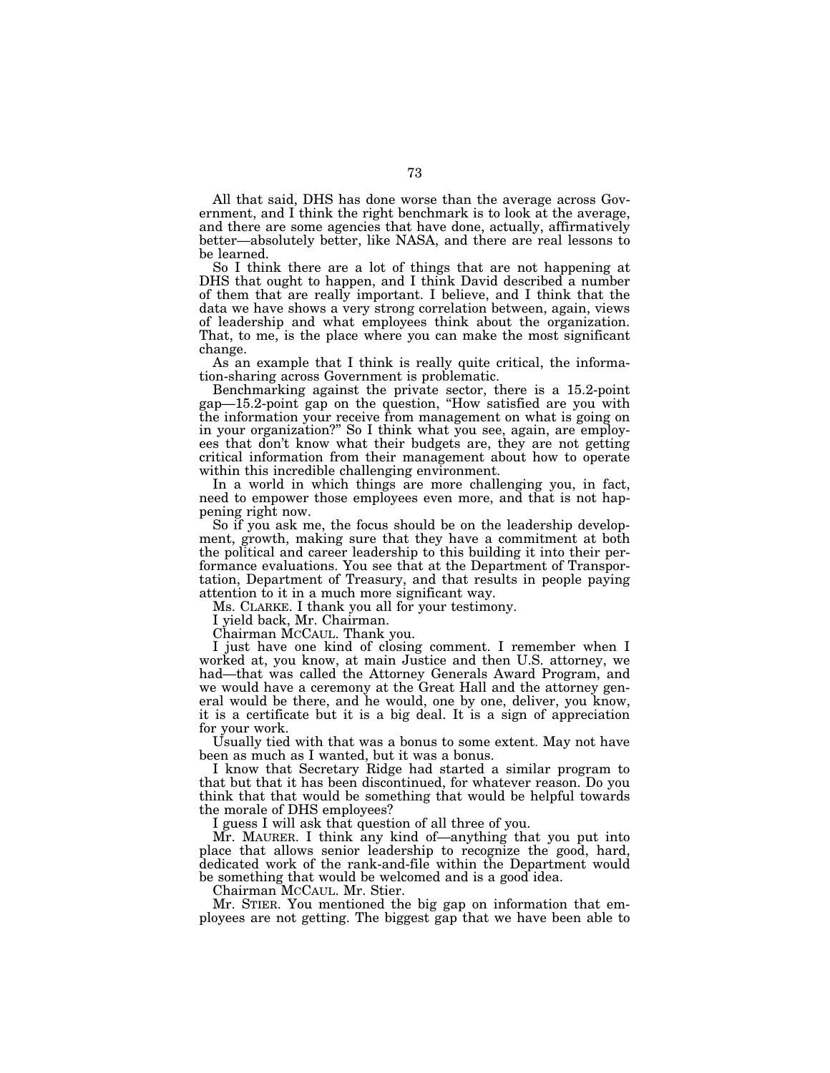All that said, DHS has done worse than the average across Government, and I think the right benchmark is to look at the average, and there are some agencies that have done, actually, affirmatively better—absolutely better, like NASA, and there are real lessons to be learned.

So I think there are a lot of things that are not happening at DHS that ought to happen, and I think David described a number of them that are really important. I believe, and I think that the data we have shows a very strong correlation between, again, views of leadership and what employees think about the organization. That, to me, is the place where you can make the most significant change.

As an example that I think is really quite critical, the information-sharing across Government is problematic.

Benchmarking against the private sector, there is a 15.2-point gap—15.2-point gap on the question, ''How satisfied are you with the information your receive from management on what is going on in your organization?'' So I think what you see, again, are employees that don't know what their budgets are, they are not getting critical information from their management about how to operate within this incredible challenging environment.

In a world in which things are more challenging you, in fact, need to empower those employees even more, and that is not happening right now.

So if you ask me, the focus should be on the leadership development, growth, making sure that they have a commitment at both the political and career leadership to this building it into their performance evaluations. You see that at the Department of Transportation, Department of Treasury, and that results in people paying attention to it in a much more significant way.

Ms. CLARKE. I thank you all for your testimony.

I yield back, Mr. Chairman.

Chairman MCCAUL. Thank you.

I just have one kind of closing comment. I remember when I worked at, you know, at main Justice and then U.S. attorney, we had—that was called the Attorney Generals Award Program, and we would have a ceremony at the Great Hall and the attorney general would be there, and he would, one by one, deliver, you know, it is a certificate but it is a big deal. It is a sign of appreciation for your work.

Usually tied with that was a bonus to some extent. May not have been as much as I wanted, but it was a bonus.

I know that Secretary Ridge had started a similar program to that but that it has been discontinued, for whatever reason. Do you think that that would be something that would be helpful towards the morale of DHS employees?

I guess I will ask that question of all three of you.

Mr. MAURER. I think any kind of—anything that you put into place that allows senior leadership to recognize the good, hard, dedicated work of the rank-and-file within the Department would be something that would be welcomed and is a good idea.

Chairman MCCAUL. Mr. Stier.

Mr. STIER. You mentioned the big gap on information that employees are not getting. The biggest gap that we have been able to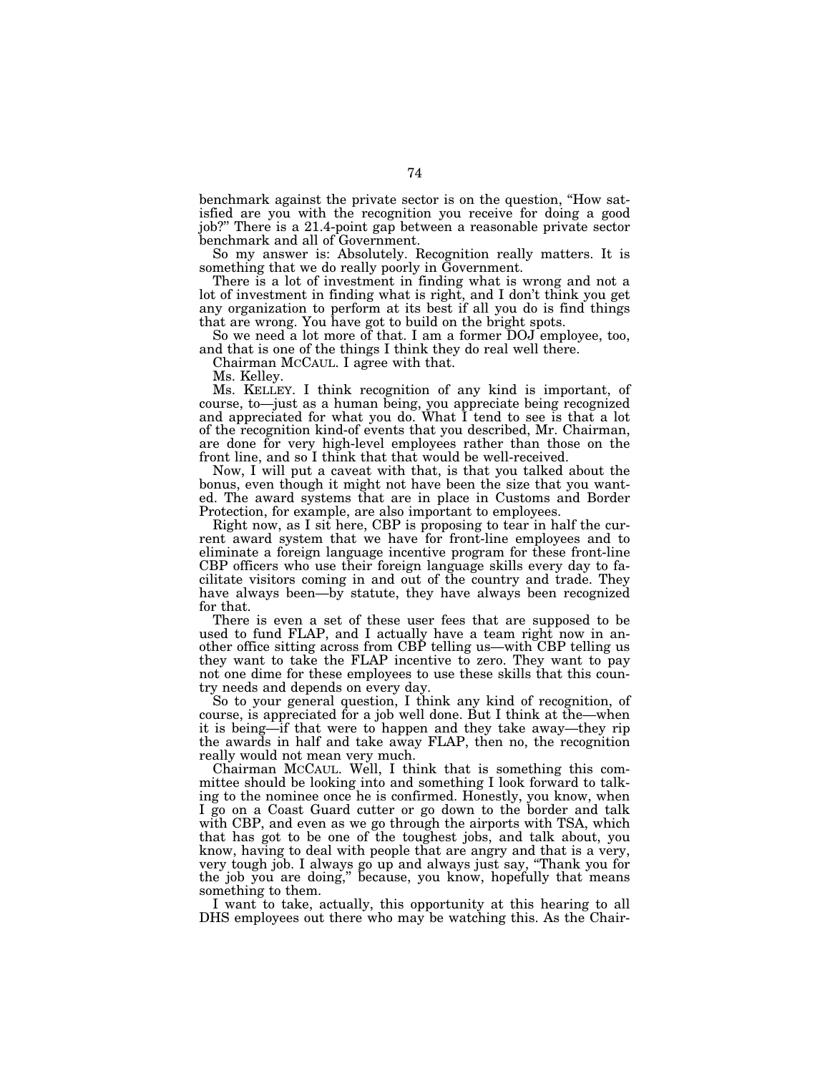benchmark against the private sector is on the question, ''How satisfied are you with the recognition you receive for doing a good job?'' There is a 21.4-point gap between a reasonable private sector benchmark and all of Government.

So my answer is: Absolutely. Recognition really matters. It is something that we do really poorly in Government.

There is a lot of investment in finding what is wrong and not a lot of investment in finding what is right, and I don't think you get any organization to perform at its best if all you do is find things that are wrong. You have got to build on the bright spots.

So we need a lot more of that. I am a former DOJ employee, too, and that is one of the things I think they do real well there.

Chairman MCCAUL. I agree with that.

Ms. Kelley.

Ms. KELLEY. I think recognition of any kind is important, of course, to—just as a human being, you appreciate being recognized and appreciated for what you do. What I tend to see is that a lot of the recognition kind-of events that you described, Mr. Chairman, are done for very high-level employees rather than those on the front line, and so I think that that would be well-received.

Now, I will put a caveat with that, is that you talked about the bonus, even though it might not have been the size that you wanted. The award systems that are in place in Customs and Border Protection, for example, are also important to employees.

Right now, as I sit here, CBP is proposing to tear in half the current award system that we have for front-line employees and to eliminate a foreign language incentive program for these front-line CBP officers who use their foreign language skills every day to facilitate visitors coming in and out of the country and trade. They have always been—by statute, they have always been recognized for that.

There is even a set of these user fees that are supposed to be used to fund FLAP, and I actually have a team right now in another office sitting across from CBP telling us—with CBP telling us they want to take the FLAP incentive to zero. They want to pay not one dime for these employees to use these skills that this country needs and depends on every day.

So to your general question, I think any kind of recognition, of course, is appreciated for a job well done. But I think at the—when it is being—if that were to happen and they take away—they rip the awards in half and take away FLAP, then no, the recognition really would not mean very much.

Chairman MCCAUL. Well, I think that is something this committee should be looking into and something I look forward to talking to the nominee once he is confirmed. Honestly, you know, when I go on a Coast Guard cutter or go down to the border and talk with CBP, and even as we go through the airports with TSA, which that has got to be one of the toughest jobs, and talk about, you know, having to deal with people that are angry and that is a very, very tough job. I always go up and always just say, ''Thank you for the job you are doing,'' because, you know, hopefully that means something to them.

I want to take, actually, this opportunity at this hearing to all DHS employees out there who may be watching this. As the Chair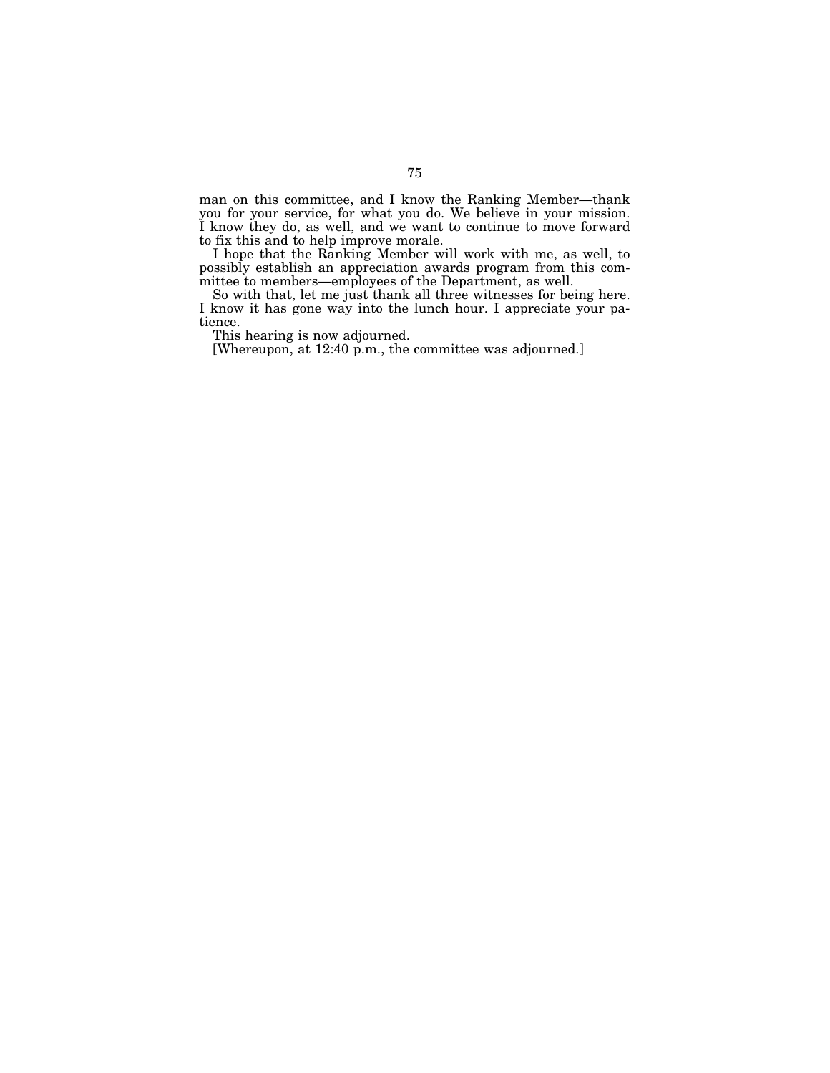man on this committee, and I know the Ranking Member—thank you for your service, for what you do. We believe in your mission. I know they do, as well, and we want to continue to move forward to fix this and to help improve morale.

I hope that the Ranking Member will work with me, as well, to possibly establish an appreciation awards program from this committee to members—employees of the Department, as well.

So with that, let me just thank all three witnesses for being here. I know it has gone way into the lunch hour. I appreciate your patience.

This hearing is now adjourned.

[Whereupon, at 12:40 p.m., the committee was adjourned.]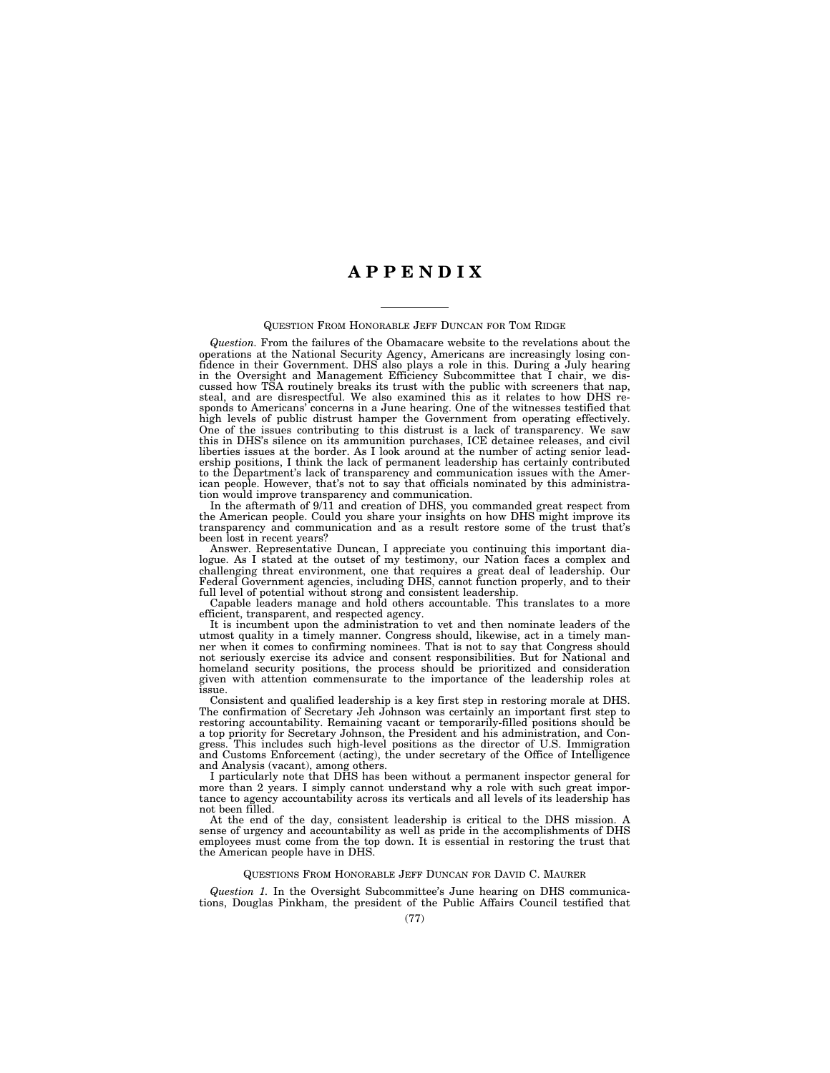## **A P P E N D I X**

## QUESTION FROM HONORABLE JEFF DUNCAN FOR TOM RIDGE

*Question.* From the failures of the Obamacare website to the revelations about the operations at the National Security Agency, Americans are increasingly losing confidence in their Government. DHS also plays a role in this. During a July hearing in the Oversight and Management Efficiency Subcommittee that I chair, we discussed how TSA routinely breaks its trust with the public with screeners that nap, steal, and are disrespectful. We also examined this as it relates to how DHS responds to Americans' concerns in a June hearing. One of the witnesses testified that high levels of public distrust hamper the Government from operating effectively. One of the issues contributing to this distrust is a lack of transparency. We saw this in DHS's silence on its ammunition purchases, ICE detainee releases, and civil liberties issues at the border. As I look around at the number of acting senior leadership positions, I think the lack of permanent leadership has certainly contributed to the Department's lack of transparency and communication issues with the American people. However, that's not to say that officials nominated by this administration would improve transparency and communication.

In the aftermath of 9/11 and creation of DHS, you commanded great respect from the American people. Could you share your insights on how DHS might improve its transparency and communication and as a result restore some of the trust that's been lost in recent years?

Answer. Representative Duncan, I appreciate you continuing this important dialogue. As I stated at the outset of my testimony, our Nation faces a complex and challenging threat environment, one that requires a great deal of leadership. Our Federal Government agencies, including DHS, cannot function properly, and to their full level of potential without strong and consistent leadership.

Capable leaders manage and hold others accountable. This translates to a more efficient, transparent, and respected agency.

It is incumbent upon the administration to vet and then nominate leaders of the utmost quality in a timely manner. Congress should, likewise, act in a timely manner when it comes to confirming nominees. That is not to say that Congress should not seriously exercise its advice and consent responsibilities. But for National and homeland security positions, the process should be prioritized and consideration given with attention commensurate to the importance of the leadership roles at issue.

Consistent and qualified leadership is a key first step in restoring morale at DHS. The confirmation of Secretary Jeh Johnson was certainly an important first step to restoring accountability. Remaining vacant or temporarily-filled positions should be a top priority for Secretary Johnson, the President and his administration, and Congress. This includes such high-level positions as the director of U.S. Immigration and Customs Enforcement (acting), the under secretary of the Office of Intelligence and Analysis (vacant), among others.

I particularly note that DHS has been without a permanent inspector general for more than 2 years. I simply cannot understand why a role with such great importance to agency accountability across its verticals and all levels of its leadership has not been filled.

At the end of the day, consistent leadership is critical to the DHS mission. A sense of urgency and accountability as well as pride in the accomplishments of DHS employees must come from the top down. It is essential in restoring the trust that the American people have in DHS.

## QUESTIONS FROM HONORABLE JEFF DUNCAN FOR DAVID C. MAURER

*Question 1.* In the Oversight Subcommittee's June hearing on DHS communications, Douglas Pinkham, the president of the Public Affairs Council testified that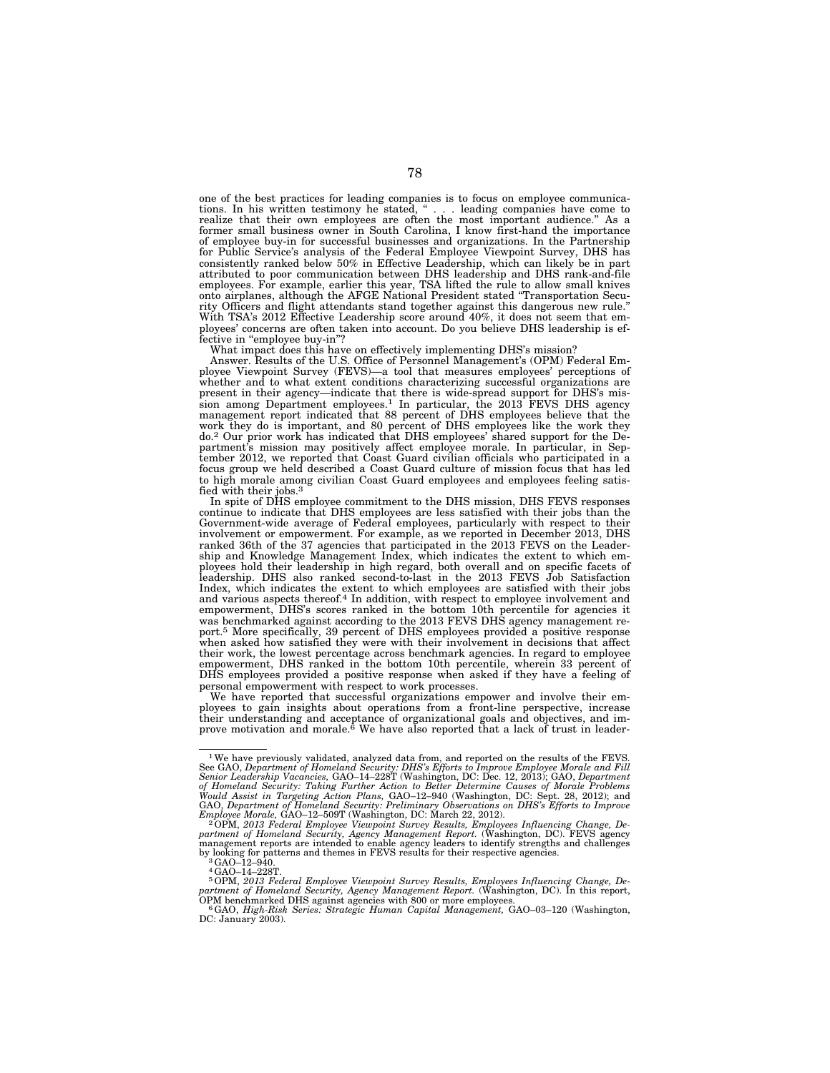one of the best practices for leading companies is to focus on employee communications. In his written testimony he stated, ''... leading companies have come to realize that their own employees are often the most important audience.'' As a former small business owner in South Carolina, I know first-hand the importance of employee buy-in for successful businesses and organizations. In the Partnership for Public Service's analysis of the Federal Employee Viewpoint Survey, DHS has consistently ranked below 50% in Effective Leadership, which can likely be in part attributed to poor communication between DHS leadership and DHS rank-and-file employees. For example, earlier this year, TSA lifted the rule to allow small knives onto airplanes, although the AFGE National President stated ''Transportation Security Officers and flight attendants stand together against this dangerous new rule.'' With TSA's 2012 Effective Leadership score around 40%, it does not seem that employees' concerns are often taken into account. Do you believe DHS leadership is effective in "employee buy-in"?

What impact does this have on effectively implementing DHS's mission?

Answer. Results of the U.S. Office of Personnel Management's (OPM) Federal Employee Viewpoint Survey (FEVS)—a tool that measures employees' perceptions of whether and to what extent conditions characterizing successful organizations are present in their agency—indicate that there is wide-spread support for DHS's mis-sion among Department employees.1 In particular, the 2013 FEVS DHS agency management report indicated that 88 percent of DHS employees believe that the management report matter and 80 percent of DHS employees like the work they work they do.2 Our prior work has indicated that DHS employees' shared support for the Department's mission may positively affect employee morale. In particular, in September 2012, we reported that Coast Guard civilian officials who participated in a focus group we held described a Coast Guard culture of mission focus that has led to high morale among civilian Coast Guard employees and employees feeling satisfied with their jobs.3

In spite of DHS employee commitment to the DHS mission, DHS FEVS responses continue to indicate that DHS employees are less satisfied with their jobs than the Government-wide average of Federal employees, particularly with respect to their involvement or empowerment. For example, as we reported in December 2013, DHS ranked 36th of the 37 agencies that participated in the 2013 FEVS on the Leadership and Knowledge Management Index, which indicates the extent to which employees hold their leadership in high regard, both overall and on specific facets of leadership. DHS also ranked second-to-last in the 2013 FEVS Job Satisfaction Index, which indicates the extent to which employees are satisfied with their jobs and various aspects thereof.4 In addition, with respect to employee involvement and empowerment, DHS's scores ranked in the bottom 10th percentile for agencies it was benchmarked against according to the 2013 FEVS DHS agency management report.5 More specifically, 39 percent of DHS employees provided a positive response when asked how satisfied they were with their involvement in decisions that affect their work, the lowest percentage across benchmark agencies. In regard to employee empowerment, DHS ranked in the bottom 10th percentile, wherein 33 percent of DHS employees provided a positive response when asked if they have a feeling of personal empowerment with respect to work processes.

We have reported that successful organizations empower and involve their employees to gain insights about operations from a front-line perspective, increase their understanding and acceptance of organizational goals and objectives, and im-<br>prove motivation and morale.<sup>6</sup> We have also reported that a lack of trust in leader-

<sup>&</sup>lt;sup>1</sup>We have previously validated, analyzed data from, and reported on the results of the FEVS See GAO, Department of Homeland Security: DHS's Efforts to Improve Employee Morale and Fill<br>Senior Leadership Vacancies, GAO–14–228T (Washington, DC: Dec. 12, 2013); GAO, Department<br>of Homeland Security: Taking Further Act

partment of Homeland Security, Agency Management Report. (Washington, DC). FEVS agency management reports are intended to enable agency leaders to identify strengths and challenges by looking for patterns and themes in FEVS results for their respective agencies.<br><sup>3</sup>GAO–12–940.<br><sup>4</sup>GAO–14–228T.

 $^{5}$ OPM, 2013 Federal Employee Viewpoint Survey Results, Employees Influencing Change, Department of Homeland Security, Agency Management Report. (Washington, DC). In this report, OPM benchmarked DHS against agencies wit

 ${}^6$  GAO, High-Risk Series: Strategic Human Capital Management, GAO-03-120 (Washington, DC: January 2003).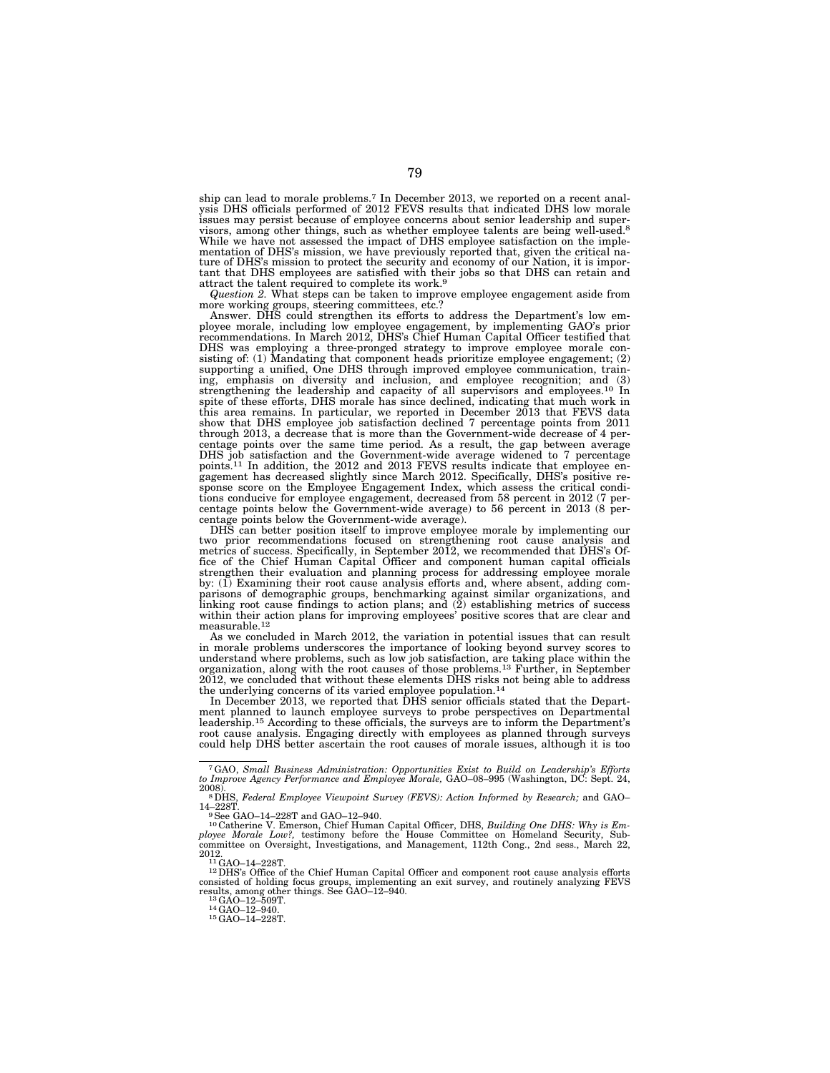ship can lead to morale problems.7 In December 2013, we reported on a recent anal-ysis DHS officials performed of 2012 FEVS results that indicated DHS low morale issues may persist because of employee concerns about senior leadership and supervisors, among other things, such as whether employee talents are being well-used.<sup>8</sup> While we have not assessed the impact of DHS employee satisfaction on the implementation of DHS's mission, we have previously reported that, given the critical nature of DHS's mission to protect the security and economy of our Nation, it is important that DHS employees are satisfied with their jobs so that DHS can retain and attract the talent required to complete its work.9

*Question 2.* What steps can be taken to improve employee engagement aside from more working groups, steering committees, etc.?

Answer. DHS could strengthen its efforts to address the Department's low em-ployee morale, including low employee engagement, by implementing GAO's prior recommendations. In March 2012, DHS's Chief Human Capital Officer testified that DHS was employing a three-pronged strategy to improve employee morale consisting of: (1) Mandating that component heads prioritize employee engagement; (2) supporting a unified, One DHS through improved employee communication, training, emphasis on diversity and inclusion, and employee recognition; and (3) strengthening the leadership and capacity of all supervisors and employees.10 In spite of these efforts, DHS morale has since declined, indicating that much work in this area remains. In particular, we reported in December 2013 that FEVS data show that DHS employee job satisfaction declined 7 percentage points from 2011 through 2013, a decrease that is more than the Government-wide decrease of 4 percentage points over the same time period. As a result, the gap between average DHS job satisfaction and the Government-wide average widened to 7 percentage points.<sup>11</sup> In addition, the 2012 and 2013 FEVS results indicate that employee engagement has decreased slightly since March 2012. Specifically, DHS's positive response score on the Employee Engagement Index, which assess the critical condi-tions conducive for employee engagement, decreased from 58 percent in 2012 (7 percentage points below the Government-wide average) to 56 percent in 2013 (8 per-

centage points below the Government-wide average). DHS can better position itself to improve employee morale by implementing our two prior recommendations focused on strengthening root cause analysis and metrics of success. Specifically, in September 2012, we recommended that DHS's Office of the Chief Human Capital Officer and component human capital officials strengthen their evaluation and planning process for addressing employee morale by: (1) Examining their root cause analysis efforts and, where absent, adding comparisons of demographic groups, benchmarking against similar organizations, and linking root cause findings to action plans; and (2) establishing metrics of success within their action plans for improving employees' positive scores that are clear and  ${\rm measureable.12}$ 

As we concluded in March 2012, the variation in potential issues that can result in morale problems underscores the importance of looking beyond survey scores to understand where problems, such as low job satisfaction, are taking place within the organization, along with the root causes of those problems.13 Further, in September 2012, we concluded that without these elements DHS risks not being able to address the underlying concerns of its varied employee population.14

In December 2013, we reported that DHS senior officials stated that the Department planned to launch employee surveys to probe perspectives on Departmental leadership.15 According to these officials, the surveys are to inform the Department's root cause analysis. Engaging directly with employees as planned through surveys could help DHS better ascertain the root causes of morale issues, although it is too

2008). 8DHS, *Federal Employee Viewpoint Survey (FEVS): Action Informed by Research;* and GAO– 14–228T.<br><sup>9</sup>See GAO–14–228T and GAO–12–940.

<sup>10</sup>Catherine V. Emerson, Chief Human Capital Officer, DHS, *Building One DHS: Why is Employee Morale Low?*, testimony before the House Committee on Homeland Security, Subcommittee on Oversight, Investigations, and Manage 2012.<br><sup>11</sup>GAO–14–228T.<br><sup>12</sup>DHS's Office of the Chief Human Capital Officer and component root cause analysis efforts

consisted of holding focus groups, implementing an exit survey, and routinely analyzing FEVS<br>results, among other things. See GAO–12–940.<br><sup>13</sup>GAO–12–509T.<br><sup>14</sup>GAO–14–228T.

<sup>7</sup>GAO, *Small Business Administration: Opportunities Exist to Build on Leadership's Efforts to Improve Agency Performance and Employee Morale,* GAO–08–995 (Washington, DC: Sept. 24,